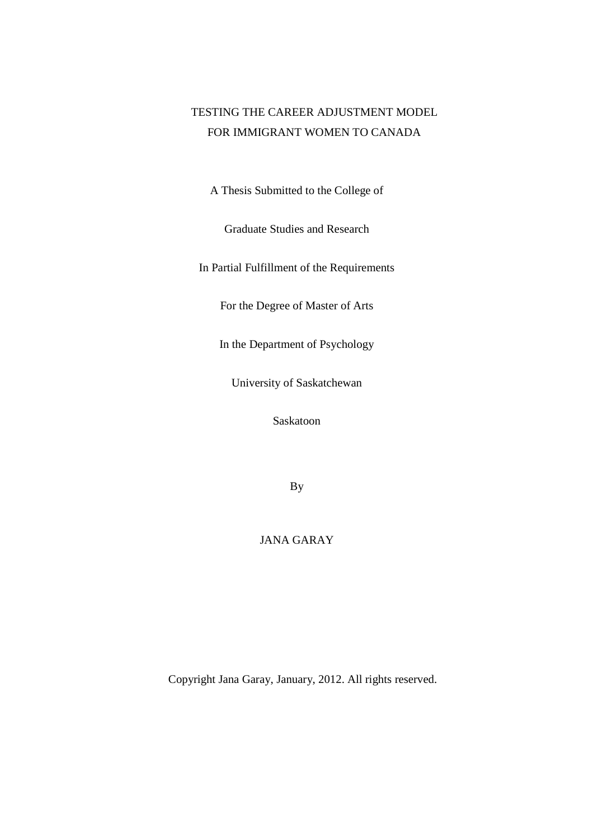# TESTING THE CAREER ADJUSTMENT MODEL FOR IMMIGRANT WOMEN TO CANADA

A Thesis Submitted to the College of

Graduate Studies and Research

In Partial Fulfillment of the Requirements

For the Degree of Master of Arts

In the Department of Psychology

University of Saskatchewan

Saskatoon

By

# JANA GARAY

Copyright Jana Garay, January, 2012. All rights reserved.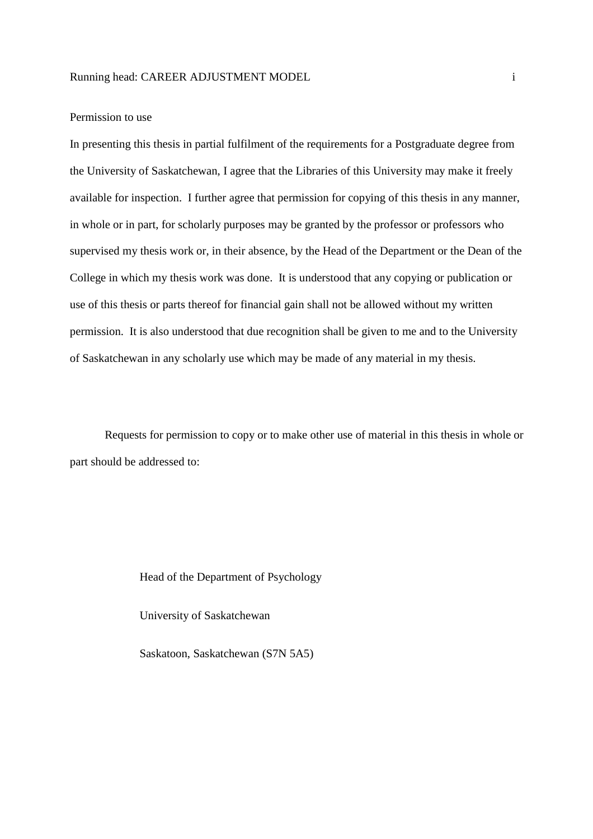### Permission to use

In presenting this thesis in partial fulfilment of the requirements for a Postgraduate degree from the University of Saskatchewan, I agree that the Libraries of this University may make it freely available for inspection. I further agree that permission for copying of this thesis in any manner, in whole or in part, for scholarly purposes may be granted by the professor or professors who supervised my thesis work or, in their absence, by the Head of the Department or the Dean of the College in which my thesis work was done. It is understood that any copying or publication or use of this thesis or parts thereof for financial gain shall not be allowed without my written permission. It is also understood that due recognition shall be given to me and to the University of Saskatchewan in any scholarly use which may be made of any material in my thesis.

Requests for permission to copy or to make other use of material in this thesis in whole or part should be addressed to:

#### Head of the Department of Psychology

University of Saskatchewan

Saskatoon, Saskatchewan (S7N 5A5)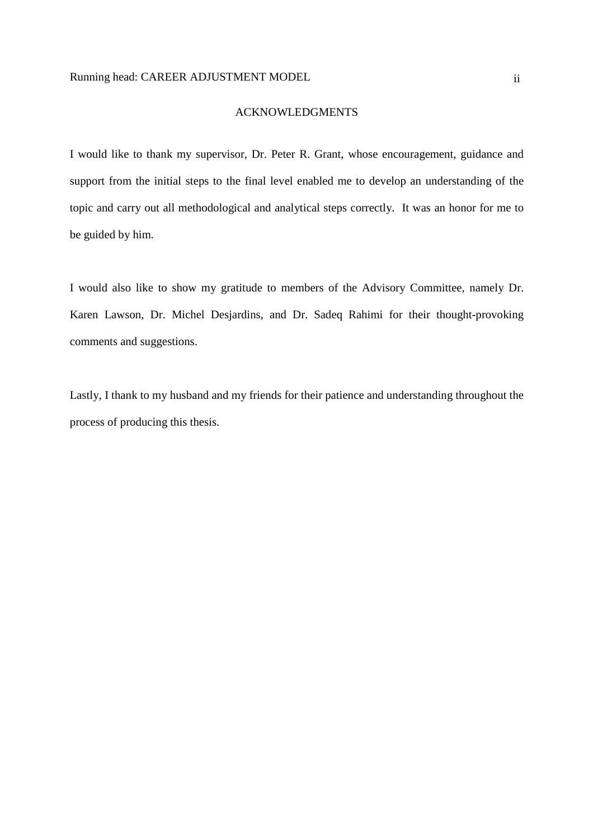#### ACKNOWLEDGMENTS

I would like to thank my supervisor, Dr. Peter R. Grant, whose encouragement, guidance and support from the initial steps to the final level enabled me to develop an understanding of the topic and carry out all methodological and analytical steps correctly. It was an honor for me to be guided by him.

I would also like to show my gratitude to members of the Advisory Committee, namely Dr. Karen Lawson, Dr. Michel Desjardins, and Dr. Sadeq Rahimi for their thought-provoking comments and suggestions.

Lastly, I thank to my husband and my friends for their patience and understanding throughout the process of producing this thesis.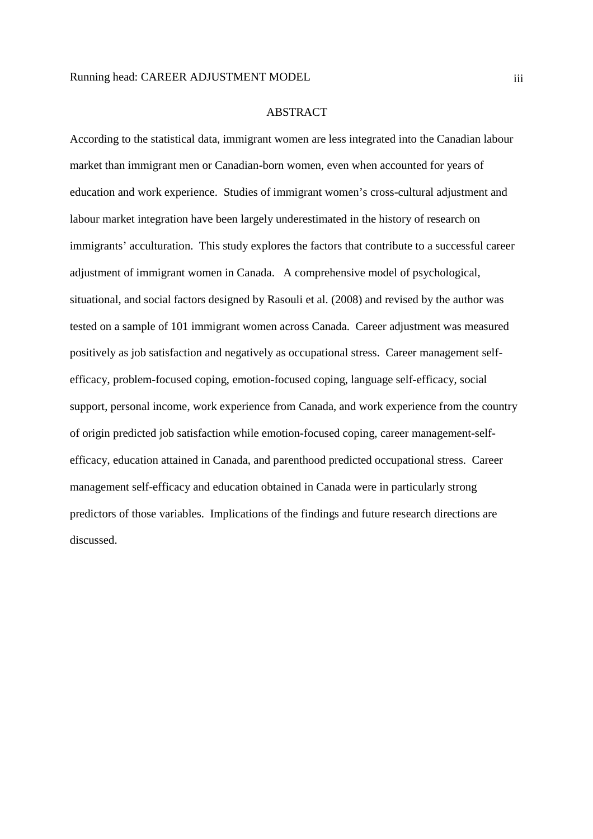#### ABSTRACT

According to the statistical data, immigrant women are less integrated into the Canadian labour market than immigrant men or Canadian-born women, even when accounted for years of education and work experience. Studies of immigrant women's cross-cultural adjustment and labour market integration have been largely underestimated in the history of research on immigrants' acculturation. This study explores the factors that contribute to a successful career adjustment of immigrant women in Canada. A comprehensive model of psychological, situational, and social factors designed by Rasouli et al. (2008) and revised by the author was tested on a sample of 101 immigrant women across Canada. Career adjustment was measured positively as job satisfaction and negatively as occupational stress. Career management selfefficacy, problem-focused coping, emotion-focused coping, language self-efficacy, social support, personal income, work experience from Canada, and work experience from the country of origin predicted job satisfaction while emotion-focused coping, career management-selfefficacy, education attained in Canada, and parenthood predicted occupational stress. Career management self-efficacy and education obtained in Canada were in particularly strong predictors of those variables. Implications of the findings and future research directions are discussed.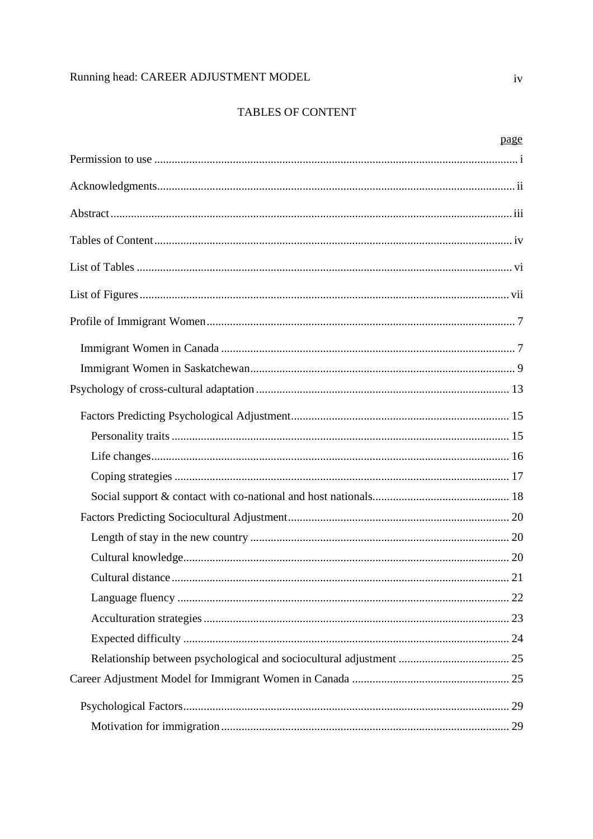# TABLES OF CONTENT

| page |
|------|
|      |
|      |
|      |
|      |
|      |
|      |
|      |
|      |
|      |
|      |
|      |
|      |
|      |
|      |
|      |
|      |
|      |
|      |
|      |
|      |
|      |
|      |
|      |
|      |
|      |
|      |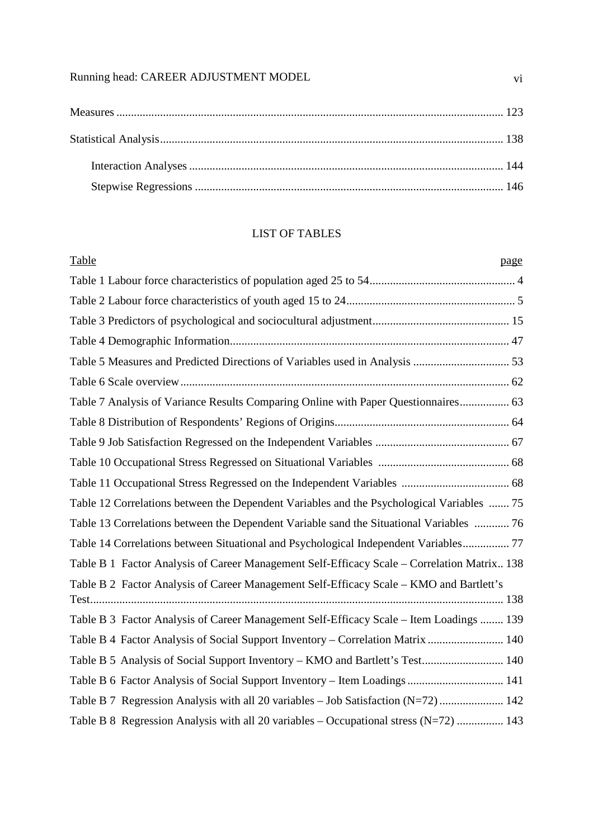# LIST OF TABLES

| Table<br>page                                                                               |  |
|---------------------------------------------------------------------------------------------|--|
|                                                                                             |  |
|                                                                                             |  |
|                                                                                             |  |
|                                                                                             |  |
|                                                                                             |  |
|                                                                                             |  |
| Table 7 Analysis of Variance Results Comparing Online with Paper Questionnaires 63          |  |
|                                                                                             |  |
|                                                                                             |  |
|                                                                                             |  |
|                                                                                             |  |
| Table 12 Correlations between the Dependent Variables and the Psychological Variables  75   |  |
| Table 13 Correlations between the Dependent Variable sand the Situational Variables  76     |  |
| Table 14 Correlations between Situational and Psychological Independent Variables 77        |  |
| Table B 1 Factor Analysis of Career Management Self-Efficacy Scale – Correlation Matrix 138 |  |
| Table B 2 Factor Analysis of Career Management Self-Efficacy Scale – KMO and Bartlett's     |  |
| Table B 3 Factor Analysis of Career Management Self-Efficacy Scale – Item Loadings  139     |  |
| Table B 4 Factor Analysis of Social Support Inventory - Correlation Matrix  140             |  |
| Table B 5 Analysis of Social Support Inventory – KMO and Bartlett's Test 140                |  |
|                                                                                             |  |
| Table B 7 Regression Analysis with all 20 variables - Job Satisfaction (N=72) 142           |  |
| Table B 8 Regression Analysis with all 20 variables – Occupational stress (N=72)  143       |  |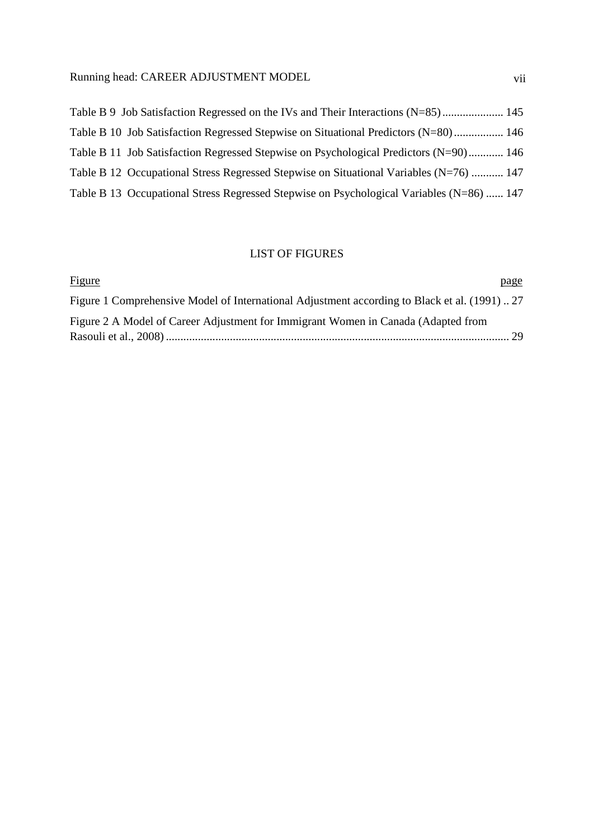| Table B 9 Job Satisfaction Regressed on the IVs and Their Interactions (N=85) 145        |  |
|------------------------------------------------------------------------------------------|--|
| Table B 10 Job Satisfaction Regressed Stepwise on Situational Predictors (N=80) 146      |  |
| Table B 11 Job Satisfaction Regressed Stepwise on Psychological Predictors $(N=90)$ 146  |  |
| Table B 12 Occupational Stress Regressed Stepwise on Situational Variables (N=76)  147   |  |
| Table B 13 Occupational Stress Regressed Stepwise on Psychological Variables (N=86)  147 |  |
|                                                                                          |  |

# LIST OF FIGURES

| <b>Figure</b>                                                                                 | page |
|-----------------------------------------------------------------------------------------------|------|
| Figure 1 Comprehensive Model of International Adjustment according to Black et al. (1991)  27 |      |
| Figure 2 A Model of Career Adjustment for Immigrant Women in Canada (Adapted from             |      |
|                                                                                               |      |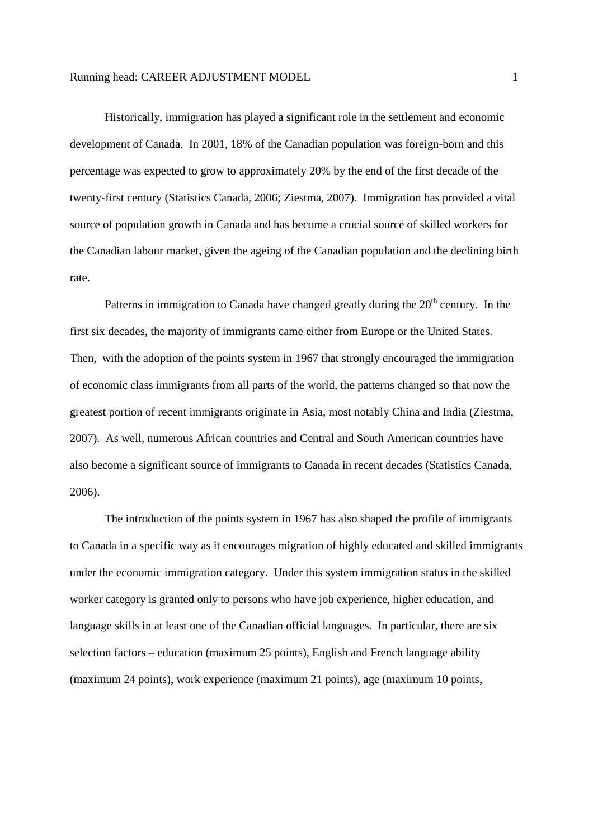Historically, immigration has played a significant role in the settlement and economic development of Canada. In 2001, 18% of the Canadian population was foreign-born and this percentage was expected to grow to approximately 20% by the end of the first decade of the twenty-first century (Statistics Canada, 2006; Ziestma, 2007). Immigration has provided a vital source of population growth in Canada and has become a crucial source of skilled workers for the Canadian labour market, given the ageing of the Canadian population and the declining birth rate.

Patterns in immigration to Canada have changed greatly during the  $20<sup>th</sup>$  century. In the first six decades, the majority of immigrants came either from Europe or the United States. Then, with the adoption of the points system in 1967 that strongly encouraged the immigration of economic class immigrants from all parts of the world, the patterns changed so that now the greatest portion of recent immigrants originate in Asia, most notably China and India (Ziestma, 2007). As well, numerous African countries and Central and South American countries have also become a significant source of immigrants to Canada in recent decades (Statistics Canada, 2006).

The introduction of the points system in 1967 has also shaped the profile of immigrants to Canada in a specific way as it encourages migration of highly educated and skilled immigrants under the economic immigration category. Under this system immigration status in the skilled worker category is granted only to persons who have job experience, higher education, and language skills in at least one of the Canadian official languages. In particular, there are six selection factors – education (maximum 25 points), English and French language ability (maximum 24 points), work experience (maximum 21 points), age (maximum 10 points,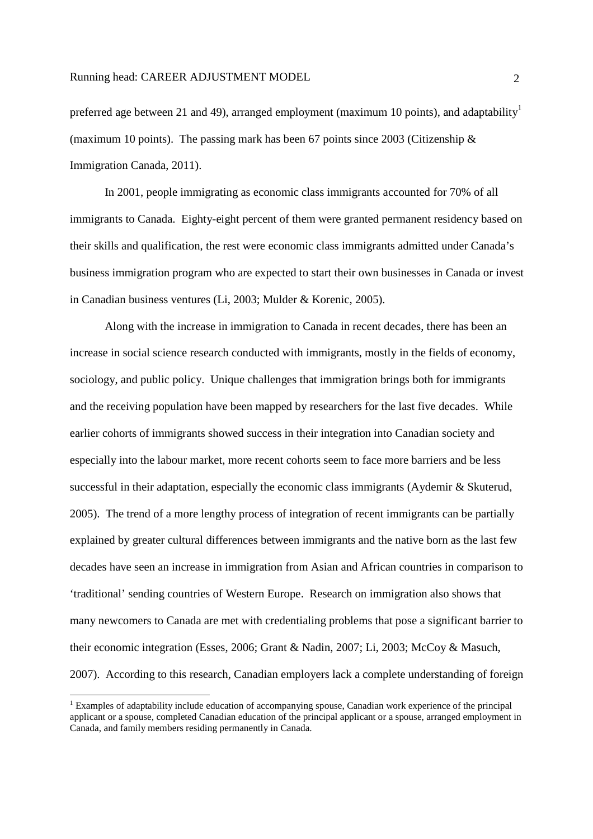preferred age between 21 and 49), arranged employment (maximum 10 points), and adaptability<sup>1</sup> (maximum 10 points). The passing mark has been 67 points since 2003 (Citizenship  $\&$ Immigration Canada, 2011).

In 2001, people immigrating as economic class immigrants accounted for 70% of all immigrants to Canada. Eighty-eight percent of them were granted permanent residency based on their skills and qualification, the rest were economic class immigrants admitted under Canada's business immigration program who are expected to start their own businesses in Canada or invest in Canadian business ventures (Li, 2003; Mulder & Korenic, 2005).

Along with the increase in immigration to Canada in recent decades, there has been an increase in social science research conducted with immigrants, mostly in the fields of economy, sociology, and public policy. Unique challenges that immigration brings both for immigrants and the receiving population have been mapped by researchers for the last five decades. While earlier cohorts of immigrants showed success in their integration into Canadian society and especially into the labour market, more recent cohorts seem to face more barriers and be less successful in their adaptation, especially the economic class immigrants (Aydemir & Skuterud, 2005). The trend of a more lengthy process of integration of recent immigrants can be partially explained by greater cultural differences between immigrants and the native born as the last few decades have seen an increase in immigration from Asian and African countries in comparison to 'traditional' sending countries of Western Europe. Research on immigration also shows that many newcomers to Canada are met with credentialing problems that pose a significant barrier to their economic integration (Esses, 2006; Grant & Nadin, 2007; Li, 2003; McCoy & Masuch, 2007). According to this research, Canadian employers lack a complete understanding of foreign

-

<sup>&</sup>lt;sup>1</sup> Examples of adaptability include education of accompanying spouse, Canadian work experience of the principal applicant or a spouse, completed Canadian education of the principal applicant or a spouse, arranged employment in Canada, and family members residing permanently in Canada.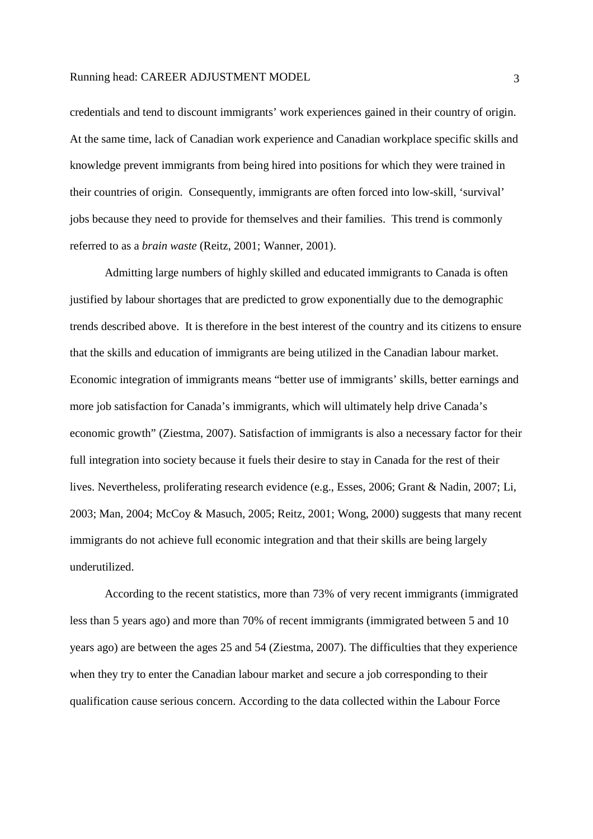credentials and tend to discount immigrants' work experiences gained in their country of origin. At the same time, lack of Canadian work experience and Canadian workplace specific skills and knowledge prevent immigrants from being hired into positions for which they were trained in their countries of origin. Consequently, immigrants are often forced into low-skill, 'survival' jobs because they need to provide for themselves and their families. This trend is commonly referred to as a *brain waste* (Reitz, 2001; Wanner, 2001).

Admitting large numbers of highly skilled and educated immigrants to Canada is often justified by labour shortages that are predicted to grow exponentially due to the demographic trends described above. It is therefore in the best interest of the country and its citizens to ensure that the skills and education of immigrants are being utilized in the Canadian labour market. Economic integration of immigrants means "better use of immigrants' skills, better earnings and more job satisfaction for Canada's immigrants, which will ultimately help drive Canada's economic growth" (Ziestma, 2007). Satisfaction of immigrants is also a necessary factor for their full integration into society because it fuels their desire to stay in Canada for the rest of their lives. Nevertheless, proliferating research evidence (e.g., Esses, 2006; Grant & Nadin, 2007; Li, 2003; Man, 2004; McCoy & Masuch, 2005; Reitz, 2001; Wong, 2000) suggests that many recent immigrants do not achieve full economic integration and that their skills are being largely underutilized.

According to the recent statistics, more than 73% of very recent immigrants (immigrated less than 5 years ago) and more than 70% of recent immigrants (immigrated between 5 and 10 years ago) are between the ages 25 and 54 (Ziestma, 2007). The difficulties that they experience when they try to enter the Canadian labour market and secure a job corresponding to their qualification cause serious concern. According to the data collected within the Labour Force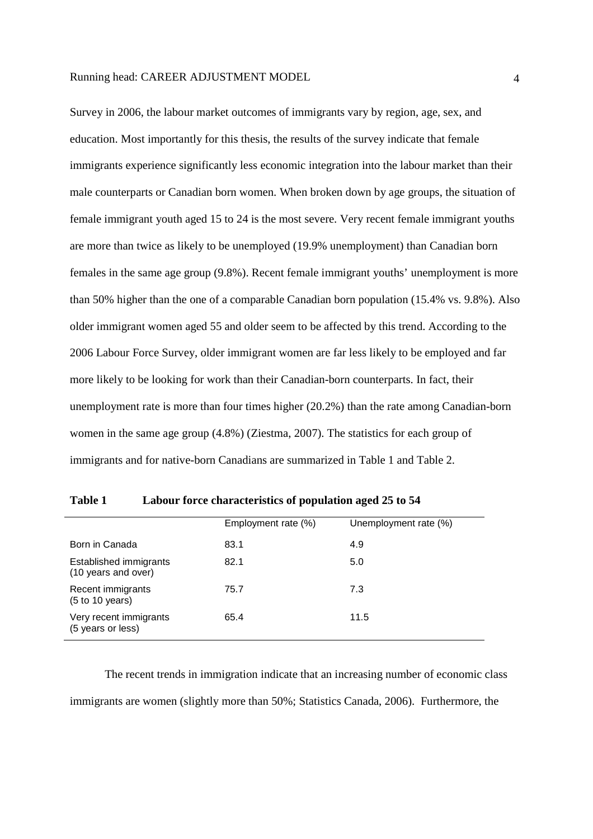Survey in 2006, the labour market outcomes of immigrants vary by region, age, sex, and education. Most importantly for this thesis, the results of the survey indicate that female immigrants experience significantly less economic integration into the labour market than their male counterparts or Canadian born women. When broken down by age groups, the situation of female immigrant youth aged 15 to 24 is the most severe. Very recent female immigrant youths are more than twice as likely to be unemployed (19.9% unemployment) than Canadian born females in the same age group (9.8%). Recent female immigrant youths' unemployment is more than 50% higher than the one of a comparable Canadian born population (15.4% vs. 9.8%). Also older immigrant women aged 55 and older seem to be affected by this trend. According to the 2006 Labour Force Survey, older immigrant women are far less likely to be employed and far more likely to be looking for work than their Canadian-born counterparts. In fact, their unemployment rate is more than four times higher (20.2%) than the rate among Canadian-born women in the same age group (4.8%) (Ziestma, 2007). The statistics for each group of immigrants and for native-born Canadians are summarized in Table 1 and Table 2.

|                                               | Employment rate (%) | Unemployment rate (%) |
|-----------------------------------------------|---------------------|-----------------------|
| Born in Canada                                | 83.1                | 4.9                   |
| Established immigrants<br>(10 years and over) | 82.1                | 5.0                   |
| Recent immigrants<br>(5 to 10 years)          | 75.7                | 7.3                   |
| Very recent immigrants<br>(5 years or less)   | 65.4                | 11.5                  |

**Table 1 Labour force characteristics of population aged 25 to 54** 

The recent trends in immigration indicate that an increasing number of economic class immigrants are women (slightly more than 50%; Statistics Canada, 2006). Furthermore, the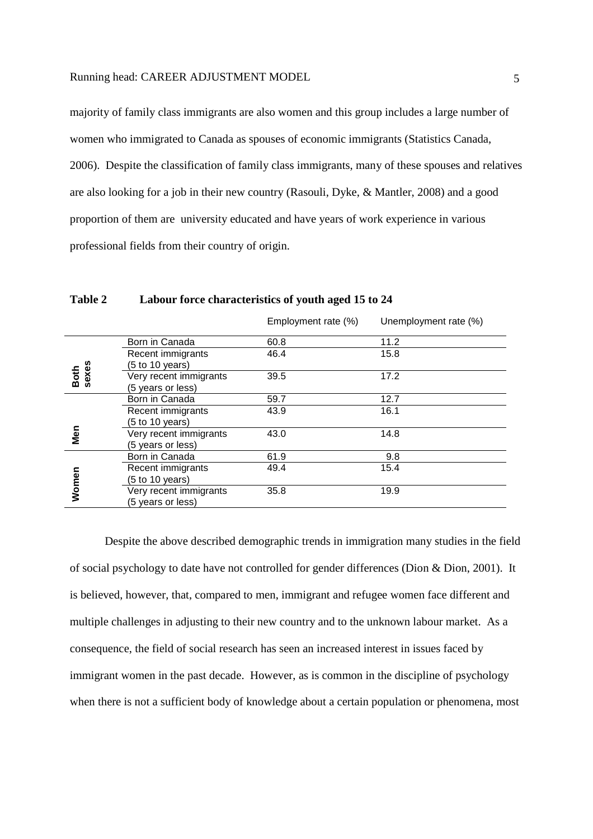majority of family class immigrants are also women and this group includes a large number of women who immigrated to Canada as spouses of economic immigrants (Statistics Canada, 2006). Despite the classification of family class immigrants, many of these spouses and relatives are also looking for a job in their new country (Rasouli, Dyke, & Mantler, 2008) and a good proportion of them are university educated and have years of work experience in various professional fields from their country of origin.

|               |                                                                | Employment rate (%) | Unemployment rate (%) |
|---------------|----------------------------------------------------------------|---------------------|-----------------------|
|               | Born in Canada                                                 | 60.8                | 11.2                  |
|               | Recent immigrants                                              | 46.4                | 15.8                  |
| Both<br>sexes | (5 to 10 years)<br>Very recent immigrants<br>(5 years or less) | 39.5                | 17.2                  |
|               | Born in Canada                                                 | 59.7                | 12.7                  |
|               | Recent immigrants<br>(5 to 10 years)                           | 43.9                | 16.1                  |
| Men           | Very recent immigrants<br>(5 years or less)                    | 43.0                | 14.8                  |
|               | Born in Canada                                                 | 61.9                | 9.8                   |
|               | Recent immigrants                                              | 49.4                | 15.4                  |
| Women         | (5 to 10 years)<br>Very recent immigrants<br>(5 years or less) | 35.8                | 19.9                  |

**Table 2 Labour force characteristics of youth aged 15 to 24** 

Despite the above described demographic trends in immigration many studies in the field of social psychology to date have not controlled for gender differences (Dion & Dion, 2001). It is believed, however, that, compared to men, immigrant and refugee women face different and multiple challenges in adjusting to their new country and to the unknown labour market. As a consequence, the field of social research has seen an increased interest in issues faced by immigrant women in the past decade. However, as is common in the discipline of psychology when there is not a sufficient body of knowledge about a certain population or phenomena, most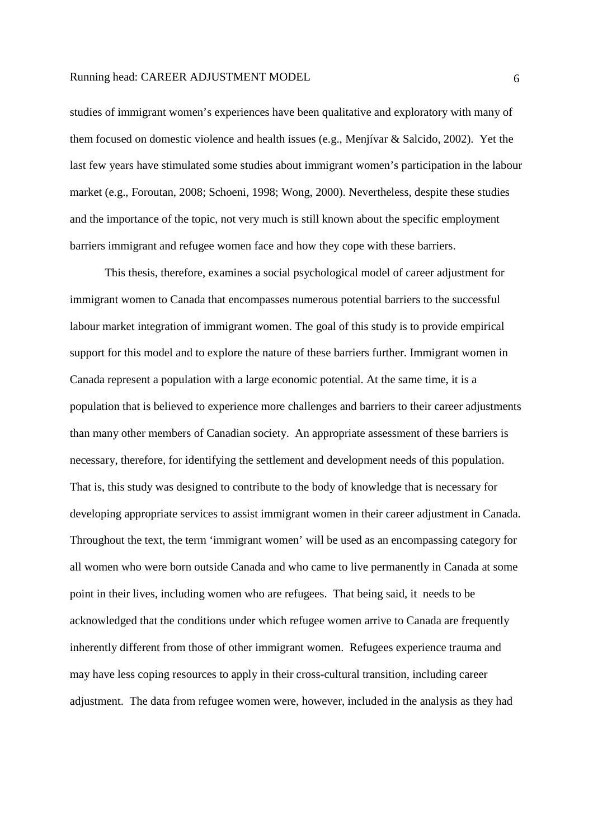studies of immigrant women's experiences have been qualitative and exploratory with many of them focused on domestic violence and health issues (e.g., Menjívar & Salcido, 2002). Yet the last few years have stimulated some studies about immigrant women's participation in the labour market (e.g., Foroutan, 2008; Schoeni, 1998; Wong, 2000). Nevertheless, despite these studies and the importance of the topic, not very much is still known about the specific employment barriers immigrant and refugee women face and how they cope with these barriers.

This thesis, therefore, examines a social psychological model of career adjustment for immigrant women to Canada that encompasses numerous potential barriers to the successful labour market integration of immigrant women. The goal of this study is to provide empirical support for this model and to explore the nature of these barriers further. Immigrant women in Canada represent a population with a large economic potential. At the same time, it is a population that is believed to experience more challenges and barriers to their career adjustments than many other members of Canadian society. An appropriate assessment of these barriers is necessary, therefore, for identifying the settlement and development needs of this population. That is, this study was designed to contribute to the body of knowledge that is necessary for developing appropriate services to assist immigrant women in their career adjustment in Canada. Throughout the text, the term 'immigrant women' will be used as an encompassing category for all women who were born outside Canada and who came to live permanently in Canada at some point in their lives, including women who are refugees. That being said, it needs to be acknowledged that the conditions under which refugee women arrive to Canada are frequently inherently different from those of other immigrant women. Refugees experience trauma and may have less coping resources to apply in their cross-cultural transition, including career adjustment. The data from refugee women were, however, included in the analysis as they had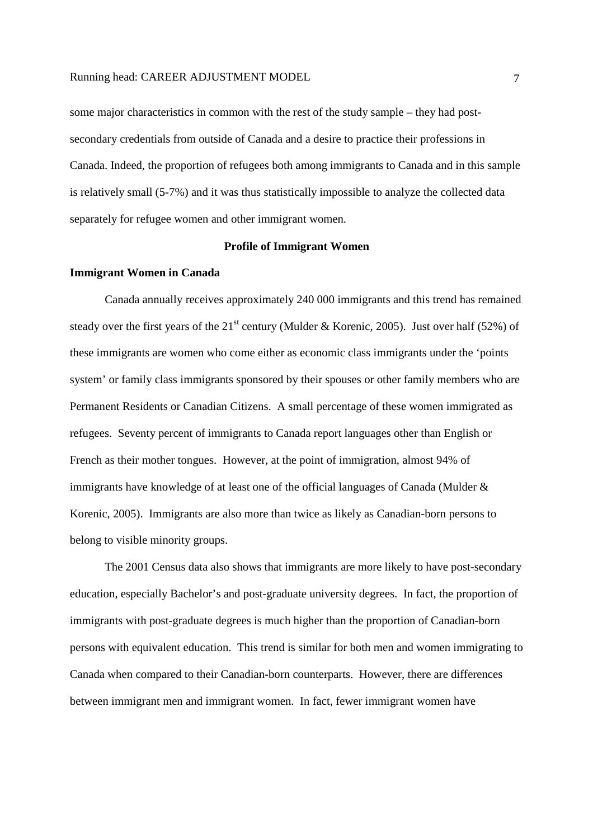some major characteristics in common with the rest of the study sample – they had postsecondary credentials from outside of Canada and a desire to practice their professions in Canada. Indeed, the proportion of refugees both among immigrants to Canada and in this sample is relatively small (5-7%) and it was thus statistically impossible to analyze the collected data separately for refugee women and other immigrant women.

# **Profile of Immigrant Women**

#### **Immigrant Women in Canada**

 Canada annually receives approximately 240 000 immigrants and this trend has remained steady over the first years of the 21<sup>st</sup> century (Mulder & Korenic, 2005). Just over half (52%) of these immigrants are women who come either as economic class immigrants under the 'points system' or family class immigrants sponsored by their spouses or other family members who are Permanent Residents or Canadian Citizens. A small percentage of these women immigrated as refugees. Seventy percent of immigrants to Canada report languages other than English or French as their mother tongues. However, at the point of immigration, almost 94% of immigrants have knowledge of at least one of the official languages of Canada (Mulder & Korenic, 2005). Immigrants are also more than twice as likely as Canadian-born persons to belong to visible minority groups.

 The 2001 Census data also shows that immigrants are more likely to have post-secondary education, especially Bachelor's and post-graduate university degrees. In fact, the proportion of immigrants with post-graduate degrees is much higher than the proportion of Canadian-born persons with equivalent education. This trend is similar for both men and women immigrating to Canada when compared to their Canadian-born counterparts. However, there are differences between immigrant men and immigrant women. In fact, fewer immigrant women have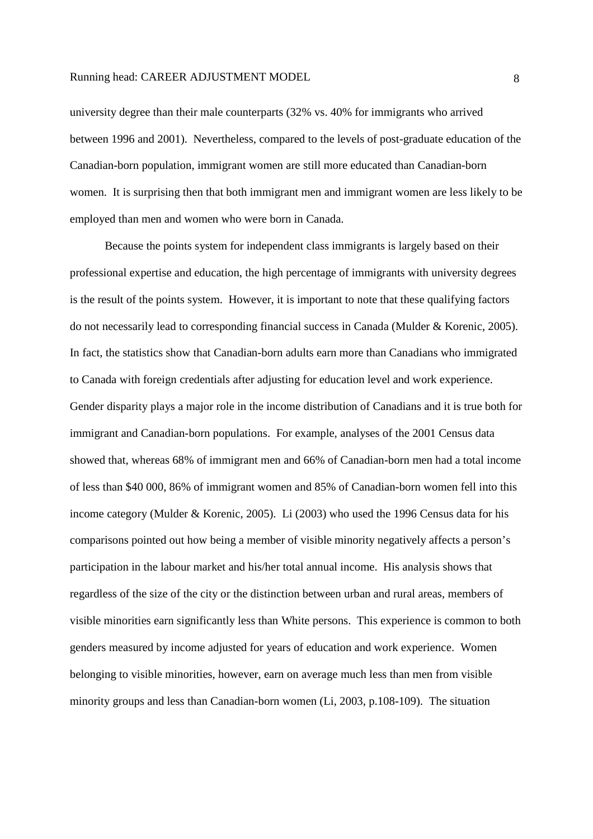university degree than their male counterparts (32% vs. 40% for immigrants who arrived between 1996 and 2001). Nevertheless, compared to the levels of post-graduate education of the Canadian-born population, immigrant women are still more educated than Canadian-born women. It is surprising then that both immigrant men and immigrant women are less likely to be employed than men and women who were born in Canada.

Because the points system for independent class immigrants is largely based on their professional expertise and education, the high percentage of immigrants with university degrees is the result of the points system. However, it is important to note that these qualifying factors do not necessarily lead to corresponding financial success in Canada (Mulder & Korenic, 2005). In fact, the statistics show that Canadian-born adults earn more than Canadians who immigrated to Canada with foreign credentials after adjusting for education level and work experience. Gender disparity plays a major role in the income distribution of Canadians and it is true both for immigrant and Canadian-born populations. For example, analyses of the 2001 Census data showed that, whereas 68% of immigrant men and 66% of Canadian-born men had a total income of less than \$40 000, 86% of immigrant women and 85% of Canadian-born women fell into this income category (Mulder & Korenic, 2005). Li (2003) who used the 1996 Census data for his comparisons pointed out how being a member of visible minority negatively affects a person's participation in the labour market and his/her total annual income. His analysis shows that regardless of the size of the city or the distinction between urban and rural areas, members of visible minorities earn significantly less than White persons. This experience is common to both genders measured by income adjusted for years of education and work experience. Women belonging to visible minorities, however, earn on average much less than men from visible minority groups and less than Canadian-born women (Li, 2003, p.108-109). The situation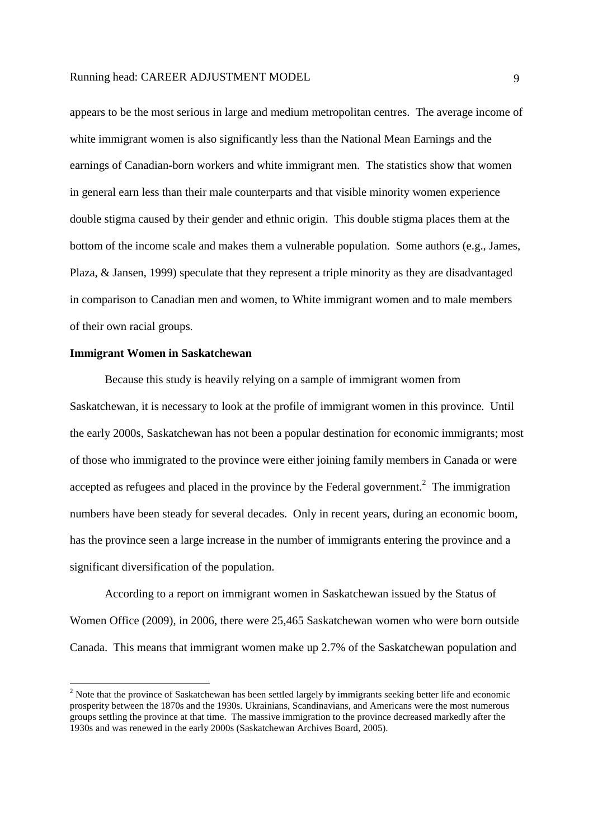appears to be the most serious in large and medium metropolitan centres. The average income of white immigrant women is also significantly less than the National Mean Earnings and the earnings of Canadian-born workers and white immigrant men. The statistics show that women in general earn less than their male counterparts and that visible minority women experience double stigma caused by their gender and ethnic origin. This double stigma places them at the bottom of the income scale and makes them a vulnerable population. Some authors (e.g., James, Plaza, & Jansen, 1999) speculate that they represent a triple minority as they are disadvantaged in comparison to Canadian men and women, to White immigrant women and to male members of their own racial groups.

#### **Immigrant Women in Saskatchewan**

-

Because this study is heavily relying on a sample of immigrant women from Saskatchewan, it is necessary to look at the profile of immigrant women in this province. Until the early 2000s, Saskatchewan has not been a popular destination for economic immigrants; most of those who immigrated to the province were either joining family members in Canada or were accepted as refugees and placed in the province by the Federal government.<sup>2</sup> The immigration numbers have been steady for several decades. Only in recent years, during an economic boom, has the province seen a large increase in the number of immigrants entering the province and a significant diversification of the population.

According to a report on immigrant women in Saskatchewan issued by the Status of Women Office (2009), in 2006, there were 25,465 Saskatchewan women who were born outside Canada. This means that immigrant women make up 2.7% of the Saskatchewan population and

 $2$  Note that the province of Saskatchewan has been settled largely by immigrants seeking better life and economic prosperity between the 1870s and the 1930s. Ukrainians, Scandinavians, and Americans were the most numerous groups settling the province at that time. The massive immigration to the province decreased markedly after the 1930s and was renewed in the early 2000s (Saskatchewan Archives Board, 2005).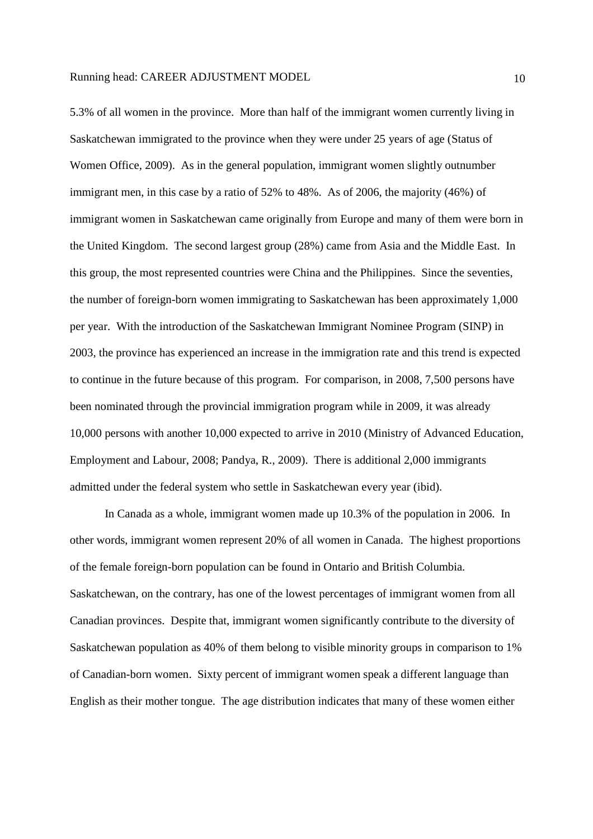5.3% of all women in the province. More than half of the immigrant women currently living in Saskatchewan immigrated to the province when they were under 25 years of age (Status of Women Office, 2009). As in the general population, immigrant women slightly outnumber immigrant men, in this case by a ratio of 52% to 48%. As of 2006, the majority (46%) of immigrant women in Saskatchewan came originally from Europe and many of them were born in the United Kingdom. The second largest group (28%) came from Asia and the Middle East. In this group, the most represented countries were China and the Philippines. Since the seventies, the number of foreign-born women immigrating to Saskatchewan has been approximately 1,000 per year. With the introduction of the Saskatchewan Immigrant Nominee Program (SINP) in 2003, the province has experienced an increase in the immigration rate and this trend is expected to continue in the future because of this program. For comparison, in 2008, 7,500 persons have been nominated through the provincial immigration program while in 2009, it was already 10,000 persons with another 10,000 expected to arrive in 2010 (Ministry of Advanced Education, Employment and Labour, 2008; Pandya, R., 2009). There is additional 2,000 immigrants admitted under the federal system who settle in Saskatchewan every year (ibid).

In Canada as a whole, immigrant women made up 10.3% of the population in 2006. In other words, immigrant women represent 20% of all women in Canada. The highest proportions of the female foreign-born population can be found in Ontario and British Columbia. Saskatchewan, on the contrary, has one of the lowest percentages of immigrant women from all Canadian provinces. Despite that, immigrant women significantly contribute to the diversity of Saskatchewan population as 40% of them belong to visible minority groups in comparison to 1% of Canadian-born women. Sixty percent of immigrant women speak a different language than English as their mother tongue. The age distribution indicates that many of these women either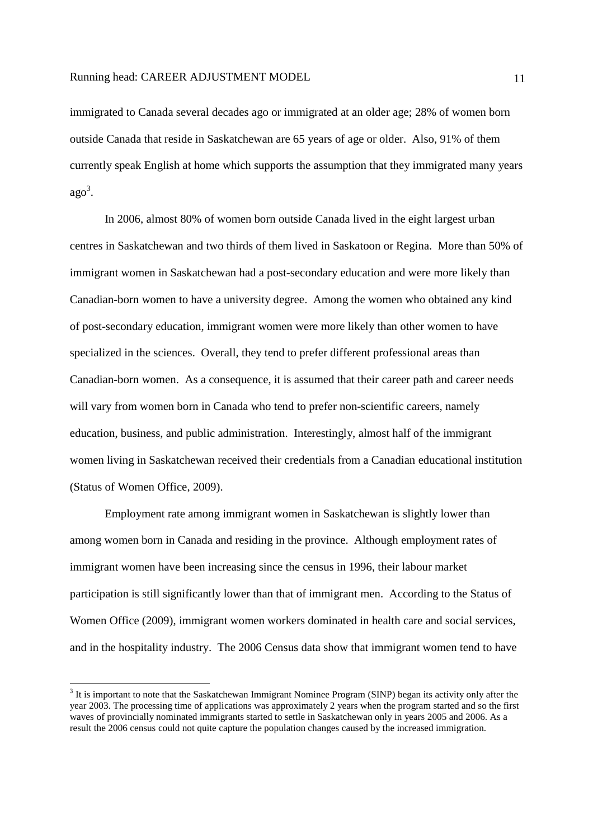immigrated to Canada several decades ago or immigrated at an older age; 28% of women born outside Canada that reside in Saskatchewan are 65 years of age or older. Also, 91% of them currently speak English at home which supports the assumption that they immigrated many years ago 3 .

In 2006, almost 80% of women born outside Canada lived in the eight largest urban centres in Saskatchewan and two thirds of them lived in Saskatoon or Regina. More than 50% of immigrant women in Saskatchewan had a post-secondary education and were more likely than Canadian-born women to have a university degree. Among the women who obtained any kind of post-secondary education, immigrant women were more likely than other women to have specialized in the sciences. Overall, they tend to prefer different professional areas than Canadian-born women. As a consequence, it is assumed that their career path and career needs will vary from women born in Canada who tend to prefer non-scientific careers, namely education, business, and public administration. Interestingly, almost half of the immigrant women living in Saskatchewan received their credentials from a Canadian educational institution (Status of Women Office, 2009).

Employment rate among immigrant women in Saskatchewan is slightly lower than among women born in Canada and residing in the province. Although employment rates of immigrant women have been increasing since the census in 1996, their labour market participation is still significantly lower than that of immigrant men. According to the Status of Women Office (2009), immigrant women workers dominated in health care and social services, and in the hospitality industry. The 2006 Census data show that immigrant women tend to have

-

<sup>&</sup>lt;sup>3</sup> It is important to note that the Saskatchewan Immigrant Nominee Program (SINP) began its activity only after the year 2003. The processing time of applications was approximately 2 years when the program started and so the first waves of provincially nominated immigrants started to settle in Saskatchewan only in years 2005 and 2006. As a result the 2006 census could not quite capture the population changes caused by the increased immigration.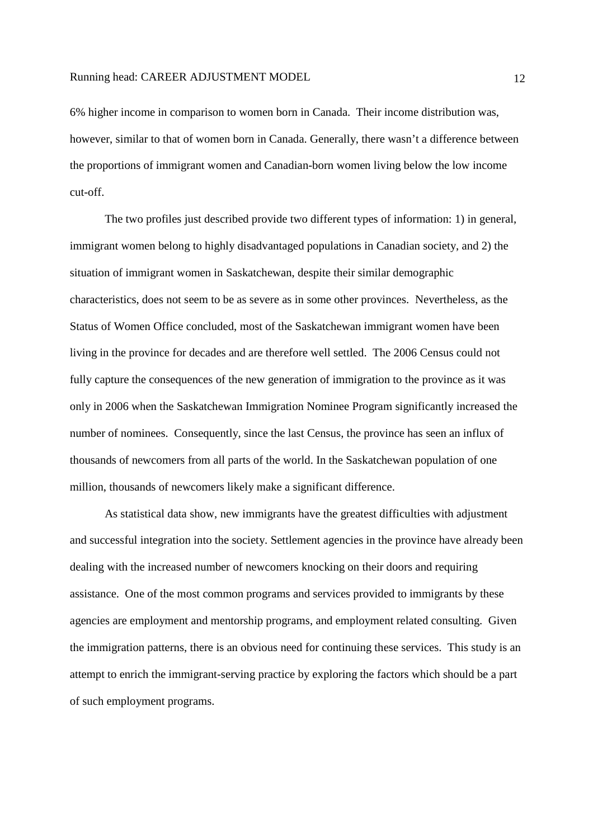6% higher income in comparison to women born in Canada. Their income distribution was, however, similar to that of women born in Canada. Generally, there wasn't a difference between the proportions of immigrant women and Canadian-born women living below the low income cut-off.

 The two profiles just described provide two different types of information: 1) in general, immigrant women belong to highly disadvantaged populations in Canadian society, and 2) the situation of immigrant women in Saskatchewan, despite their similar demographic characteristics, does not seem to be as severe as in some other provinces. Nevertheless, as the Status of Women Office concluded, most of the Saskatchewan immigrant women have been living in the province for decades and are therefore well settled. The 2006 Census could not fully capture the consequences of the new generation of immigration to the province as it was only in 2006 when the Saskatchewan Immigration Nominee Program significantly increased the number of nominees. Consequently, since the last Census, the province has seen an influx of thousands of newcomers from all parts of the world. In the Saskatchewan population of one million, thousands of newcomers likely make a significant difference.

As statistical data show, new immigrants have the greatest difficulties with adjustment and successful integration into the society. Settlement agencies in the province have already been dealing with the increased number of newcomers knocking on their doors and requiring assistance. One of the most common programs and services provided to immigrants by these agencies are employment and mentorship programs, and employment related consulting. Given the immigration patterns, there is an obvious need for continuing these services. This study is an attempt to enrich the immigrant-serving practice by exploring the factors which should be a part of such employment programs.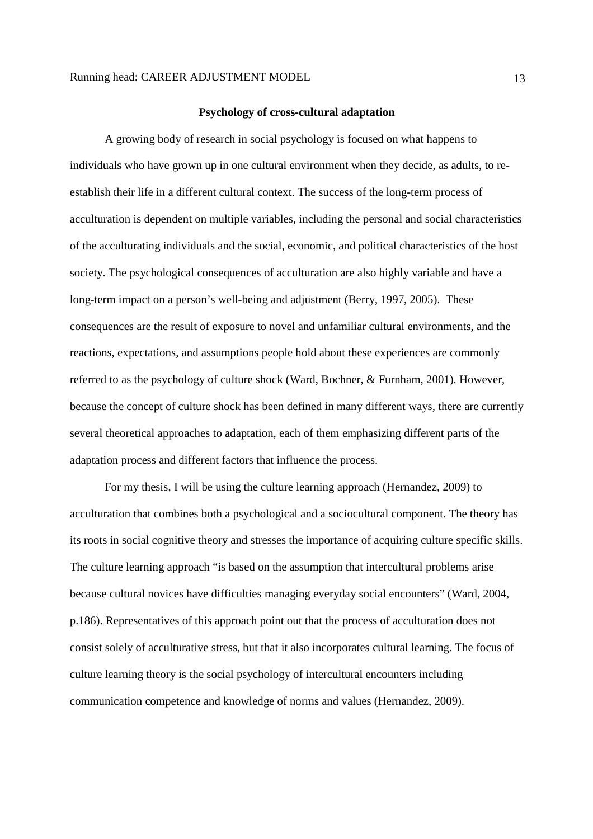#### **Psychology of cross-cultural adaptation**

A growing body of research in social psychology is focused on what happens to individuals who have grown up in one cultural environment when they decide, as adults, to reestablish their life in a different cultural context. The success of the long-term process of acculturation is dependent on multiple variables, including the personal and social characteristics of the acculturating individuals and the social, economic, and political characteristics of the host society. The psychological consequences of acculturation are also highly variable and have a long-term impact on a person's well-being and adjustment (Berry, 1997, 2005). These consequences are the result of exposure to novel and unfamiliar cultural environments, and the reactions, expectations, and assumptions people hold about these experiences are commonly referred to as the psychology of culture shock (Ward, Bochner, & Furnham, 2001). However, because the concept of culture shock has been defined in many different ways, there are currently several theoretical approaches to adaptation, each of them emphasizing different parts of the adaptation process and different factors that influence the process.

For my thesis, I will be using the culture learning approach (Hernandez, 2009) to acculturation that combines both a psychological and a sociocultural component. The theory has its roots in social cognitive theory and stresses the importance of acquiring culture specific skills. The culture learning approach "is based on the assumption that intercultural problems arise because cultural novices have difficulties managing everyday social encounters" (Ward, 2004, p.186). Representatives of this approach point out that the process of acculturation does not consist solely of acculturative stress, but that it also incorporates cultural learning. The focus of culture learning theory is the social psychology of intercultural encounters including communication competence and knowledge of norms and values (Hernandez, 2009).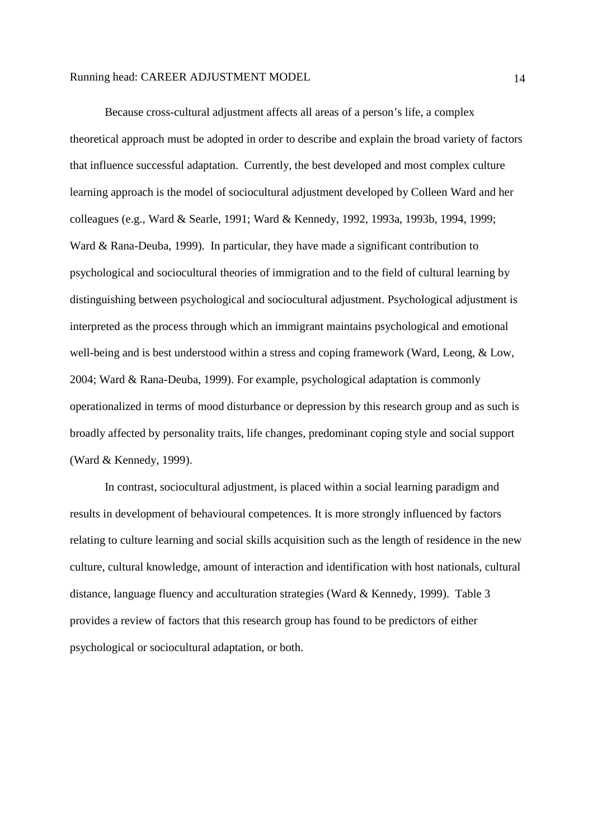Because cross-cultural adjustment affects all areas of a person's life, a complex theoretical approach must be adopted in order to describe and explain the broad variety of factors that influence successful adaptation. Currently, the best developed and most complex culture learning approach is the model of sociocultural adjustment developed by Colleen Ward and her colleagues (e.g., Ward & Searle, 1991; Ward & Kennedy, 1992, 1993a, 1993b, 1994, 1999; Ward & Rana-Deuba, 1999). In particular, they have made a significant contribution to psychological and sociocultural theories of immigration and to the field of cultural learning by distinguishing between psychological and sociocultural adjustment. Psychological adjustment is interpreted as the process through which an immigrant maintains psychological and emotional well-being and is best understood within a stress and coping framework (Ward, Leong, & Low, 2004; Ward & Rana-Deuba, 1999). For example, psychological adaptation is commonly operationalized in terms of mood disturbance or depression by this research group and as such is broadly affected by personality traits, life changes, predominant coping style and social support (Ward & Kennedy, 1999).

In contrast, sociocultural adjustment, is placed within a social learning paradigm and results in development of behavioural competences. It is more strongly influenced by factors relating to culture learning and social skills acquisition such as the length of residence in the new culture, cultural knowledge, amount of interaction and identification with host nationals, cultural distance, language fluency and acculturation strategies (Ward & Kennedy, 1999). Table 3 provides a review of factors that this research group has found to be predictors of either psychological or sociocultural adaptation, or both.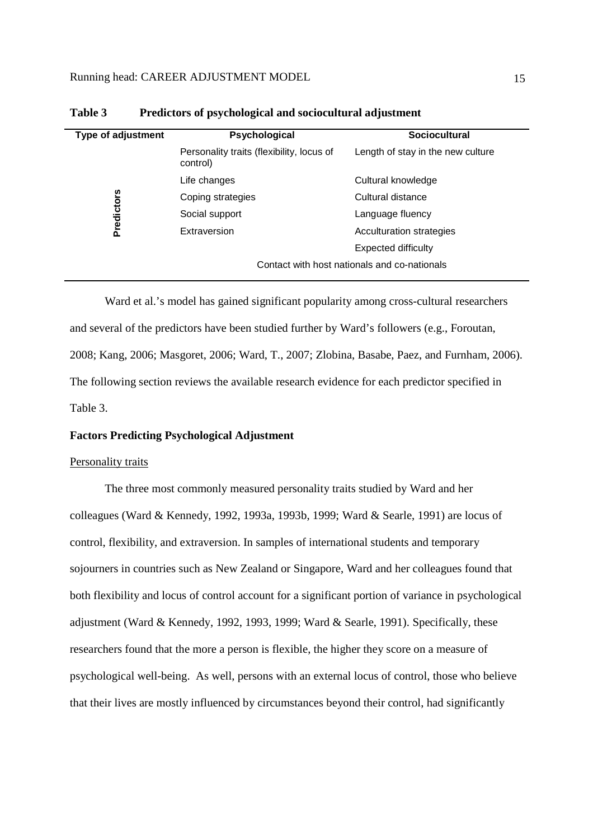| Psychological                                         | <b>Sociocultural</b>                         |
|-------------------------------------------------------|----------------------------------------------|
| Personality traits (flexibility, locus of<br>control) | Length of stay in the new culture            |
| Life changes                                          | Cultural knowledge                           |
| Coping strategies                                     | Cultural distance                            |
| Social support                                        | Language fluency                             |
| Extraversion                                          | Acculturation strategies                     |
|                                                       | Expected difficulty                          |
|                                                       | Contact with host nationals and co-nationals |
|                                                       |                                              |

| Table 3 |  |  | Predictors of psychological and sociocultural adjustment |  |
|---------|--|--|----------------------------------------------------------|--|
|---------|--|--|----------------------------------------------------------|--|

Ward et al.'s model has gained significant popularity among cross-cultural researchers and several of the predictors have been studied further by Ward's followers (e.g., Foroutan, 2008; Kang, 2006; Masgoret, 2006; Ward, T., 2007; Zlobina, Basabe, Paez, and Furnham, 2006). The following section reviews the available research evidence for each predictor specified in Table 3.

# **Factors Predicting Psychological Adjustment**

#### Personality traits

The three most commonly measured personality traits studied by Ward and her colleagues (Ward & Kennedy, 1992, 1993a, 1993b, 1999; Ward & Searle, 1991) are locus of control, flexibility, and extraversion. In samples of international students and temporary sojourners in countries such as New Zealand or Singapore, Ward and her colleagues found that both flexibility and locus of control account for a significant portion of variance in psychological adjustment (Ward & Kennedy, 1992, 1993, 1999; Ward & Searle, 1991). Specifically, these researchers found that the more a person is flexible, the higher they score on a measure of psychological well-being. As well, persons with an external locus of control, those who believe that their lives are mostly influenced by circumstances beyond their control, had significantly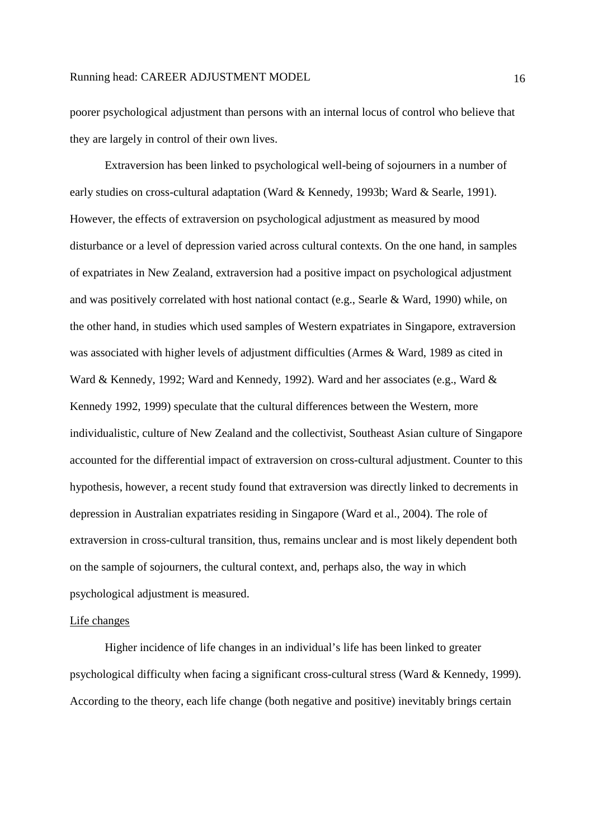poorer psychological adjustment than persons with an internal locus of control who believe that they are largely in control of their own lives.

 Extraversion has been linked to psychological well-being of sojourners in a number of early studies on cross-cultural adaptation (Ward & Kennedy, 1993b; Ward & Searle, 1991). However, the effects of extraversion on psychological adjustment as measured by mood disturbance or a level of depression varied across cultural contexts. On the one hand, in samples of expatriates in New Zealand, extraversion had a positive impact on psychological adjustment and was positively correlated with host national contact (e.g., Searle & Ward, 1990) while, on the other hand, in studies which used samples of Western expatriates in Singapore, extraversion was associated with higher levels of adjustment difficulties (Armes & Ward, 1989 as cited in Ward & Kennedy, 1992; Ward and Kennedy, 1992). Ward and her associates (e.g., Ward & Kennedy 1992, 1999) speculate that the cultural differences between the Western, more individualistic, culture of New Zealand and the collectivist, Southeast Asian culture of Singapore accounted for the differential impact of extraversion on cross-cultural adjustment. Counter to this hypothesis, however, a recent study found that extraversion was directly linked to decrements in depression in Australian expatriates residing in Singapore (Ward et al., 2004). The role of extraversion in cross-cultural transition, thus, remains unclear and is most likely dependent both on the sample of sojourners, the cultural context, and, perhaps also, the way in which psychological adjustment is measured.

#### Life changes

Higher incidence of life changes in an individual's life has been linked to greater psychological difficulty when facing a significant cross-cultural stress (Ward & Kennedy, 1999). According to the theory, each life change (both negative and positive) inevitably brings certain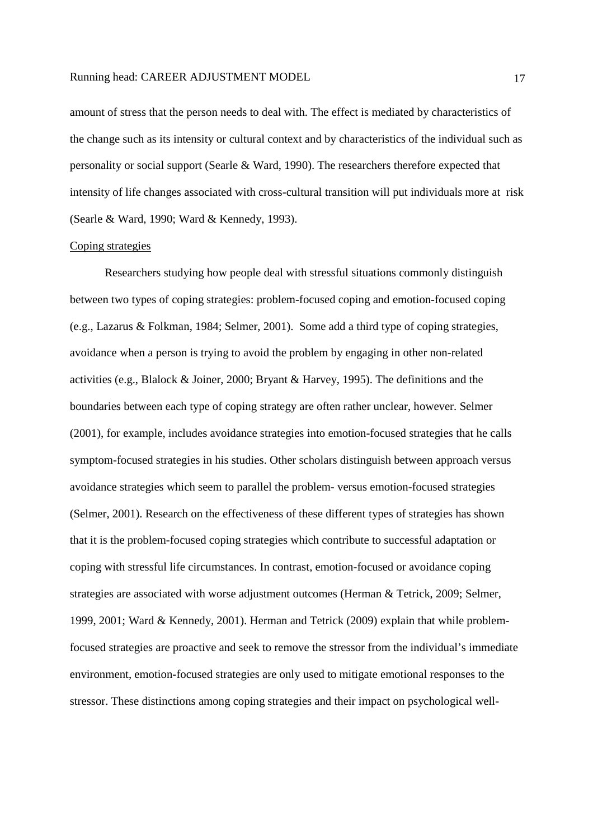amount of stress that the person needs to deal with. The effect is mediated by characteristics of the change such as its intensity or cultural context and by characteristics of the individual such as personality or social support (Searle & Ward, 1990). The researchers therefore expected that intensity of life changes associated with cross-cultural transition will put individuals more at risk (Searle & Ward, 1990; Ward & Kennedy, 1993).

### Coping strategies

Researchers studying how people deal with stressful situations commonly distinguish between two types of coping strategies: problem-focused coping and emotion-focused coping (e.g., Lazarus & Folkman, 1984; Selmer, 2001). Some add a third type of coping strategies, avoidance when a person is trying to avoid the problem by engaging in other non-related activities (e.g., Blalock & Joiner, 2000; Bryant & Harvey, 1995). The definitions and the boundaries between each type of coping strategy are often rather unclear, however. Selmer (2001), for example, includes avoidance strategies into emotion-focused strategies that he calls symptom-focused strategies in his studies. Other scholars distinguish between approach versus avoidance strategies which seem to parallel the problem- versus emotion-focused strategies (Selmer, 2001). Research on the effectiveness of these different types of strategies has shown that it is the problem-focused coping strategies which contribute to successful adaptation or coping with stressful life circumstances. In contrast, emotion-focused or avoidance coping strategies are associated with worse adjustment outcomes (Herman & Tetrick, 2009; Selmer, 1999, 2001; Ward & Kennedy, 2001). Herman and Tetrick (2009) explain that while problemfocused strategies are proactive and seek to remove the stressor from the individual's immediate environment, emotion-focused strategies are only used to mitigate emotional responses to the stressor. These distinctions among coping strategies and their impact on psychological well-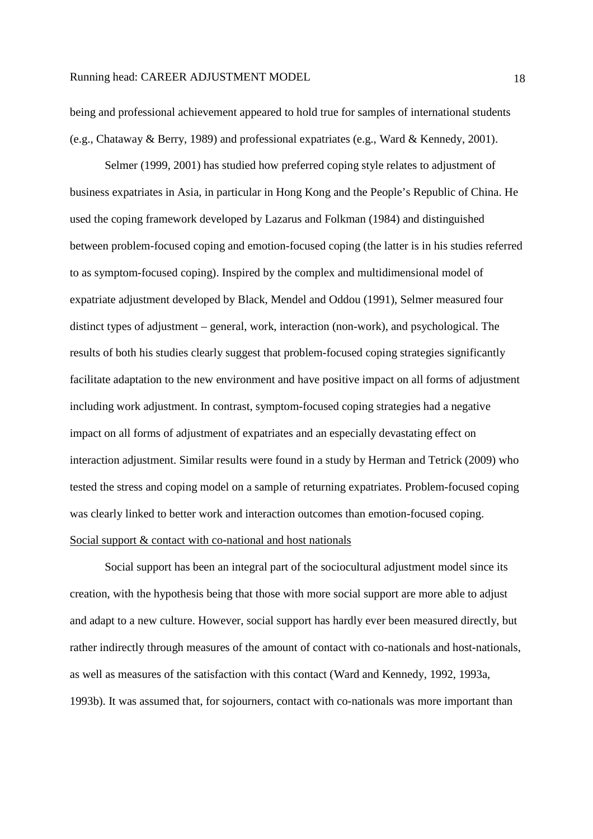being and professional achievement appeared to hold true for samples of international students (e.g., Chataway & Berry, 1989) and professional expatriates (e.g., Ward & Kennedy, 2001).

Selmer (1999, 2001) has studied how preferred coping style relates to adjustment of business expatriates in Asia, in particular in Hong Kong and the People's Republic of China. He used the coping framework developed by Lazarus and Folkman (1984) and distinguished between problem-focused coping and emotion-focused coping (the latter is in his studies referred to as symptom-focused coping). Inspired by the complex and multidimensional model of expatriate adjustment developed by Black, Mendel and Oddou (1991), Selmer measured four distinct types of adjustment – general, work, interaction (non-work), and psychological. The results of both his studies clearly suggest that problem-focused coping strategies significantly facilitate adaptation to the new environment and have positive impact on all forms of adjustment including work adjustment. In contrast, symptom-focused coping strategies had a negative impact on all forms of adjustment of expatriates and an especially devastating effect on interaction adjustment. Similar results were found in a study by Herman and Tetrick (2009) who tested the stress and coping model on a sample of returning expatriates. Problem-focused coping was clearly linked to better work and interaction outcomes than emotion-focused coping. Social support & contact with co-national and host nationals

Social support has been an integral part of the sociocultural adjustment model since its creation, with the hypothesis being that those with more social support are more able to adjust and adapt to a new culture. However, social support has hardly ever been measured directly, but rather indirectly through measures of the amount of contact with co-nationals and host-nationals, as well as measures of the satisfaction with this contact (Ward and Kennedy, 1992, 1993a, 1993b). It was assumed that, for sojourners, contact with co-nationals was more important than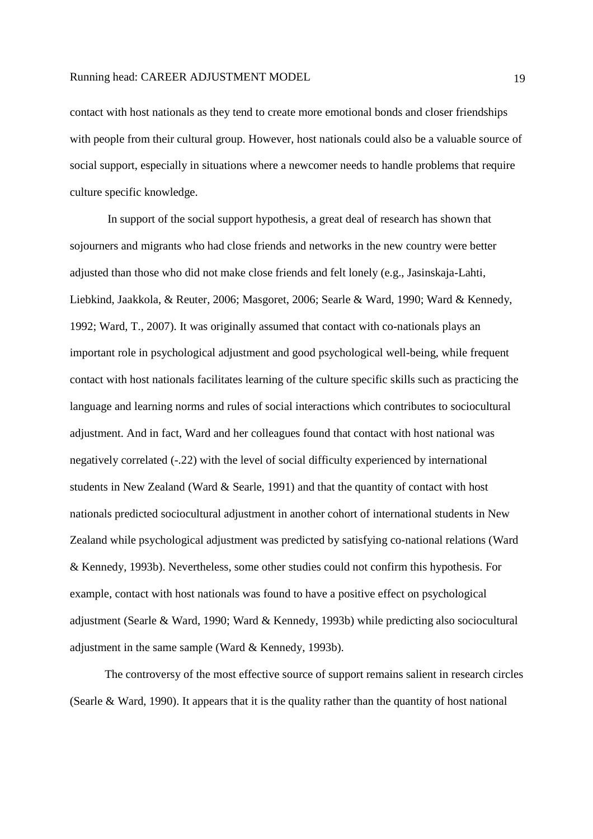contact with host nationals as they tend to create more emotional bonds and closer friendships with people from their cultural group. However, host nationals could also be a valuable source of social support, especially in situations where a newcomer needs to handle problems that require culture specific knowledge.

 In support of the social support hypothesis, a great deal of research has shown that sojourners and migrants who had close friends and networks in the new country were better adjusted than those who did not make close friends and felt lonely (e.g., Jasinskaja-Lahti, Liebkind, Jaakkola, & Reuter, 2006; Masgoret, 2006; Searle & Ward, 1990; Ward & Kennedy, 1992; Ward, T., 2007). It was originally assumed that contact with co-nationals plays an important role in psychological adjustment and good psychological well-being, while frequent contact with host nationals facilitates learning of the culture specific skills such as practicing the language and learning norms and rules of social interactions which contributes to sociocultural adjustment. And in fact, Ward and her colleagues found that contact with host national was negatively correlated (-.22) with the level of social difficulty experienced by international students in New Zealand (Ward & Searle, 1991) and that the quantity of contact with host nationals predicted sociocultural adjustment in another cohort of international students in New Zealand while psychological adjustment was predicted by satisfying co-national relations (Ward & Kennedy, 1993b). Nevertheless, some other studies could not confirm this hypothesis. For example, contact with host nationals was found to have a positive effect on psychological adjustment (Searle & Ward, 1990; Ward & Kennedy, 1993b) while predicting also sociocultural adjustment in the same sample (Ward & Kennedy, 1993b).

The controversy of the most effective source of support remains salient in research circles (Searle & Ward, 1990). It appears that it is the quality rather than the quantity of host national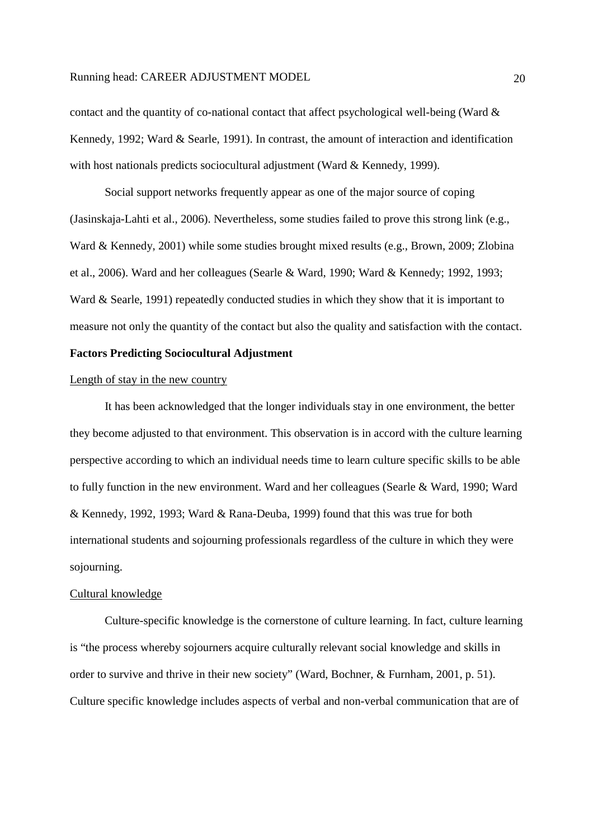contact and the quantity of co-national contact that affect psychological well-being (Ward  $\&$ Kennedy, 1992; Ward & Searle, 1991). In contrast, the amount of interaction and identification with host nationals predicts sociocultural adjustment (Ward & Kennedy, 1999).

Social support networks frequently appear as one of the major source of coping (Jasinskaja-Lahti et al., 2006). Nevertheless, some studies failed to prove this strong link (e.g., Ward & Kennedy, 2001) while some studies brought mixed results (e.g., Brown, 2009; Zlobina et al., 2006). Ward and her colleagues (Searle & Ward, 1990; Ward & Kennedy; 1992, 1993; Ward & Searle, 1991) repeatedly conducted studies in which they show that it is important to measure not only the quantity of the contact but also the quality and satisfaction with the contact.

# **Factors Predicting Sociocultural Adjustment**

#### Length of stay in the new country

 It has been acknowledged that the longer individuals stay in one environment, the better they become adjusted to that environment. This observation is in accord with the culture learning perspective according to which an individual needs time to learn culture specific skills to be able to fully function in the new environment. Ward and her colleagues (Searle & Ward, 1990; Ward & Kennedy, 1992, 1993; Ward & Rana-Deuba, 1999) found that this was true for both international students and sojourning professionals regardless of the culture in which they were sojourning.

#### Cultural knowledge

 Culture-specific knowledge is the cornerstone of culture learning. In fact, culture learning is "the process whereby sojourners acquire culturally relevant social knowledge and skills in order to survive and thrive in their new society" (Ward, Bochner, & Furnham, 2001, p. 51). Culture specific knowledge includes aspects of verbal and non-verbal communication that are of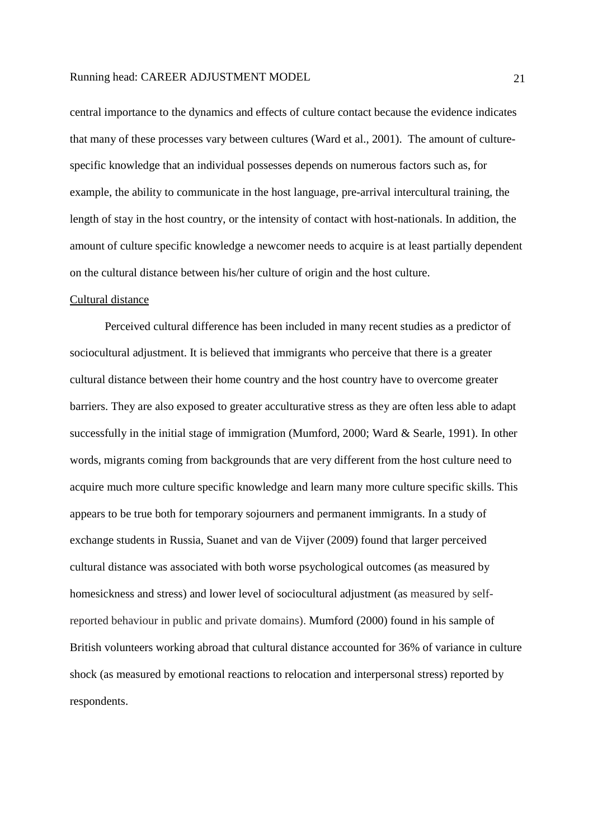central importance to the dynamics and effects of culture contact because the evidence indicates that many of these processes vary between cultures (Ward et al., 2001). The amount of culturespecific knowledge that an individual possesses depends on numerous factors such as, for example, the ability to communicate in the host language, pre-arrival intercultural training, the length of stay in the host country, or the intensity of contact with host-nationals. In addition, the amount of culture specific knowledge a newcomer needs to acquire is at least partially dependent on the cultural distance between his/her culture of origin and the host culture.

#### Cultural distance

Perceived cultural difference has been included in many recent studies as a predictor of sociocultural adjustment. It is believed that immigrants who perceive that there is a greater cultural distance between their home country and the host country have to overcome greater barriers. They are also exposed to greater acculturative stress as they are often less able to adapt successfully in the initial stage of immigration (Mumford, 2000; Ward & Searle, 1991). In other words, migrants coming from backgrounds that are very different from the host culture need to acquire much more culture specific knowledge and learn many more culture specific skills. This appears to be true both for temporary sojourners and permanent immigrants. In a study of exchange students in Russia, Suanet and van de Vijver (2009) found that larger perceived cultural distance was associated with both worse psychological outcomes (as measured by homesickness and stress) and lower level of sociocultural adjustment (as measured by selfreported behaviour in public and private domains). Mumford (2000) found in his sample of British volunteers working abroad that cultural distance accounted for 36% of variance in culture shock (as measured by emotional reactions to relocation and interpersonal stress) reported by respondents.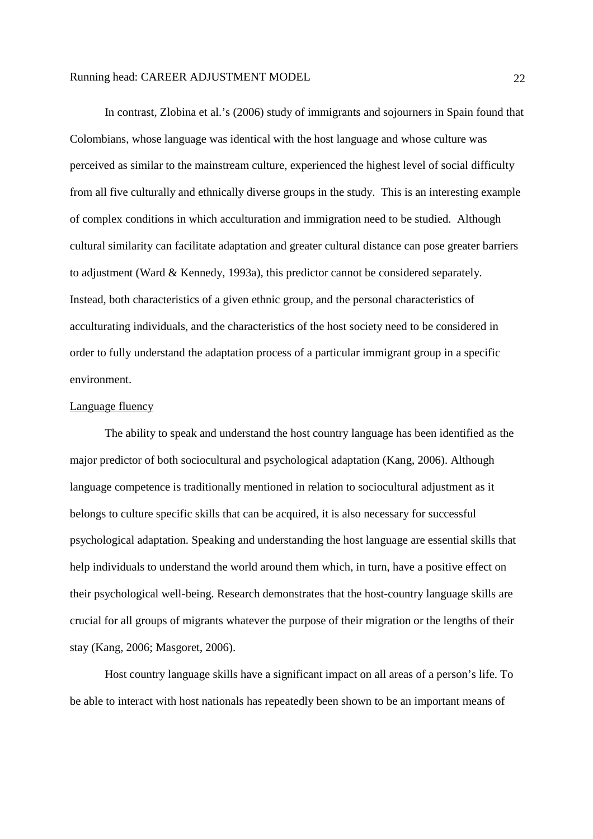In contrast, Zlobina et al.'s (2006) study of immigrants and sojourners in Spain found that Colombians, whose language was identical with the host language and whose culture was perceived as similar to the mainstream culture, experienced the highest level of social difficulty from all five culturally and ethnically diverse groups in the study. This is an interesting example of complex conditions in which acculturation and immigration need to be studied. Although cultural similarity can facilitate adaptation and greater cultural distance can pose greater barriers to adjustment (Ward & Kennedy, 1993a), this predictor cannot be considered separately. Instead, both characteristics of a given ethnic group, and the personal characteristics of acculturating individuals, and the characteristics of the host society need to be considered in order to fully understand the adaptation process of a particular immigrant group in a specific environment.

# Language fluency

The ability to speak and understand the host country language has been identified as the major predictor of both sociocultural and psychological adaptation (Kang, 2006). Although language competence is traditionally mentioned in relation to sociocultural adjustment as it belongs to culture specific skills that can be acquired, it is also necessary for successful psychological adaptation. Speaking and understanding the host language are essential skills that help individuals to understand the world around them which, in turn, have a positive effect on their psychological well-being. Research demonstrates that the host-country language skills are crucial for all groups of migrants whatever the purpose of their migration or the lengths of their stay (Kang, 2006; Masgoret, 2006).

Host country language skills have a significant impact on all areas of a person's life. To be able to interact with host nationals has repeatedly been shown to be an important means of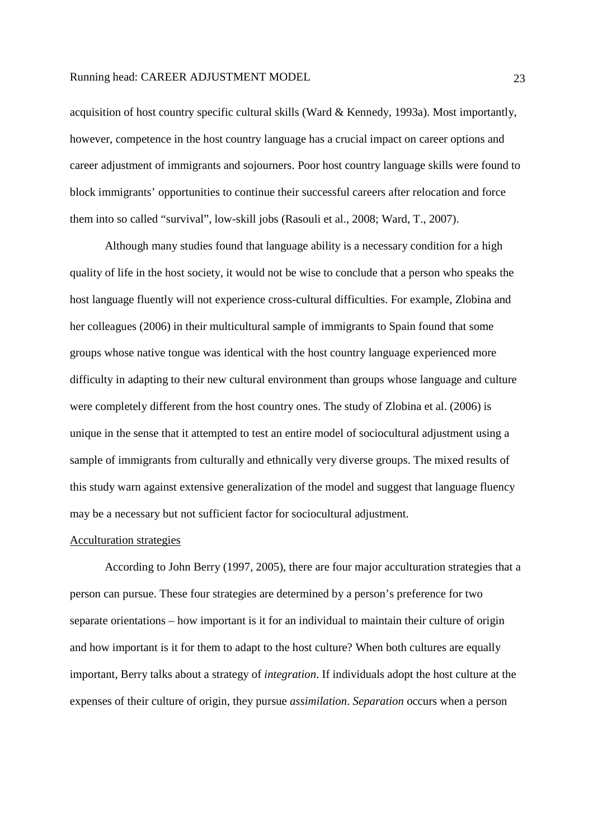acquisition of host country specific cultural skills (Ward & Kennedy, 1993a). Most importantly, however, competence in the host country language has a crucial impact on career options and career adjustment of immigrants and sojourners. Poor host country language skills were found to block immigrants' opportunities to continue their successful careers after relocation and force them into so called "survival", low-skill jobs (Rasouli et al., 2008; Ward, T., 2007).

Although many studies found that language ability is a necessary condition for a high quality of life in the host society, it would not be wise to conclude that a person who speaks the host language fluently will not experience cross-cultural difficulties. For example, Zlobina and her colleagues (2006) in their multicultural sample of immigrants to Spain found that some groups whose native tongue was identical with the host country language experienced more difficulty in adapting to their new cultural environment than groups whose language and culture were completely different from the host country ones. The study of Zlobina et al. (2006) is unique in the sense that it attempted to test an entire model of sociocultural adjustment using a sample of immigrants from culturally and ethnically very diverse groups. The mixed results of this study warn against extensive generalization of the model and suggest that language fluency may be a necessary but not sufficient factor for sociocultural adjustment.

#### Acculturation strategies

 According to John Berry (1997, 2005), there are four major acculturation strategies that a person can pursue. These four strategies are determined by a person's preference for two separate orientations – how important is it for an individual to maintain their culture of origin and how important is it for them to adapt to the host culture? When both cultures are equally important, Berry talks about a strategy of *integration*. If individuals adopt the host culture at the expenses of their culture of origin, they pursue *assimilation*. *Separation* occurs when a person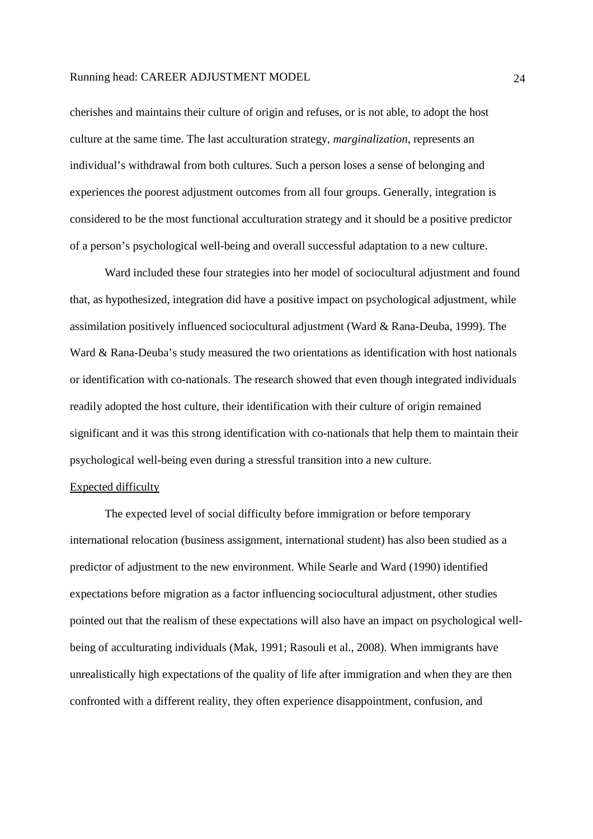cherishes and maintains their culture of origin and refuses, or is not able, to adopt the host culture at the same time. The last acculturation strategy, *marginalization*, represents an individual's withdrawal from both cultures. Such a person loses a sense of belonging and experiences the poorest adjustment outcomes from all four groups. Generally, integration is considered to be the most functional acculturation strategy and it should be a positive predictor of a person's psychological well-being and overall successful adaptation to a new culture.

 Ward included these four strategies into her model of sociocultural adjustment and found that, as hypothesized, integration did have a positive impact on psychological adjustment, while assimilation positively influenced sociocultural adjustment (Ward & Rana-Deuba, 1999). The Ward & Rana-Deuba's study measured the two orientations as identification with host nationals or identification with co-nationals. The research showed that even though integrated individuals readily adopted the host culture, their identification with their culture of origin remained significant and it was this strong identification with co-nationals that help them to maintain their psychological well-being even during a stressful transition into a new culture.

#### Expected difficulty

 The expected level of social difficulty before immigration or before temporary international relocation (business assignment, international student) has also been studied as a predictor of adjustment to the new environment. While Searle and Ward (1990) identified expectations before migration as a factor influencing sociocultural adjustment, other studies pointed out that the realism of these expectations will also have an impact on psychological wellbeing of acculturating individuals (Mak, 1991; Rasouli et al., 2008). When immigrants have unrealistically high expectations of the quality of life after immigration and when they are then confronted with a different reality, they often experience disappointment, confusion, and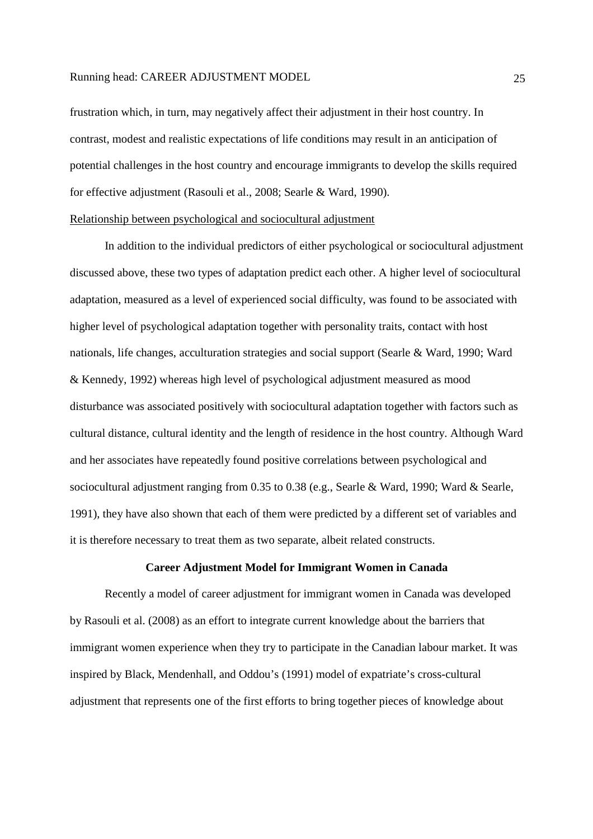frustration which, in turn, may negatively affect their adjustment in their host country. In contrast, modest and realistic expectations of life conditions may result in an anticipation of potential challenges in the host country and encourage immigrants to develop the skills required for effective adjustment (Rasouli et al., 2008; Searle & Ward, 1990).

### Relationship between psychological and sociocultural adjustment

In addition to the individual predictors of either psychological or sociocultural adjustment discussed above, these two types of adaptation predict each other. A higher level of sociocultural adaptation, measured as a level of experienced social difficulty, was found to be associated with higher level of psychological adaptation together with personality traits, contact with host nationals, life changes, acculturation strategies and social support (Searle & Ward, 1990; Ward & Kennedy, 1992) whereas high level of psychological adjustment measured as mood disturbance was associated positively with sociocultural adaptation together with factors such as cultural distance, cultural identity and the length of residence in the host country. Although Ward and her associates have repeatedly found positive correlations between psychological and sociocultural adjustment ranging from 0.35 to 0.38 (e.g., Searle & Ward, 1990; Ward & Searle, 1991), they have also shown that each of them were predicted by a different set of variables and it is therefore necessary to treat them as two separate, albeit related constructs.

#### **Career Adjustment Model for Immigrant Women in Canada**

Recently a model of career adjustment for immigrant women in Canada was developed by Rasouli et al. (2008) as an effort to integrate current knowledge about the barriers that immigrant women experience when they try to participate in the Canadian labour market. It was inspired by Black, Mendenhall, and Oddou's (1991) model of expatriate's cross-cultural adjustment that represents one of the first efforts to bring together pieces of knowledge about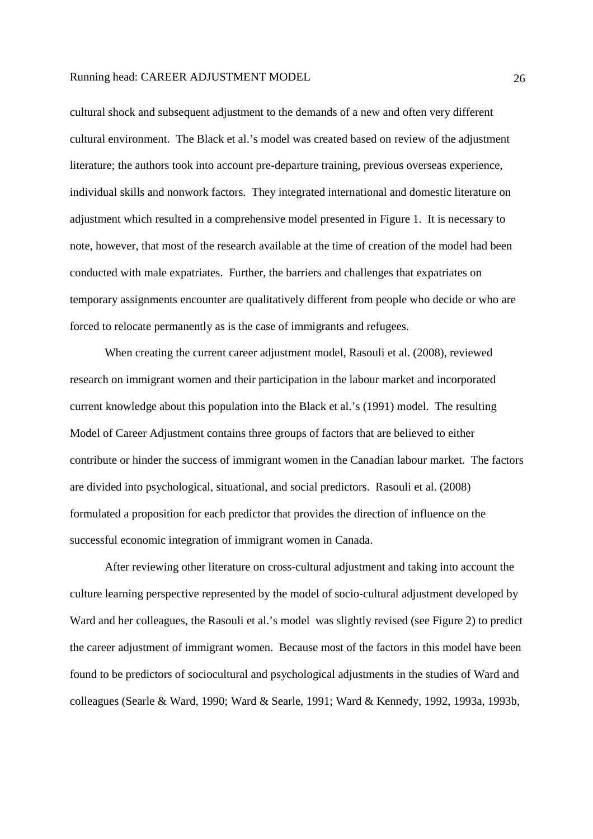cultural shock and subsequent adjustment to the demands of a new and often very different cultural environment. The Black et al.'s model was created based on review of the adjustment literature; the authors took into account pre-departure training, previous overseas experience, individual skills and nonwork factors. They integrated international and domestic literature on adjustment which resulted in a comprehensive model presented in Figure 1. It is necessary to note, however, that most of the research available at the time of creation of the model had been conducted with male expatriates. Further, the barriers and challenges that expatriates on temporary assignments encounter are qualitatively different from people who decide or who are forced to relocate permanently as is the case of immigrants and refugees.

When creating the current career adjustment model, Rasouli et al. (2008), reviewed research on immigrant women and their participation in the labour market and incorporated current knowledge about this population into the Black et al.'s (1991) model. The resulting Model of Career Adjustment contains three groups of factors that are believed to either contribute or hinder the success of immigrant women in the Canadian labour market. The factors are divided into psychological, situational, and social predictors. Rasouli et al. (2008) formulated a proposition for each predictor that provides the direction of influence on the successful economic integration of immigrant women in Canada.

After reviewing other literature on cross-cultural adjustment and taking into account the culture learning perspective represented by the model of socio-cultural adjustment developed by Ward and her colleagues, the Rasouli et al.'s model was slightly revised (see Figure 2) to predict the career adjustment of immigrant women. Because most of the factors in this model have been found to be predictors of sociocultural and psychological adjustments in the studies of Ward and colleagues (Searle & Ward, 1990; Ward & Searle, 1991; Ward & Kennedy, 1992, 1993a, 1993b,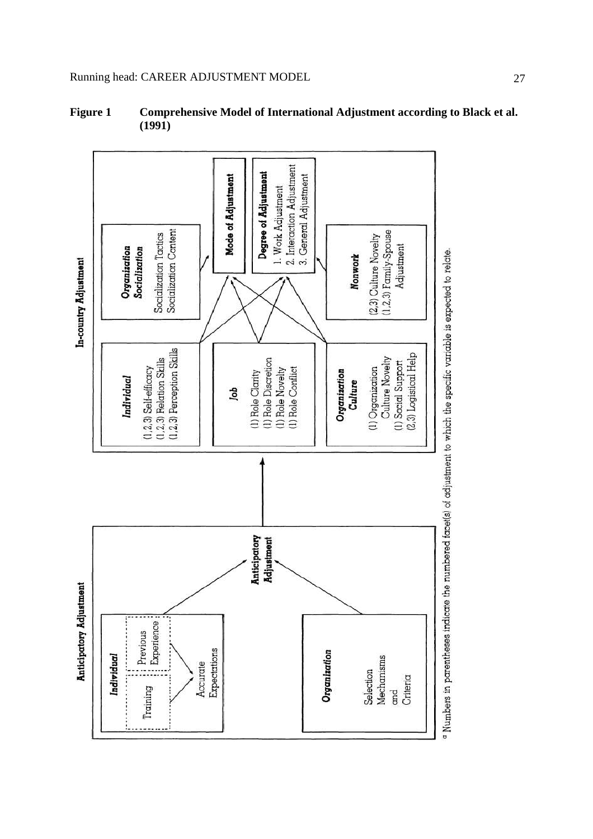

**Figure 1 Comprehensive Model of International Adjustment according to Black et al. (1991)** 

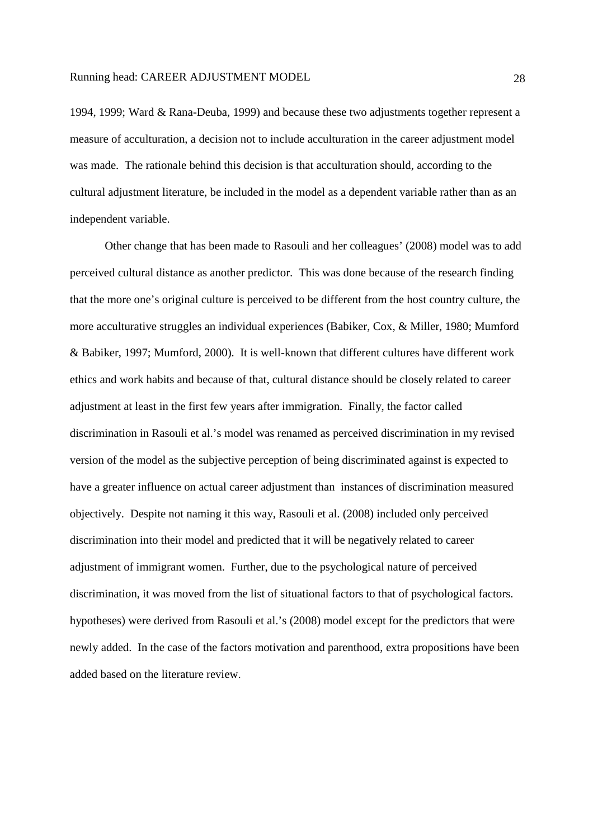1994, 1999; Ward & Rana-Deuba, 1999) and because these two adjustments together represent a measure of acculturation, a decision not to include acculturation in the career adjustment model was made. The rationale behind this decision is that acculturation should, according to the cultural adjustment literature, be included in the model as a dependent variable rather than as an independent variable.

Other change that has been made to Rasouli and her colleagues' (2008) model was to add perceived cultural distance as another predictor. This was done because of the research finding that the more one's original culture is perceived to be different from the host country culture, the more acculturative struggles an individual experiences (Babiker, Cox, & Miller, 1980; Mumford & Babiker, 1997; Mumford, 2000). It is well-known that different cultures have different work ethics and work habits and because of that, cultural distance should be closely related to career adjustment at least in the first few years after immigration. Finally, the factor called discrimination in Rasouli et al.'s model was renamed as perceived discrimination in my revised version of the model as the subjective perception of being discriminated against is expected to have a greater influence on actual career adjustment than instances of discrimination measured objectively. Despite not naming it this way, Rasouli et al. (2008) included only perceived discrimination into their model and predicted that it will be negatively related to career adjustment of immigrant women. Further, due to the psychological nature of perceived discrimination, it was moved from the list of situational factors to that of psychological factors. hypotheses) were derived from Rasouli et al.'s (2008) model except for the predictors that were newly added. In the case of the factors motivation and parenthood, extra propositions have been added based on the literature review.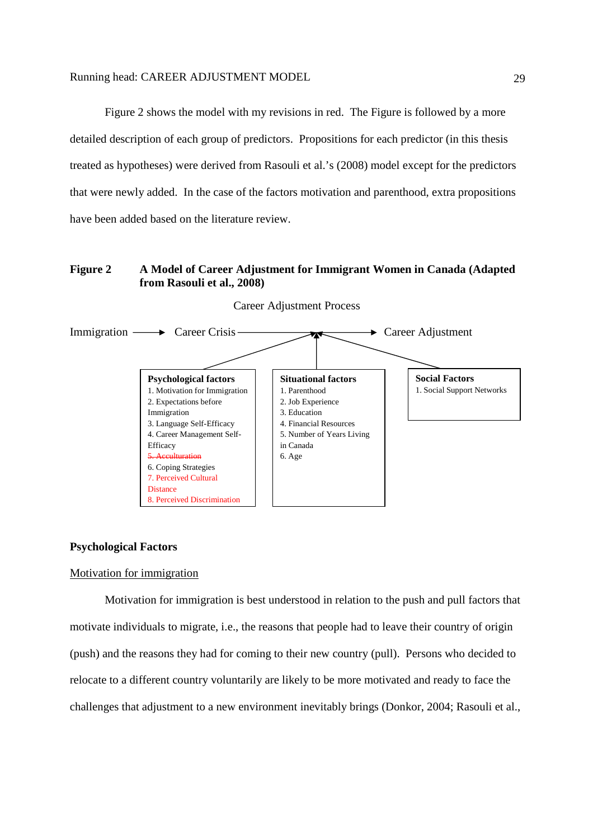Figure 2 shows the model with my revisions in red. The Figure is followed by a more detailed description of each group of predictors. Propositions for each predictor (in this thesis treated as hypotheses) were derived from Rasouli et al.'s (2008) model except for the predictors that were newly added. In the case of the factors motivation and parenthood, extra propositions have been added based on the literature review.

# **Figure 2 A Model of Career Adjustment for Immigrant Women in Canada (Adapted from Rasouli et al., 2008)**



Career Adjustment Process

### **Psychological Factors**

# Motivation for immigration

 Motivation for immigration is best understood in relation to the push and pull factors that motivate individuals to migrate, i.e., the reasons that people had to leave their country of origin (push) and the reasons they had for coming to their new country (pull). Persons who decided to relocate to a different country voluntarily are likely to be more motivated and ready to face the challenges that adjustment to a new environment inevitably brings (Donkor, 2004; Rasouli et al.,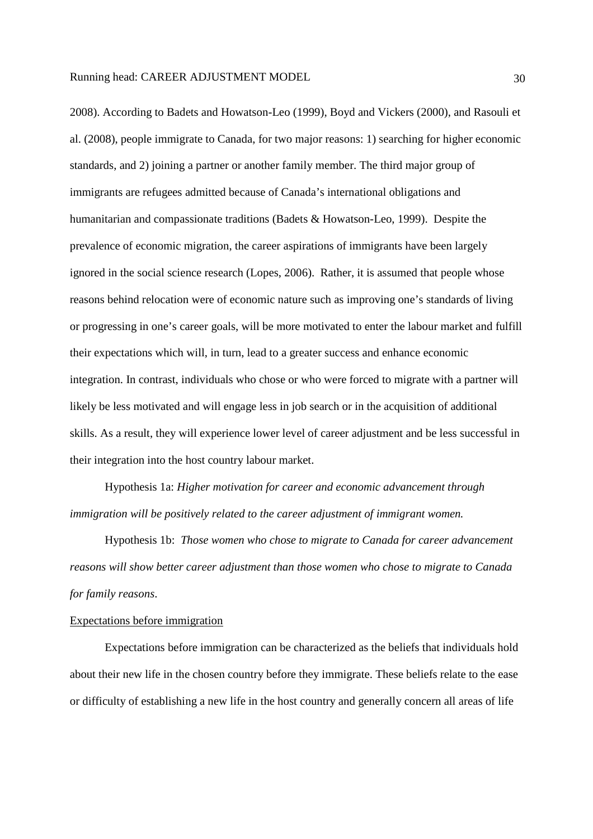2008). According to Badets and Howatson-Leo (1999), Boyd and Vickers (2000), and Rasouli et al. (2008), people immigrate to Canada, for two major reasons: 1) searching for higher economic standards, and 2) joining a partner or another family member. The third major group of immigrants are refugees admitted because of Canada's international obligations and humanitarian and compassionate traditions (Badets & Howatson-Leo, 1999). Despite the prevalence of economic migration, the career aspirations of immigrants have been largely ignored in the social science research (Lopes, 2006). Rather, it is assumed that people whose reasons behind relocation were of economic nature such as improving one's standards of living or progressing in one's career goals, will be more motivated to enter the labour market and fulfill their expectations which will, in turn, lead to a greater success and enhance economic integration. In contrast, individuals who chose or who were forced to migrate with a partner will likely be less motivated and will engage less in job search or in the acquisition of additional skills. As a result, they will experience lower level of career adjustment and be less successful in their integration into the host country labour market.

Hypothesis 1a: *Higher motivation for career and economic advancement through immigration will be positively related to the career adjustment of immigrant women.* 

Hypothesis 1b: *Those women who chose to migrate to Canada for career advancement reasons will show better career adjustment than those women who chose to migrate to Canada for family reasons*.

# Expectations before immigration

 Expectations before immigration can be characterized as the beliefs that individuals hold about their new life in the chosen country before they immigrate. These beliefs relate to the ease or difficulty of establishing a new life in the host country and generally concern all areas of life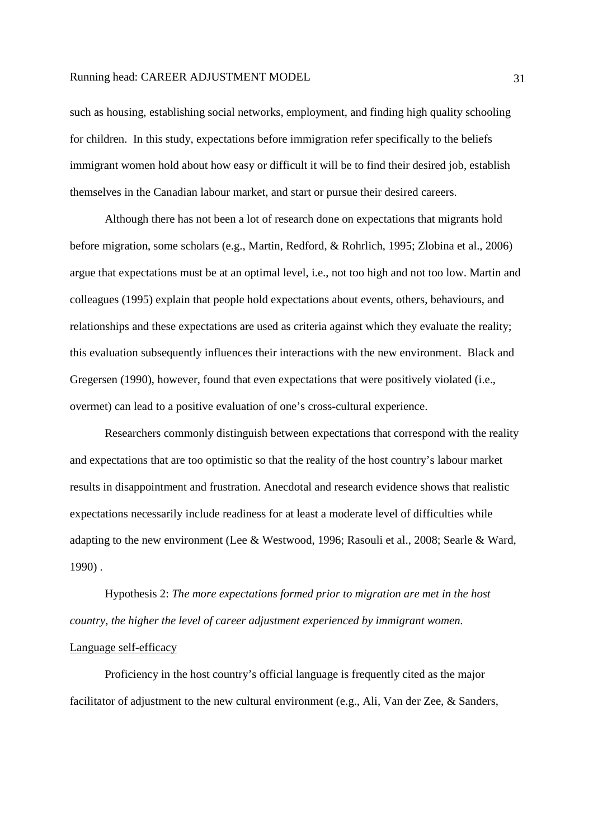such as housing, establishing social networks, employment, and finding high quality schooling for children. In this study, expectations before immigration refer specifically to the beliefs immigrant women hold about how easy or difficult it will be to find their desired job, establish themselves in the Canadian labour market, and start or pursue their desired careers.

 Although there has not been a lot of research done on expectations that migrants hold before migration, some scholars (e.g., Martin, Redford, & Rohrlich, 1995; Zlobina et al., 2006) argue that expectations must be at an optimal level, i.e., not too high and not too low. Martin and colleagues (1995) explain that people hold expectations about events, others, behaviours, and relationships and these expectations are used as criteria against which they evaluate the reality; this evaluation subsequently influences their interactions with the new environment. Black and Gregersen (1990), however, found that even expectations that were positively violated (i.e., overmet) can lead to a positive evaluation of one's cross-cultural experience.

Researchers commonly distinguish between expectations that correspond with the reality and expectations that are too optimistic so that the reality of the host country's labour market results in disappointment and frustration. Anecdotal and research evidence shows that realistic expectations necessarily include readiness for at least a moderate level of difficulties while adapting to the new environment (Lee & Westwood, 1996; Rasouli et al., 2008; Searle & Ward, 1990) .

 Hypothesis 2: *The more expectations formed prior to migration are met in the host country, the higher the level of career adjustment experienced by immigrant women.*  Language self-efficacy

 Proficiency in the host country's official language is frequently cited as the major facilitator of adjustment to the new cultural environment (e.g., Ali, Van der Zee, & Sanders,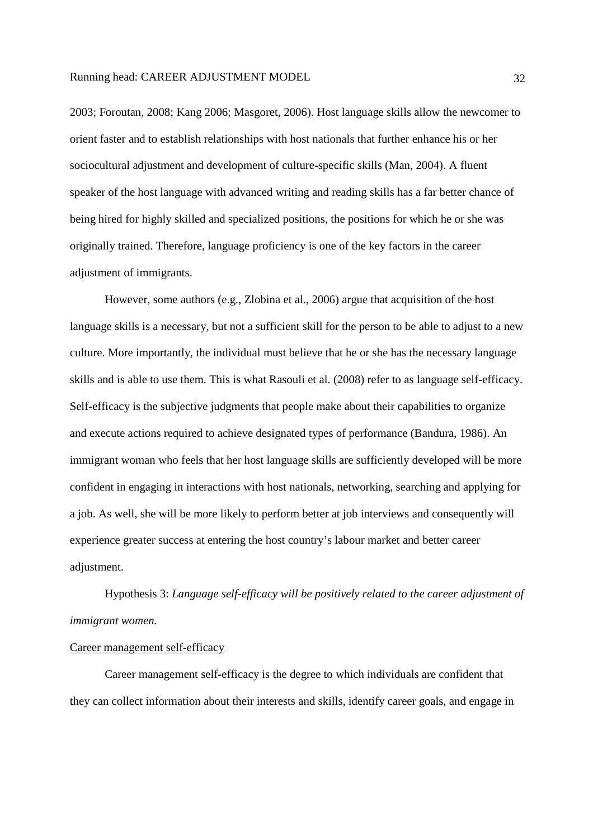2003; Foroutan, 2008; Kang 2006; Masgoret, 2006). Host language skills allow the newcomer to orient faster and to establish relationships with host nationals that further enhance his or her sociocultural adjustment and development of culture-specific skills (Man, 2004). A fluent speaker of the host language with advanced writing and reading skills has a far better chance of being hired for highly skilled and specialized positions, the positions for which he or she was originally trained. Therefore, language proficiency is one of the key factors in the career adjustment of immigrants.

However, some authors (e.g., Zlobina et al., 2006) argue that acquisition of the host language skills is a necessary, but not a sufficient skill for the person to be able to adjust to a new culture. More importantly, the individual must believe that he or she has the necessary language skills and is able to use them. This is what Rasouli et al. (2008) refer to as language self-efficacy. Self-efficacy is the subjective judgments that people make about their capabilities to organize and execute actions required to achieve designated types of performance (Bandura, 1986). An immigrant woman who feels that her host language skills are sufficiently developed will be more confident in engaging in interactions with host nationals, networking, searching and applying for a job. As well, she will be more likely to perform better at job interviews and consequently will experience greater success at entering the host country's labour market and better career adjustment.

Hypothesis 3: *Language self-efficacy will be positively related to the career adjustment of immigrant women.*

# Career management self-efficacy

 Career management self-efficacy is the degree to which individuals are confident that they can collect information about their interests and skills, identify career goals, and engage in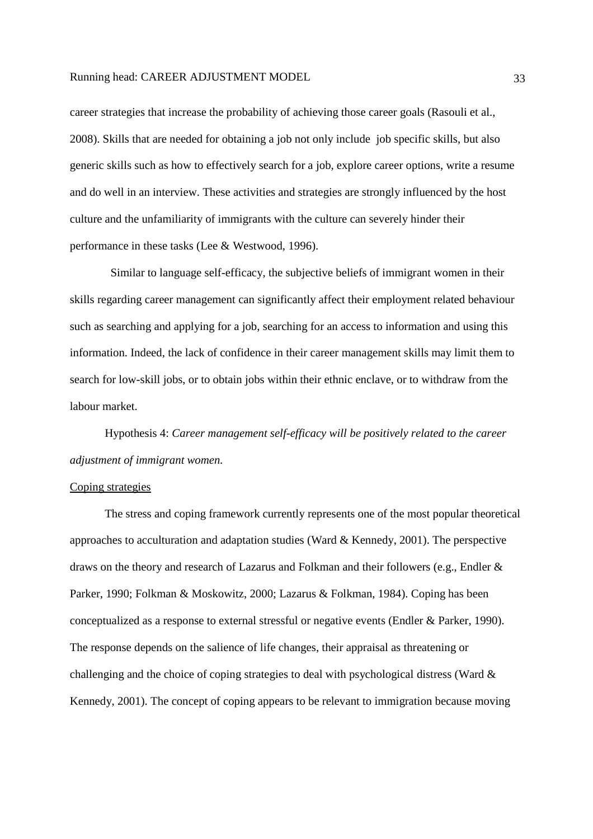career strategies that increase the probability of achieving those career goals (Rasouli et al., 2008). Skills that are needed for obtaining a job not only include job specific skills, but also generic skills such as how to effectively search for a job, explore career options, write a resume and do well in an interview. These activities and strategies are strongly influenced by the host culture and the unfamiliarity of immigrants with the culture can severely hinder their performance in these tasks (Lee & Westwood, 1996).

 Similar to language self-efficacy, the subjective beliefs of immigrant women in their skills regarding career management can significantly affect their employment related behaviour such as searching and applying for a job, searching for an access to information and using this information. Indeed, the lack of confidence in their career management skills may limit them to search for low-skill jobs, or to obtain jobs within their ethnic enclave, or to withdraw from the labour market.

 Hypothesis 4: *Career management self-efficacy will be positively related to the career adjustment of immigrant women.*

# Coping strategies

 The stress and coping framework currently represents one of the most popular theoretical approaches to acculturation and adaptation studies (Ward & Kennedy, 2001). The perspective draws on the theory and research of Lazarus and Folkman and their followers (e.g., Endler & Parker, 1990; Folkman & Moskowitz, 2000; Lazarus & Folkman, 1984). Coping has been conceptualized as a response to external stressful or negative events (Endler & Parker, 1990). The response depends on the salience of life changes, their appraisal as threatening or challenging and the choice of coping strategies to deal with psychological distress (Ward & Kennedy, 2001). The concept of coping appears to be relevant to immigration because moving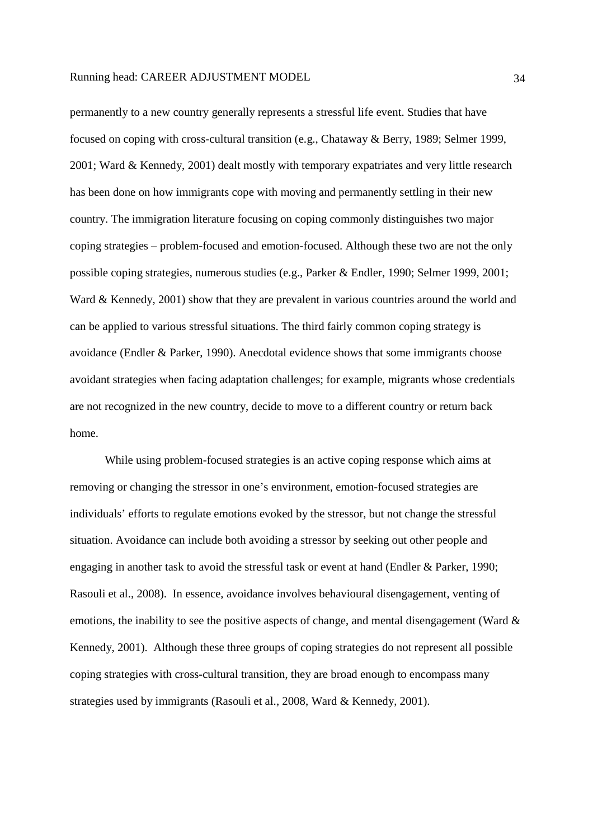permanently to a new country generally represents a stressful life event. Studies that have focused on coping with cross-cultural transition (e.g., Chataway & Berry, 1989; Selmer 1999, 2001; Ward & Kennedy, 2001) dealt mostly with temporary expatriates and very little research has been done on how immigrants cope with moving and permanently settling in their new country. The immigration literature focusing on coping commonly distinguishes two major coping strategies – problem-focused and emotion-focused. Although these two are not the only possible coping strategies, numerous studies (e.g., Parker & Endler, 1990; Selmer 1999, 2001; Ward & Kennedy, 2001) show that they are prevalent in various countries around the world and can be applied to various stressful situations. The third fairly common coping strategy is avoidance (Endler & Parker, 1990). Anecdotal evidence shows that some immigrants choose avoidant strategies when facing adaptation challenges; for example, migrants whose credentials are not recognized in the new country, decide to move to a different country or return back home.

 While using problem-focused strategies is an active coping response which aims at removing or changing the stressor in one's environment, emotion-focused strategies are individuals' efforts to regulate emotions evoked by the stressor, but not change the stressful situation. Avoidance can include both avoiding a stressor by seeking out other people and engaging in another task to avoid the stressful task or event at hand (Endler & Parker, 1990; Rasouli et al., 2008). In essence, avoidance involves behavioural disengagement, venting of emotions, the inability to see the positive aspects of change, and mental disengagement (Ward  $\&$ Kennedy, 2001). Although these three groups of coping strategies do not represent all possible coping strategies with cross-cultural transition, they are broad enough to encompass many strategies used by immigrants (Rasouli et al., 2008, Ward & Kennedy, 2001).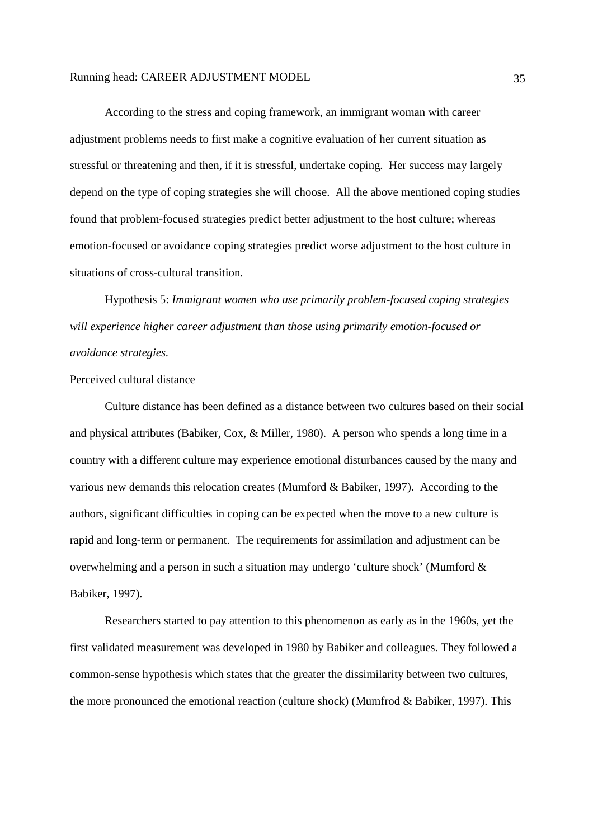According to the stress and coping framework, an immigrant woman with career adjustment problems needs to first make a cognitive evaluation of her current situation as stressful or threatening and then, if it is stressful, undertake coping. Her success may largely depend on the type of coping strategies she will choose. All the above mentioned coping studies found that problem-focused strategies predict better adjustment to the host culture; whereas emotion-focused or avoidance coping strategies predict worse adjustment to the host culture in situations of cross-cultural transition.

 Hypothesis 5: *Immigrant women who use primarily problem-focused coping strategies will experience higher career adjustment than those using primarily emotion-focused or avoidance strategies.* 

# Perceived cultural distance

 Culture distance has been defined as a distance between two cultures based on their social and physical attributes (Babiker, Cox, & Miller, 1980). A person who spends a long time in a country with a different culture may experience emotional disturbances caused by the many and various new demands this relocation creates (Mumford & Babiker, 1997). According to the authors, significant difficulties in coping can be expected when the move to a new culture is rapid and long-term or permanent. The requirements for assimilation and adjustment can be overwhelming and a person in such a situation may undergo 'culture shock' (Mumford & Babiker, 1997).

 Researchers started to pay attention to this phenomenon as early as in the 1960s, yet the first validated measurement was developed in 1980 by Babiker and colleagues. They followed a common-sense hypothesis which states that the greater the dissimilarity between two cultures, the more pronounced the emotional reaction (culture shock) (Mumfrod & Babiker, 1997). This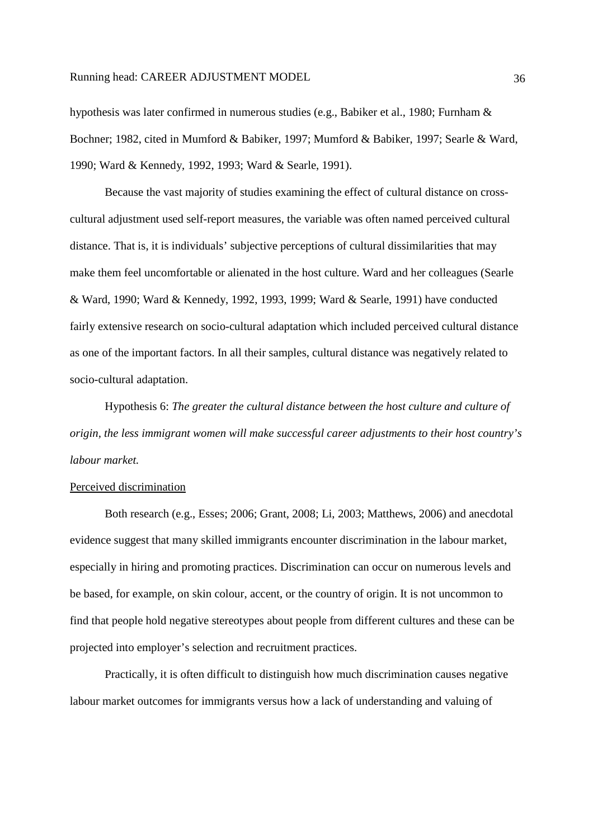hypothesis was later confirmed in numerous studies (e.g., Babiker et al., 1980; Furnham & Bochner; 1982, cited in Mumford & Babiker, 1997; Mumford & Babiker, 1997; Searle & Ward, 1990; Ward & Kennedy, 1992, 1993; Ward & Searle, 1991).

 Because the vast majority of studies examining the effect of cultural distance on crosscultural adjustment used self-report measures, the variable was often named perceived cultural distance. That is, it is individuals' subjective perceptions of cultural dissimilarities that may make them feel uncomfortable or alienated in the host culture. Ward and her colleagues (Searle & Ward, 1990; Ward & Kennedy, 1992, 1993, 1999; Ward & Searle, 1991) have conducted fairly extensive research on socio-cultural adaptation which included perceived cultural distance as one of the important factors. In all their samples, cultural distance was negatively related to socio-cultural adaptation.

 Hypothesis 6: *The greater the cultural distance between the host culture and culture of origin, the less immigrant women will make successful career adjustments to their host country's labour market.* 

# Perceived discrimination

 Both research (e.g., Esses; 2006; Grant, 2008; Li, 2003; Matthews, 2006) and anecdotal evidence suggest that many skilled immigrants encounter discrimination in the labour market, especially in hiring and promoting practices. Discrimination can occur on numerous levels and be based, for example, on skin colour, accent, or the country of origin. It is not uncommon to find that people hold negative stereotypes about people from different cultures and these can be projected into employer's selection and recruitment practices.

Practically, it is often difficult to distinguish how much discrimination causes negative labour market outcomes for immigrants versus how a lack of understanding and valuing of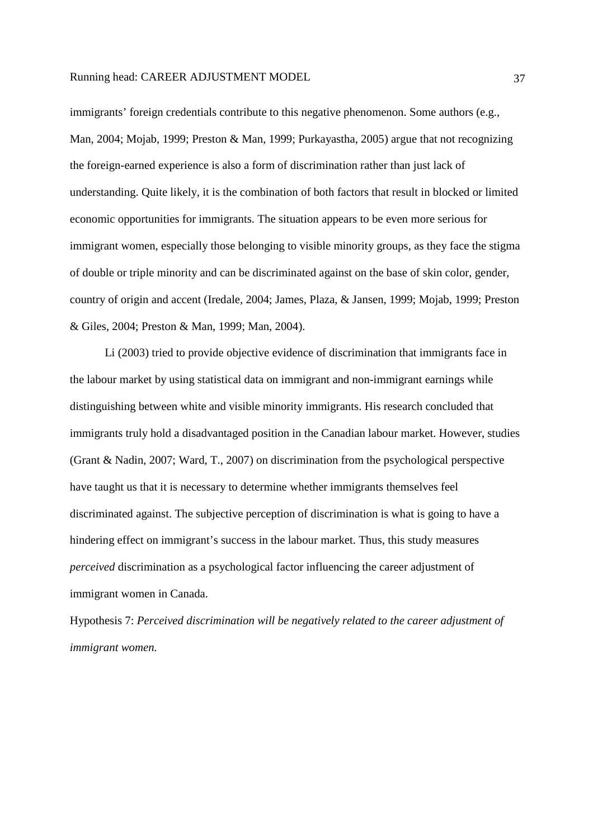immigrants' foreign credentials contribute to this negative phenomenon. Some authors (e.g., Man, 2004; Mojab, 1999; Preston & Man, 1999; Purkayastha, 2005) argue that not recognizing the foreign-earned experience is also a form of discrimination rather than just lack of understanding. Quite likely, it is the combination of both factors that result in blocked or limited economic opportunities for immigrants. The situation appears to be even more serious for immigrant women, especially those belonging to visible minority groups, as they face the stigma of double or triple minority and can be discriminated against on the base of skin color, gender, country of origin and accent (Iredale, 2004; James, Plaza, & Jansen, 1999; Mojab, 1999; Preston & Giles, 2004; Preston & Man, 1999; Man, 2004).

 Li (2003) tried to provide objective evidence of discrimination that immigrants face in the labour market by using statistical data on immigrant and non-immigrant earnings while distinguishing between white and visible minority immigrants. His research concluded that immigrants truly hold a disadvantaged position in the Canadian labour market. However, studies (Grant & Nadin, 2007; Ward, T., 2007) on discrimination from the psychological perspective have taught us that it is necessary to determine whether immigrants themselves feel discriminated against. The subjective perception of discrimination is what is going to have a hindering effect on immigrant's success in the labour market. Thus, this study measures *perceived* discrimination as a psychological factor influencing the career adjustment of immigrant women in Canada.

Hypothesis 7: *Perceived discrimination will be negatively related to the career adjustment of immigrant women.*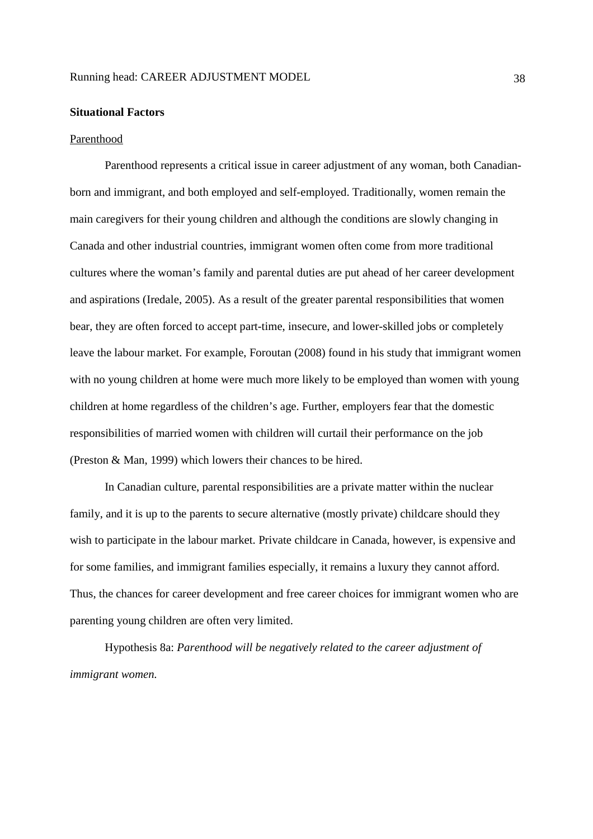### **Situational Factors**

### Parenthood

 Parenthood represents a critical issue in career adjustment of any woman, both Canadianborn and immigrant, and both employed and self-employed. Traditionally, women remain the main caregivers for their young children and although the conditions are slowly changing in Canada and other industrial countries, immigrant women often come from more traditional cultures where the woman's family and parental duties are put ahead of her career development and aspirations (Iredale, 2005). As a result of the greater parental responsibilities that women bear, they are often forced to accept part-time, insecure, and lower-skilled jobs or completely leave the labour market. For example, Foroutan (2008) found in his study that immigrant women with no young children at home were much more likely to be employed than women with young children at home regardless of the children's age. Further, employers fear that the domestic responsibilities of married women with children will curtail their performance on the job (Preston & Man, 1999) which lowers their chances to be hired.

 In Canadian culture, parental responsibilities are a private matter within the nuclear family, and it is up to the parents to secure alternative (mostly private) childcare should they wish to participate in the labour market. Private childcare in Canada, however, is expensive and for some families, and immigrant families especially, it remains a luxury they cannot afford. Thus, the chances for career development and free career choices for immigrant women who are parenting young children are often very limited.

 Hypothesis 8a: *Parenthood will be negatively related to the career adjustment of immigrant women.*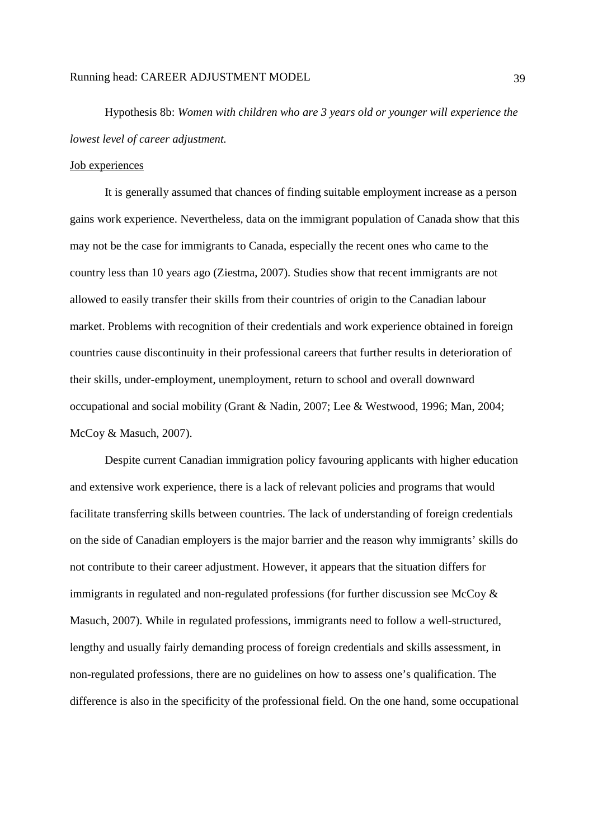Hypothesis 8b: *Women with children who are 3 years old or younger will experience the lowest level of career adjustment.*

# Job experiences

 It is generally assumed that chances of finding suitable employment increase as a person gains work experience. Nevertheless, data on the immigrant population of Canada show that this may not be the case for immigrants to Canada, especially the recent ones who came to the country less than 10 years ago (Ziestma, 2007). Studies show that recent immigrants are not allowed to easily transfer their skills from their countries of origin to the Canadian labour market. Problems with recognition of their credentials and work experience obtained in foreign countries cause discontinuity in their professional careers that further results in deterioration of their skills, under-employment, unemployment, return to school and overall downward occupational and social mobility (Grant & Nadin, 2007; Lee & Westwood, 1996; Man, 2004; McCoy & Masuch, 2007).

 Despite current Canadian immigration policy favouring applicants with higher education and extensive work experience, there is a lack of relevant policies and programs that would facilitate transferring skills between countries. The lack of understanding of foreign credentials on the side of Canadian employers is the major barrier and the reason why immigrants' skills do not contribute to their career adjustment. However, it appears that the situation differs for immigrants in regulated and non-regulated professions (for further discussion see McCoy & Masuch, 2007). While in regulated professions, immigrants need to follow a well-structured, lengthy and usually fairly demanding process of foreign credentials and skills assessment, in non-regulated professions, there are no guidelines on how to assess one's qualification. The difference is also in the specificity of the professional field. On the one hand, some occupational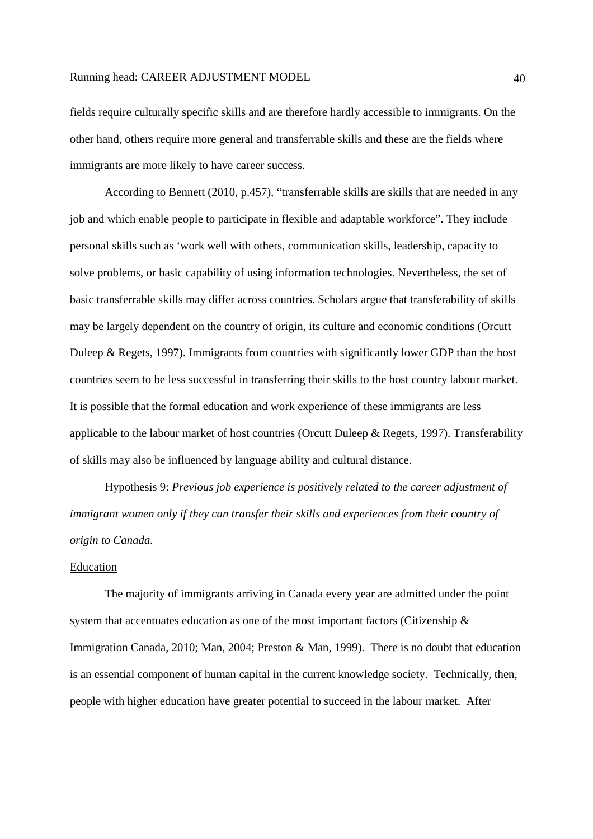fields require culturally specific skills and are therefore hardly accessible to immigrants. On the other hand, others require more general and transferrable skills and these are the fields where immigrants are more likely to have career success.

 According to Bennett (2010, p.457), "transferrable skills are skills that are needed in any job and which enable people to participate in flexible and adaptable workforce". They include personal skills such as 'work well with others, communication skills, leadership, capacity to solve problems, or basic capability of using information technologies. Nevertheless, the set of basic transferrable skills may differ across countries. Scholars argue that transferability of skills may be largely dependent on the country of origin, its culture and economic conditions (Orcutt Duleep & Regets, 1997). Immigrants from countries with significantly lower GDP than the host countries seem to be less successful in transferring their skills to the host country labour market. It is possible that the formal education and work experience of these immigrants are less applicable to the labour market of host countries (Orcutt Duleep & Regets, 1997). Transferability of skills may also be influenced by language ability and cultural distance.

 Hypothesis 9: *Previous job experience is positively related to the career adjustment of immigrant women only if they can transfer their skills and experiences from their country of origin to Canada.*

# Education

 The majority of immigrants arriving in Canada every year are admitted under the point system that accentuates education as one of the most important factors (Citizenship & Immigration Canada, 2010; Man, 2004; Preston & Man, 1999). There is no doubt that education is an essential component of human capital in the current knowledge society. Technically, then, people with higher education have greater potential to succeed in the labour market. After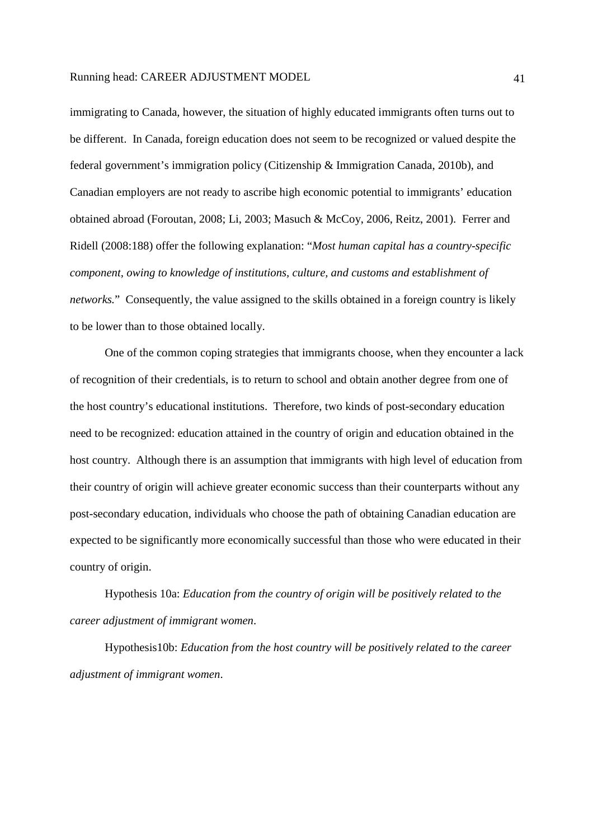immigrating to Canada, however, the situation of highly educated immigrants often turns out to be different. In Canada, foreign education does not seem to be recognized or valued despite the federal government's immigration policy (Citizenship & Immigration Canada, 2010b), and Canadian employers are not ready to ascribe high economic potential to immigrants' education obtained abroad (Foroutan, 2008; Li, 2003; Masuch & McCoy, 2006, Reitz, 2001). Ferrer and Ridell (2008:188) offer the following explanation: "*Most human capital has a country-specific component, owing to knowledge of institutions, culture, and customs and establishment of networks.*" Consequently, the value assigned to the skills obtained in a foreign country is likely to be lower than to those obtained locally.

 One of the common coping strategies that immigrants choose, when they encounter a lack of recognition of their credentials, is to return to school and obtain another degree from one of the host country's educational institutions. Therefore, two kinds of post-secondary education need to be recognized: education attained in the country of origin and education obtained in the host country. Although there is an assumption that immigrants with high level of education from their country of origin will achieve greater economic success than their counterparts without any post-secondary education, individuals who choose the path of obtaining Canadian education are expected to be significantly more economically successful than those who were educated in their country of origin.

 Hypothesis 10a: *Education from the country of origin will be positively related to the career adjustment of immigrant women*.

 Hypothesis10b: *Education from the host country will be positively related to the career adjustment of immigrant women*.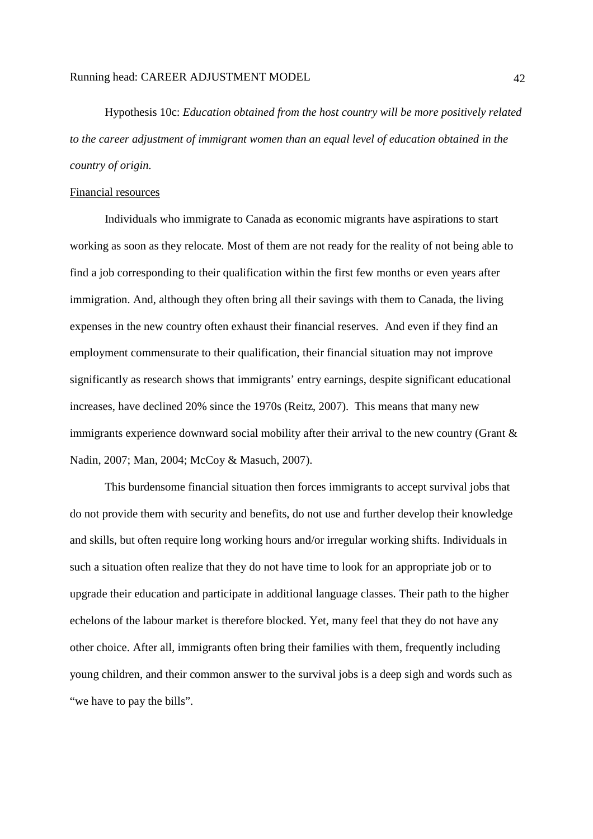Hypothesis 10c: *Education obtained from the host country will be more positively related to the career adjustment of immigrant women than an equal level of education obtained in the country of origin.*

# Financial resources

 Individuals who immigrate to Canada as economic migrants have aspirations to start working as soon as they relocate. Most of them are not ready for the reality of not being able to find a job corresponding to their qualification within the first few months or even years after immigration. And, although they often bring all their savings with them to Canada, the living expenses in the new country often exhaust their financial reserves. And even if they find an employment commensurate to their qualification, their financial situation may not improve significantly as research shows that immigrants' entry earnings, despite significant educational increases, have declined 20% since the 1970s (Reitz, 2007). This means that many new immigrants experience downward social mobility after their arrival to the new country (Grant & Nadin, 2007; Man, 2004; McCoy & Masuch, 2007).

 This burdensome financial situation then forces immigrants to accept survival jobs that do not provide them with security and benefits, do not use and further develop their knowledge and skills, but often require long working hours and/or irregular working shifts. Individuals in such a situation often realize that they do not have time to look for an appropriate job or to upgrade their education and participate in additional language classes. Their path to the higher echelons of the labour market is therefore blocked. Yet, many feel that they do not have any other choice. After all, immigrants often bring their families with them, frequently including young children, and their common answer to the survival jobs is a deep sigh and words such as "we have to pay the bills".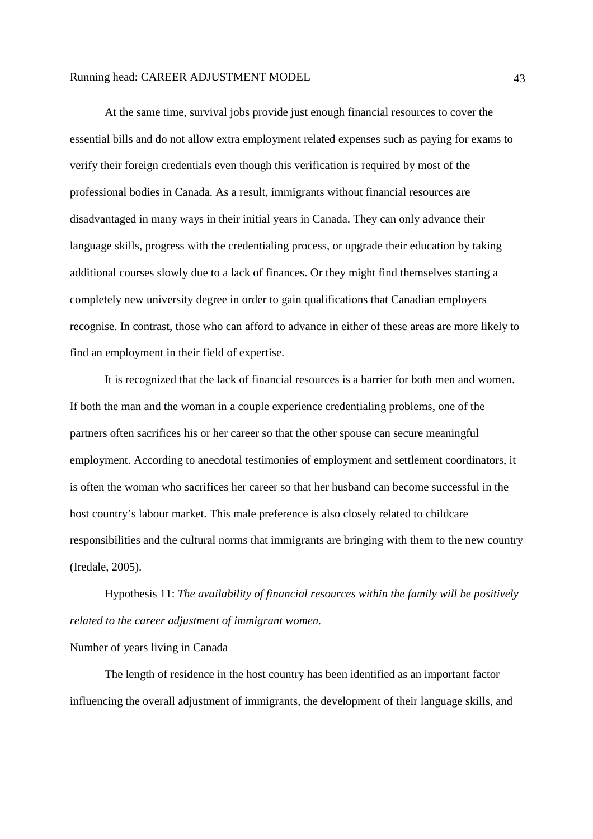At the same time, survival jobs provide just enough financial resources to cover the essential bills and do not allow extra employment related expenses such as paying for exams to verify their foreign credentials even though this verification is required by most of the professional bodies in Canada. As a result, immigrants without financial resources are disadvantaged in many ways in their initial years in Canada. They can only advance their language skills, progress with the credentialing process, or upgrade their education by taking additional courses slowly due to a lack of finances. Or they might find themselves starting a completely new university degree in order to gain qualifications that Canadian employers recognise. In contrast, those who can afford to advance in either of these areas are more likely to find an employment in their field of expertise.

It is recognized that the lack of financial resources is a barrier for both men and women. If both the man and the woman in a couple experience credentialing problems, one of the partners often sacrifices his or her career so that the other spouse can secure meaningful employment. According to anecdotal testimonies of employment and settlement coordinators, it is often the woman who sacrifices her career so that her husband can become successful in the host country's labour market. This male preference is also closely related to childcare responsibilities and the cultural norms that immigrants are bringing with them to the new country (Iredale, 2005).

Hypothesis 11: *The availability of financial resources within the family will be positively related to the career adjustment of immigrant women.*

# Number of years living in Canada

 The length of residence in the host country has been identified as an important factor influencing the overall adjustment of immigrants, the development of their language skills, and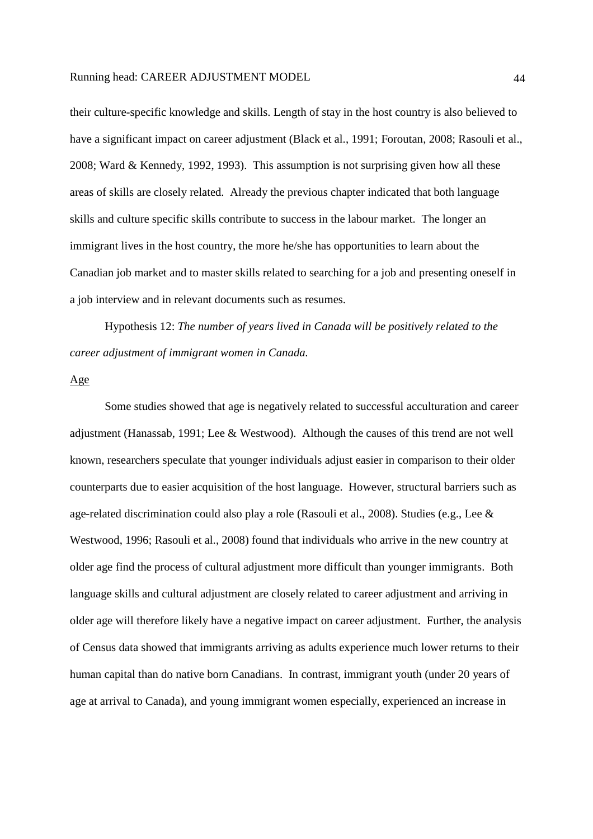their culture-specific knowledge and skills. Length of stay in the host country is also believed to have a significant impact on career adjustment (Black et al., 1991; Foroutan, 2008; Rasouli et al., 2008; Ward & Kennedy, 1992, 1993). This assumption is not surprising given how all these areas of skills are closely related. Already the previous chapter indicated that both language skills and culture specific skills contribute to success in the labour market. The longer an immigrant lives in the host country, the more he/she has opportunities to learn about the Canadian job market and to master skills related to searching for a job and presenting oneself in a job interview and in relevant documents such as resumes.

 Hypothesis 12: *The number of years lived in Canada will be positively related to the career adjustment of immigrant women in Canada.*

#### Age

 Some studies showed that age is negatively related to successful acculturation and career adjustment (Hanassab, 1991; Lee & Westwood). Although the causes of this trend are not well known, researchers speculate that younger individuals adjust easier in comparison to their older counterparts due to easier acquisition of the host language. However, structural barriers such as age-related discrimination could also play a role (Rasouli et al., 2008). Studies (e.g., Lee & Westwood, 1996; Rasouli et al., 2008) found that individuals who arrive in the new country at older age find the process of cultural adjustment more difficult than younger immigrants. Both language skills and cultural adjustment are closely related to career adjustment and arriving in older age will therefore likely have a negative impact on career adjustment. Further, the analysis of Census data showed that immigrants arriving as adults experience much lower returns to their human capital than do native born Canadians. In contrast, immigrant youth (under 20 years of age at arrival to Canada), and young immigrant women especially, experienced an increase in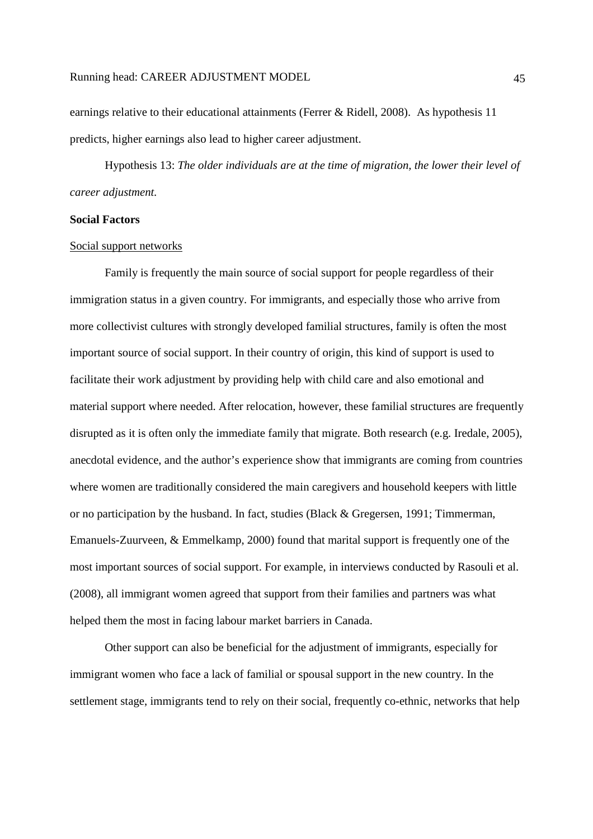earnings relative to their educational attainments (Ferrer & Ridell, 2008). As hypothesis 11 predicts, higher earnings also lead to higher career adjustment.

Hypothesis 13: *The older individuals are at the time of migration, the lower their level of career adjustment.* 

### **Social Factors**

#### Social support networks

 Family is frequently the main source of social support for people regardless of their immigration status in a given country. For immigrants, and especially those who arrive from more collectivist cultures with strongly developed familial structures, family is often the most important source of social support. In their country of origin, this kind of support is used to facilitate their work adjustment by providing help with child care and also emotional and material support where needed. After relocation, however, these familial structures are frequently disrupted as it is often only the immediate family that migrate. Both research (e.g. Iredale, 2005), anecdotal evidence, and the author's experience show that immigrants are coming from countries where women are traditionally considered the main caregivers and household keepers with little or no participation by the husband. In fact, studies (Black & Gregersen, 1991; Timmerman, Emanuels-Zuurveen, & Emmelkamp, 2000) found that marital support is frequently one of the most important sources of social support. For example, in interviews conducted by Rasouli et al. (2008), all immigrant women agreed that support from their families and partners was what helped them the most in facing labour market barriers in Canada.

 Other support can also be beneficial for the adjustment of immigrants, especially for immigrant women who face a lack of familial or spousal support in the new country. In the settlement stage, immigrants tend to rely on their social, frequently co-ethnic, networks that help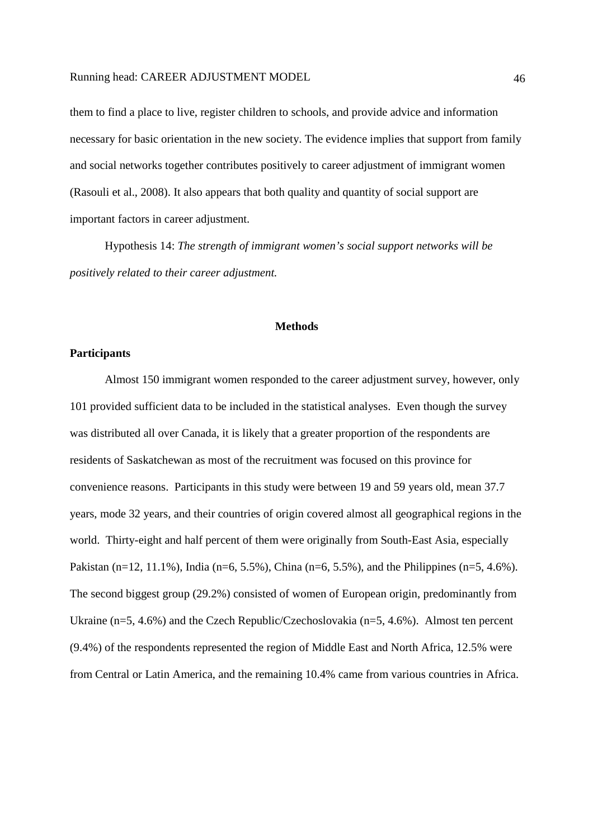them to find a place to live, register children to schools, and provide advice and information necessary for basic orientation in the new society. The evidence implies that support from family and social networks together contributes positively to career adjustment of immigrant women (Rasouli et al., 2008). It also appears that both quality and quantity of social support are important factors in career adjustment.

 Hypothesis 14: *The strength of immigrant women's social support networks will be positively related to their career adjustment.* 

# **Methods**

# **Participants**

Almost 150 immigrant women responded to the career adjustment survey, however, only 101 provided sufficient data to be included in the statistical analyses. Even though the survey was distributed all over Canada, it is likely that a greater proportion of the respondents are residents of Saskatchewan as most of the recruitment was focused on this province for convenience reasons. Participants in this study were between 19 and 59 years old, mean 37.7 years, mode 32 years, and their countries of origin covered almost all geographical regions in the world. Thirty-eight and half percent of them were originally from South-East Asia, especially Pakistan (n=12, 11.1%), India (n=6, 5.5%), China (n=6, 5.5%), and the Philippines (n=5, 4.6%). The second biggest group (29.2%) consisted of women of European origin, predominantly from Ukraine (n=5, 4.6%) and the Czech Republic/Czechoslovakia (n=5, 4.6%). Almost ten percent (9.4%) of the respondents represented the region of Middle East and North Africa, 12.5% were from Central or Latin America, and the remaining 10.4% came from various countries in Africa.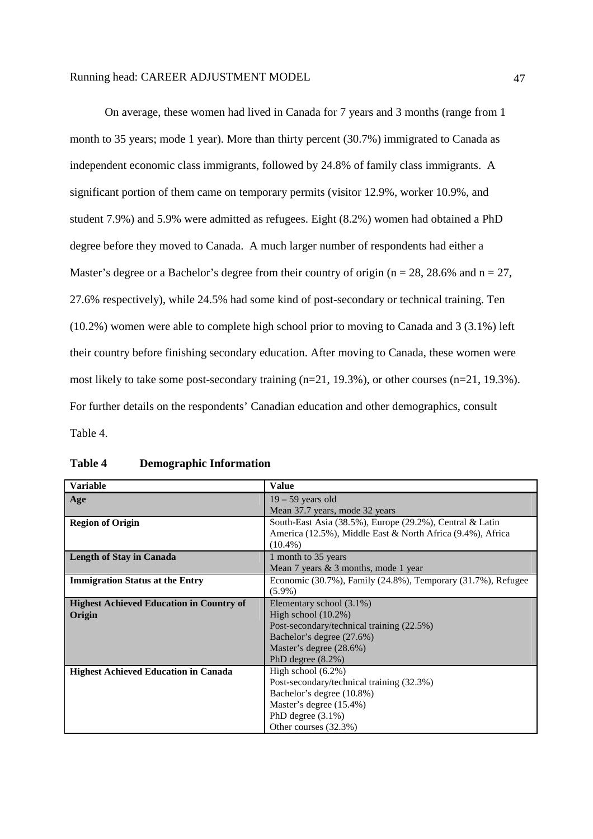On average, these women had lived in Canada for 7 years and 3 months (range from 1 month to 35 years; mode 1 year). More than thirty percent (30.7%) immigrated to Canada as independent economic class immigrants, followed by 24.8% of family class immigrants. A significant portion of them came on temporary permits (visitor 12.9%, worker 10.9%, and student 7.9%) and 5.9% were admitted as refugees. Eight (8.2%) women had obtained a PhD degree before they moved to Canada. A much larger number of respondents had either a Master's degree or a Bachelor's degree from their country of origin ( $n = 28, 28.6\%$  and  $n = 27$ , 27.6% respectively), while 24.5% had some kind of post-secondary or technical training. Ten (10.2%) women were able to complete high school prior to moving to Canada and 3 (3.1%) left their country before finishing secondary education. After moving to Canada, these women were most likely to take some post-secondary training (n=21, 19.3%), or other courses (n=21, 19.3%). For further details on the respondents' Canadian education and other demographics, consult Table 4.

| <b>Variable</b>                                 | <b>Value</b>                                                             |
|-------------------------------------------------|--------------------------------------------------------------------------|
| Age                                             | $19 - 59$ years old                                                      |
|                                                 | Mean 37.7 years, mode 32 years                                           |
| <b>Region of Origin</b>                         | South-East Asia $(38.5\%)$ , Europe $(29.2\%)$ , Central & Latin         |
|                                                 | America (12.5%), Middle East & North Africa (9.4%), Africa               |
|                                                 | $(10.4\%)$                                                               |
| <b>Length of Stay in Canada</b>                 | 1 month to 35 years                                                      |
|                                                 | Mean 7 years $& 3$ months, mode 1 year                                   |
| <b>Immigration Status at the Entry</b>          | Economic $(30.7\%)$ , Family $(24.8\%)$ , Temporary $(31.7\%)$ , Refugee |
|                                                 | $(5.9\%)$                                                                |
| <b>Highest Achieved Education in Country of</b> | Elementary school (3.1%)                                                 |
| Origin                                          | High school $(10.2\%)$                                                   |
|                                                 | Post-secondary/technical training (22.5%)                                |
|                                                 | Bachelor's degree (27.6%)                                                |
|                                                 | Master's degree (28.6%)                                                  |
|                                                 | PhD degree $(8.2\%)$                                                     |
| <b>Highest Achieved Education in Canada</b>     | High school $(6.2\%)$                                                    |
|                                                 | Post-secondary/technical training (32.3%)                                |
|                                                 | Bachelor's degree (10.8%)                                                |
|                                                 | Master's degree (15.4%)                                                  |
|                                                 | PhD degree $(3.1\%)$                                                     |
|                                                 | Other courses (32.3%)                                                    |

# **Table 4 Demographic Information**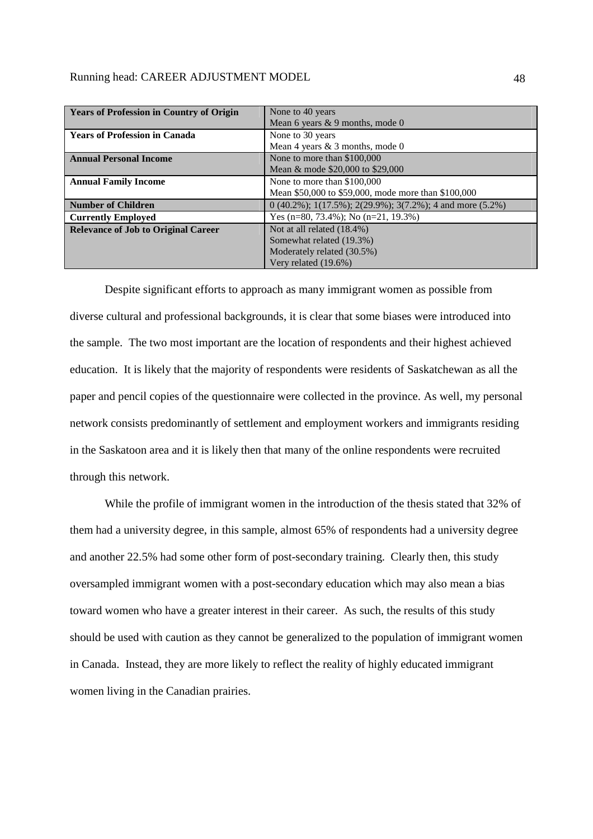| <b>Years of Profession in Country of Origin</b> | None to 40 years                                              |  |  |  |  |
|-------------------------------------------------|---------------------------------------------------------------|--|--|--|--|
|                                                 | Mean 6 years $& 9$ months, mode 0                             |  |  |  |  |
| <b>Years of Profession in Canada</b>            | None to 30 years                                              |  |  |  |  |
|                                                 | Mean 4 years & 3 months, mode 0                               |  |  |  |  |
| <b>Annual Personal Income</b>                   | None to more than \$100,000                                   |  |  |  |  |
|                                                 | Mean & mode \$20,000 to \$29,000                              |  |  |  |  |
| <b>Annual Family Income</b>                     | None to more than \$100,000                                   |  |  |  |  |
|                                                 | Mean \$50,000 to \$59,000, mode more than \$100,000           |  |  |  |  |
| <b>Number of Children</b>                       | $(0.40.2\%)$ ; 1(17.5%); 2(29.9%); 3(7.2%); 4 and more (5.2%) |  |  |  |  |
| <b>Currently Employed</b>                       | Yes (n=80, 73.4%); No (n=21, 19.3%)                           |  |  |  |  |
| <b>Relevance of Job to Original Career</b>      | Not at all related (18.4%)                                    |  |  |  |  |
|                                                 | Somewhat related (19.3%)                                      |  |  |  |  |
|                                                 | Moderately related (30.5%)                                    |  |  |  |  |
|                                                 | Very related (19.6%)                                          |  |  |  |  |

Despite significant efforts to approach as many immigrant women as possible from diverse cultural and professional backgrounds, it is clear that some biases were introduced into the sample. The two most important are the location of respondents and their highest achieved education. It is likely that the majority of respondents were residents of Saskatchewan as all the paper and pencil copies of the questionnaire were collected in the province. As well, my personal network consists predominantly of settlement and employment workers and immigrants residing in the Saskatoon area and it is likely then that many of the online respondents were recruited through this network.

While the profile of immigrant women in the introduction of the thesis stated that 32% of them had a university degree, in this sample, almost 65% of respondents had a university degree and another 22.5% had some other form of post-secondary training. Clearly then, this study oversampled immigrant women with a post-secondary education which may also mean a bias toward women who have a greater interest in their career. As such, the results of this study should be used with caution as they cannot be generalized to the population of immigrant women in Canada. Instead, they are more likely to reflect the reality of highly educated immigrant women living in the Canadian prairies.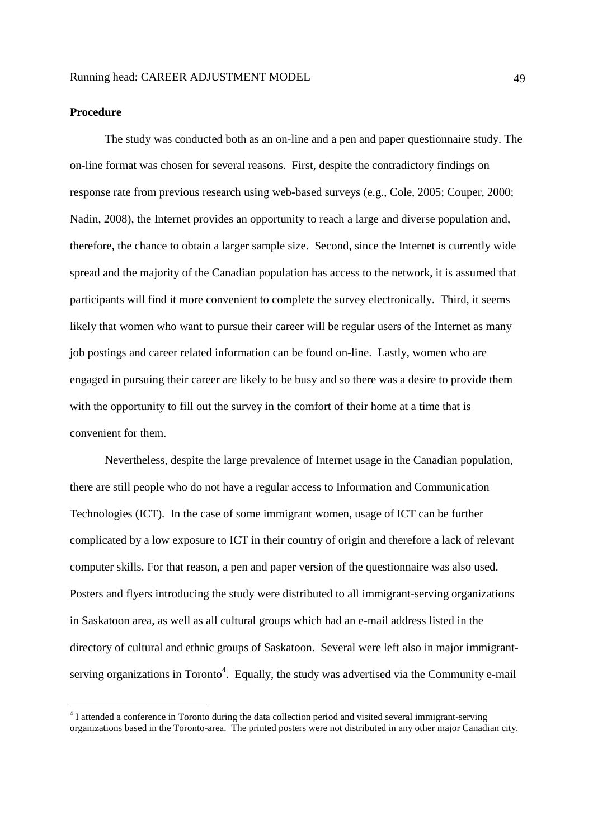# **Procedure**

<u>.</u>

The study was conducted both as an on-line and a pen and paper questionnaire study. The on-line format was chosen for several reasons. First, despite the contradictory findings on response rate from previous research using web-based surveys (e.g., Cole, 2005; Couper, 2000; Nadin, 2008), the Internet provides an opportunity to reach a large and diverse population and, therefore, the chance to obtain a larger sample size. Second, since the Internet is currently wide spread and the majority of the Canadian population has access to the network, it is assumed that participants will find it more convenient to complete the survey electronically. Third, it seems likely that women who want to pursue their career will be regular users of the Internet as many job postings and career related information can be found on-line. Lastly, women who are engaged in pursuing their career are likely to be busy and so there was a desire to provide them with the opportunity to fill out the survey in the comfort of their home at a time that is convenient for them.

Nevertheless, despite the large prevalence of Internet usage in the Canadian population, there are still people who do not have a regular access to Information and Communication Technologies (ICT). In the case of some immigrant women, usage of ICT can be further complicated by a low exposure to ICT in their country of origin and therefore a lack of relevant computer skills. For that reason, a pen and paper version of the questionnaire was also used. Posters and flyers introducing the study were distributed to all immigrant-serving organizations in Saskatoon area, as well as all cultural groups which had an e-mail address listed in the directory of cultural and ethnic groups of Saskatoon. Several were left also in major immigrantserving organizations in Toronto<sup>4</sup>. Equally, the study was advertised via the Community e-mail

<sup>&</sup>lt;sup>4</sup> I attended a conference in Toronto during the data collection period and visited several immigrant-serving organizations based in the Toronto-area. The printed posters were not distributed in any other major Canadian city.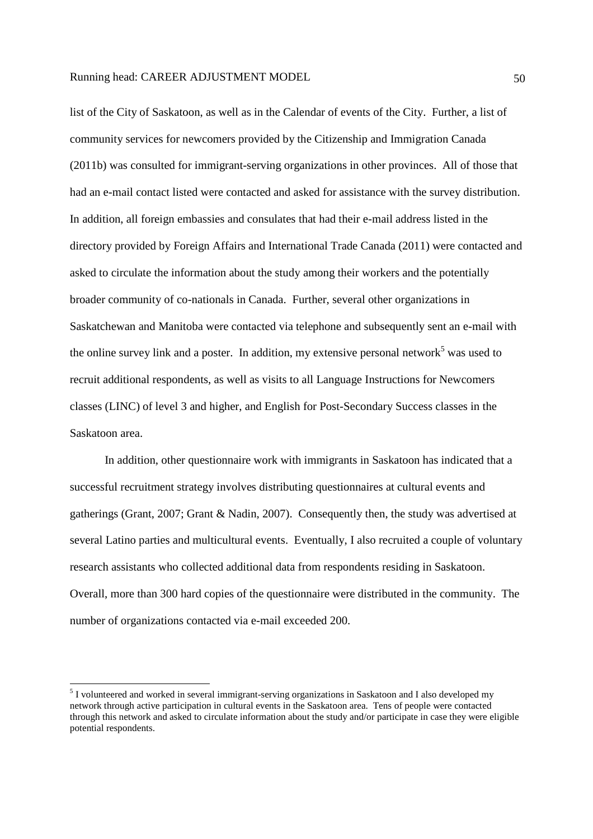list of the City of Saskatoon, as well as in the Calendar of events of the City. Further, a list of community services for newcomers provided by the Citizenship and Immigration Canada (2011b) was consulted for immigrant-serving organizations in other provinces. All of those that had an e-mail contact listed were contacted and asked for assistance with the survey distribution. In addition, all foreign embassies and consulates that had their e-mail address listed in the directory provided by Foreign Affairs and International Trade Canada (2011) were contacted and asked to circulate the information about the study among their workers and the potentially broader community of co-nationals in Canada. Further, several other organizations in Saskatchewan and Manitoba were contacted via telephone and subsequently sent an e-mail with the online survey link and a poster. In addition, my extensive personal network<sup>5</sup> was used to recruit additional respondents, as well as visits to all Language Instructions for Newcomers classes (LINC) of level 3 and higher, and English for Post-Secondary Success classes in the Saskatoon area.

In addition, other questionnaire work with immigrants in Saskatoon has indicated that a successful recruitment strategy involves distributing questionnaires at cultural events and gatherings (Grant, 2007; Grant & Nadin, 2007). Consequently then, the study was advertised at several Latino parties and multicultural events. Eventually, I also recruited a couple of voluntary research assistants who collected additional data from respondents residing in Saskatoon. Overall, more than 300 hard copies of the questionnaire were distributed in the community. The number of organizations contacted via e-mail exceeded 200.

-

<sup>&</sup>lt;sup>5</sup> I volunteered and worked in several immigrant-serving organizations in Saskatoon and I also developed my network through active participation in cultural events in the Saskatoon area. Tens of people were contacted through this network and asked to circulate information about the study and/or participate in case they were eligible potential respondents.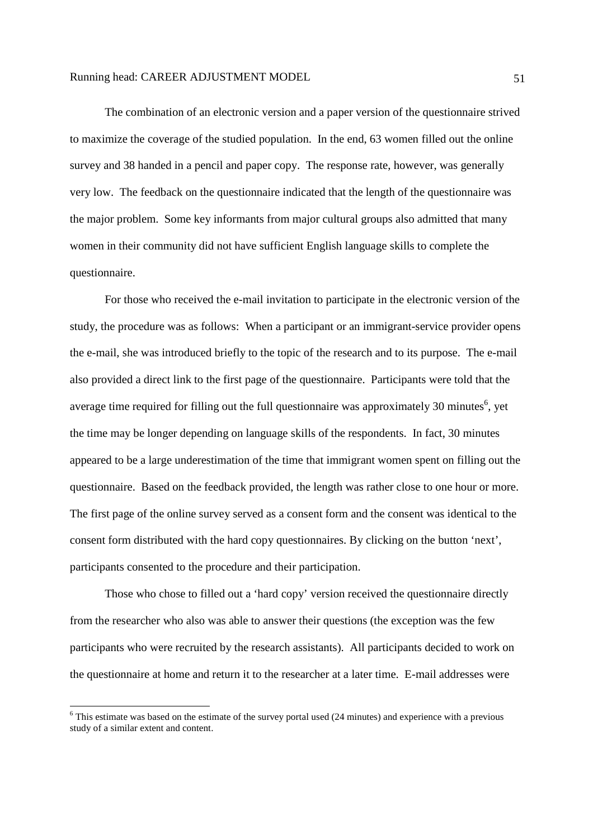The combination of an electronic version and a paper version of the questionnaire strived to maximize the coverage of the studied population. In the end, 63 women filled out the online survey and 38 handed in a pencil and paper copy. The response rate, however, was generally very low. The feedback on the questionnaire indicated that the length of the questionnaire was the major problem. Some key informants from major cultural groups also admitted that many women in their community did not have sufficient English language skills to complete the questionnaire.

For those who received the e-mail invitation to participate in the electronic version of the study, the procedure was as follows: When a participant or an immigrant-service provider opens the e-mail, she was introduced briefly to the topic of the research and to its purpose. The e-mail also provided a direct link to the first page of the questionnaire. Participants were told that the average time required for filling out the full questionnaire was approximately 30 minutes<sup>6</sup>, yet the time may be longer depending on language skills of the respondents. In fact, 30 minutes appeared to be a large underestimation of the time that immigrant women spent on filling out the questionnaire. Based on the feedback provided, the length was rather close to one hour or more. The first page of the online survey served as a consent form and the consent was identical to the consent form distributed with the hard copy questionnaires. By clicking on the button 'next', participants consented to the procedure and their participation.

Those who chose to filled out a 'hard copy' version received the questionnaire directly from the researcher who also was able to answer their questions (the exception was the few participants who were recruited by the research assistants). All participants decided to work on the questionnaire at home and return it to the researcher at a later time. E-mail addresses were

<u>.</u>

 $6$  This estimate was based on the estimate of the survey portal used (24 minutes) and experience with a previous study of a similar extent and content.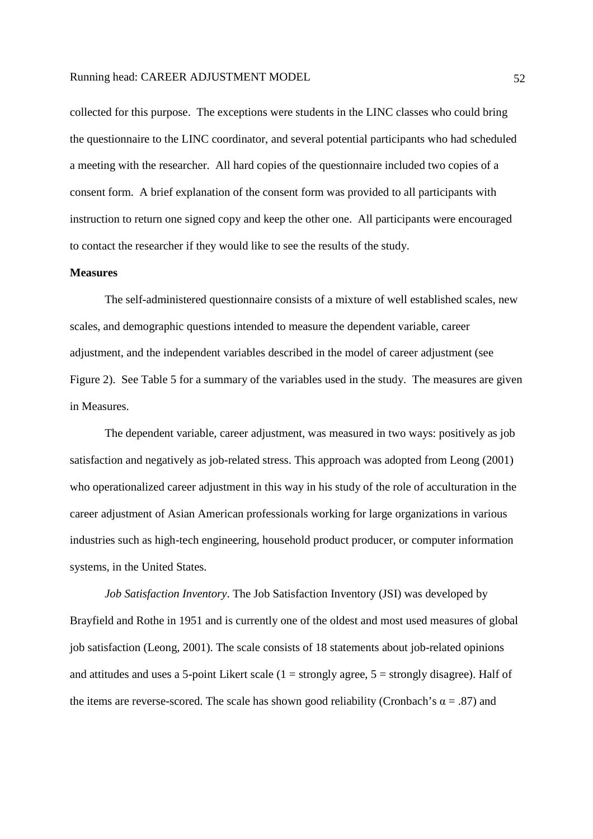collected for this purpose. The exceptions were students in the LINC classes who could bring the questionnaire to the LINC coordinator, and several potential participants who had scheduled a meeting with the researcher. All hard copies of the questionnaire included two copies of a consent form. A brief explanation of the consent form was provided to all participants with instruction to return one signed copy and keep the other one. All participants were encouraged to contact the researcher if they would like to see the results of the study.

### **Measures**

The self-administered questionnaire consists of a mixture of well established scales, new scales, and demographic questions intended to measure the dependent variable, career adjustment, and the independent variables described in the model of career adjustment (see Figure 2). See Table 5 for a summary of the variables used in the study. The measures are given in Measures.

The dependent variable, career adjustment, was measured in two ways: positively as job satisfaction and negatively as job-related stress. This approach was adopted from Leong (2001) who operationalized career adjustment in this way in his study of the role of acculturation in the career adjustment of Asian American professionals working for large organizations in various industries such as high-tech engineering, household product producer, or computer information systems, in the United States.

*Job Satisfaction Inventory*. The Job Satisfaction Inventory (JSI) was developed by Brayfield and Rothe in 1951 and is currently one of the oldest and most used measures of global job satisfaction (Leong, 2001). The scale consists of 18 statements about job-related opinions and attitudes and uses a 5-point Likert scale  $(1 = \text{strongly agree}, 5 = \text{strongly disagree})$ . Half of the items are reverse-scored. The scale has shown good reliability (Cronbach's  $\alpha = .87$ ) and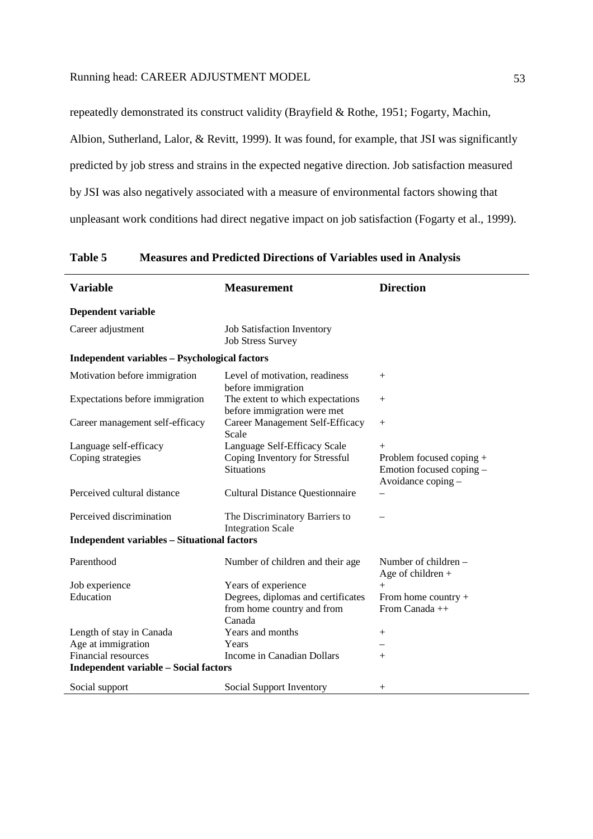repeatedly demonstrated its construct validity (Brayfield & Rothe, 1951; Fogarty, Machin, Albion, Sutherland, Lalor, & Revitt, 1999). It was found, for example, that JSI was significantly predicted by job stress and strains in the expected negative direction. Job satisfaction measured by JSI was also negatively associated with a measure of environmental factors showing that unpleasant work conditions had direct negative impact on job satisfaction (Fogarty et al., 1999).

| <b>Variable</b>                                      | <b>Measurement</b>                                                         | <b>Direction</b>                                                           |  |  |
|------------------------------------------------------|----------------------------------------------------------------------------|----------------------------------------------------------------------------|--|--|
| Dependent variable                                   |                                                                            |                                                                            |  |  |
| Career adjustment                                    | Job Satisfaction Inventory<br><b>Job Stress Survey</b>                     |                                                                            |  |  |
| <b>Independent variables - Psychological factors</b> |                                                                            |                                                                            |  |  |
| Motivation before immigration                        | Level of motivation, readiness<br>before immigration                       | $^{+}$                                                                     |  |  |
| Expectations before immigration                      | The extent to which expectations<br>before immigration were met            | $+$                                                                        |  |  |
| Career management self-efficacy                      | Career Management Self-Efficacy<br>Scale                                   | $^{+}$                                                                     |  |  |
| Language self-efficacy                               | Language Self-Efficacy Scale                                               | $+$                                                                        |  |  |
| Coping strategies                                    | Coping Inventory for Stressful<br><b>Situations</b>                        | Problem focused coping +<br>Emotion focused coping -<br>Avoidance coping - |  |  |
| Perceived cultural distance                          | <b>Cultural Distance Questionnaire</b>                                     |                                                                            |  |  |
| Perceived discrimination                             | The Discriminatory Barriers to<br><b>Integration Scale</b>                 |                                                                            |  |  |
| <b>Independent variables - Situational factors</b>   |                                                                            |                                                                            |  |  |
| Parenthood                                           | Number of children and their age                                           | Number of children –<br>Age of children $+$                                |  |  |
| Job experience                                       | Years of experience                                                        | $^{+}$                                                                     |  |  |
| Education                                            | Degrees, diplomas and certificates<br>from home country and from<br>Canada | From home country $+$<br>From Canada ++                                    |  |  |
| Length of stay in Canada                             | Years and months                                                           | $^{+}$                                                                     |  |  |
| Age at immigration                                   | Years                                                                      |                                                                            |  |  |
| <b>Financial resources</b>                           | Income in Canadian Dollars                                                 | $^{+}$                                                                     |  |  |
| <b>Independent variable - Social factors</b>         |                                                                            |                                                                            |  |  |
| Social support                                       | Social Support Inventory                                                   | $^{+}$                                                                     |  |  |

**Table 5 Measures and Predicted Directions of Variables used in Analysis**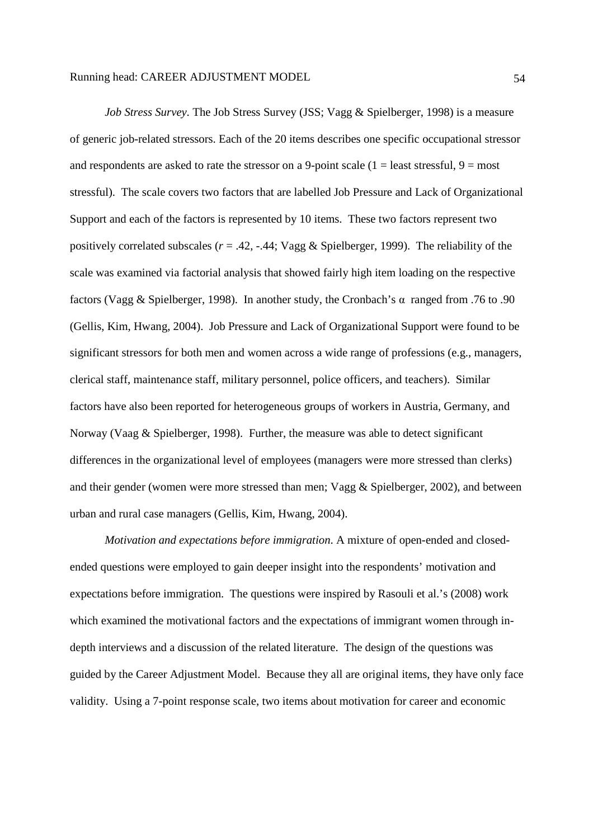*Job Stress Survey*. The Job Stress Survey (JSS; Vagg & Spielberger, 1998) is a measure of generic job-related stressors. Each of the 20 items describes one specific occupational stressor and respondents are asked to rate the stressor on a 9-point scale ( $1 =$  least stressful,  $9 =$  most stressful). The scale covers two factors that are labelled Job Pressure and Lack of Organizational Support and each of the factors is represented by 10 items. These two factors represent two positively correlated subscales ( $r = .42, -.44$ ; Vagg & Spielberger, 1999). The reliability of the scale was examined via factorial analysis that showed fairly high item loading on the respective factors (Vagg & Spielberger, 1998). In another study, the Cronbach's α ranged from .76 to .90 (Gellis, Kim, Hwang, 2004). Job Pressure and Lack of Organizational Support were found to be significant stressors for both men and women across a wide range of professions (e.g., managers, clerical staff, maintenance staff, military personnel, police officers, and teachers). Similar factors have also been reported for heterogeneous groups of workers in Austria, Germany, and Norway (Vaag & Spielberger, 1998). Further, the measure was able to detect significant differences in the organizational level of employees (managers were more stressed than clerks) and their gender (women were more stressed than men; Vagg & Spielberger, 2002), and between urban and rural case managers (Gellis, Kim, Hwang, 2004).

*Motivation and expectations before immigration*. A mixture of open-ended and closedended questions were employed to gain deeper insight into the respondents' motivation and expectations before immigration. The questions were inspired by Rasouli et al.'s (2008) work which examined the motivational factors and the expectations of immigrant women through indepth interviews and a discussion of the related literature. The design of the questions was guided by the Career Adjustment Model. Because they all are original items, they have only face validity. Using a 7-point response scale, two items about motivation for career and economic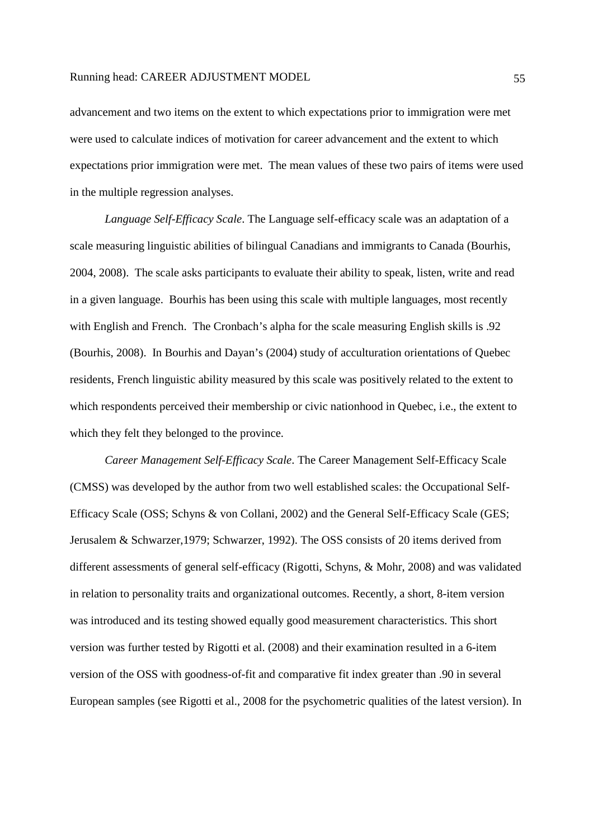advancement and two items on the extent to which expectations prior to immigration were met were used to calculate indices of motivation for career advancement and the extent to which expectations prior immigration were met. The mean values of these two pairs of items were used in the multiple regression analyses.

*Language Self-Efficacy Scale*. The Language self-efficacy scale was an adaptation of a scale measuring linguistic abilities of bilingual Canadians and immigrants to Canada (Bourhis, 2004, 2008). The scale asks participants to evaluate their ability to speak, listen, write and read in a given language. Bourhis has been using this scale with multiple languages, most recently with English and French. The Cronbach's alpha for the scale measuring English skills is .92 (Bourhis, 2008). In Bourhis and Dayan's (2004) study of acculturation orientations of Quebec residents, French linguistic ability measured by this scale was positively related to the extent to which respondents perceived their membership or civic nationhood in Quebec, i.e., the extent to which they felt they belonged to the province.

*Career Management Self-Efficacy Scale*. The Career Management Self-Efficacy Scale (CMSS) was developed by the author from two well established scales: the Occupational Self-Efficacy Scale (OSS; Schyns & von Collani, 2002) and the General Self-Efficacy Scale (GES; Jerusalem & Schwarzer,1979; Schwarzer, 1992). The OSS consists of 20 items derived from different assessments of general self-efficacy (Rigotti, Schyns, & Mohr, 2008) and was validated in relation to personality traits and organizational outcomes. Recently, a short, 8-item version was introduced and its testing showed equally good measurement characteristics. This short version was further tested by Rigotti et al. (2008) and their examination resulted in a 6-item version of the OSS with goodness-of-fit and comparative fit index greater than .90 in several European samples (see Rigotti et al., 2008 for the psychometric qualities of the latest version). In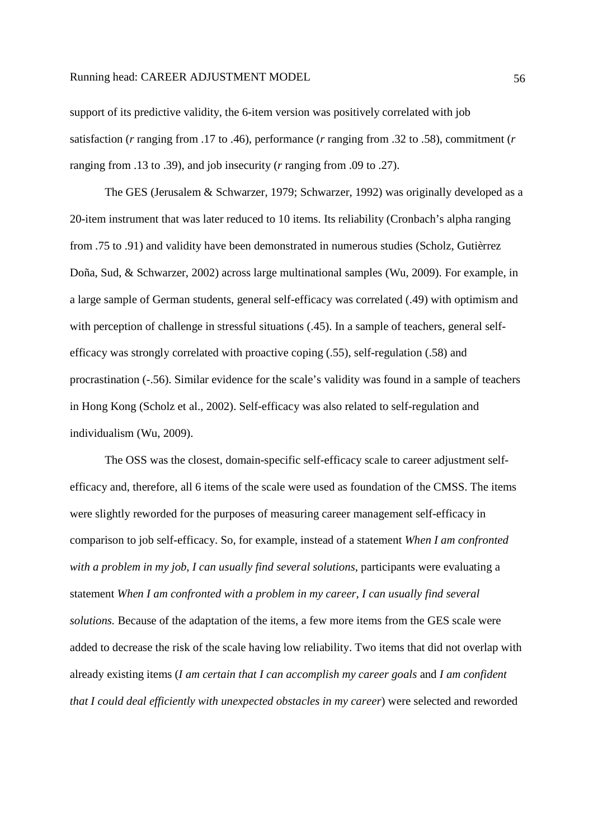support of its predictive validity, the 6-item version was positively correlated with job satisfaction (*r* ranging from .17 to .46), performance (*r* ranging from .32 to .58), commitment (*r*  ranging from .13 to .39), and job insecurity (*r* ranging from .09 to .27).

The GES (Jerusalem & Schwarzer, 1979; Schwarzer, 1992) was originally developed as a 20-item instrument that was later reduced to 10 items. Its reliability (Cronbach's alpha ranging from .75 to .91) and validity have been demonstrated in numerous studies (Scholz, Gutièrrez Doña, Sud, & Schwarzer, 2002) across large multinational samples (Wu, 2009). For example, in a large sample of German students, general self-efficacy was correlated (.49) with optimism and with perception of challenge in stressful situations (.45). In a sample of teachers, general selfefficacy was strongly correlated with proactive coping (.55), self-regulation (.58) and procrastination (-.56). Similar evidence for the scale's validity was found in a sample of teachers in Hong Kong (Scholz et al., 2002). Self-efficacy was also related to self-regulation and individualism (Wu, 2009).

The OSS was the closest, domain-specific self-efficacy scale to career adjustment selfefficacy and, therefore, all 6 items of the scale were used as foundation of the CMSS. The items were slightly reworded for the purposes of measuring career management self-efficacy in comparison to job self-efficacy. So, for example, instead of a statement *When I am confronted with a problem in my job, I can usually find several solutions*, participants were evaluating a statement *When I am confronted with a problem in my career, I can usually find several solutions.* Because of the adaptation of the items, a few more items from the GES scale were added to decrease the risk of the scale having low reliability. Two items that did not overlap with already existing items (*I am certain that I can accomplish my career goals* and *I am confident that I could deal efficiently with unexpected obstacles in my career*) were selected and reworded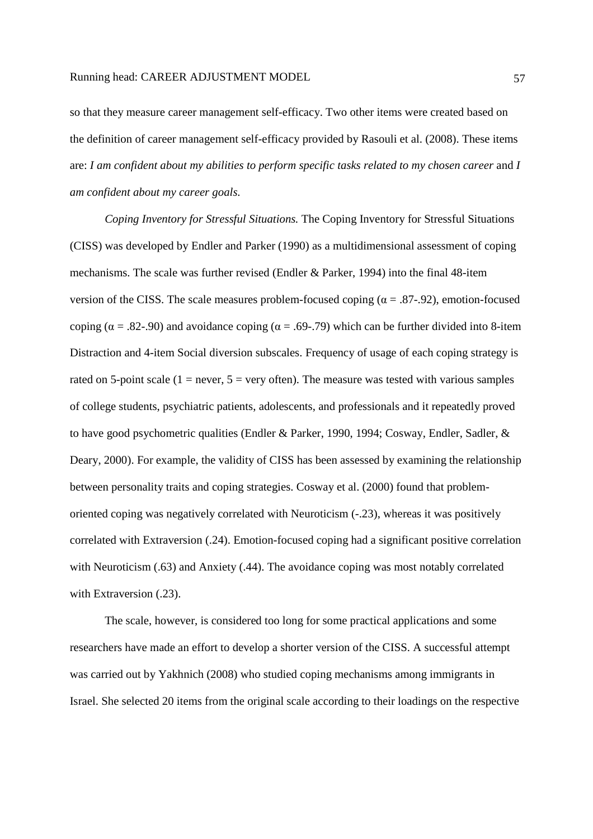so that they measure career management self-efficacy. Two other items were created based on the definition of career management self-efficacy provided by Rasouli et al. (2008). These items are: *I am confident about my abilities to perform specific tasks related to my chosen career* and *I am confident about my career goals.*

*Coping Inventory for Stressful Situations.* The Coping Inventory for Stressful Situations (CISS) was developed by Endler and Parker (1990) as a multidimensional assessment of coping mechanisms. The scale was further revised (Endler & Parker, 1994) into the final 48-item version of the CISS. The scale measures problem-focused coping ( $\alpha = .87-.92$ ), emotion-focused coping ( $\alpha = .82-.90$ ) and avoidance coping ( $\alpha = .69-.79$ ) which can be further divided into 8-item Distraction and 4-item Social diversion subscales. Frequency of usage of each coping strategy is rated on 5-point scale (1 = never,  $5 =$  very often). The measure was tested with various samples of college students, psychiatric patients, adolescents, and professionals and it repeatedly proved to have good psychometric qualities (Endler & Parker, 1990, 1994; Cosway, Endler, Sadler, & Deary, 2000). For example, the validity of CISS has been assessed by examining the relationship between personality traits and coping strategies. Cosway et al. (2000) found that problemoriented coping was negatively correlated with Neuroticism (-.23), whereas it was positively correlated with Extraversion (.24). Emotion-focused coping had a significant positive correlation with Neuroticism (.63) and Anxiety (.44). The avoidance coping was most notably correlated with Extraversion (.23).

The scale, however, is considered too long for some practical applications and some researchers have made an effort to develop a shorter version of the CISS. A successful attempt was carried out by Yakhnich (2008) who studied coping mechanisms among immigrants in Israel. She selected 20 items from the original scale according to their loadings on the respective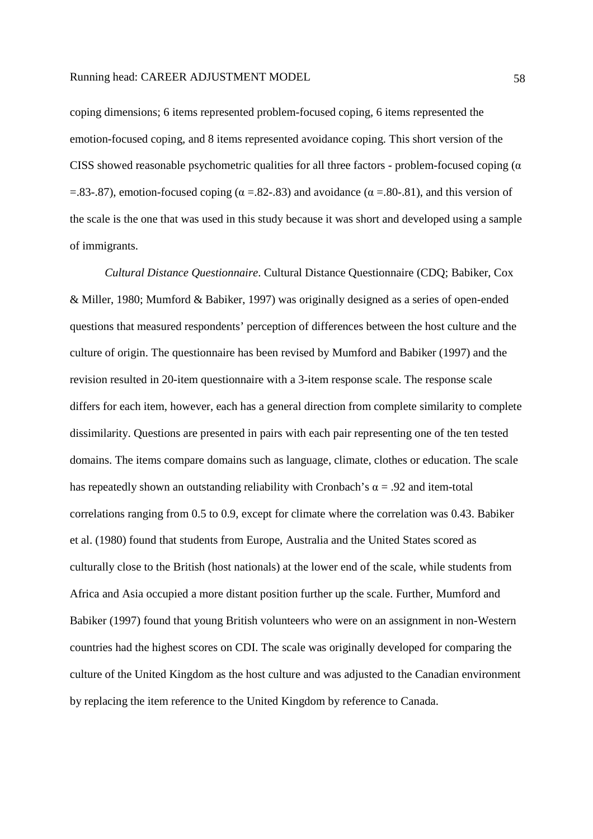coping dimensions; 6 items represented problem-focused coping, 6 items represented the emotion-focused coping, and 8 items represented avoidance coping. This short version of the CISS showed reasonable psychometric qualities for all three factors - problem-focused coping ( $\alpha$ ) =.83-.87), emotion-focused coping ( $\alpha$  =.82-.83) and avoidance ( $\alpha$  =.80-.81), and this version of the scale is the one that was used in this study because it was short and developed using a sample of immigrants.

*Cultural Distance Questionnaire*. Cultural Distance Questionnaire (CDQ; Babiker, Cox & Miller, 1980; Mumford & Babiker, 1997) was originally designed as a series of open-ended questions that measured respondents' perception of differences between the host culture and the culture of origin. The questionnaire has been revised by Mumford and Babiker (1997) and the revision resulted in 20-item questionnaire with a 3-item response scale. The response scale differs for each item, however, each has a general direction from complete similarity to complete dissimilarity. Questions are presented in pairs with each pair representing one of the ten tested domains. The items compare domains such as language, climate, clothes or education. The scale has repeatedly shown an outstanding reliability with Cronbach's  $\alpha = .92$  and item-total correlations ranging from 0.5 to 0.9, except for climate where the correlation was 0.43. Babiker et al. (1980) found that students from Europe, Australia and the United States scored as culturally close to the British (host nationals) at the lower end of the scale, while students from Africa and Asia occupied a more distant position further up the scale. Further, Mumford and Babiker (1997) found that young British volunteers who were on an assignment in non-Western countries had the highest scores on CDI. The scale was originally developed for comparing the culture of the United Kingdom as the host culture and was adjusted to the Canadian environment by replacing the item reference to the United Kingdom by reference to Canada.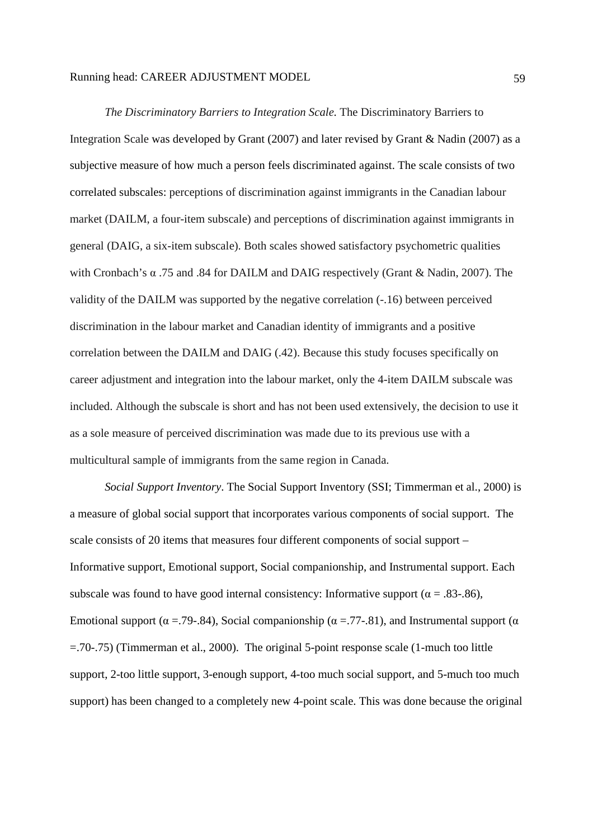*The Discriminatory Barriers to Integration Scale.* The Discriminatory Barriers to Integration Scale was developed by Grant (2007) and later revised by Grant & Nadin (2007) as a subjective measure of how much a person feels discriminated against. The scale consists of two correlated subscales: perceptions of discrimination against immigrants in the Canadian labour market (DAILM, a four-item subscale) and perceptions of discrimination against immigrants in general (DAIG, a six-item subscale). Both scales showed satisfactory psychometric qualities with Cronbach's α .75 and .84 for DAILM and DAIG respectively (Grant & Nadin, 2007). The validity of the DAILM was supported by the negative correlation (-.16) between perceived discrimination in the labour market and Canadian identity of immigrants and a positive correlation between the DAILM and DAIG (.42). Because this study focuses specifically on career adjustment and integration into the labour market, only the 4-item DAILM subscale was included. Although the subscale is short and has not been used extensively, the decision to use it as a sole measure of perceived discrimination was made due to its previous use with a multicultural sample of immigrants from the same region in Canada.

*Social Support Inventory*. The Social Support Inventory (SSI; Timmerman et al., 2000) is a measure of global social support that incorporates various components of social support. The scale consists of 20 items that measures four different components of social support – Informative support, Emotional support, Social companionship, and Instrumental support. Each subscale was found to have good internal consistency: Informative support ( $\alpha = .83-.86$ ), Emotional support ( $\alpha = 79-84$ ), Social companionship ( $\alpha = 77-81$ ), and Instrumental support ( $\alpha$ =.70-.75) (Timmerman et al., 2000). The original 5-point response scale (1-much too little support, 2-too little support, 3-enough support, 4-too much social support, and 5-much too much support) has been changed to a completely new 4-point scale. This was done because the original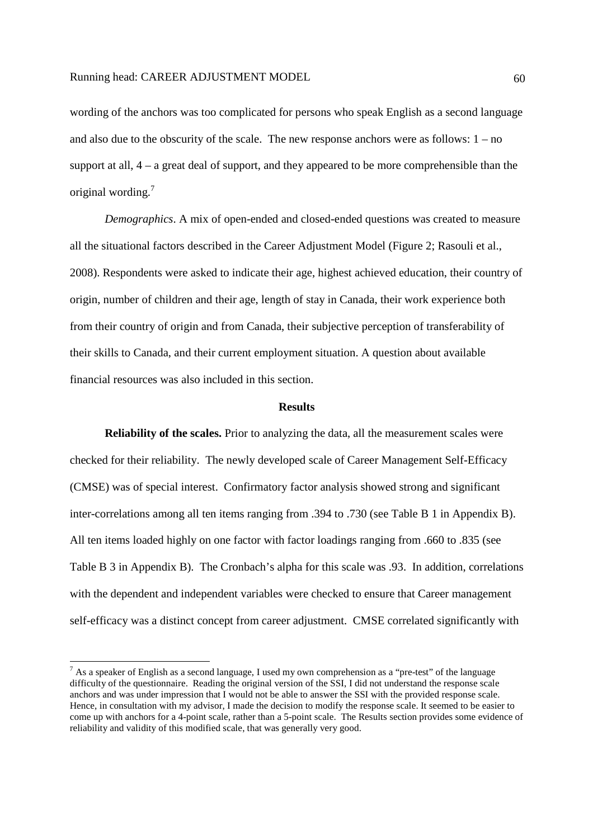wording of the anchors was too complicated for persons who speak English as a second language and also due to the obscurity of the scale. The new response anchors were as follows:  $1 - no$ support at all, 4 – a great deal of support, and they appeared to be more comprehensible than the original wording.<sup>7</sup>

*Demographics*. A mix of open-ended and closed-ended questions was created to measure all the situational factors described in the Career Adjustment Model (Figure 2; Rasouli et al., 2008). Respondents were asked to indicate their age, highest achieved education, their country of origin, number of children and their age, length of stay in Canada, their work experience both from their country of origin and from Canada, their subjective perception of transferability of their skills to Canada, and their current employment situation. A question about available financial resources was also included in this section.

### **Results**

**Reliability of the scales.** Prior to analyzing the data, all the measurement scales were checked for their reliability. The newly developed scale of Career Management Self-Efficacy (CMSE) was of special interest. Confirmatory factor analysis showed strong and significant inter-correlations among all ten items ranging from .394 to .730 (see Table B 1 in Appendix B). All ten items loaded highly on one factor with factor loadings ranging from .660 to .835 (see Table B 3 in Appendix B). The Cronbach's alpha for this scale was .93. In addition, correlations with the dependent and independent variables were checked to ensure that Career management self-efficacy was a distinct concept from career adjustment. CMSE correlated significantly with

-

<sup>&</sup>lt;sup>7</sup> As a speaker of English as a second language, I used my own comprehension as a "pre-test" of the language difficulty of the questionnaire. Reading the original version of the SSI, I did not understand the response scale anchors and was under impression that I would not be able to answer the SSI with the provided response scale. Hence, in consultation with my advisor, I made the decision to modify the response scale. It seemed to be easier to come up with anchors for a 4-point scale, rather than a 5-point scale. The Results section provides some evidence of reliability and validity of this modified scale, that was generally very good.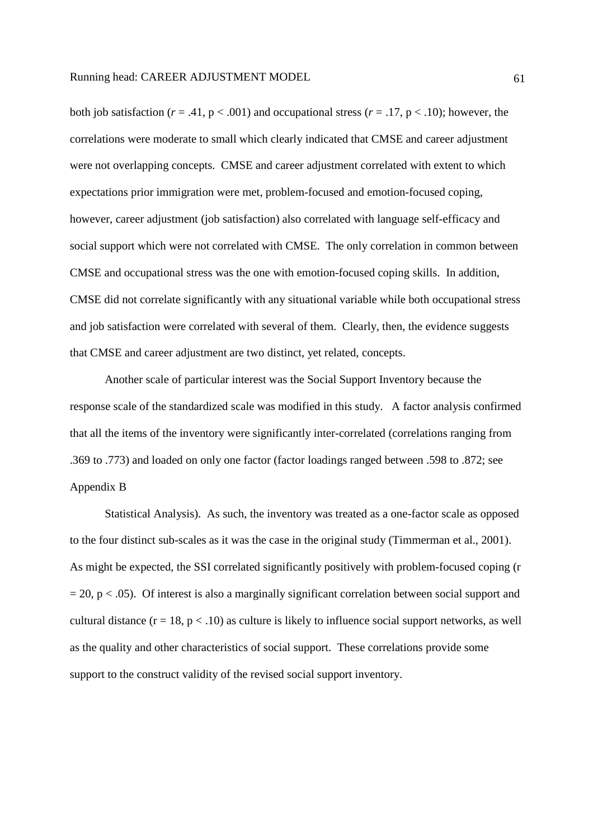both job satisfaction ( $r = .41$ ,  $p < .001$ ) and occupational stress ( $r = .17$ ,  $p < .10$ ); however, the correlations were moderate to small which clearly indicated that CMSE and career adjustment were not overlapping concepts. CMSE and career adjustment correlated with extent to which expectations prior immigration were met, problem-focused and emotion-focused coping, however, career adjustment (job satisfaction) also correlated with language self-efficacy and social support which were not correlated with CMSE. The only correlation in common between CMSE and occupational stress was the one with emotion-focused coping skills. In addition, CMSE did not correlate significantly with any situational variable while both occupational stress and job satisfaction were correlated with several of them. Clearly, then, the evidence suggests that CMSE and career adjustment are two distinct, yet related, concepts.

Another scale of particular interest was the Social Support Inventory because the response scale of the standardized scale was modified in this study. A factor analysis confirmed that all the items of the inventory were significantly inter-correlated (correlations ranging from .369 to .773) and loaded on only one factor (factor loadings ranged between .598 to .872; see Appendix B

Statistical Analysis). As such, the inventory was treated as a one-factor scale as opposed to the four distinct sub-scales as it was the case in the original study (Timmerman et al., 2001). As might be expected, the SSI correlated significantly positively with problem-focused coping (r  $= 20$ , p  $< .05$ ). Of interest is also a marginally significant correlation between social support and cultural distance  $(r = 18, p < .10)$  as culture is likely to influence social support networks, as well as the quality and other characteristics of social support. These correlations provide some support to the construct validity of the revised social support inventory.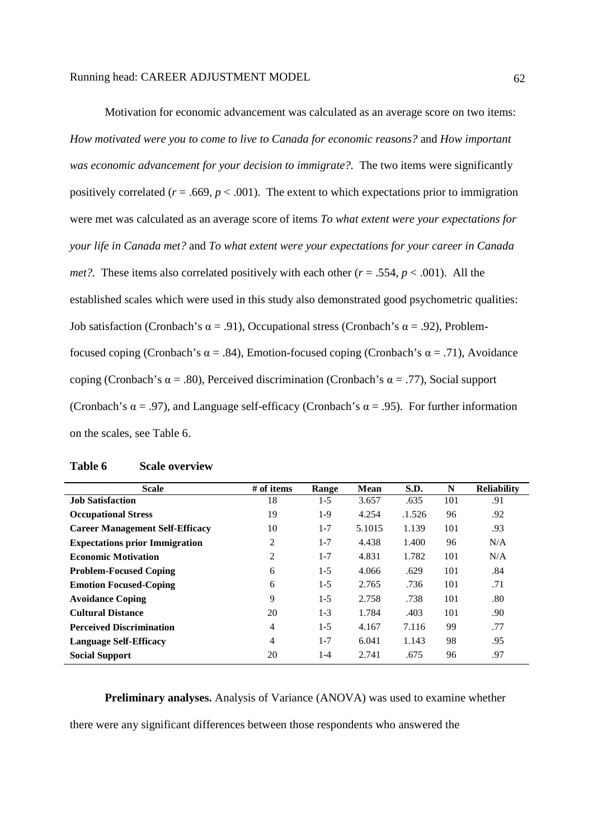| Motivation for economic advancement was calculated as an average score on two items:                         |
|--------------------------------------------------------------------------------------------------------------|
| How motivated were you to come to live to Canada for economic reasons? and How important                     |
| was economic advancement for your decision to immigrate?. The two items were significantly                   |
| positively correlated ( $r = .669$ , $p < .001$ ). The extent to which expectations prior to immigration     |
| were met was calculated as an average score of items To what extent were your expectations for               |
| your life in Canada met? and To what extent were your expectations for your career in Canada                 |
| <i>met</i> ?. These items also correlated positively with each other $(r = .554, p < .001)$ . All the        |
| established scales which were used in this study also demonstrated good psychometric qualities:              |
| Job satisfaction (Cronbach's $\alpha$ = .91), Occupational stress (Cronbach's $\alpha$ = .92), Problem-      |
| focused coping (Cronbach's $\alpha$ = .84), Emotion-focused coping (Cronbach's $\alpha$ = .71), Avoidance    |
| coping (Cronbach's $\alpha$ = .80), Perceived discrimination (Cronbach's $\alpha$ = .77), Social support     |
| (Cronbach's $\alpha$ = .97), and Language self-efficacy (Cronbach's $\alpha$ = .95). For further information |
| on the scales, see Table 6.                                                                                  |

| <b>Scale</b>                           | # of items     | Range   | <b>Mean</b> | S.D.   | N   | <b>Reliability</b> |
|----------------------------------------|----------------|---------|-------------|--------|-----|--------------------|
| <b>Job Satisfaction</b>                | 18             | $1-5$   | 3.657       | .635   | 101 | .91                |
| <b>Occupational Stress</b>             | 19             | $1-9$   | 4.254       | .1.526 | 96  | .92                |
| <b>Career Management Self-Efficacy</b> | 10             | $1 - 7$ | 5.1015      | 1.139  | 101 | .93                |
| <b>Expectations prior Immigration</b>  | 2              | $1 - 7$ | 4.438       | 1.400  | 96  | N/A                |
| <b>Economic Motivation</b>             | 2              | $1 - 7$ | 4.831       | 1.782  | 101 | N/A                |
| <b>Problem-Focused Coping</b>          | 6              | $1-5$   | 4.066       | .629   | 101 | .84                |
| <b>Emotion Focused-Coping</b>          | 6              | $1-5$   | 2.765       | .736   | 101 | .71                |
| <b>Avoidance Coping</b>                | 9              | $1-5$   | 2.758       | .738   | 101 | .80                |
| <b>Cultural Distance</b>               | 20             | $1 - 3$ | 1.784       | .403   | 101 | .90                |
| <b>Perceived Discrimination</b>        | 4              | $1-5$   | 4.167       | 7.116  | 99  | .77                |
| <b>Language Self-Efficacy</b>          | $\overline{4}$ | $1 - 7$ | 6.041       | 1.143  | 98  | .95                |
| <b>Social Support</b>                  | 20             | $1 - 4$ | 2.741       | .675   | 96  | .97                |

**Preliminary analyses.** Analysis of Variance (ANOVA) was used to examine whether

there were any significant differences between those respondents who answered the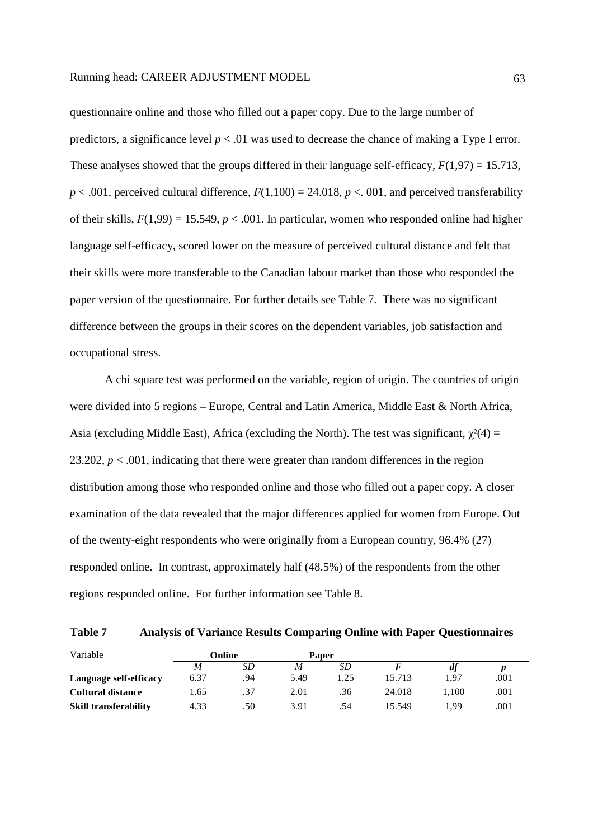questionnaire online and those who filled out a paper copy. Due to the large number of predictors, a significance level  $p < 0.01$  was used to decrease the chance of making a Type I error. These analyses showed that the groups differed in their language self-efficacy,  $F(1,97) = 15.713$ ,  $p < .001$ , perceived cultural difference,  $F(1,100) = 24.018$ ,  $p < .001$ , and perceived transferability of their skills,  $F(1,99) = 15.549$ ,  $p < .001$ . In particular, women who responded online had higher language self-efficacy, scored lower on the measure of perceived cultural distance and felt that their skills were more transferable to the Canadian labour market than those who responded the paper version of the questionnaire. For further details see Table 7. There was no significant difference between the groups in their scores on the dependent variables, job satisfaction and occupational stress.

A chi square test was performed on the variable, region of origin. The countries of origin were divided into 5 regions – Europe, Central and Latin America, Middle East & North Africa, Asia (excluding Middle East), Africa (excluding the North). The test was significant,  $\chi^2(4)$  = 23.202,  $p < .001$ , indicating that there were greater than random differences in the region distribution among those who responded online and those who filled out a paper copy. A closer examination of the data revealed that the major differences applied for women from Europe. Out of the twenty-eight respondents who were originally from a European country, 96.4% (27) responded online. In contrast, approximately half (48.5%) of the respondents from the other regions responded online. For further information see Table 8.

**Table 7 Analysis of Variance Results Comparing Online with Paper Questionnaires** 

| Variable                     | Online |     | Paper |     |        |       |      |
|------------------------------|--------|-----|-------|-----|--------|-------|------|
|                              | M      | SD  | M     | SD  |        | df    |      |
| Language self-efficacy       | 6.37   | .94 | 5.49  | .25 | 15.713 | 1,97  | .001 |
| <b>Cultural distance</b>     | 1.65   | .37 | 2.01  | .36 | 24.018 | 1.100 | .001 |
| <b>Skill transferability</b> | 4.33   | .50 | 3.91  | .54 | 15.549 | 1,99  | .001 |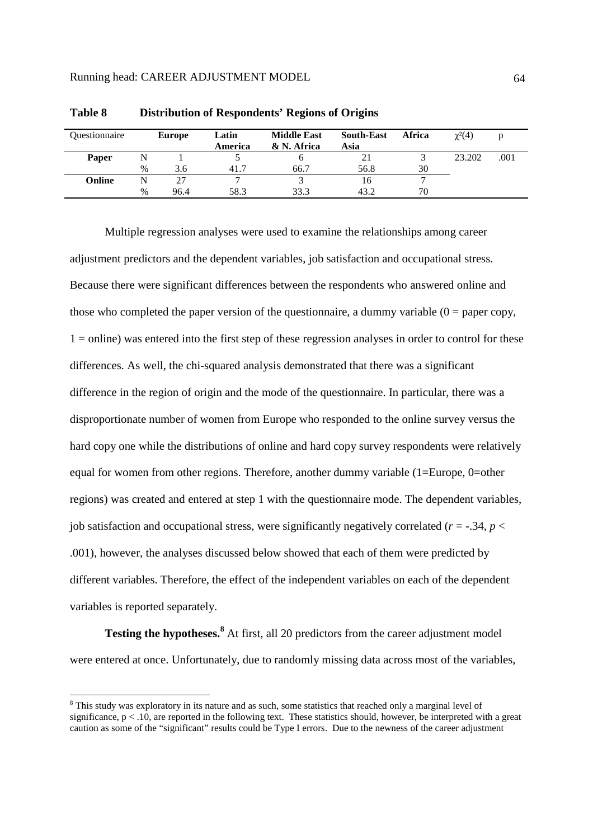| Ouestionnaire |      | <b>Europe</b> | Latin<br>America | <b>Middle East</b><br>& N. Africa | <b>South-East</b><br>Asia | <b>Africa</b> | $\gamma^2(4)$ |      |
|---------------|------|---------------|------------------|-----------------------------------|---------------------------|---------------|---------------|------|
| Paper         |      |               |                  |                                   | 21                        |               | 23.202        | .001 |
|               | $\%$ | 3.6           | 41.7             | 66.7                              | 56.8                      | 30            |               |      |
| Online        |      | דר            |                  |                                   |                           |               |               |      |
|               | $\%$ | 96.4          | 58.3             | 33.3                              | 43.2                      | 70            |               |      |

**Table 8 Distribution of Respondents' Regions of Origins** 

Multiple regression analyses were used to examine the relationships among career adjustment predictors and the dependent variables, job satisfaction and occupational stress. Because there were significant differences between the respondents who answered online and those who completed the paper version of the questionnaire, a dummy variable  $(0 =$  paper copy, 1 = online) was entered into the first step of these regression analyses in order to control for these differences. As well, the chi-squared analysis demonstrated that there was a significant difference in the region of origin and the mode of the questionnaire. In particular, there was a disproportionate number of women from Europe who responded to the online survey versus the hard copy one while the distributions of online and hard copy survey respondents were relatively equal for women from other regions. Therefore, another dummy variable (1=Europe, 0=other regions) was created and entered at step 1 with the questionnaire mode. The dependent variables, job satisfaction and occupational stress, were significantly negatively correlated ( $r = -0.34$ ,  $p <$ .001), however, the analyses discussed below showed that each of them were predicted by different variables. Therefore, the effect of the independent variables on each of the dependent variables is reported separately.

**Testing the hypotheses.<sup>8</sup>** At first, all 20 predictors from the career adjustment model were entered at once. Unfortunately, due to randomly missing data across most of the variables,

-

<sup>&</sup>lt;sup>8</sup> This study was exploratory in its nature and as such, some statistics that reached only a marginal level of significance,  $p < 0.10$ , are reported in the following text. These statistics should, however, be interpreted with a great caution as some of the "significant" results could be Type I errors. Due to the newness of the career adjustment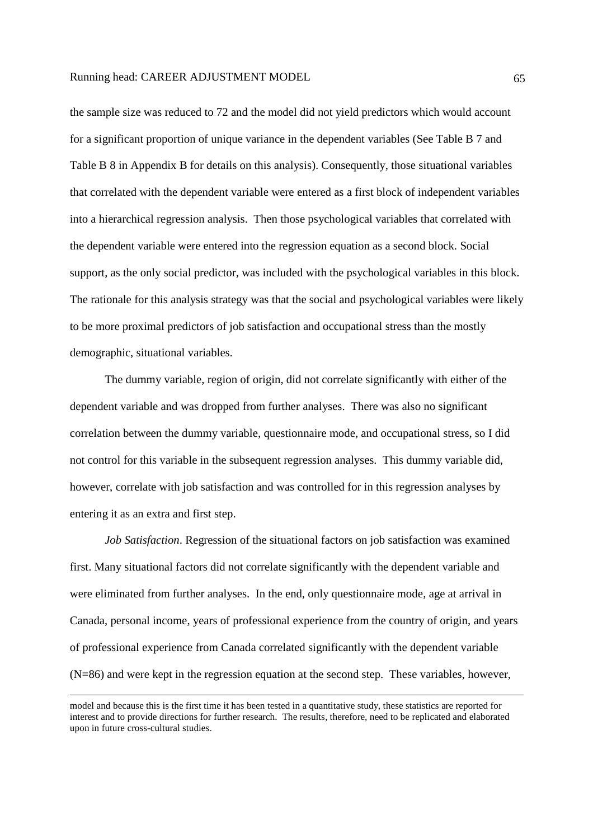the sample size was reduced to 72 and the model did not yield predictors which would account for a significant proportion of unique variance in the dependent variables (See Table B 7 and Table B 8 in Appendix B for details on this analysis). Consequently, those situational variables that correlated with the dependent variable were entered as a first block of independent variables into a hierarchical regression analysis. Then those psychological variables that correlated with the dependent variable were entered into the regression equation as a second block. Social support, as the only social predictor, was included with the psychological variables in this block. The rationale for this analysis strategy was that the social and psychological variables were likely to be more proximal predictors of job satisfaction and occupational stress than the mostly demographic, situational variables.

The dummy variable, region of origin, did not correlate significantly with either of the dependent variable and was dropped from further analyses. There was also no significant correlation between the dummy variable, questionnaire mode, and occupational stress, so I did not control for this variable in the subsequent regression analyses. This dummy variable did, however, correlate with job satisfaction and was controlled for in this regression analyses by entering it as an extra and first step.

*Job Satisfaction*. Regression of the situational factors on job satisfaction was examined first. Many situational factors did not correlate significantly with the dependent variable and were eliminated from further analyses. In the end, only questionnaire mode, age at arrival in Canada, personal income, years of professional experience from the country of origin, and years of professional experience from Canada correlated significantly with the dependent variable (N=86) and were kept in the regression equation at the second step. These variables, however,

-

model and because this is the first time it has been tested in a quantitative study, these statistics are reported for interest and to provide directions for further research. The results, therefore, need to be replicated and elaborated upon in future cross-cultural studies.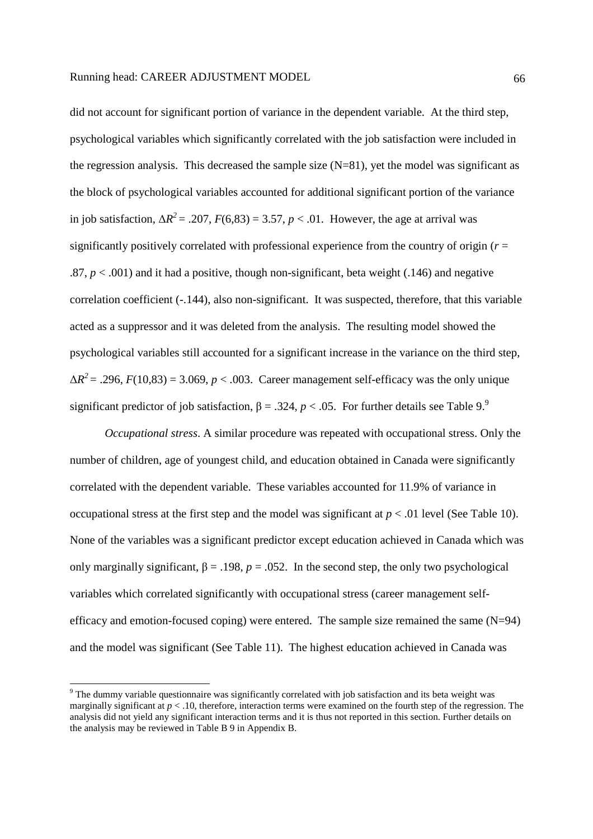did not account for significant portion of variance in the dependent variable. At the third step, psychological variables which significantly correlated with the job satisfaction were included in the regression analysis. This decreased the sample size  $(N=81)$ , yet the model was significant as the block of psychological variables accounted for additional significant portion of the variance in job satisfaction,  $\Delta R^2 = .207$ ,  $F(6,83) = 3.57$ ,  $p < .01$ . However, the age at arrival was significantly positively correlated with professional experience from the country of origin (*r* =  $.87, p < .001$ ) and it had a positive, though non-significant, beta weight (.146) and negative correlation coefficient (-.144), also non-significant. It was suspected, therefore, that this variable acted as a suppressor and it was deleted from the analysis. The resulting model showed the psychological variables still accounted for a significant increase in the variance on the third step,  $\Delta R^2$  = .296, *F*(10,83) = 3.069, *p* < .003. Career management self-efficacy was the only unique significant predictor of job satisfaction,  $\beta = .324$ ,  $p < .05$ . For further details see Table 9.<sup>9</sup>

*Occupational stress*. A similar procedure was repeated with occupational stress. Only the number of children, age of youngest child, and education obtained in Canada were significantly correlated with the dependent variable. These variables accounted for 11.9% of variance in occupational stress at the first step and the model was significant at  $p < .01$  level (See Table 10). None of the variables was a significant predictor except education achieved in Canada which was only marginally significant,  $\beta = .198$ ,  $p = .052$ . In the second step, the only two psychological variables which correlated significantly with occupational stress (career management selfefficacy and emotion-focused coping) were entered. The sample size remained the same  $(N=94)$ and the model was significant (See Table 11). The highest education achieved in Canada was

-

<sup>&</sup>lt;sup>9</sup> The dummy variable questionnaire was significantly correlated with job satisfaction and its beta weight was marginally significant at  $p < 0.10$ , therefore, interaction terms were examined on the fourth step of the regression. The analysis did not yield any significant interaction terms and it is thus not reported in this section. Further details on the analysis may be reviewed in Table B 9 in Appendix B.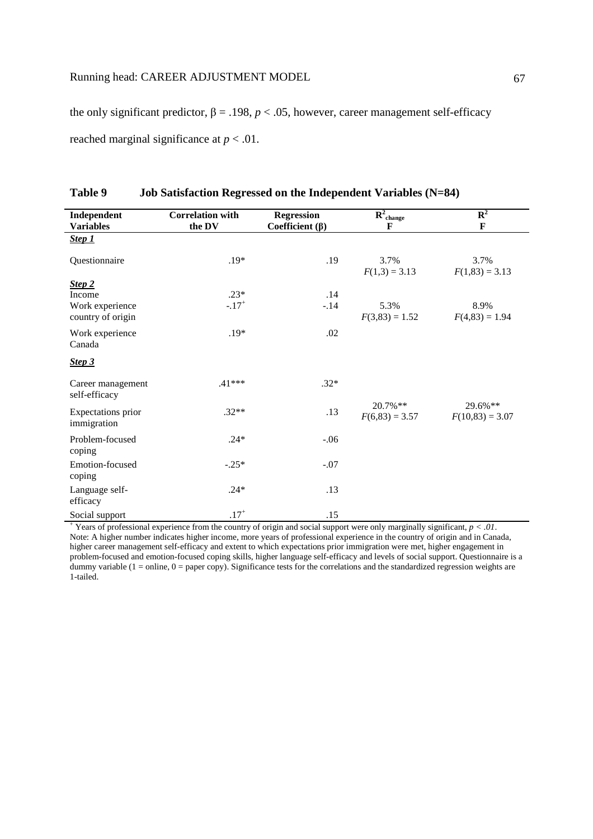the only significant predictor,  $β = .198$ ,  $p < .05$ , however, career management self-efficacy reached marginal significance at *p* < .01.

| Independent                          | <b>Correlation with</b> | <b>Regression</b>     | $R^2_{\text{change}}$          | $\mathbf{R}^2$               |
|--------------------------------------|-------------------------|-----------------------|--------------------------------|------------------------------|
| <b>Variables</b>                     | the DV                  | Coefficient $(\beta)$ | F                              | $\mathbf F$                  |
| Step 1                               |                         |                       |                                |                              |
| Questionnaire                        | $.19*$                  | .19                   | 3.7%<br>$F(1,3) = 3.13$        | 3.7%<br>$F(1,83) = 3.13$     |
| Step 2                               |                         |                       |                                |                              |
| Income                               | $.23*$                  | .14                   |                                |                              |
| Work experience<br>country of origin | $-.17+$                 | $-.14$                | 5.3%<br>$F(3,83) = 1.52$       | 8.9%<br>$F(4,83) = 1.94$     |
| Work experience<br>Canada            | $.19*$                  | .02                   |                                |                              |
| Step 3                               |                         |                       |                                |                              |
| Career management<br>self-efficacy   | $.41***$                | $.32*$                |                                |                              |
| Expectations prior<br>immigration    | $.32**$                 | .13                   | $20.7\%**$<br>$F(6,83) = 3.57$ | 29.6%**<br>$F(10,83) = 3.07$ |
| Problem-focused<br>coping            | $.24*$                  | $-.06$                |                                |                              |
| Emotion-focused<br>coping            | $-.25*$                 | $-.07$                |                                |                              |
| Language self-<br>efficacy           | $.24*$                  | .13                   |                                |                              |
| Social support                       | $.17^{+}$               | .15                   |                                |                              |

# **Table 9 Job Satisfaction Regressed on the Independent Variables (N=84)**

+ Years of professional experience from the country of origin and social support were only marginally significant, *p < .01*. Note: A higher number indicates higher income, more years of professional experience in the country of origin and in Canada, higher career management self-efficacy and extent to which expectations prior immigration were met, higher engagement in problem-focused and emotion-focused coping skills, higher language self-efficacy and levels of social support. Questionnaire is a dummy variable  $(1 = \text{online}, 0 = \text{paper copy})$ . Significance tests for the correlations and the standardized regression weights are 1-tailed.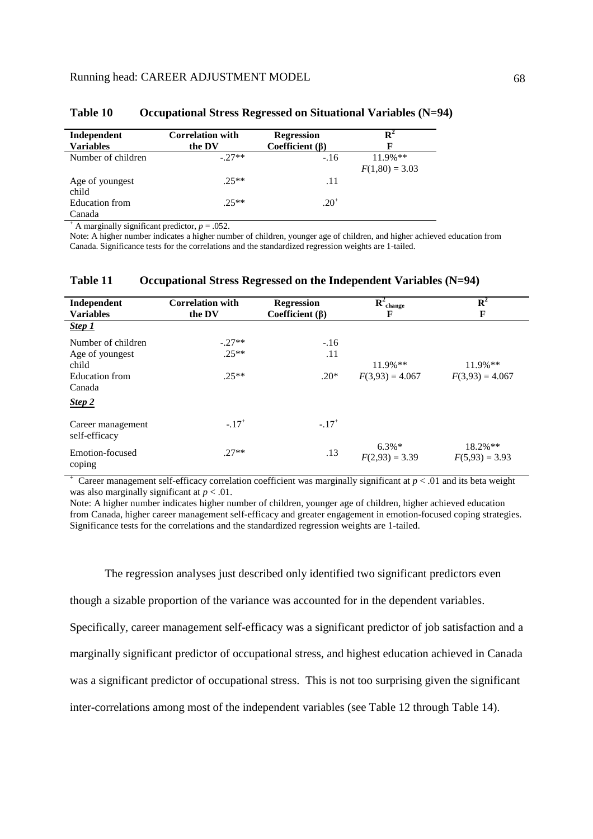| Independent<br><b>Variables</b> | <b>Correlation with</b><br>the DV | <b>Regression</b><br>Coefficient $(\beta)$ | $\mathbf{R}^2$<br>F             |
|---------------------------------|-----------------------------------|--------------------------------------------|---------------------------------|
| Number of children              | $-27**$                           | $-.16$                                     | $11.9\%$ **<br>$F(1,80) = 3.03$ |
| Age of youngest<br>child        | $25**$                            | .11                                        |                                 |
| Education from<br>Canada        | $25**$                            | $.20^{+}$                                  |                                 |

#### **Table 10 Occupational Stress Regressed on Situational Variables (N=94)**

<sup>+</sup> A marginally significant predictor,  $p = .052$ .

Note: A higher number indicates a higher number of children, younger age of children, and higher achieved education from Canada. Significance tests for the correlations and the standardized regression weights are 1-tailed.

#### **Table 11 Occupational Stress Regressed on the Independent Variables (N=94)**

| Independent<br><b>Variables</b>    | <b>Correlation with</b><br>the DV | <b>Regression</b><br>Coefficient $(\beta)$ | $R^2_{\text{change}}$<br>F   | ${\bf R}^2$<br>F               |
|------------------------------------|-----------------------------------|--------------------------------------------|------------------------------|--------------------------------|
| Step 1                             |                                   |                                            |                              |                                |
| Number of children                 | $-.27**$                          | $-.16$                                     |                              |                                |
| Age of youngest                    | $.25**$                           | .11                                        |                              |                                |
| child                              |                                   |                                            | $11.9\%**$                   | $11.9\%$ **                    |
| Education from                     | $.25**$                           | $.20*$                                     | $F(3,93) = 4.067$            | $F(3,93) = 4.067$              |
| Canada                             |                                   |                                            |                              |                                |
| Step 2                             |                                   |                                            |                              |                                |
| Career management<br>self-efficacy | $-.17$ <sup>+</sup>               | $-.17$ <sup>+</sup>                        |                              |                                |
| Emotion-focused<br>coping          | $.27**$                           | .13                                        | $6.3\%*$<br>$F(2,93) = 3.39$ | $18.2\%**$<br>$F(5,93) = 3.93$ |

 $+$  Career management self-efficacy correlation coefficient was marginally significant at  $p < .01$  and its beta weight was also marginally significant at *p* < .01.

Note: A higher number indicates higher number of children, younger age of children, higher achieved education from Canada, higher career management self-efficacy and greater engagement in emotion-focused coping strategies. Significance tests for the correlations and the standardized regression weights are 1-tailed.

The regression analyses just described only identified two significant predictors even

though a sizable proportion of the variance was accounted for in the dependent variables.

Specifically, career management self-efficacy was a significant predictor of job satisfaction and a

marginally significant predictor of occupational stress, and highest education achieved in Canada

was a significant predictor of occupational stress. This is not too surprising given the significant

inter-correlations among most of the independent variables (see Table 12 through Table 14).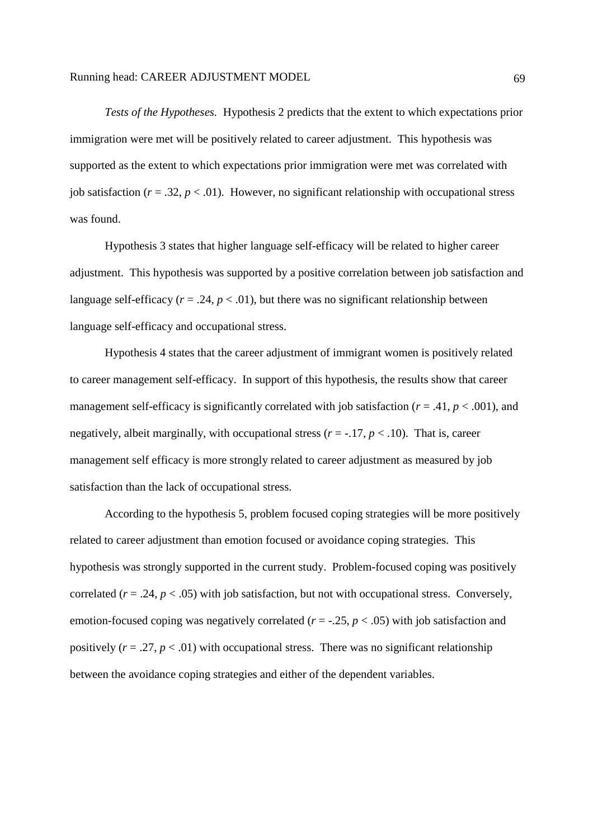*Tests of the Hypotheses.* Hypothesis 2 predicts that the extent to which expectations prior immigration were met will be positively related to career adjustment. This hypothesis was supported as the extent to which expectations prior immigration were met was correlated with job satisfaction ( $r = .32$ ,  $p < .01$ ). However, no significant relationship with occupational stress was found.

Hypothesis 3 states that higher language self-efficacy will be related to higher career adjustment. This hypothesis was supported by a positive correlation between job satisfaction and language self-efficacy ( $r = .24$ ,  $p < .01$ ), but there was no significant relationship between language self-efficacy and occupational stress.

Hypothesis 4 states that the career adjustment of immigrant women is positively related to career management self-efficacy. In support of this hypothesis, the results show that career management self-efficacy is significantly correlated with job satisfaction ( $r = .41$ ,  $p < .001$ ), and negatively, albeit marginally, with occupational stress  $(r = -17, p < 0.10)$ . That is, career management self efficacy is more strongly related to career adjustment as measured by job satisfaction than the lack of occupational stress.

According to the hypothesis 5, problem focused coping strategies will be more positively related to career adjustment than emotion focused or avoidance coping strategies. This hypothesis was strongly supported in the current study. Problem-focused coping was positively correlated  $(r = .24, p < .05)$  with job satisfaction, but not with occupational stress. Conversely, emotion-focused coping was negatively correlated ( $r = -0.25$ ,  $p < 0.05$ ) with job satisfaction and positively  $(r = .27, p < .01)$  with occupational stress. There was no significant relationship between the avoidance coping strategies and either of the dependent variables.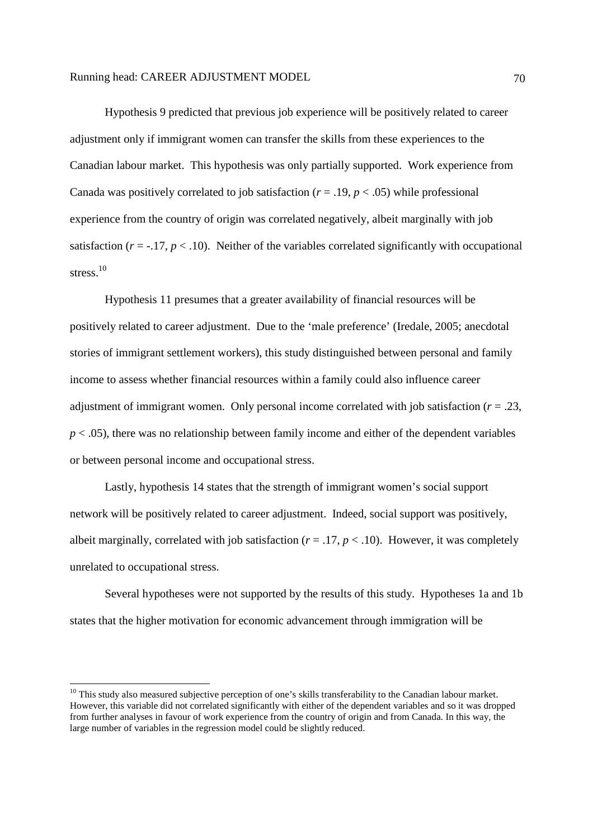Hypothesis 9 predicted that previous job experience will be positively related to career adjustment only if immigrant women can transfer the skills from these experiences to the Canadian labour market. This hypothesis was only partially supported. Work experience from Canada was positively correlated to job satisfaction ( $r = .19$ ,  $p < .05$ ) while professional experience from the country of origin was correlated negatively, albeit marginally with job satisfaction ( $r = -17$ ,  $p < 0.10$ ). Neither of the variables correlated significantly with occupational stress. $10$ 

Hypothesis 11 presumes that a greater availability of financial resources will be positively related to career adjustment. Due to the 'male preference' (Iredale, 2005; anecdotal stories of immigrant settlement workers), this study distinguished between personal and family income to assess whether financial resources within a family could also influence career adjustment of immigrant women. Only personal income correlated with job satisfaction  $(r = .23, )$ *p* < .05), there was no relationship between family income and either of the dependent variables or between personal income and occupational stress.

Lastly, hypothesis 14 states that the strength of immigrant women's social support network will be positively related to career adjustment. Indeed, social support was positively, albeit marginally, correlated with job satisfaction  $(r = .17, p < .10)$ . However, it was completely unrelated to occupational stress.

Several hypotheses were not supported by the results of this study. Hypotheses 1a and 1b states that the higher motivation for economic advancement through immigration will be

-

<sup>&</sup>lt;sup>10</sup> This study also measured subjective perception of one's skills transferability to the Canadian labour market. However, this variable did not correlated significantly with either of the dependent variables and so it was dropped from further analyses in favour of work experience from the country of origin and from Canada. In this way, the large number of variables in the regression model could be slightly reduced.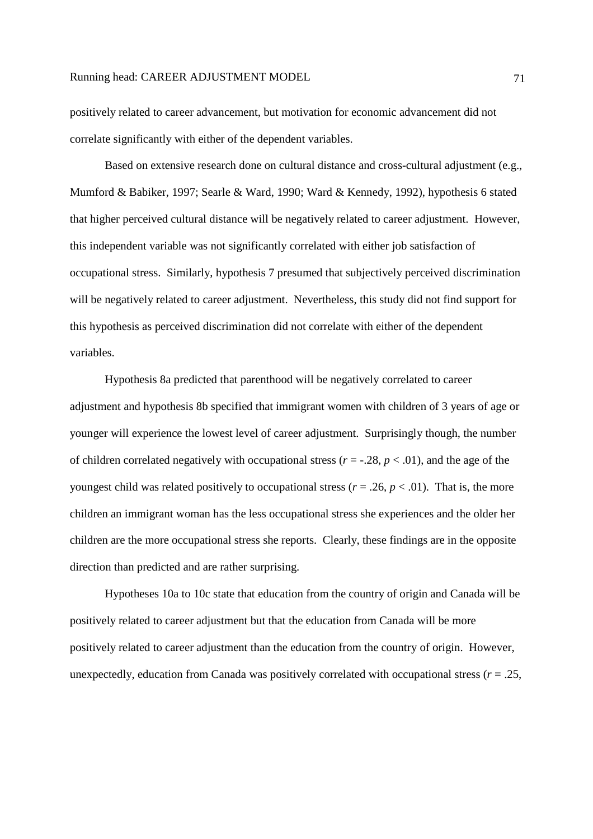positively related to career advancement, but motivation for economic advancement did not correlate significantly with either of the dependent variables.

Based on extensive research done on cultural distance and cross-cultural adjustment (e.g., Mumford & Babiker, 1997; Searle & Ward, 1990; Ward & Kennedy, 1992), hypothesis 6 stated that higher perceived cultural distance will be negatively related to career adjustment. However, this independent variable was not significantly correlated with either job satisfaction of occupational stress. Similarly, hypothesis 7 presumed that subjectively perceived discrimination will be negatively related to career adjustment. Nevertheless, this study did not find support for this hypothesis as perceived discrimination did not correlate with either of the dependent variables.

Hypothesis 8a predicted that parenthood will be negatively correlated to career adjustment and hypothesis 8b specified that immigrant women with children of 3 years of age or younger will experience the lowest level of career adjustment. Surprisingly though, the number of children correlated negatively with occupational stress  $(r = -0.28, p < 0.01)$ , and the age of the youngest child was related positively to occupational stress ( $r = .26$ ,  $p < .01$ ). That is, the more children an immigrant woman has the less occupational stress she experiences and the older her children are the more occupational stress she reports. Clearly, these findings are in the opposite direction than predicted and are rather surprising.

Hypotheses 10a to 10c state that education from the country of origin and Canada will be positively related to career adjustment but that the education from Canada will be more positively related to career adjustment than the education from the country of origin. However, unexpectedly, education from Canada was positively correlated with occupational stress  $(r = .25, )$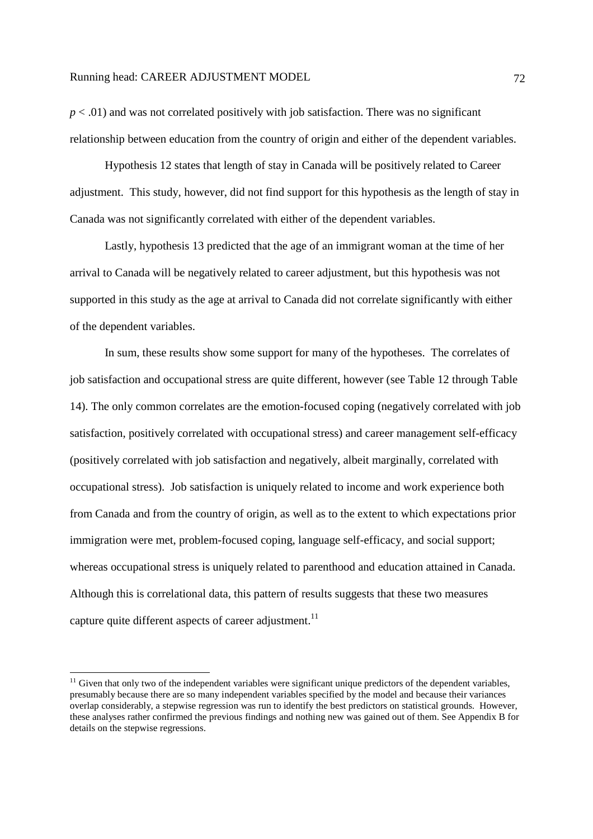$p < .01$ ) and was not correlated positively with job satisfaction. There was no significant relationship between education from the country of origin and either of the dependent variables.

Hypothesis 12 states that length of stay in Canada will be positively related to Career adjustment. This study, however, did not find support for this hypothesis as the length of stay in Canada was not significantly correlated with either of the dependent variables.

Lastly, hypothesis 13 predicted that the age of an immigrant woman at the time of her arrival to Canada will be negatively related to career adjustment, but this hypothesis was not supported in this study as the age at arrival to Canada did not correlate significantly with either of the dependent variables.

In sum, these results show some support for many of the hypotheses. The correlates of job satisfaction and occupational stress are quite different, however (see Table 12 through Table 14). The only common correlates are the emotion-focused coping (negatively correlated with job satisfaction, positively correlated with occupational stress) and career management self-efficacy (positively correlated with job satisfaction and negatively, albeit marginally, correlated with occupational stress). Job satisfaction is uniquely related to income and work experience both from Canada and from the country of origin, as well as to the extent to which expectations prior immigration were met, problem-focused coping, language self-efficacy, and social support; whereas occupational stress is uniquely related to parenthood and education attained in Canada. Although this is correlational data, this pattern of results suggests that these two measures capture quite different aspects of career adjustment.<sup>11</sup>

-

 $11$  Given that only two of the independent variables were significant unique predictors of the dependent variables, presumably because there are so many independent variables specified by the model and because their variances overlap considerably, a stepwise regression was run to identify the best predictors on statistical grounds. However, these analyses rather confirmed the previous findings and nothing new was gained out of them. See Appendix B for details on the stepwise regressions.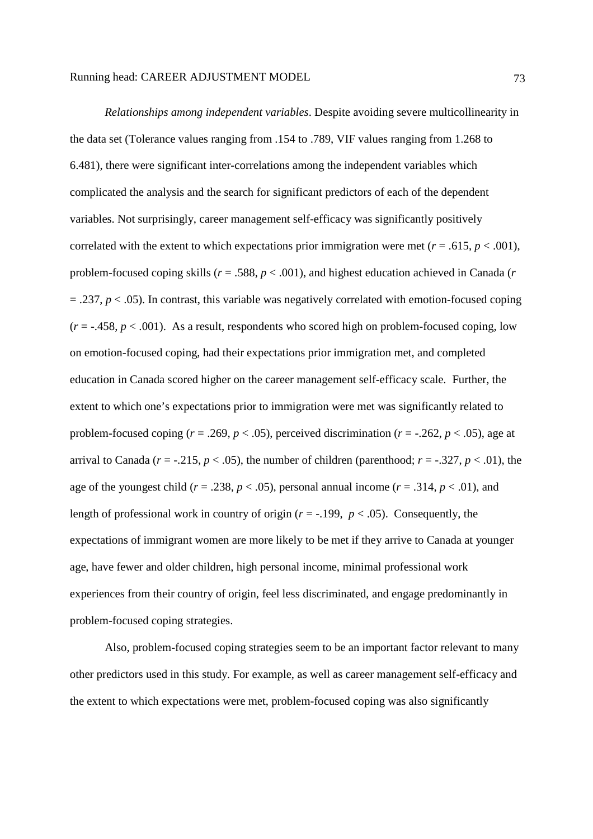*Relationships among independent variables*. Despite avoiding severe multicollinearity in the data set (Tolerance values ranging from .154 to .789, VIF values ranging from 1.268 to 6.481), there were significant inter-correlations among the independent variables which complicated the analysis and the search for significant predictors of each of the dependent variables. Not surprisingly, career management self-efficacy was significantly positively correlated with the extent to which expectations prior immigration were met ( $r = .615$ ,  $p < .001$ ), problem-focused coping skills (*r* = .588, *p* < .001), and highest education achieved in Canada (*r*   $= .237, p < .05$ ). In contrast, this variable was negatively correlated with emotion-focused coping  $(r = -.458, p < .001)$ . As a result, respondents who scored high on problem-focused coping, low on emotion-focused coping, had their expectations prior immigration met, and completed education in Canada scored higher on the career management self-efficacy scale. Further, the extent to which one's expectations prior to immigration were met was significantly related to problem-focused coping ( $r = .269$ ,  $p < .05$ ), perceived discrimination ( $r = -.262$ ,  $p < .05$ ), age at arrival to Canada ( $r = -0.215$ ,  $p < 0.05$ ), the number of children (parenthood;  $r = -0.327$ ,  $p < 0.01$ ), the age of the youngest child ( $r = .238$ ,  $p < .05$ ), personal annual income ( $r = .314$ ,  $p < .01$ ), and length of professional work in country of origin ( $r = -199$ ,  $p < .05$ ). Consequently, the expectations of immigrant women are more likely to be met if they arrive to Canada at younger age, have fewer and older children, high personal income, minimal professional work experiences from their country of origin, feel less discriminated, and engage predominantly in problem-focused coping strategies.

 Also, problem-focused coping strategies seem to be an important factor relevant to many other predictors used in this study. For example, as well as career management self-efficacy and the extent to which expectations were met, problem-focused coping was also significantly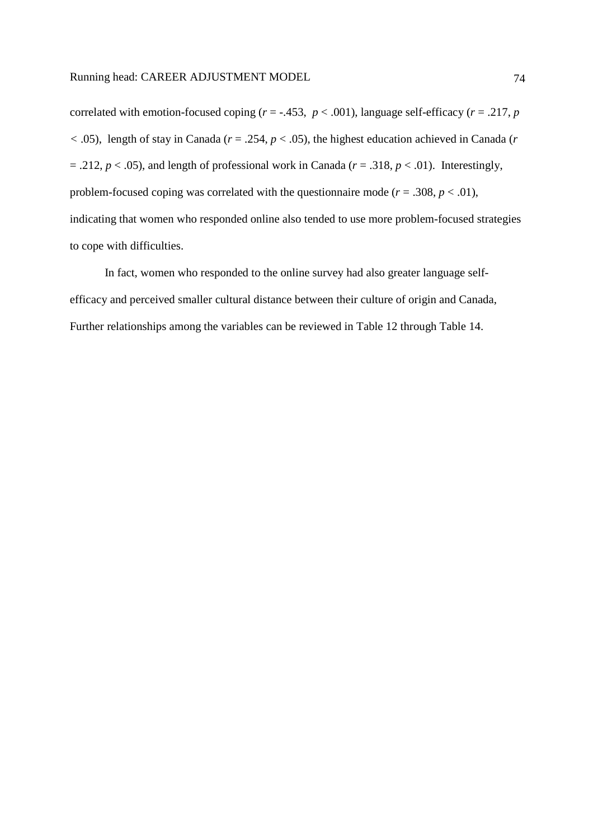correlated with emotion-focused coping  $(r = -.453, p < .001)$ , language self-efficacy  $(r = .217, p$  $(6.05)$ , length of stay in Canada ( $r = .254$ ,  $p < .05$ ), the highest education achieved in Canada (*r*  $= .212, p < .05$ ), and length of professional work in Canada ( $r = .318, p < .01$ ). Interestingly, problem-focused coping was correlated with the questionnaire mode ( $r = .308$ ,  $p < .01$ ), indicating that women who responded online also tended to use more problem-focused strategies to cope with difficulties.

In fact, women who responded to the online survey had also greater language selfefficacy and perceived smaller cultural distance between their culture of origin and Canada, Further relationships among the variables can be reviewed in Table 12 through Table 14.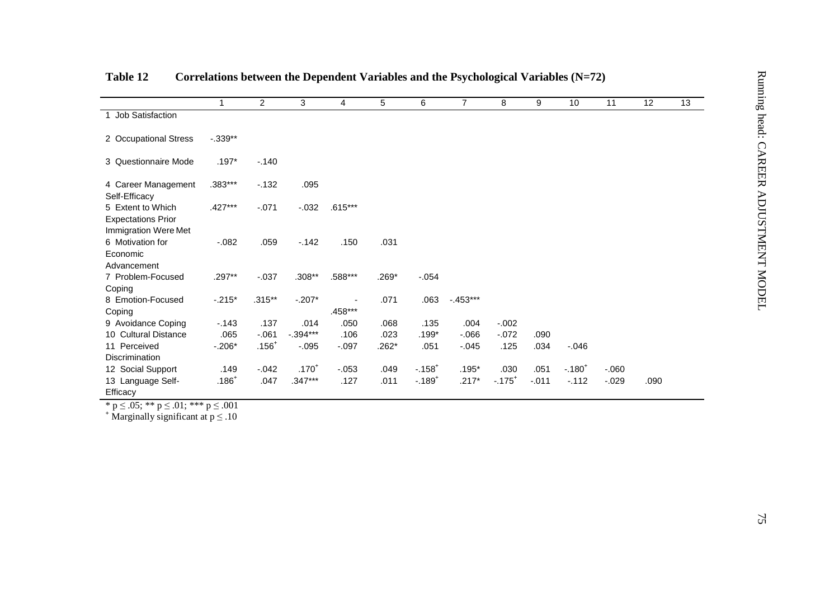|                                                                        | $\mathbf{1}$ | $\overline{2}$ | 3          | $\overline{4}$ | 5       | 6                     | $\overline{7}$ | 8                    | 9        | 10       | 11       | 12   | 13 |
|------------------------------------------------------------------------|--------------|----------------|------------|----------------|---------|-----------------------|----------------|----------------------|----------|----------|----------|------|----|
| 1 Job Satisfaction                                                     |              |                |            |                |         |                       |                |                      |          |          |          |      |    |
| 2 Occupational Stress                                                  | $-.339**$    |                |            |                |         |                       |                |                      |          |          |          |      |    |
| 3 Questionnaire Mode                                                   | $.197*$      | $-.140$        |            |                |         |                       |                |                      |          |          |          |      |    |
| 4 Career Management<br>Self-Efficacy                                   | .383***      | $-132$         | .095       |                |         |                       |                |                      |          |          |          |      |    |
| 5 Extent to Which<br><b>Expectations Prior</b><br>Immigration Were Met | $.427***$    | $-.071$        | $-.032$    | $.615***$      |         |                       |                |                      |          |          |          |      |    |
| 6 Motivation for<br>Economic<br>Advancement                            | $-.082$      | .059           | $-142$     | .150           | .031    |                       |                |                      |          |          |          |      |    |
| 7 Problem-Focused<br>Coping                                            | $.297**$     | $-0.037$       | $.308**$   | .588***        | .269*   | $-0.054$              |                |                      |          |          |          |      |    |
| 8 Emotion-Focused<br>Coping                                            | $-.215*$     | $.315**$       | $-.207*$   | .458***        | .071    | .063                  | $-453***$      |                      |          |          |          |      |    |
| 9 Avoidance Coping                                                     | $-.143$      | .137           | .014       | .050           | .068    | .135                  | .004           | $-.002$              |          |          |          |      |    |
| 10 Cultural Distance                                                   | .065         | $-061$         | $-.394***$ | .106           | .023    | $.199*$               | $-0.066$       | $-.072$              | .090     |          |          |      |    |
| 11 Perceived<br>Discrimination                                         | $-.206*$     | $.156+$        | $-0.095$   | $-.097$        | $.262*$ | .051                  | $-0.045$       | .125                 | .034     | $-.046$  |          |      |    |
| 12 Social Support                                                      | .149         | $-0.042$       | $.170^{+}$ | $-0.053$       | .049    | $-.158+$              | $.195*$        | .030                 | .051     | $-.180+$ | $-060$   |      |    |
| 13 Language Self-<br>Efficacy                                          | $.186+$      | .047           | $.347***$  | .127           | .011    | $-0.189$ <sup>+</sup> | $.217*$        | $-.175$ <sup>+</sup> | $-0.011$ | $-.112$  | $-0.029$ | .090 |    |
| * $p \le 0.05$ ; ** $p \le 0.01$ ; *** $p \le 0.001$                   |              |                |            |                |         |                       |                |                      |          |          |          |      |    |
| <sup>+</sup> Marginally significant at $p \leq .10$                    |              |                |            |                |         |                       |                |                      |          |          |          |      |    |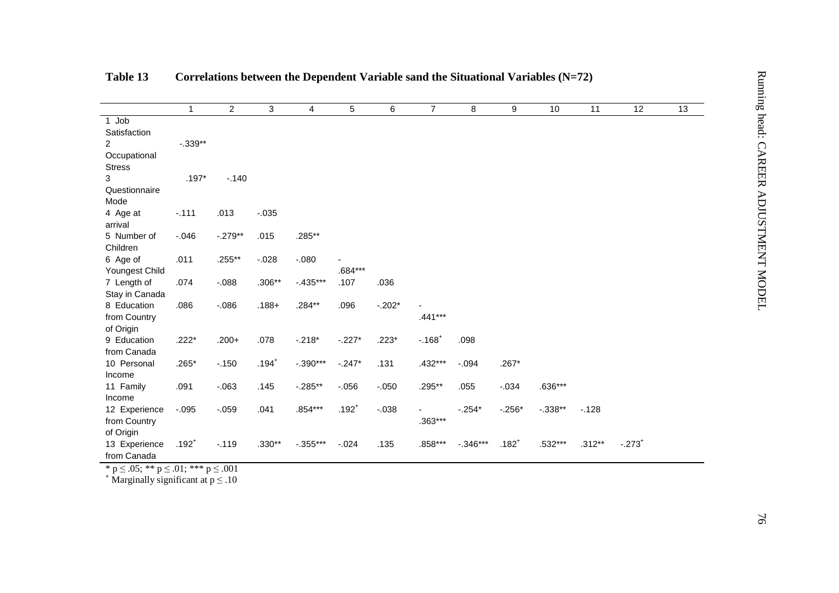|                                |              |                |          |             |            |          | Correlations between the Dependent Variable sand the Situational Variables $(N=72)$ |            |          |           |          |          |    |
|--------------------------------|--------------|----------------|----------|-------------|------------|----------|-------------------------------------------------------------------------------------|------------|----------|-----------|----------|----------|----|
|                                | $\mathbf{1}$ | $\overline{2}$ | 3        | 4           | 5          | 6        | $\overline{7}$                                                                      | 8          | 9        | 10        | 11       | 12       | 13 |
| 1 Job                          |              |                |          |             |            |          |                                                                                     |            |          |           |          |          |    |
| Satisfaction<br>$\overline{2}$ | $-0.339**$   |                |          |             |            |          |                                                                                     |            |          |           |          |          |    |
| Occupational                   |              |                |          |             |            |          |                                                                                     |            |          |           |          |          |    |
| <b>Stress</b>                  |              |                |          |             |            |          |                                                                                     |            |          |           |          |          |    |
| 3                              | $.197*$      | $-.140$        |          |             |            |          |                                                                                     |            |          |           |          |          |    |
| Questionnaire                  |              |                |          |             |            |          |                                                                                     |            |          |           |          |          |    |
| Mode                           |              |                |          |             |            |          |                                                                                     |            |          |           |          |          |    |
| 4 Age at                       | $-.111$      | .013           | $-0.35$  |             |            |          |                                                                                     |            |          |           |          |          |    |
| arrival                        |              |                |          |             |            |          |                                                                                     |            |          |           |          |          |    |
| 5 Number of                    | $-0.046$     | $-.279**$      | .015     | .285**      |            |          |                                                                                     |            |          |           |          |          |    |
| Children                       | .011         | .255**         |          | $-080$      |            |          |                                                                                     |            |          |           |          |          |    |
| 6 Age of<br>Youngest Child     |              |                | $-.028$  |             | $.684***$  |          |                                                                                     |            |          |           |          |          |    |
| 7 Length of                    | .074         | $-.088$        | $.306**$ | $-0.435***$ | .107       | .036     |                                                                                     |            |          |           |          |          |    |
| Stay in Canada                 |              |                |          |             |            |          |                                                                                     |            |          |           |          |          |    |
| 8 Education                    | .086         | $-0.086$       | $.188 +$ | .284**      | .096       | $-.202*$ |                                                                                     |            |          |           |          |          |    |
| from Country                   |              |                |          |             |            |          | $.441***$                                                                           |            |          |           |          |          |    |
| of Origin                      |              |                |          |             |            |          |                                                                                     |            |          |           |          |          |    |
| 9 Education                    | $.222*$      | $.200+$        | .078     | $-.218*$    | $-.227*$   | $.223*$  | $-0.168$ <sup>+</sup>                                                               | .098       |          |           |          |          |    |
| from Canada                    |              |                |          |             |            |          |                                                                                     |            |          |           |          |          |    |
| 10 Personal                    | $.265*$      | $-.150$        | $.194+$  | $-.390***$  | $-.247*$   | .131     | .432***                                                                             | $-.094$    | $.267*$  |           |          |          |    |
| Income<br>11 Family            | .091         | $-.063$        | .145     | $-0.285**$  | $-0.056$   | $-.050$  | .295**                                                                              | .055       | $-.034$  | $.636***$ |          |          |    |
| Income                         |              |                |          |             |            |          |                                                                                     |            |          |           |          |          |    |
| 12 Experience                  | $-.095$      | $-.059$        | .041     | .854***     | $.192^{+}$ | $-.038$  |                                                                                     | $-.254*$   | $-.256*$ | $-.338**$ | $-.128$  |          |    |
| from Country                   |              |                |          |             |            |          | $.363***$                                                                           |            |          |           |          |          |    |
| of Origin                      |              |                |          |             |            |          |                                                                                     |            |          |           |          |          |    |
| 13 Experience                  | $.192^{+}$   | $-.119$        | $.330**$ | $-.355***$  | $-.024$    | .135     | .858***                                                                             | $-.346***$ | $.182+$  | .532***   | $.312**$ | $-.273+$ |    |
| from Canada                    |              |                |          |             |            |          |                                                                                     |            |          |           |          |          |    |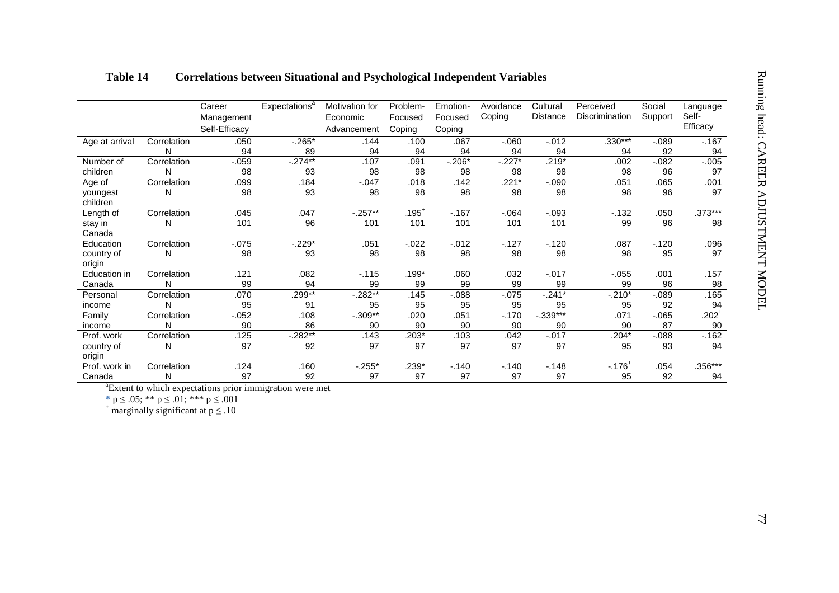|                         |                  | Career<br>Management | Expectations <sup>a</sup> | Motivation for<br>Economic | Problem-<br>Focused | Emotion-<br>Focused | Avoidance<br>Coping | Cultural<br>Distance | Perceived<br>Discrimination | Social<br>Support | Language<br>Self- |
|-------------------------|------------------|----------------------|---------------------------|----------------------------|---------------------|---------------------|---------------------|----------------------|-----------------------------|-------------------|-------------------|
|                         |                  | Self-Efficacy        |                           | Advancement                | Coping              | Coping              |                     |                      |                             |                   | Efficacy          |
| Age at arrival          | Correlation      | .050                 | $-0.265*$                 | .144                       | .100                | .067                | $-060$              | $-0.012$             | $.330***$                   | $-0.089$          | $-167$            |
|                         | N                | 94                   | 89                        | 94                         | 94                  | 94                  | 94                  | 94                   | 94                          | 92                | 94                |
| Number of               | Correlation      | $-0.059$             | $-274**$                  | .107                       | .091                | $-0.206*$           | $-227*$             | $.219*$              | .002                        | $-0.082$          | $-0.005$          |
| children                | N                | 98                   | 93                        | 98                         | 98                  | 98                  | 98                  | 98                   | 98                          | 96                | 97                |
| Age of                  | Correlation      | .099                 | .184                      | $-0.047$                   | .018                | .142                | $.221*$             | $-.090$              | .051                        | .065              | .001              |
| youngest<br>children    | N                | 98                   | 93                        | 98                         | 98                  | 98                  | 98                  | 98                   | 98                          | 96                | 97                |
| Length of               | Correlation      | .045                 | .047                      | $-.257**$                  | $.195^{+}$          | $-167$              | $-064$              | $-.093$              | $-132$                      | .050              | $.373***$         |
| stay in                 | N                | 101                  | 96                        | 101                        | 101                 | 101                 | 101                 | 101                  | 99                          | 96                | 98                |
| Canada                  |                  |                      |                           |                            |                     |                     |                     |                      |                             |                   |                   |
| Education<br>country of | Correlation<br>N | $-0.075$<br>98       | $-0.229*$<br>93           | .051<br>98                 | $-0.022$<br>98      | $-0.012$<br>98      | $-127$<br>98        | $-120$<br>98         | .087<br>98                  | $-120$<br>95      | .096<br>97        |
| origin                  |                  |                      |                           |                            |                     |                     |                     |                      |                             |                   |                   |
| Education in            | Correlation      | .121                 | .082                      | $-115$                     | $.199*$             | .060                | .032                | $-0.017$             | $-0.055$                    | .001              | .157              |
| Canada                  | N                | 99                   | 94                        | 99                         | 99                  | 99                  | 99                  | 99                   | 99                          | 96                | 98                |
| Personal                | Correlation      | .070                 | $.299**$                  | $-.282**$                  | .145                | $-.088$             | $-0.075$            | $-241*$              | $-.210*$                    | $-089$            | .165              |
| income                  | N                | 95                   | 91                        | 95                         | 95                  | 95                  | 95                  | 95                   | 95                          | 92                | 94                |
| Family                  | Correlation      | $-0.052$             | .108                      | $-.309**$                  | .020                | .051                | $-.170$             | $-.339***$           | .071                        | $-065$            | $.202+$           |
| income<br>Prof. work    | N<br>Correlation | 90<br>.125           | 86<br>$-0.282**$          | 90<br>.143                 | 90<br>$.203*$       | 90<br>.103          | 90<br>.042          | 90<br>$-0.017$       | 90<br>$.204*$               | 87<br>$-0.088$    | 90<br>$-162$      |
| country of              | N                | 97                   | 92                        | 97                         | 97                  | 97                  | 97                  | 97                   | 95                          | 93                | 94                |
| origin                  |                  |                      |                           |                            |                     |                     |                     |                      |                             |                   |                   |
| Prof. work in           | Correlation      | .124                 | .160                      | $-0.255*$                  | $.239*$             | $-140$              | $-140$              | $-.148$              | $-.176$ <sup>+</sup>        | .054              | $.356***$         |
| Canada                  | N                | 97                   | 92                        | 97                         | 97                  | 97                  | 97                  | 97                   | 95                          | 92                | 94                |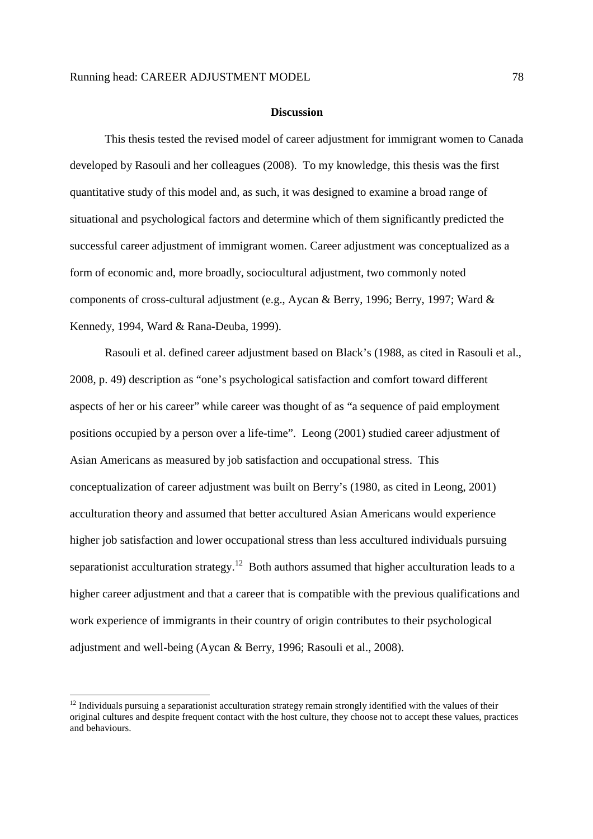#### **Discussion**

This thesis tested the revised model of career adjustment for immigrant women to Canada developed by Rasouli and her colleagues (2008). To my knowledge, this thesis was the first quantitative study of this model and, as such, it was designed to examine a broad range of situational and psychological factors and determine which of them significantly predicted the successful career adjustment of immigrant women. Career adjustment was conceptualized as a form of economic and, more broadly, sociocultural adjustment, two commonly noted components of cross-cultural adjustment (e.g., Aycan & Berry, 1996; Berry, 1997; Ward & Kennedy, 1994, Ward & Rana-Deuba, 1999).

Rasouli et al. defined career adjustment based on Black's (1988, as cited in Rasouli et al., 2008, p. 49) description as "one's psychological satisfaction and comfort toward different aspects of her or his career" while career was thought of as "a sequence of paid employment positions occupied by a person over a life-time". Leong (2001) studied career adjustment of Asian Americans as measured by job satisfaction and occupational stress. This conceptualization of career adjustment was built on Berry's (1980, as cited in Leong, 2001) acculturation theory and assumed that better accultured Asian Americans would experience higher job satisfaction and lower occupational stress than less accultured individuals pursuing separationist acculturation strategy.<sup>12</sup> Both authors assumed that higher acculturation leads to a higher career adjustment and that a career that is compatible with the previous qualifications and work experience of immigrants in their country of origin contributes to their psychological adjustment and well-being (Aycan & Berry, 1996; Rasouli et al., 2008).

-

 $12$  Individuals pursuing a separationist acculturation strategy remain strongly identified with the values of their original cultures and despite frequent contact with the host culture, they choose not to accept these values, practices and behaviours.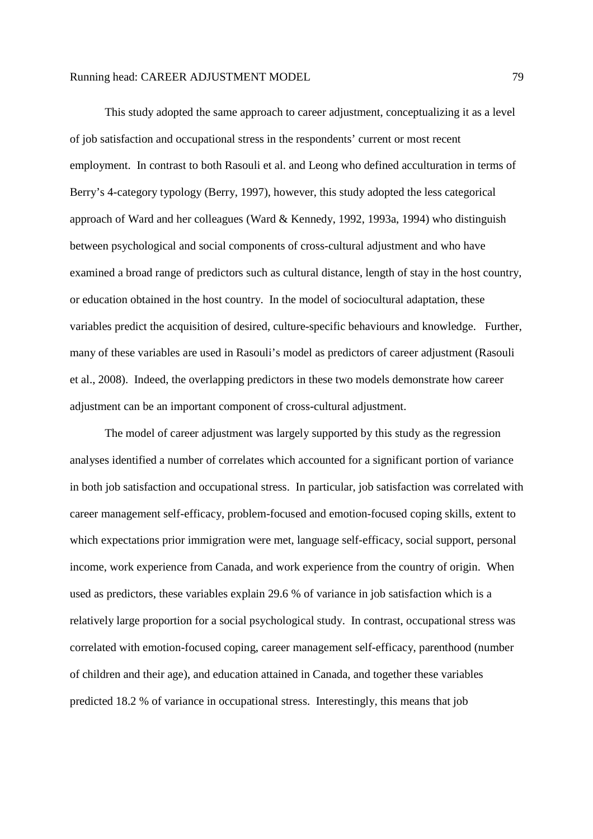This study adopted the same approach to career adjustment, conceptualizing it as a level of job satisfaction and occupational stress in the respondents' current or most recent employment. In contrast to both Rasouli et al. and Leong who defined acculturation in terms of Berry's 4-category typology (Berry, 1997), however, this study adopted the less categorical approach of Ward and her colleagues (Ward & Kennedy, 1992, 1993a, 1994) who distinguish between psychological and social components of cross-cultural adjustment and who have examined a broad range of predictors such as cultural distance, length of stay in the host country, or education obtained in the host country. In the model of sociocultural adaptation, these variables predict the acquisition of desired, culture-specific behaviours and knowledge. Further, many of these variables are used in Rasouli's model as predictors of career adjustment (Rasouli et al., 2008). Indeed, the overlapping predictors in these two models demonstrate how career adjustment can be an important component of cross-cultural adjustment.

The model of career adjustment was largely supported by this study as the regression analyses identified a number of correlates which accounted for a significant portion of variance in both job satisfaction and occupational stress. In particular, job satisfaction was correlated with career management self-efficacy, problem-focused and emotion-focused coping skills, extent to which expectations prior immigration were met, language self-efficacy, social support, personal income, work experience from Canada, and work experience from the country of origin. When used as predictors, these variables explain 29.6 % of variance in job satisfaction which is a relatively large proportion for a social psychological study. In contrast, occupational stress was correlated with emotion-focused coping, career management self-efficacy, parenthood (number of children and their age), and education attained in Canada, and together these variables predicted 18.2 % of variance in occupational stress. Interestingly, this means that job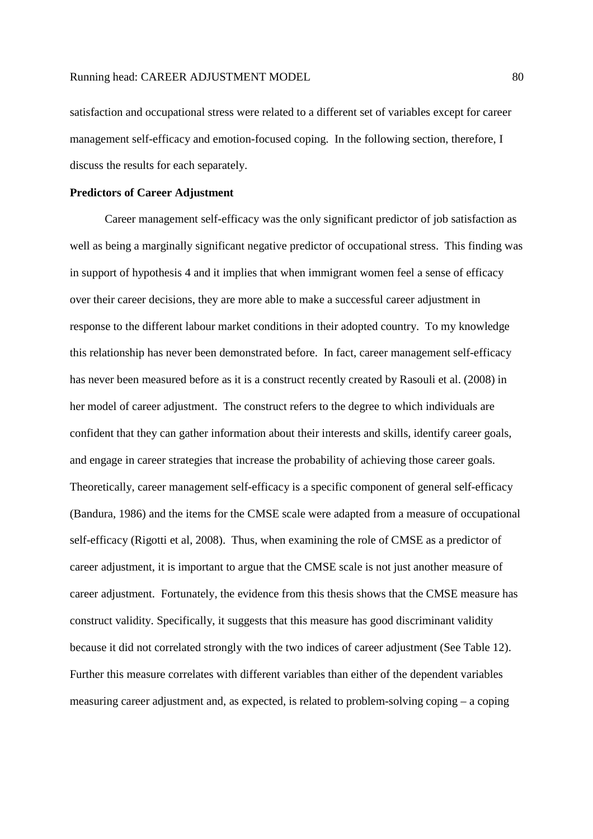satisfaction and occupational stress were related to a different set of variables except for career management self-efficacy and emotion-focused coping. In the following section, therefore, I discuss the results for each separately.

# **Predictors of Career Adjustment**

Career management self-efficacy was the only significant predictor of job satisfaction as well as being a marginally significant negative predictor of occupational stress. This finding was in support of hypothesis 4 and it implies that when immigrant women feel a sense of efficacy over their career decisions, they are more able to make a successful career adjustment in response to the different labour market conditions in their adopted country. To my knowledge this relationship has never been demonstrated before. In fact, career management self-efficacy has never been measured before as it is a construct recently created by Rasouli et al. (2008) in her model of career adjustment. The construct refers to the degree to which individuals are confident that they can gather information about their interests and skills, identify career goals, and engage in career strategies that increase the probability of achieving those career goals. Theoretically, career management self-efficacy is a specific component of general self-efficacy (Bandura, 1986) and the items for the CMSE scale were adapted from a measure of occupational self-efficacy (Rigotti et al, 2008). Thus, when examining the role of CMSE as a predictor of career adjustment, it is important to argue that the CMSE scale is not just another measure of career adjustment. Fortunately, the evidence from this thesis shows that the CMSE measure has construct validity. Specifically, it suggests that this measure has good discriminant validity because it did not correlated strongly with the two indices of career adjustment (See Table 12). Further this measure correlates with different variables than either of the dependent variables measuring career adjustment and, as expected, is related to problem-solving coping – a coping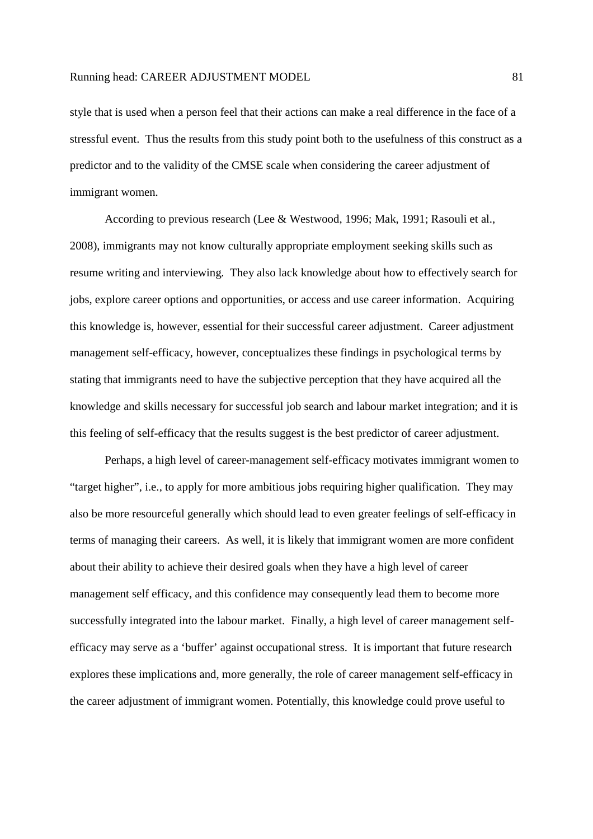style that is used when a person feel that their actions can make a real difference in the face of a stressful event. Thus the results from this study point both to the usefulness of this construct as a predictor and to the validity of the CMSE scale when considering the career adjustment of immigrant women.

According to previous research (Lee & Westwood, 1996; Mak, 1991; Rasouli et al., 2008), immigrants may not know culturally appropriate employment seeking skills such as resume writing and interviewing. They also lack knowledge about how to effectively search for jobs, explore career options and opportunities, or access and use career information. Acquiring this knowledge is, however, essential for their successful career adjustment. Career adjustment management self-efficacy, however, conceptualizes these findings in psychological terms by stating that immigrants need to have the subjective perception that they have acquired all the knowledge and skills necessary for successful job search and labour market integration; and it is this feeling of self-efficacy that the results suggest is the best predictor of career adjustment.

Perhaps, a high level of career-management self-efficacy motivates immigrant women to "target higher", i.e., to apply for more ambitious jobs requiring higher qualification. They may also be more resourceful generally which should lead to even greater feelings of self-efficacy in terms of managing their careers. As well, it is likely that immigrant women are more confident about their ability to achieve their desired goals when they have a high level of career management self efficacy, and this confidence may consequently lead them to become more successfully integrated into the labour market. Finally, a high level of career management selfefficacy may serve as a 'buffer' against occupational stress. It is important that future research explores these implications and, more generally, the role of career management self-efficacy in the career adjustment of immigrant women. Potentially, this knowledge could prove useful to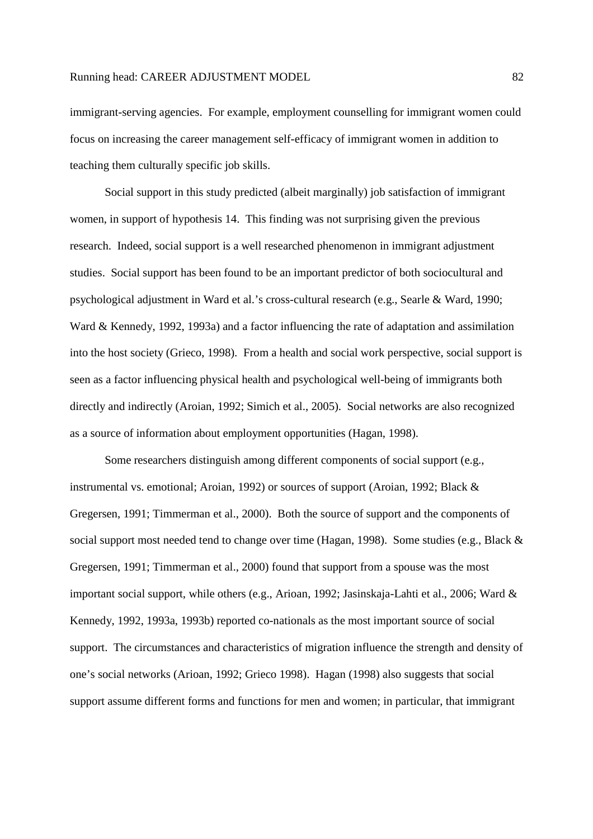immigrant-serving agencies. For example, employment counselling for immigrant women could focus on increasing the career management self-efficacy of immigrant women in addition to teaching them culturally specific job skills.

Social support in this study predicted (albeit marginally) job satisfaction of immigrant women, in support of hypothesis 14. This finding was not surprising given the previous research. Indeed, social support is a well researched phenomenon in immigrant adjustment studies. Social support has been found to be an important predictor of both sociocultural and psychological adjustment in Ward et al.'s cross-cultural research (e.g., Searle & Ward, 1990; Ward & Kennedy, 1992, 1993a) and a factor influencing the rate of adaptation and assimilation into the host society (Grieco, 1998). From a health and social work perspective, social support is seen as a factor influencing physical health and psychological well-being of immigrants both directly and indirectly (Aroian, 1992; Simich et al., 2005). Social networks are also recognized as a source of information about employment opportunities (Hagan, 1998).

Some researchers distinguish among different components of social support (e.g., instrumental vs. emotional; Aroian, 1992) or sources of support (Aroian, 1992; Black & Gregersen, 1991; Timmerman et al., 2000). Both the source of support and the components of social support most needed tend to change over time (Hagan, 1998). Some studies (e.g., Black & Gregersen, 1991; Timmerman et al., 2000) found that support from a spouse was the most important social support, while others (e.g., Arioan, 1992; Jasinskaja-Lahti et al., 2006; Ward & Kennedy, 1992, 1993a, 1993b) reported co-nationals as the most important source of social support. The circumstances and characteristics of migration influence the strength and density of one's social networks (Arioan, 1992; Grieco 1998). Hagan (1998) also suggests that social support assume different forms and functions for men and women; in particular, that immigrant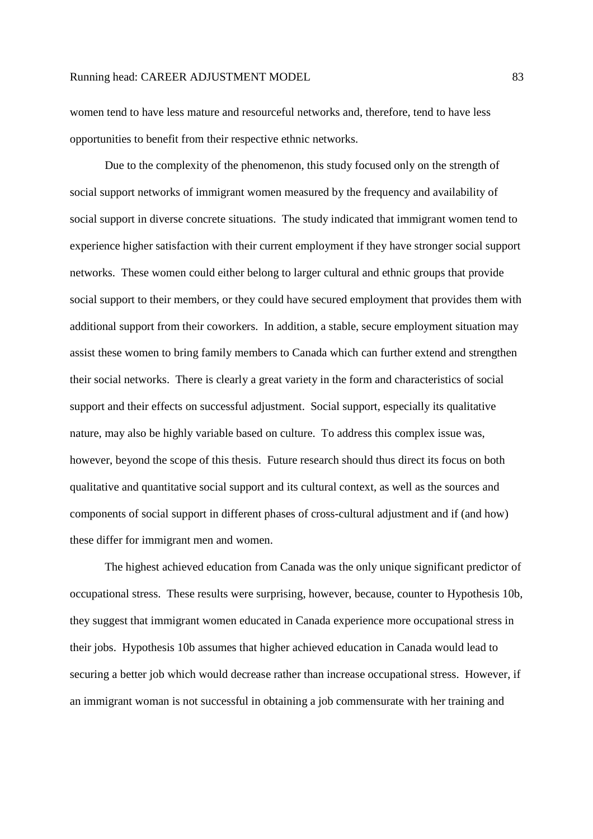women tend to have less mature and resourceful networks and, therefore, tend to have less opportunities to benefit from their respective ethnic networks.

Due to the complexity of the phenomenon, this study focused only on the strength of social support networks of immigrant women measured by the frequency and availability of social support in diverse concrete situations. The study indicated that immigrant women tend to experience higher satisfaction with their current employment if they have stronger social support networks. These women could either belong to larger cultural and ethnic groups that provide social support to their members, or they could have secured employment that provides them with additional support from their coworkers. In addition, a stable, secure employment situation may assist these women to bring family members to Canada which can further extend and strengthen their social networks. There is clearly a great variety in the form and characteristics of social support and their effects on successful adjustment. Social support, especially its qualitative nature, may also be highly variable based on culture. To address this complex issue was, however, beyond the scope of this thesis. Future research should thus direct its focus on both qualitative and quantitative social support and its cultural context, as well as the sources and components of social support in different phases of cross-cultural adjustment and if (and how) these differ for immigrant men and women.

The highest achieved education from Canada was the only unique significant predictor of occupational stress. These results were surprising, however, because, counter to Hypothesis 10b, they suggest that immigrant women educated in Canada experience more occupational stress in their jobs. Hypothesis 10b assumes that higher achieved education in Canada would lead to securing a better job which would decrease rather than increase occupational stress. However, if an immigrant woman is not successful in obtaining a job commensurate with her training and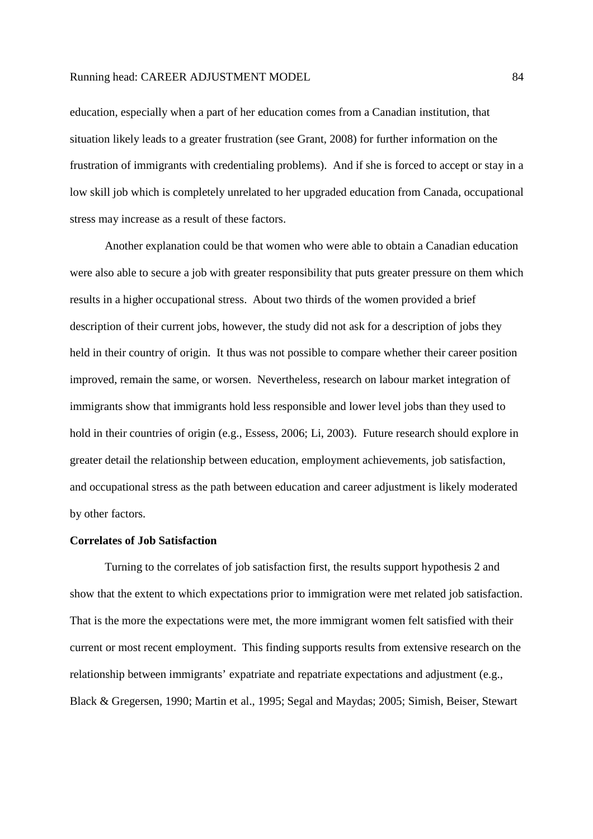education, especially when a part of her education comes from a Canadian institution, that situation likely leads to a greater frustration (see Grant, 2008) for further information on the frustration of immigrants with credentialing problems). And if she is forced to accept or stay in a low skill job which is completely unrelated to her upgraded education from Canada, occupational stress may increase as a result of these factors.

Another explanation could be that women who were able to obtain a Canadian education were also able to secure a job with greater responsibility that puts greater pressure on them which results in a higher occupational stress. About two thirds of the women provided a brief description of their current jobs, however, the study did not ask for a description of jobs they held in their country of origin. It thus was not possible to compare whether their career position improved, remain the same, or worsen. Nevertheless, research on labour market integration of immigrants show that immigrants hold less responsible and lower level jobs than they used to hold in their countries of origin (e.g., Essess, 2006; Li, 2003). Future research should explore in greater detail the relationship between education, employment achievements, job satisfaction, and occupational stress as the path between education and career adjustment is likely moderated by other factors.

# **Correlates of Job Satisfaction**

Turning to the correlates of job satisfaction first, the results support hypothesis 2 and show that the extent to which expectations prior to immigration were met related job satisfaction. That is the more the expectations were met, the more immigrant women felt satisfied with their current or most recent employment. This finding supports results from extensive research on the relationship between immigrants' expatriate and repatriate expectations and adjustment (e.g., Black & Gregersen, 1990; Martin et al., 1995; Segal and Maydas; 2005; Simish, Beiser, Stewart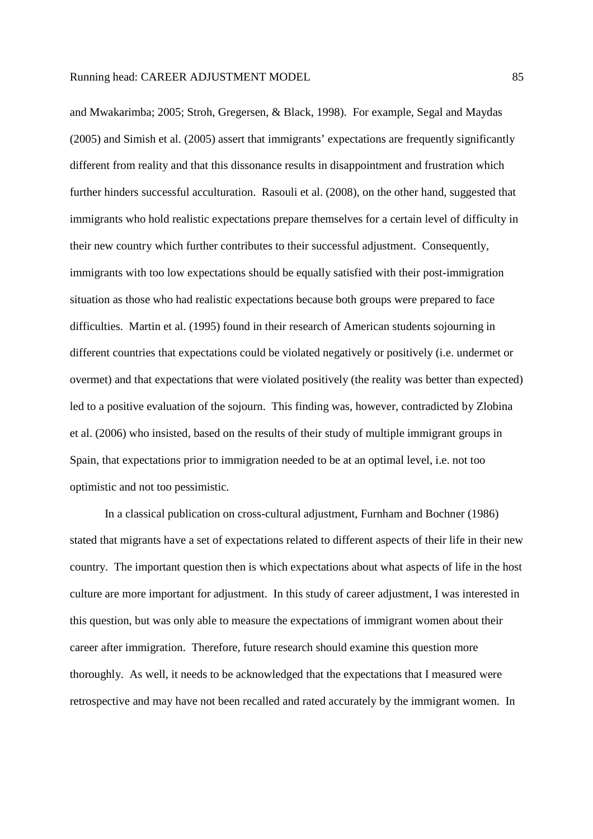and Mwakarimba; 2005; Stroh, Gregersen, & Black, 1998). For example, Segal and Maydas (2005) and Simish et al. (2005) assert that immigrants' expectations are frequently significantly different from reality and that this dissonance results in disappointment and frustration which further hinders successful acculturation. Rasouli et al. (2008), on the other hand, suggested that immigrants who hold realistic expectations prepare themselves for a certain level of difficulty in their new country which further contributes to their successful adjustment. Consequently, immigrants with too low expectations should be equally satisfied with their post-immigration situation as those who had realistic expectations because both groups were prepared to face difficulties. Martin et al. (1995) found in their research of American students sojourning in different countries that expectations could be violated negatively or positively (i.e. undermet or overmet) and that expectations that were violated positively (the reality was better than expected) led to a positive evaluation of the sojourn. This finding was, however, contradicted by Zlobina et al. (2006) who insisted, based on the results of their study of multiple immigrant groups in Spain, that expectations prior to immigration needed to be at an optimal level, i.e. not too optimistic and not too pessimistic.

In a classical publication on cross-cultural adjustment, Furnham and Bochner (1986) stated that migrants have a set of expectations related to different aspects of their life in their new country. The important question then is which expectations about what aspects of life in the host culture are more important for adjustment. In this study of career adjustment, I was interested in this question, but was only able to measure the expectations of immigrant women about their career after immigration. Therefore, future research should examine this question more thoroughly. As well, it needs to be acknowledged that the expectations that I measured were retrospective and may have not been recalled and rated accurately by the immigrant women. In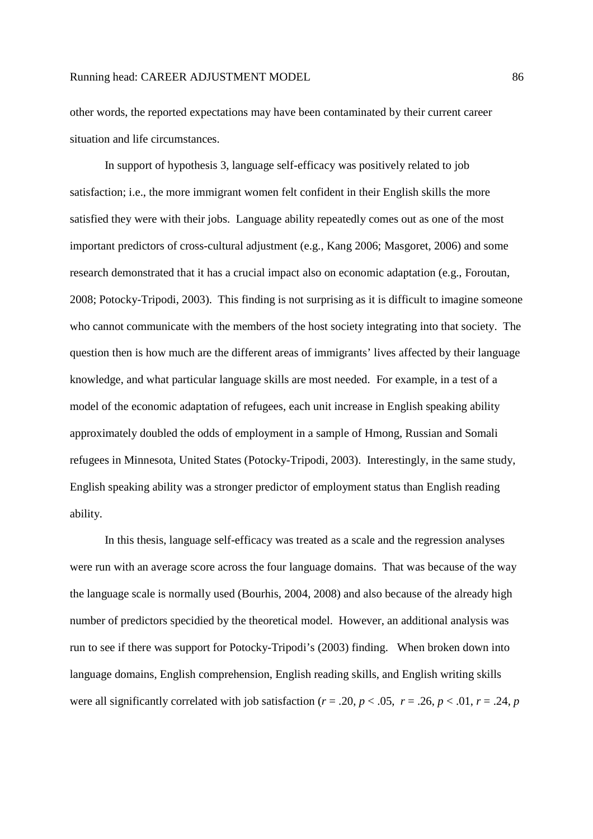other words, the reported expectations may have been contaminated by their current career situation and life circumstances.

In support of hypothesis 3, language self-efficacy was positively related to job satisfaction; i.e., the more immigrant women felt confident in their English skills the more satisfied they were with their jobs. Language ability repeatedly comes out as one of the most important predictors of cross-cultural adjustment (e.g., Kang 2006; Masgoret, 2006) and some research demonstrated that it has a crucial impact also on economic adaptation (e.g., Foroutan, 2008; Potocky-Tripodi, 2003). This finding is not surprising as it is difficult to imagine someone who cannot communicate with the members of the host society integrating into that society. The question then is how much are the different areas of immigrants' lives affected by their language knowledge, and what particular language skills are most needed. For example, in a test of a model of the economic adaptation of refugees, each unit increase in English speaking ability approximately doubled the odds of employment in a sample of Hmong, Russian and Somali refugees in Minnesota, United States (Potocky-Tripodi, 2003). Interestingly, in the same study, English speaking ability was a stronger predictor of employment status than English reading ability.

In this thesis, language self-efficacy was treated as a scale and the regression analyses were run with an average score across the four language domains. That was because of the way the language scale is normally used (Bourhis, 2004, 2008) and also because of the already high number of predictors specidied by the theoretical model. However, an additional analysis was run to see if there was support for Potocky-Tripodi's (2003) finding. When broken down into language domains, English comprehension, English reading skills, and English writing skills were all significantly correlated with job satisfaction ( $r = .20$ ,  $p < .05$ ,  $r = .26$ ,  $p < .01$ ,  $r = .24$ ,  $p$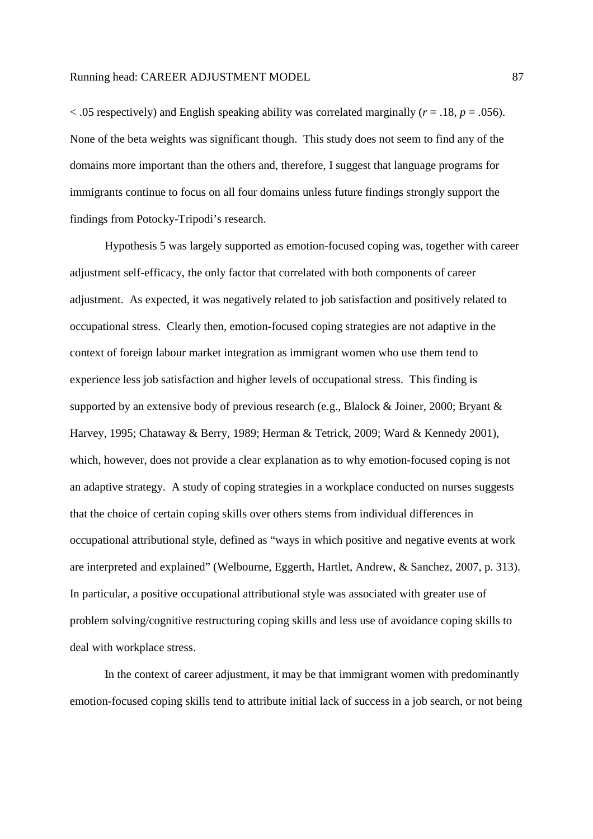$<$  0.05 respectively) and English speaking ability was correlated marginally ( $r = .18$ ,  $p = .056$ ). None of the beta weights was significant though. This study does not seem to find any of the domains more important than the others and, therefore, I suggest that language programs for immigrants continue to focus on all four domains unless future findings strongly support the findings from Potocky-Tripodi's research.

Hypothesis 5 was largely supported as emotion-focused coping was, together with career adjustment self-efficacy, the only factor that correlated with both components of career adjustment. As expected, it was negatively related to job satisfaction and positively related to occupational stress. Clearly then, emotion-focused coping strategies are not adaptive in the context of foreign labour market integration as immigrant women who use them tend to experience less job satisfaction and higher levels of occupational stress. This finding is supported by an extensive body of previous research (e.g., Blalock & Joiner, 2000; Bryant & Harvey, 1995; Chataway & Berry, 1989; Herman & Tetrick, 2009; Ward & Kennedy 2001), which, however, does not provide a clear explanation as to why emotion-focused coping is not an adaptive strategy. A study of coping strategies in a workplace conducted on nurses suggests that the choice of certain coping skills over others stems from individual differences in occupational attributional style, defined as "ways in which positive and negative events at work are interpreted and explained" (Welbourne, Eggerth, Hartlet, Andrew, & Sanchez, 2007, p. 313). In particular, a positive occupational attributional style was associated with greater use of problem solving/cognitive restructuring coping skills and less use of avoidance coping skills to deal with workplace stress.

In the context of career adjustment, it may be that immigrant women with predominantly emotion-focused coping skills tend to attribute initial lack of success in a job search, or not being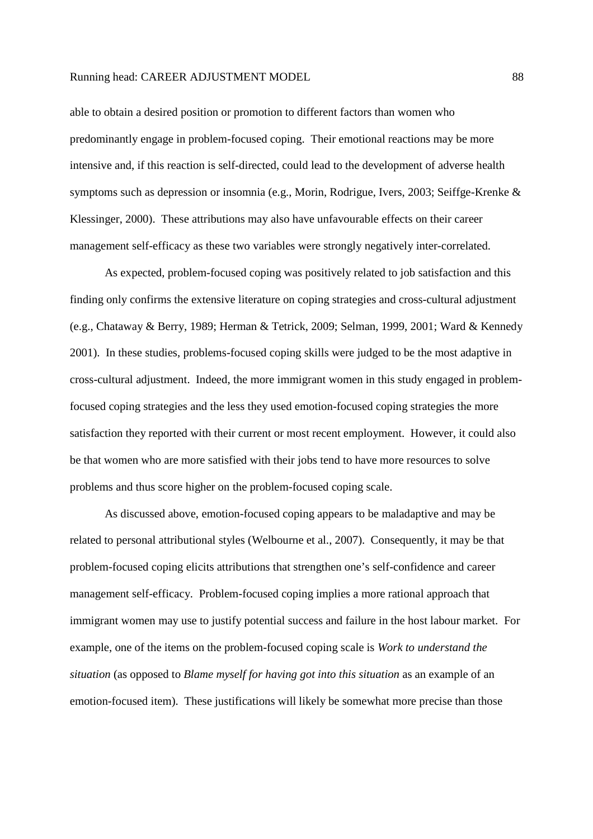able to obtain a desired position or promotion to different factors than women who predominantly engage in problem-focused coping. Their emotional reactions may be more intensive and, if this reaction is self-directed, could lead to the development of adverse health symptoms such as depression or insomnia (e.g., Morin, Rodrigue, Ivers, 2003; Seiffge-Krenke & Klessinger, 2000). These attributions may also have unfavourable effects on their career management self-efficacy as these two variables were strongly negatively inter-correlated.

As expected, problem-focused coping was positively related to job satisfaction and this finding only confirms the extensive literature on coping strategies and cross-cultural adjustment (e.g., Chataway & Berry, 1989; Herman & Tetrick, 2009; Selman, 1999, 2001; Ward & Kennedy 2001). In these studies, problems-focused coping skills were judged to be the most adaptive in cross-cultural adjustment. Indeed, the more immigrant women in this study engaged in problemfocused coping strategies and the less they used emotion-focused coping strategies the more satisfaction they reported with their current or most recent employment. However, it could also be that women who are more satisfied with their jobs tend to have more resources to solve problems and thus score higher on the problem-focused coping scale.

As discussed above, emotion-focused coping appears to be maladaptive and may be related to personal attributional styles (Welbourne et al., 2007). Consequently, it may be that problem-focused coping elicits attributions that strengthen one's self-confidence and career management self-efficacy. Problem-focused coping implies a more rational approach that immigrant women may use to justify potential success and failure in the host labour market. For example, one of the items on the problem-focused coping scale is *Work to understand the situation* (as opposed to *Blame myself for having got into this situation* as an example of an emotion-focused item). These justifications will likely be somewhat more precise than those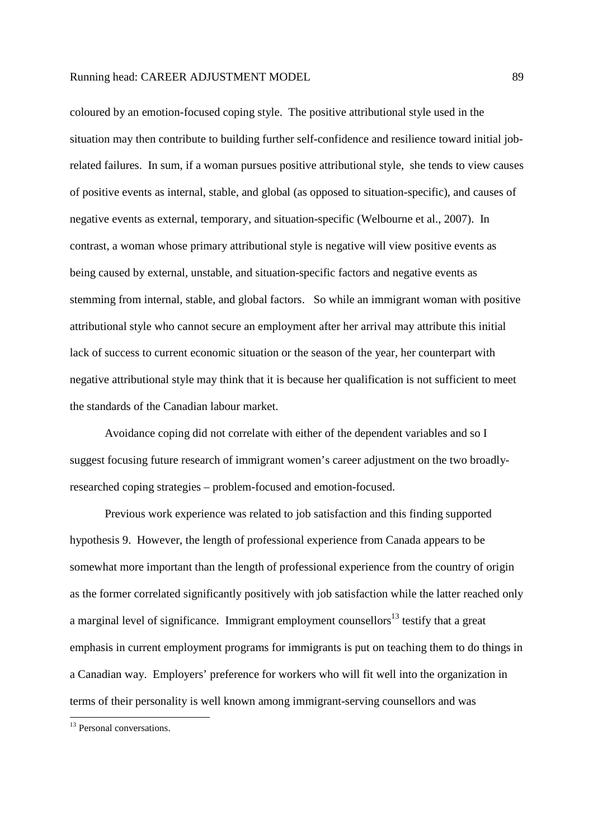coloured by an emotion-focused coping style. The positive attributional style used in the situation may then contribute to building further self-confidence and resilience toward initial jobrelated failures. In sum, if a woman pursues positive attributional style, she tends to view causes of positive events as internal, stable, and global (as opposed to situation-specific), and causes of negative events as external, temporary, and situation-specific (Welbourne et al., 2007). In contrast, a woman whose primary attributional style is negative will view positive events as being caused by external, unstable, and situation-specific factors and negative events as stemming from internal, stable, and global factors. So while an immigrant woman with positive attributional style who cannot secure an employment after her arrival may attribute this initial lack of success to current economic situation or the season of the year, her counterpart with negative attributional style may think that it is because her qualification is not sufficient to meet the standards of the Canadian labour market.

Avoidance coping did not correlate with either of the dependent variables and so I suggest focusing future research of immigrant women's career adjustment on the two broadlyresearched coping strategies – problem-focused and emotion-focused.

Previous work experience was related to job satisfaction and this finding supported hypothesis 9. However, the length of professional experience from Canada appears to be somewhat more important than the length of professional experience from the country of origin as the former correlated significantly positively with job satisfaction while the latter reached only a marginal level of significance. Immigrant employment counsellors<sup>13</sup> testify that a great emphasis in current employment programs for immigrants is put on teaching them to do things in a Canadian way. Employers' preference for workers who will fit well into the organization in terms of their personality is well known among immigrant-serving counsellors and was

-

<sup>&</sup>lt;sup>13</sup> Personal conversations.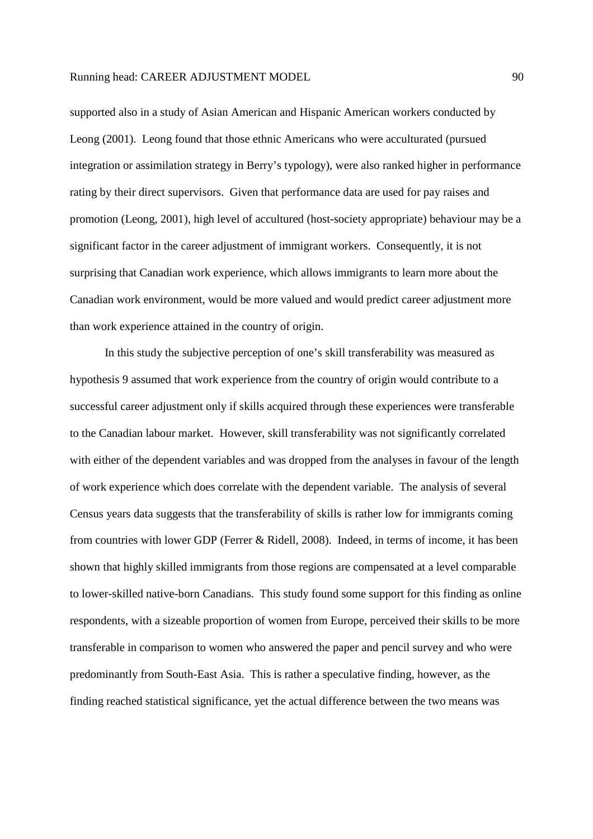supported also in a study of Asian American and Hispanic American workers conducted by Leong (2001). Leong found that those ethnic Americans who were acculturated (pursued integration or assimilation strategy in Berry's typology), were also ranked higher in performance rating by their direct supervisors. Given that performance data are used for pay raises and promotion (Leong, 2001), high level of accultured (host-society appropriate) behaviour may be a significant factor in the career adjustment of immigrant workers. Consequently, it is not surprising that Canadian work experience, which allows immigrants to learn more about the Canadian work environment, would be more valued and would predict career adjustment more than work experience attained in the country of origin.

In this study the subjective perception of one's skill transferability was measured as hypothesis 9 assumed that work experience from the country of origin would contribute to a successful career adjustment only if skills acquired through these experiences were transferable to the Canadian labour market. However, skill transferability was not significantly correlated with either of the dependent variables and was dropped from the analyses in favour of the length of work experience which does correlate with the dependent variable. The analysis of several Census years data suggests that the transferability of skills is rather low for immigrants coming from countries with lower GDP (Ferrer & Ridell, 2008). Indeed, in terms of income, it has been shown that highly skilled immigrants from those regions are compensated at a level comparable to lower-skilled native-born Canadians. This study found some support for this finding as online respondents, with a sizeable proportion of women from Europe, perceived their skills to be more transferable in comparison to women who answered the paper and pencil survey and who were predominantly from South-East Asia. This is rather a speculative finding, however, as the finding reached statistical significance, yet the actual difference between the two means was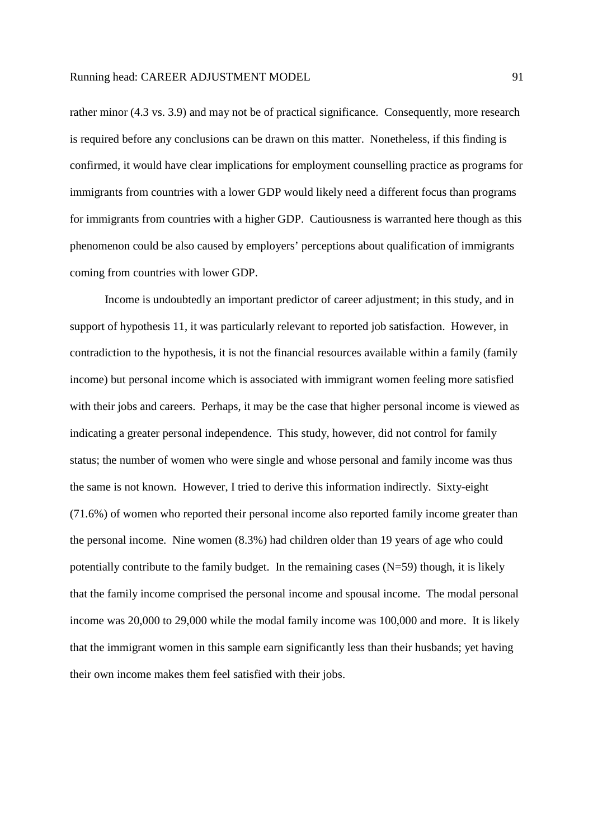rather minor (4.3 vs. 3.9) and may not be of practical significance. Consequently, more research is required before any conclusions can be drawn on this matter. Nonetheless, if this finding is confirmed, it would have clear implications for employment counselling practice as programs for immigrants from countries with a lower GDP would likely need a different focus than programs for immigrants from countries with a higher GDP. Cautiousness is warranted here though as this phenomenon could be also caused by employers' perceptions about qualification of immigrants coming from countries with lower GDP.

Income is undoubtedly an important predictor of career adjustment; in this study, and in support of hypothesis 11, it was particularly relevant to reported job satisfaction. However, in contradiction to the hypothesis, it is not the financial resources available within a family (family income) but personal income which is associated with immigrant women feeling more satisfied with their jobs and careers. Perhaps, it may be the case that higher personal income is viewed as indicating a greater personal independence. This study, however, did not control for family status; the number of women who were single and whose personal and family income was thus the same is not known. However, I tried to derive this information indirectly. Sixty-eight (71.6%) of women who reported their personal income also reported family income greater than the personal income. Nine women (8.3%) had children older than 19 years of age who could potentially contribute to the family budget. In the remaining cases  $(N=59)$  though, it is likely that the family income comprised the personal income and spousal income. The modal personal income was 20,000 to 29,000 while the modal family income was 100,000 and more. It is likely that the immigrant women in this sample earn significantly less than their husbands; yet having their own income makes them feel satisfied with their jobs.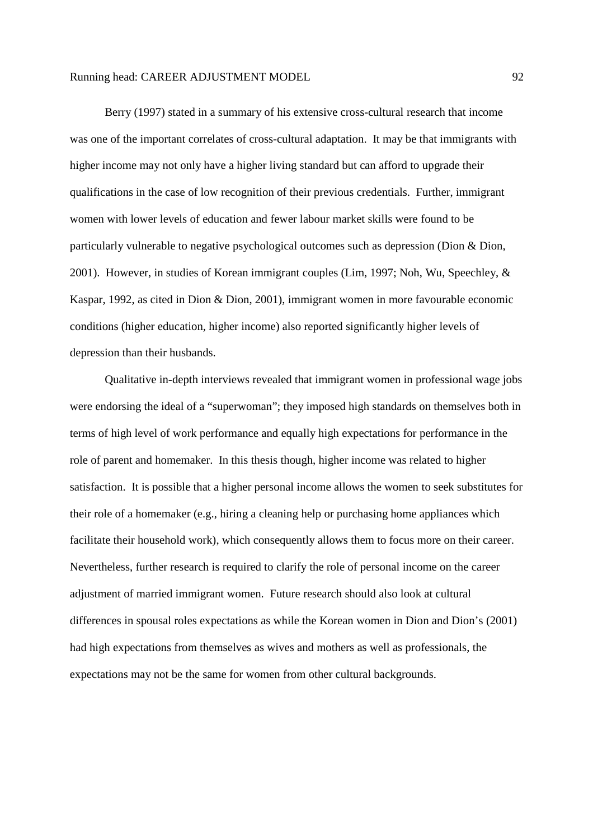Berry (1997) stated in a summary of his extensive cross-cultural research that income was one of the important correlates of cross-cultural adaptation. It may be that immigrants with higher income may not only have a higher living standard but can afford to upgrade their qualifications in the case of low recognition of their previous credentials. Further, immigrant women with lower levels of education and fewer labour market skills were found to be particularly vulnerable to negative psychological outcomes such as depression (Dion & Dion, 2001). However, in studies of Korean immigrant couples (Lim, 1997; Noh, Wu, Speechley, & Kaspar, 1992, as cited in Dion & Dion, 2001), immigrant women in more favourable economic conditions (higher education, higher income) also reported significantly higher levels of depression than their husbands.

Qualitative in-depth interviews revealed that immigrant women in professional wage jobs were endorsing the ideal of a "superwoman"; they imposed high standards on themselves both in terms of high level of work performance and equally high expectations for performance in the role of parent and homemaker. In this thesis though, higher income was related to higher satisfaction. It is possible that a higher personal income allows the women to seek substitutes for their role of a homemaker (e.g., hiring a cleaning help or purchasing home appliances which facilitate their household work), which consequently allows them to focus more on their career. Nevertheless, further research is required to clarify the role of personal income on the career adjustment of married immigrant women. Future research should also look at cultural differences in spousal roles expectations as while the Korean women in Dion and Dion's (2001) had high expectations from themselves as wives and mothers as well as professionals, the expectations may not be the same for women from other cultural backgrounds.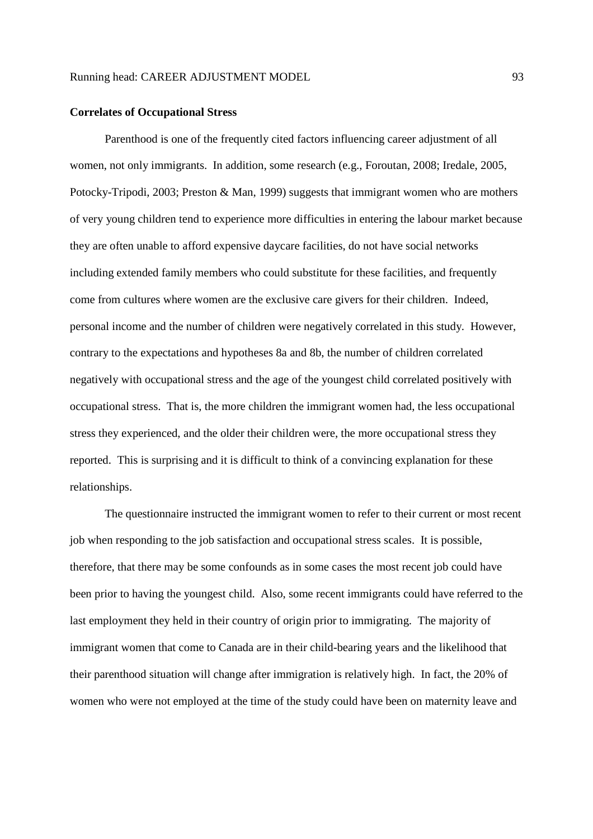#### **Correlates of Occupational Stress**

Parenthood is one of the frequently cited factors influencing career adjustment of all women, not only immigrants. In addition, some research (e.g., Foroutan, 2008; Iredale, 2005, Potocky-Tripodi, 2003; Preston & Man, 1999) suggests that immigrant women who are mothers of very young children tend to experience more difficulties in entering the labour market because they are often unable to afford expensive daycare facilities, do not have social networks including extended family members who could substitute for these facilities, and frequently come from cultures where women are the exclusive care givers for their children. Indeed, personal income and the number of children were negatively correlated in this study. However, contrary to the expectations and hypotheses 8a and 8b, the number of children correlated negatively with occupational stress and the age of the youngest child correlated positively with occupational stress. That is, the more children the immigrant women had, the less occupational stress they experienced, and the older their children were, the more occupational stress they reported. This is surprising and it is difficult to think of a convincing explanation for these relationships.

The questionnaire instructed the immigrant women to refer to their current or most recent job when responding to the job satisfaction and occupational stress scales. It is possible, therefore, that there may be some confounds as in some cases the most recent job could have been prior to having the youngest child. Also, some recent immigrants could have referred to the last employment they held in their country of origin prior to immigrating. The majority of immigrant women that come to Canada are in their child-bearing years and the likelihood that their parenthood situation will change after immigration is relatively high. In fact, the 20% of women who were not employed at the time of the study could have been on maternity leave and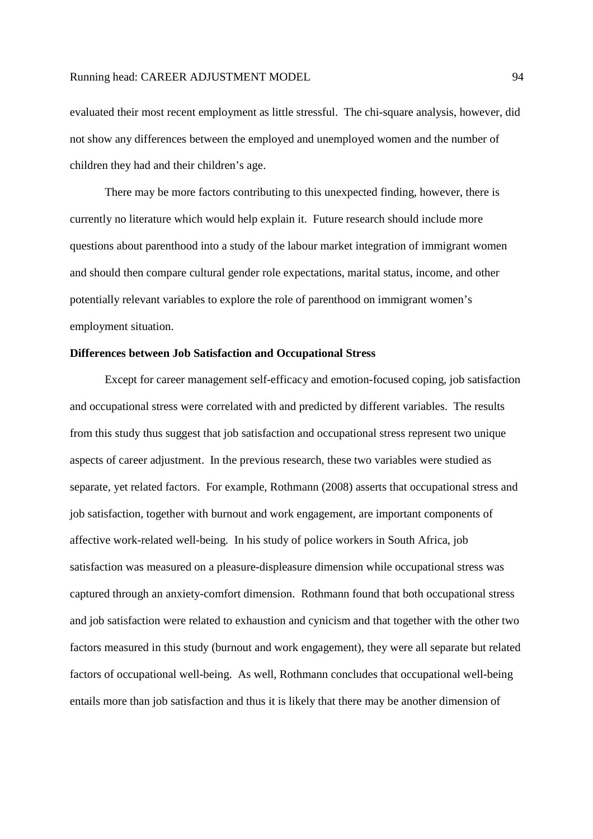evaluated their most recent employment as little stressful. The chi-square analysis, however, did not show any differences between the employed and unemployed women and the number of children they had and their children's age.

There may be more factors contributing to this unexpected finding, however, there is currently no literature which would help explain it. Future research should include more questions about parenthood into a study of the labour market integration of immigrant women and should then compare cultural gender role expectations, marital status, income, and other potentially relevant variables to explore the role of parenthood on immigrant women's employment situation.

## **Differences between Job Satisfaction and Occupational Stress**

Except for career management self-efficacy and emotion-focused coping, job satisfaction and occupational stress were correlated with and predicted by different variables. The results from this study thus suggest that job satisfaction and occupational stress represent two unique aspects of career adjustment. In the previous research, these two variables were studied as separate, yet related factors. For example, Rothmann (2008) asserts that occupational stress and job satisfaction, together with burnout and work engagement, are important components of affective work-related well-being. In his study of police workers in South Africa, job satisfaction was measured on a pleasure-displeasure dimension while occupational stress was captured through an anxiety-comfort dimension. Rothmann found that both occupational stress and job satisfaction were related to exhaustion and cynicism and that together with the other two factors measured in this study (burnout and work engagement), they were all separate but related factors of occupational well-being. As well, Rothmann concludes that occupational well-being entails more than job satisfaction and thus it is likely that there may be another dimension of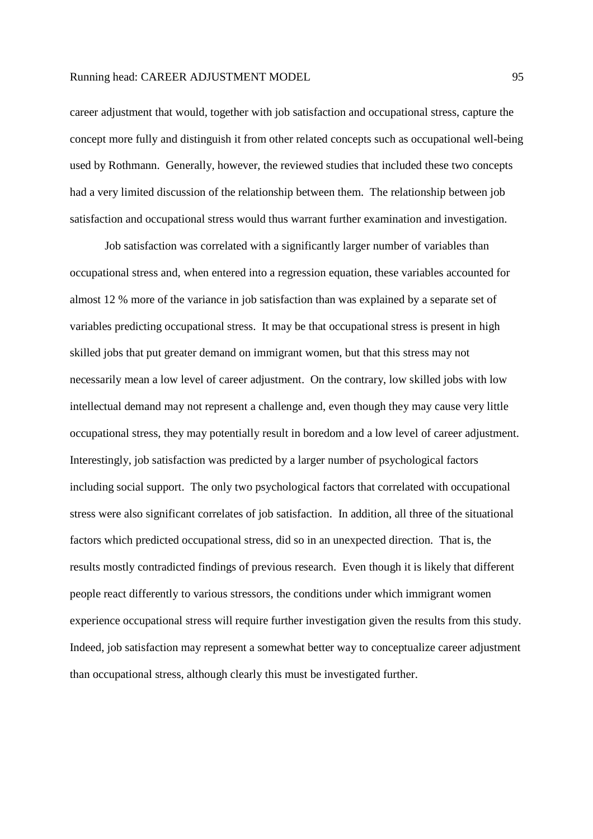career adjustment that would, together with job satisfaction and occupational stress, capture the concept more fully and distinguish it from other related concepts such as occupational well-being used by Rothmann. Generally, however, the reviewed studies that included these two concepts had a very limited discussion of the relationship between them. The relationship between job satisfaction and occupational stress would thus warrant further examination and investigation.

Job satisfaction was correlated with a significantly larger number of variables than occupational stress and, when entered into a regression equation, these variables accounted for almost 12 % more of the variance in job satisfaction than was explained by a separate set of variables predicting occupational stress. It may be that occupational stress is present in high skilled jobs that put greater demand on immigrant women, but that this stress may not necessarily mean a low level of career adjustment. On the contrary, low skilled jobs with low intellectual demand may not represent a challenge and, even though they may cause very little occupational stress, they may potentially result in boredom and a low level of career adjustment. Interestingly, job satisfaction was predicted by a larger number of psychological factors including social support. The only two psychological factors that correlated with occupational stress were also significant correlates of job satisfaction. In addition, all three of the situational factors which predicted occupational stress, did so in an unexpected direction. That is, the results mostly contradicted findings of previous research. Even though it is likely that different people react differently to various stressors, the conditions under which immigrant women experience occupational stress will require further investigation given the results from this study. Indeed, job satisfaction may represent a somewhat better way to conceptualize career adjustment than occupational stress, although clearly this must be investigated further.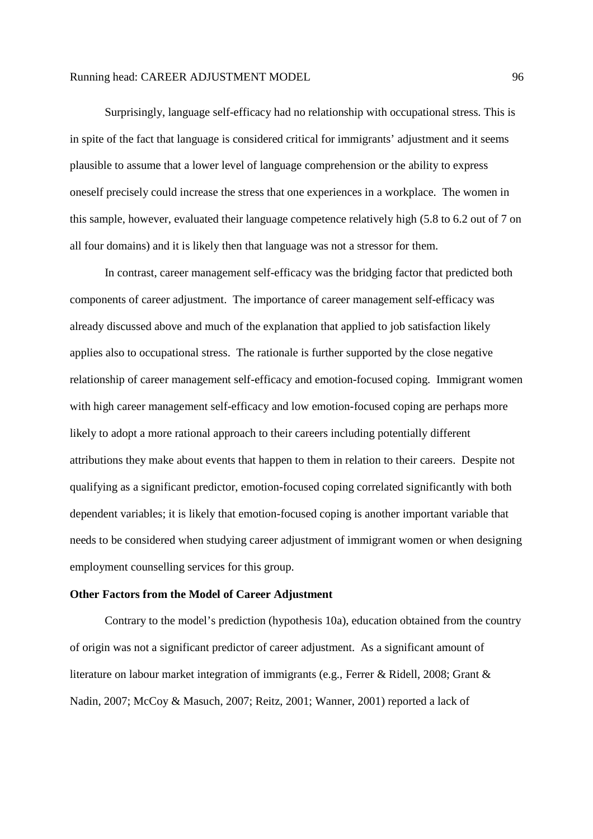Surprisingly, language self-efficacy had no relationship with occupational stress. This is in spite of the fact that language is considered critical for immigrants' adjustment and it seems plausible to assume that a lower level of language comprehension or the ability to express oneself precisely could increase the stress that one experiences in a workplace. The women in this sample, however, evaluated their language competence relatively high (5.8 to 6.2 out of 7 on all four domains) and it is likely then that language was not a stressor for them.

In contrast, career management self-efficacy was the bridging factor that predicted both components of career adjustment. The importance of career management self-efficacy was already discussed above and much of the explanation that applied to job satisfaction likely applies also to occupational stress. The rationale is further supported by the close negative relationship of career management self-efficacy and emotion-focused coping. Immigrant women with high career management self-efficacy and low emotion-focused coping are perhaps more likely to adopt a more rational approach to their careers including potentially different attributions they make about events that happen to them in relation to their careers. Despite not qualifying as a significant predictor, emotion-focused coping correlated significantly with both dependent variables; it is likely that emotion-focused coping is another important variable that needs to be considered when studying career adjustment of immigrant women or when designing employment counselling services for this group.

## **Other Factors from the Model of Career Adjustment**

Contrary to the model's prediction (hypothesis 10a), education obtained from the country of origin was not a significant predictor of career adjustment. As a significant amount of literature on labour market integration of immigrants (e.g., Ferrer & Ridell, 2008; Grant & Nadin, 2007; McCoy & Masuch, 2007; Reitz, 2001; Wanner, 2001) reported a lack of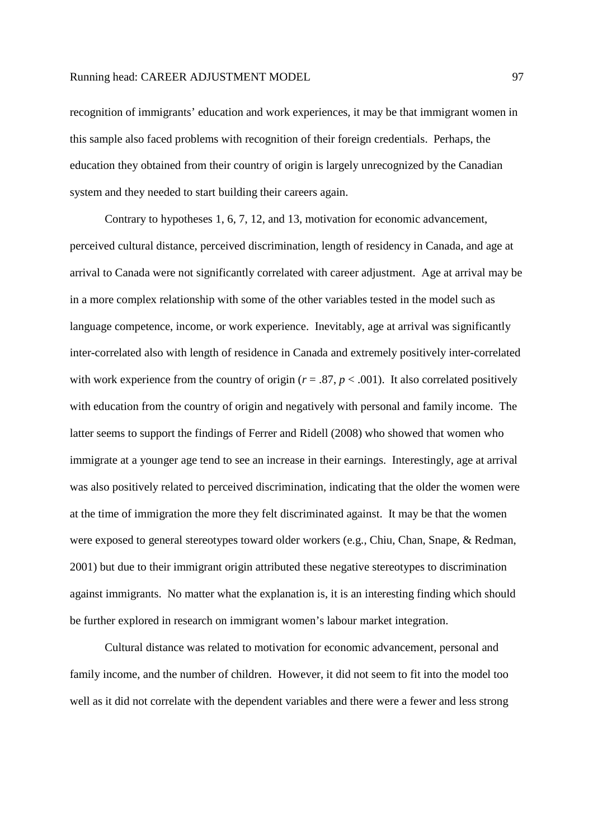recognition of immigrants' education and work experiences, it may be that immigrant women in this sample also faced problems with recognition of their foreign credentials. Perhaps, the education they obtained from their country of origin is largely unrecognized by the Canadian system and they needed to start building their careers again.

Contrary to hypotheses 1, 6, 7, 12, and 13, motivation for economic advancement, perceived cultural distance, perceived discrimination, length of residency in Canada, and age at arrival to Canada were not significantly correlated with career adjustment. Age at arrival may be in a more complex relationship with some of the other variables tested in the model such as language competence, income, or work experience. Inevitably, age at arrival was significantly inter-correlated also with length of residence in Canada and extremely positively inter-correlated with work experience from the country of origin ( $r = .87$ ,  $p < .001$ ). It also correlated positively with education from the country of origin and negatively with personal and family income. The latter seems to support the findings of Ferrer and Ridell (2008) who showed that women who immigrate at a younger age tend to see an increase in their earnings. Interestingly, age at arrival was also positively related to perceived discrimination, indicating that the older the women were at the time of immigration the more they felt discriminated against. It may be that the women were exposed to general stereotypes toward older workers (e.g., Chiu, Chan, Snape, & Redman, 2001) but due to their immigrant origin attributed these negative stereotypes to discrimination against immigrants. No matter what the explanation is, it is an interesting finding which should be further explored in research on immigrant women's labour market integration.

Cultural distance was related to motivation for economic advancement, personal and family income, and the number of children. However, it did not seem to fit into the model too well as it did not correlate with the dependent variables and there were a fewer and less strong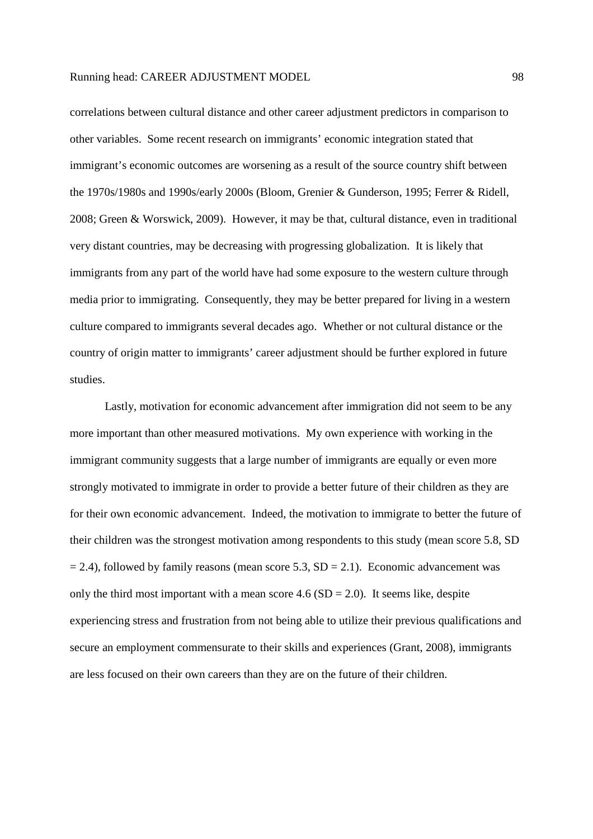correlations between cultural distance and other career adjustment predictors in comparison to other variables. Some recent research on immigrants' economic integration stated that immigrant's economic outcomes are worsening as a result of the source country shift between the 1970s/1980s and 1990s/early 2000s (Bloom, Grenier & Gunderson, 1995; Ferrer & Ridell, 2008; Green & Worswick, 2009). However, it may be that, cultural distance, even in traditional very distant countries, may be decreasing with progressing globalization. It is likely that immigrants from any part of the world have had some exposure to the western culture through media prior to immigrating. Consequently, they may be better prepared for living in a western culture compared to immigrants several decades ago. Whether or not cultural distance or the country of origin matter to immigrants' career adjustment should be further explored in future studies.

Lastly, motivation for economic advancement after immigration did not seem to be any more important than other measured motivations. My own experience with working in the immigrant community suggests that a large number of immigrants are equally or even more strongly motivated to immigrate in order to provide a better future of their children as they are for their own economic advancement. Indeed, the motivation to immigrate to better the future of their children was the strongest motivation among respondents to this study (mean score 5.8, SD  $= 2.4$ ), followed by family reasons (mean score 5.3, SD = 2.1). Economic advancement was only the third most important with a mean score  $4.6$  (SD = 2.0). It seems like, despite experiencing stress and frustration from not being able to utilize their previous qualifications and secure an employment commensurate to their skills and experiences (Grant, 2008), immigrants are less focused on their own careers than they are on the future of their children.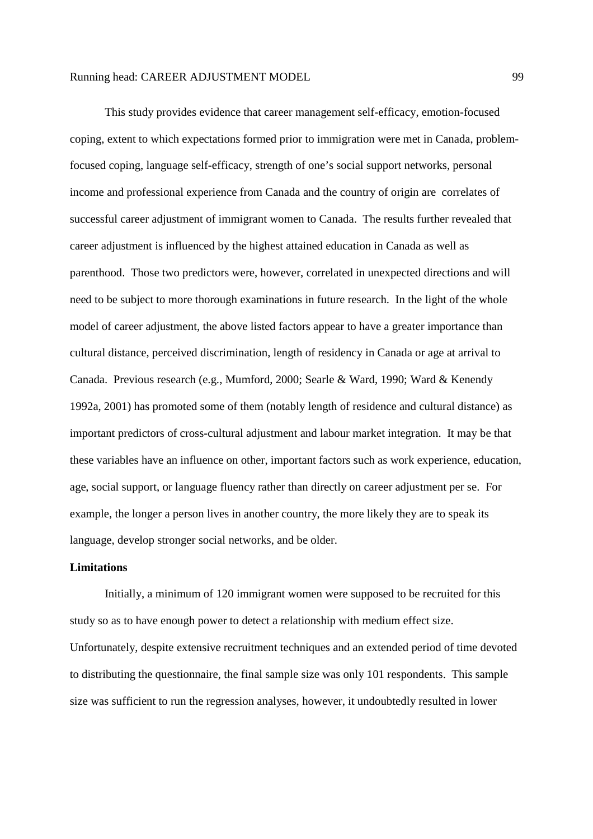This study provides evidence that career management self-efficacy, emotion-focused coping, extent to which expectations formed prior to immigration were met in Canada, problemfocused coping, language self-efficacy, strength of one's social support networks, personal income and professional experience from Canada and the country of origin are correlates of successful career adjustment of immigrant women to Canada. The results further revealed that career adjustment is influenced by the highest attained education in Canada as well as parenthood. Those two predictors were, however, correlated in unexpected directions and will need to be subject to more thorough examinations in future research. In the light of the whole model of career adjustment, the above listed factors appear to have a greater importance than cultural distance, perceived discrimination, length of residency in Canada or age at arrival to Canada. Previous research (e.g., Mumford, 2000; Searle & Ward, 1990; Ward & Kenendy 1992a, 2001) has promoted some of them (notably length of residence and cultural distance) as important predictors of cross-cultural adjustment and labour market integration. It may be that these variables have an influence on other, important factors such as work experience, education, age, social support, or language fluency rather than directly on career adjustment per se. For example, the longer a person lives in another country, the more likely they are to speak its language, develop stronger social networks, and be older.

## **Limitations**

 Initially, a minimum of 120 immigrant women were supposed to be recruited for this study so as to have enough power to detect a relationship with medium effect size. Unfortunately, despite extensive recruitment techniques and an extended period of time devoted to distributing the questionnaire, the final sample size was only 101 respondents. This sample size was sufficient to run the regression analyses, however, it undoubtedly resulted in lower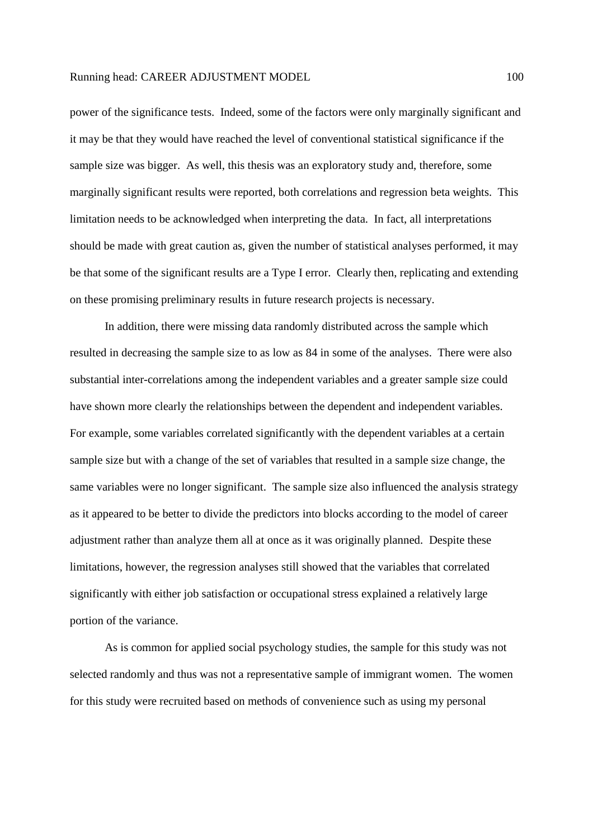power of the significance tests. Indeed, some of the factors were only marginally significant and it may be that they would have reached the level of conventional statistical significance if the sample size was bigger. As well, this thesis was an exploratory study and, therefore, some marginally significant results were reported, both correlations and regression beta weights. This limitation needs to be acknowledged when interpreting the data. In fact, all interpretations should be made with great caution as, given the number of statistical analyses performed, it may be that some of the significant results are a Type I error. Clearly then, replicating and extending on these promising preliminary results in future research projects is necessary.

In addition, there were missing data randomly distributed across the sample which resulted in decreasing the sample size to as low as 84 in some of the analyses. There were also substantial inter-correlations among the independent variables and a greater sample size could have shown more clearly the relationships between the dependent and independent variables. For example, some variables correlated significantly with the dependent variables at a certain sample size but with a change of the set of variables that resulted in a sample size change, the same variables were no longer significant. The sample size also influenced the analysis strategy as it appeared to be better to divide the predictors into blocks according to the model of career adjustment rather than analyze them all at once as it was originally planned. Despite these limitations, however, the regression analyses still showed that the variables that correlated significantly with either job satisfaction or occupational stress explained a relatively large portion of the variance.

 As is common for applied social psychology studies, the sample for this study was not selected randomly and thus was not a representative sample of immigrant women. The women for this study were recruited based on methods of convenience such as using my personal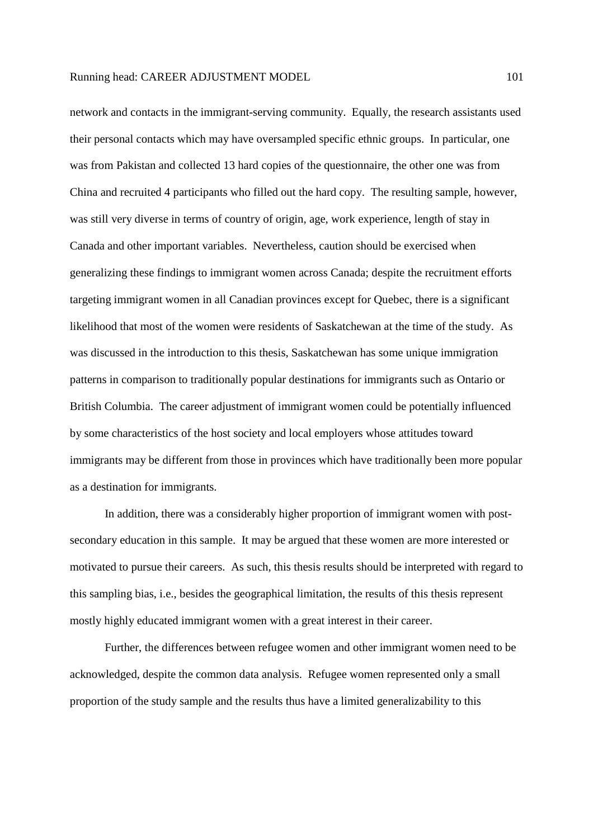network and contacts in the immigrant-serving community. Equally, the research assistants used their personal contacts which may have oversampled specific ethnic groups. In particular, one was from Pakistan and collected 13 hard copies of the questionnaire, the other one was from China and recruited 4 participants who filled out the hard copy. The resulting sample, however, was still very diverse in terms of country of origin, age, work experience, length of stay in Canada and other important variables. Nevertheless, caution should be exercised when generalizing these findings to immigrant women across Canada; despite the recruitment efforts targeting immigrant women in all Canadian provinces except for Quebec, there is a significant likelihood that most of the women were residents of Saskatchewan at the time of the study. As was discussed in the introduction to this thesis, Saskatchewan has some unique immigration patterns in comparison to traditionally popular destinations for immigrants such as Ontario or British Columbia. The career adjustment of immigrant women could be potentially influenced by some characteristics of the host society and local employers whose attitudes toward immigrants may be different from those in provinces which have traditionally been more popular as a destination for immigrants.

 In addition, there was a considerably higher proportion of immigrant women with postsecondary education in this sample. It may be argued that these women are more interested or motivated to pursue their careers. As such, this thesis results should be interpreted with regard to this sampling bias, i.e., besides the geographical limitation, the results of this thesis represent mostly highly educated immigrant women with a great interest in their career.

 Further, the differences between refugee women and other immigrant women need to be acknowledged, despite the common data analysis. Refugee women represented only a small proportion of the study sample and the results thus have a limited generalizability to this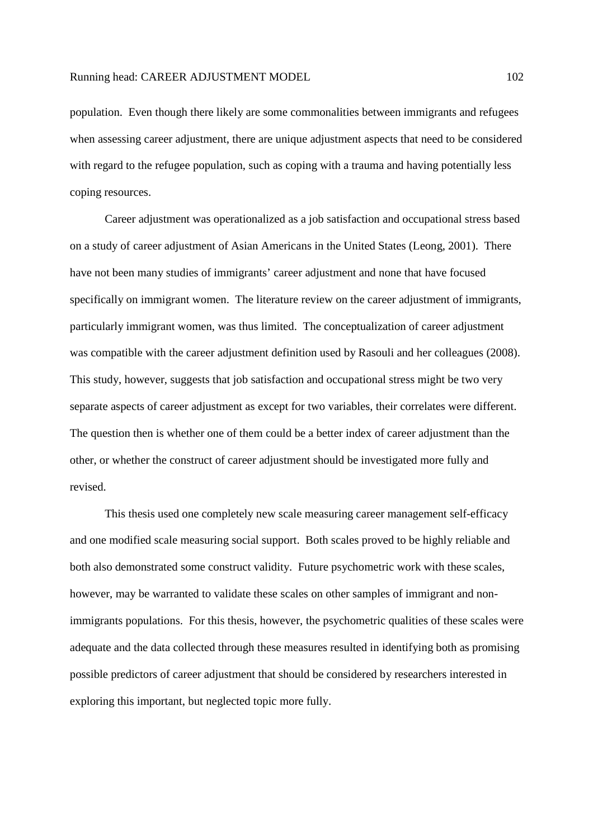population. Even though there likely are some commonalities between immigrants and refugees when assessing career adjustment, there are unique adjustment aspects that need to be considered with regard to the refugee population, such as coping with a trauma and having potentially less coping resources.

 Career adjustment was operationalized as a job satisfaction and occupational stress based on a study of career adjustment of Asian Americans in the United States (Leong, 2001). There have not been many studies of immigrants' career adjustment and none that have focused specifically on immigrant women. The literature review on the career adjustment of immigrants, particularly immigrant women, was thus limited. The conceptualization of career adjustment was compatible with the career adjustment definition used by Rasouli and her colleagues (2008). This study, however, suggests that job satisfaction and occupational stress might be two very separate aspects of career adjustment as except for two variables, their correlates were different. The question then is whether one of them could be a better index of career adjustment than the other, or whether the construct of career adjustment should be investigated more fully and revised.

 This thesis used one completely new scale measuring career management self-efficacy and one modified scale measuring social support. Both scales proved to be highly reliable and both also demonstrated some construct validity. Future psychometric work with these scales, however, may be warranted to validate these scales on other samples of immigrant and nonimmigrants populations. For this thesis, however, the psychometric qualities of these scales were adequate and the data collected through these measures resulted in identifying both as promising possible predictors of career adjustment that should be considered by researchers interested in exploring this important, but neglected topic more fully.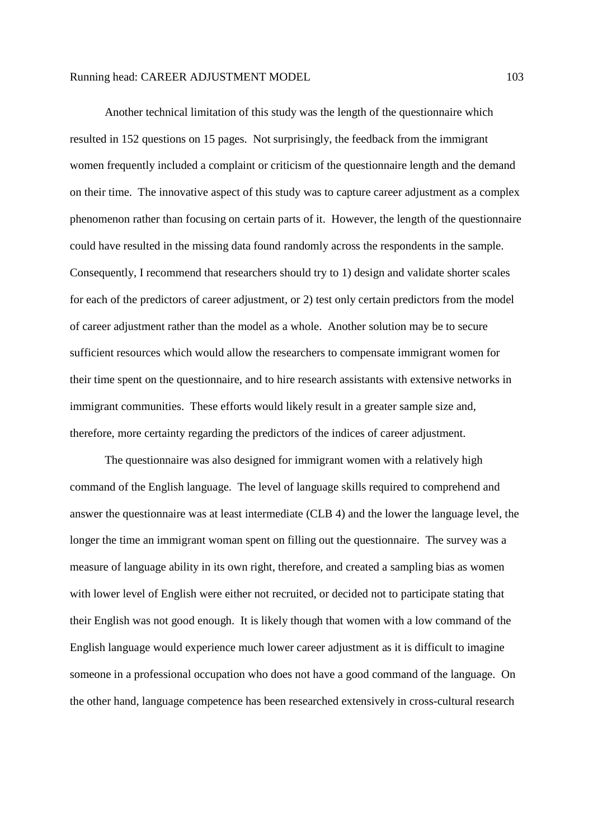Another technical limitation of this study was the length of the questionnaire which resulted in 152 questions on 15 pages. Not surprisingly, the feedback from the immigrant women frequently included a complaint or criticism of the questionnaire length and the demand on their time. The innovative aspect of this study was to capture career adjustment as a complex phenomenon rather than focusing on certain parts of it. However, the length of the questionnaire could have resulted in the missing data found randomly across the respondents in the sample. Consequently, I recommend that researchers should try to 1) design and validate shorter scales for each of the predictors of career adjustment, or 2) test only certain predictors from the model of career adjustment rather than the model as a whole. Another solution may be to secure sufficient resources which would allow the researchers to compensate immigrant women for their time spent on the questionnaire, and to hire research assistants with extensive networks in immigrant communities. These efforts would likely result in a greater sample size and, therefore, more certainty regarding the predictors of the indices of career adjustment.

 The questionnaire was also designed for immigrant women with a relatively high command of the English language. The level of language skills required to comprehend and answer the questionnaire was at least intermediate (CLB 4) and the lower the language level, the longer the time an immigrant woman spent on filling out the questionnaire. The survey was a measure of language ability in its own right, therefore, and created a sampling bias as women with lower level of English were either not recruited, or decided not to participate stating that their English was not good enough. It is likely though that women with a low command of the English language would experience much lower career adjustment as it is difficult to imagine someone in a professional occupation who does not have a good command of the language. On the other hand, language competence has been researched extensively in cross-cultural research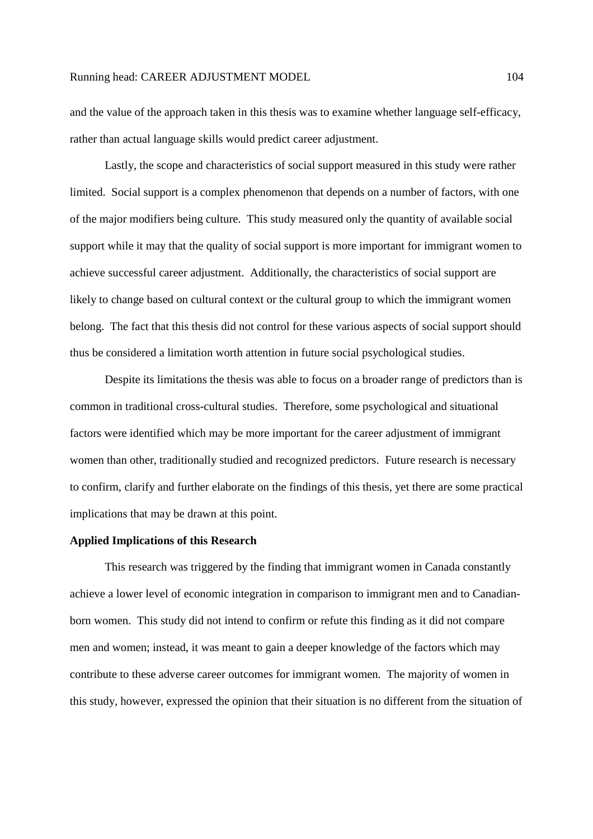and the value of the approach taken in this thesis was to examine whether language self-efficacy, rather than actual language skills would predict career adjustment.

Lastly, the scope and characteristics of social support measured in this study were rather limited. Social support is a complex phenomenon that depends on a number of factors, with one of the major modifiers being culture. This study measured only the quantity of available social support while it may that the quality of social support is more important for immigrant women to achieve successful career adjustment. Additionally, the characteristics of social support are likely to change based on cultural context or the cultural group to which the immigrant women belong. The fact that this thesis did not control for these various aspects of social support should thus be considered a limitation worth attention in future social psychological studies.

Despite its limitations the thesis was able to focus on a broader range of predictors than is common in traditional cross-cultural studies. Therefore, some psychological and situational factors were identified which may be more important for the career adjustment of immigrant women than other, traditionally studied and recognized predictors. Future research is necessary to confirm, clarify and further elaborate on the findings of this thesis, yet there are some practical implications that may be drawn at this point.

## **Applied Implications of this Research**

This research was triggered by the finding that immigrant women in Canada constantly achieve a lower level of economic integration in comparison to immigrant men and to Canadianborn women. This study did not intend to confirm or refute this finding as it did not compare men and women; instead, it was meant to gain a deeper knowledge of the factors which may contribute to these adverse career outcomes for immigrant women. The majority of women in this study, however, expressed the opinion that their situation is no different from the situation of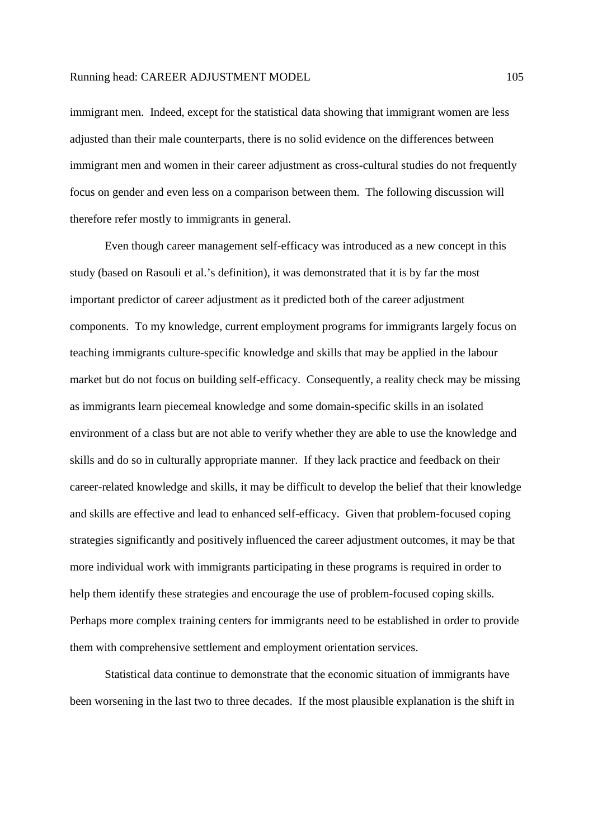immigrant men. Indeed, except for the statistical data showing that immigrant women are less adjusted than their male counterparts, there is no solid evidence on the differences between immigrant men and women in their career adjustment as cross-cultural studies do not frequently focus on gender and even less on a comparison between them. The following discussion will therefore refer mostly to immigrants in general.

Even though career management self-efficacy was introduced as a new concept in this study (based on Rasouli et al.'s definition), it was demonstrated that it is by far the most important predictor of career adjustment as it predicted both of the career adjustment components. To my knowledge, current employment programs for immigrants largely focus on teaching immigrants culture-specific knowledge and skills that may be applied in the labour market but do not focus on building self-efficacy. Consequently, a reality check may be missing as immigrants learn piecemeal knowledge and some domain-specific skills in an isolated environment of a class but are not able to verify whether they are able to use the knowledge and skills and do so in culturally appropriate manner. If they lack practice and feedback on their career-related knowledge and skills, it may be difficult to develop the belief that their knowledge and skills are effective and lead to enhanced self-efficacy. Given that problem-focused coping strategies significantly and positively influenced the career adjustment outcomes, it may be that more individual work with immigrants participating in these programs is required in order to help them identify these strategies and encourage the use of problem-focused coping skills. Perhaps more complex training centers for immigrants need to be established in order to provide them with comprehensive settlement and employment orientation services.

Statistical data continue to demonstrate that the economic situation of immigrants have been worsening in the last two to three decades. If the most plausible explanation is the shift in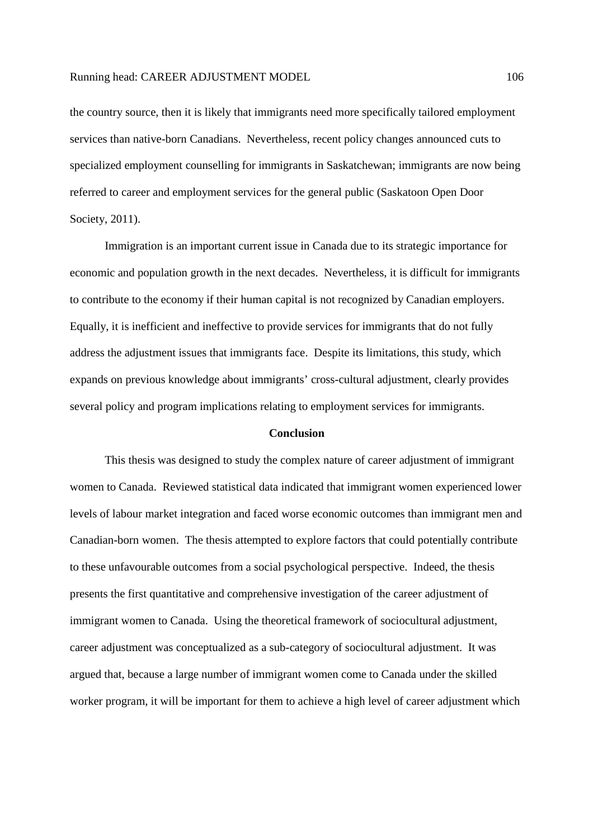the country source, then it is likely that immigrants need more specifically tailored employment services than native-born Canadians. Nevertheless, recent policy changes announced cuts to specialized employment counselling for immigrants in Saskatchewan; immigrants are now being referred to career and employment services for the general public (Saskatoon Open Door Society, 2011).

Immigration is an important current issue in Canada due to its strategic importance for economic and population growth in the next decades. Nevertheless, it is difficult for immigrants to contribute to the economy if their human capital is not recognized by Canadian employers. Equally, it is inefficient and ineffective to provide services for immigrants that do not fully address the adjustment issues that immigrants face. Despite its limitations, this study, which expands on previous knowledge about immigrants' cross-cultural adjustment, clearly provides several policy and program implications relating to employment services for immigrants.

#### **Conclusion**

This thesis was designed to study the complex nature of career adjustment of immigrant women to Canada. Reviewed statistical data indicated that immigrant women experienced lower levels of labour market integration and faced worse economic outcomes than immigrant men and Canadian-born women. The thesis attempted to explore factors that could potentially contribute to these unfavourable outcomes from a social psychological perspective. Indeed, the thesis presents the first quantitative and comprehensive investigation of the career adjustment of immigrant women to Canada. Using the theoretical framework of sociocultural adjustment, career adjustment was conceptualized as a sub-category of sociocultural adjustment. It was argued that, because a large number of immigrant women come to Canada under the skilled worker program, it will be important for them to achieve a high level of career adjustment which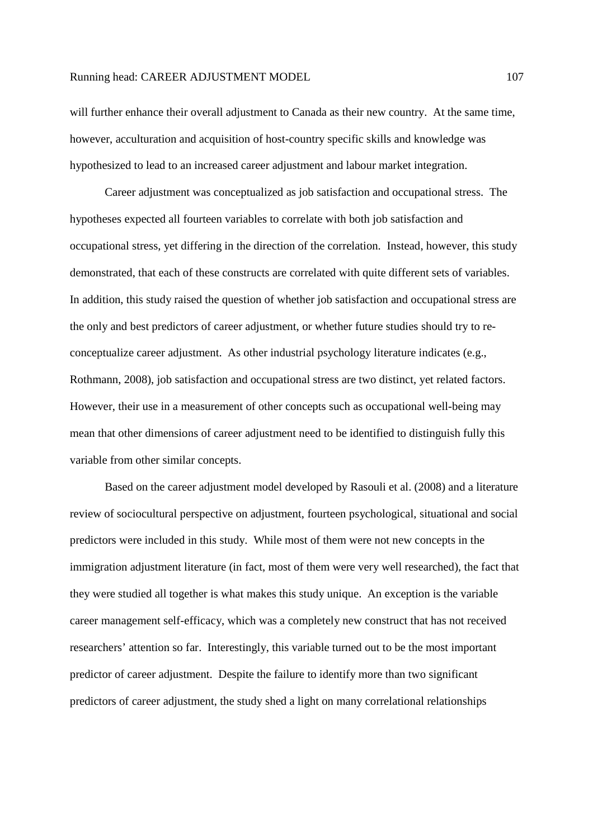will further enhance their overall adjustment to Canada as their new country. At the same time, however, acculturation and acquisition of host-country specific skills and knowledge was hypothesized to lead to an increased career adjustment and labour market integration.

Career adjustment was conceptualized as job satisfaction and occupational stress. The hypotheses expected all fourteen variables to correlate with both job satisfaction and occupational stress, yet differing in the direction of the correlation. Instead, however, this study demonstrated, that each of these constructs are correlated with quite different sets of variables. In addition, this study raised the question of whether job satisfaction and occupational stress are the only and best predictors of career adjustment, or whether future studies should try to reconceptualize career adjustment. As other industrial psychology literature indicates (e.g., Rothmann, 2008), job satisfaction and occupational stress are two distinct, yet related factors. However, their use in a measurement of other concepts such as occupational well-being may mean that other dimensions of career adjustment need to be identified to distinguish fully this variable from other similar concepts.

Based on the career adjustment model developed by Rasouli et al. (2008) and a literature review of sociocultural perspective on adjustment, fourteen psychological, situational and social predictors were included in this study. While most of them were not new concepts in the immigration adjustment literature (in fact, most of them were very well researched), the fact that they were studied all together is what makes this study unique. An exception is the variable career management self-efficacy, which was a completely new construct that has not received researchers' attention so far. Interestingly, this variable turned out to be the most important predictor of career adjustment. Despite the failure to identify more than two significant predictors of career adjustment, the study shed a light on many correlational relationships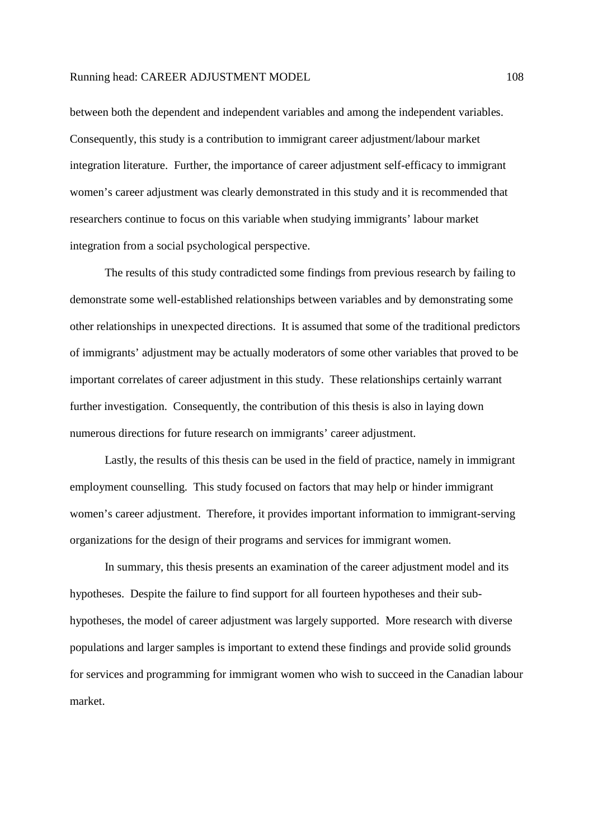between both the dependent and independent variables and among the independent variables. Consequently, this study is a contribution to immigrant career adjustment/labour market integration literature. Further, the importance of career adjustment self-efficacy to immigrant women's career adjustment was clearly demonstrated in this study and it is recommended that researchers continue to focus on this variable when studying immigrants' labour market integration from a social psychological perspective.

The results of this study contradicted some findings from previous research by failing to demonstrate some well-established relationships between variables and by demonstrating some other relationships in unexpected directions. It is assumed that some of the traditional predictors of immigrants' adjustment may be actually moderators of some other variables that proved to be important correlates of career adjustment in this study. These relationships certainly warrant further investigation. Consequently, the contribution of this thesis is also in laying down numerous directions for future research on immigrants' career adjustment.

Lastly, the results of this thesis can be used in the field of practice, namely in immigrant employment counselling. This study focused on factors that may help or hinder immigrant women's career adjustment. Therefore, it provides important information to immigrant-serving organizations for the design of their programs and services for immigrant women.

In summary, this thesis presents an examination of the career adjustment model and its hypotheses. Despite the failure to find support for all fourteen hypotheses and their subhypotheses, the model of career adjustment was largely supported. More research with diverse populations and larger samples is important to extend these findings and provide solid grounds for services and programming for immigrant women who wish to succeed in the Canadian labour market.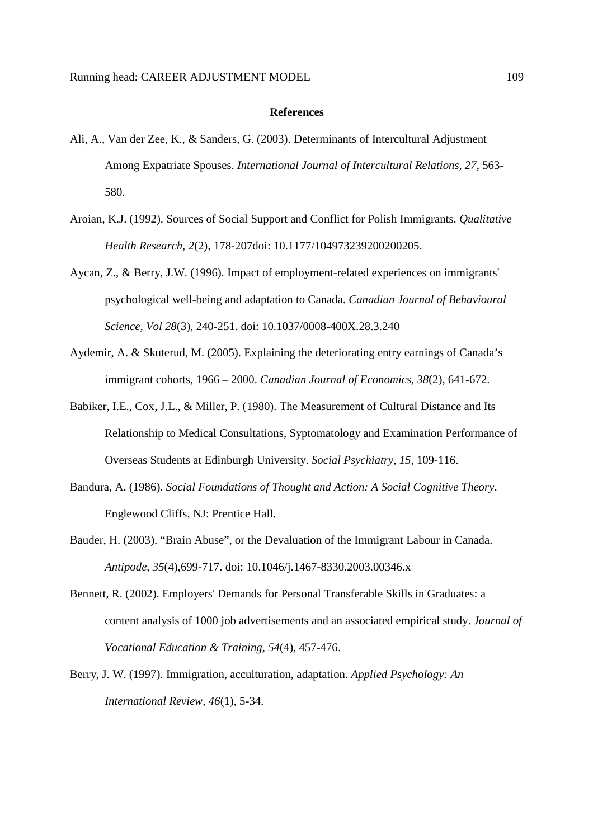#### **References**

- Ali, A., Van der Zee, K., & Sanders, G. (2003). Determinants of Intercultural Adjustment Among Expatriate Spouses. *International Journal of Intercultural Relations, 27*, 563- 580.
- Aroian, K.J. (1992). Sources of Social Support and Conflict for Polish Immigrants. *Qualitative Health Research, 2*(2), 178-207doi: 10.1177/104973239200200205.
- Aycan, Z., & Berry, J.W. (1996). Impact of employment-related experiences on immigrants' psychological well-being and adaptation to Canada. *Canadian Journal of Behavioural Science, Vol 28*(3), 240-251. doi: 10.1037/0008-400X.28.3.240
- Aydemir, A. & Skuterud, M. (2005). Explaining the deteriorating entry earnings of Canada's immigrant cohorts, 1966 – 2000. *Canadian Journal of Economics, 38*(2), 641-672.
- Babiker, I.E., Cox, J.L., & Miller, P. (1980). The Measurement of Cultural Distance and Its Relationship to Medical Consultations, Syptomatology and Examination Performance of Overseas Students at Edinburgh University. *Social Psychiatry, 15*, 109-116.
- Bandura, A. (1986). *Social Foundations of Thought and Action: A Social Cognitive Theory*. Englewood Cliffs, NJ: Prentice Hall.
- Bauder, H. (2003). "Brain Abuse", or the Devaluation of the Immigrant Labour in Canada. *Antipode, 35*(4),699-717. doi: 10.1046/j.1467-8330.2003.00346.x
- Bennett, R. (2002). Employers' Demands for Personal Transferable Skills in Graduates: a content analysis of 1000 job advertisements and an associated empirical study. *Journal of Vocational Education & Training, 54*(4), 457-476.
- Berry, J. W. (1997). Immigration, acculturation, adaptation. *Applied Psychology: An International Review, 46*(1), 5-34.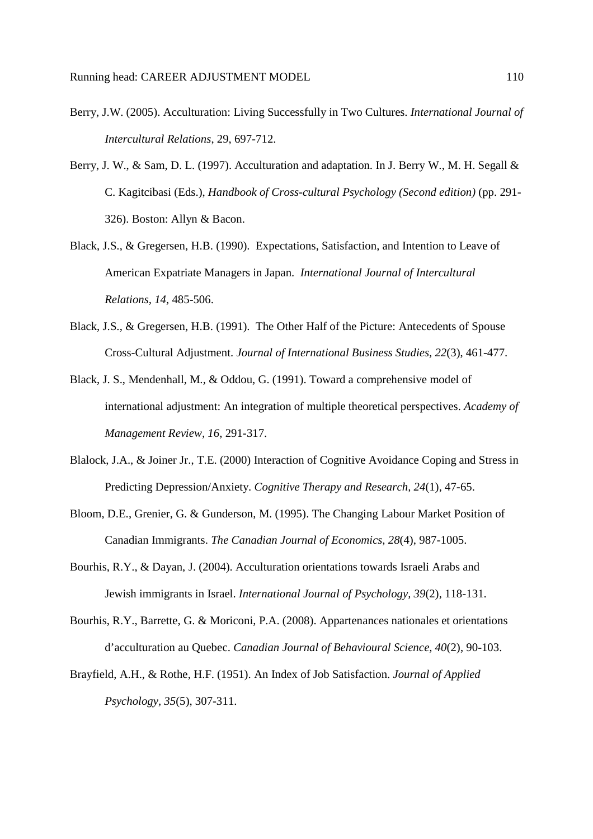- Berry, J.W. (2005). Acculturation: Living Successfully in Two Cultures. *International Journal of Intercultural Relations*, 29, 697-712.
- Berry, J. W., & Sam, D. L. (1997). Acculturation and adaptation. In J. Berry W., M. H. Segall & C. Kagitcibasi (Eds.), *Handbook of Cross-cultural Psychology (Second edition)* (pp. 291- 326). Boston: Allyn & Bacon.
- Black, J.S., & Gregersen, H.B. (1990). Expectations, Satisfaction, and Intention to Leave of American Expatriate Managers in Japan. *International Journal of Intercultural Relations, 14*, 485-506.
- Black, J.S., & Gregersen, H.B. (1991). The Other Half of the Picture: Antecedents of Spouse Cross-Cultural Adjustment. *Journal of International Business Studies, 22*(3), 461-477.
- Black, J. S., Mendenhall, M., & Oddou, G. (1991). Toward a comprehensive model of international adjustment: An integration of multiple theoretical perspectives. *Academy of Management Review, 16*, 291-317.
- Blalock, J.A., & Joiner Jr., T.E. (2000) Interaction of Cognitive Avoidance Coping and Stress in Predicting Depression/Anxiety. *Cognitive Therapy and Research, 24*(1), 47-65.
- Bloom, D.E., Grenier, G. & Gunderson, M. (1995). The Changing Labour Market Position of Canadian Immigrants. *The Canadian Journal of Economics, 28*(4), 987-1005.
- Bourhis, R.Y., & Dayan, J. (2004). Acculturation orientations towards Israeli Arabs and Jewish immigrants in Israel. *International Journal of Psychology, 39*(2), 118-131.
- Bourhis, R.Y., Barrette, G. & Moriconi, P.A. (2008). Appartenances nationales et orientations d'acculturation au Quebec. *Canadian Journal of Behavioural Science, 40*(2), 90-103.
- Brayfield, A.H., & Rothe, H.F. (1951). An Index of Job Satisfaction. *Journal of Applied Psychology, 35*(5), 307-311.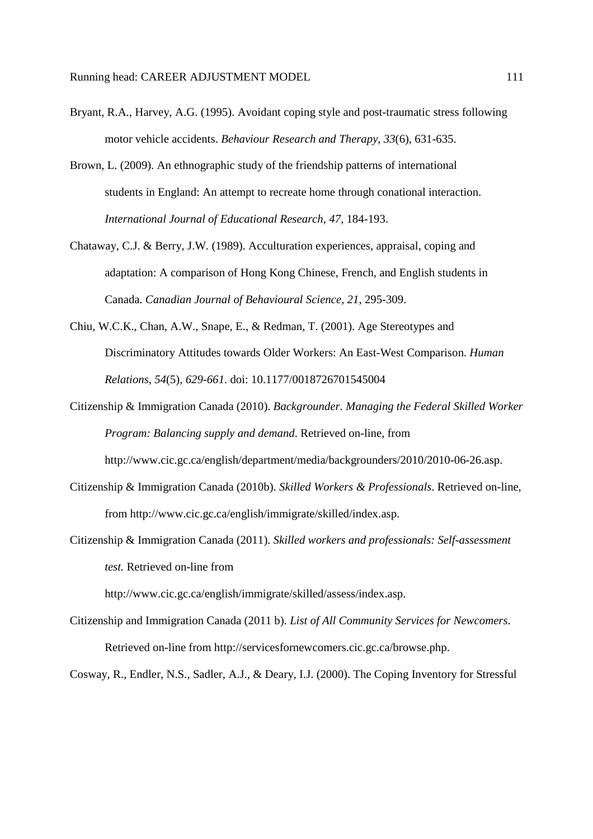- Bryant, R.A., Harvey, A.G. (1995). Avoidant coping style and post-traumatic stress following motor vehicle accidents. *Behaviour Research and Therapy*, *33*(6), 631-635.
- Brown, L. (2009). An ethnographic study of the friendship patterns of international students in England: An attempt to recreate home through conational interaction. *International Journal of Educational Research, 47*, 184-193.
- Chataway, C.J. & Berry, J.W. (1989). Acculturation experiences, appraisal, coping and adaptation: A comparison of Hong Kong Chinese, French, and English students in Canada. *Canadian Journal of Behavioural Science, 21*, 295-309.
- Chiu, W.C.K., Chan, A.W., Snape, E., & Redman, T. (2001). Age Stereotypes and Discriminatory Attitudes towards Older Workers: An East-West Comparison. *Human Relations, 54*(5), *629-661.* doi: 10.1177/0018726701545004
- Citizenship & Immigration Canada (2010). *Backgrounder. Managing the Federal Skilled Worker Program: Balancing supply and demand*. Retrieved on-line, from http://www.cic.gc.ca/english/department/media/backgrounders/2010/2010-06-26.asp.
- Citizenship & Immigration Canada (2010b). *Skilled Workers & Professionals*. Retrieved on-line, from http://www.cic.gc.ca/english/immigrate/skilled/index.asp.
- Citizenship & Immigration Canada (2011). *Skilled workers and professionals: Self-assessment test.* Retrieved on-line from

http://www.cic.gc.ca/english/immigrate/skilled/assess/index.asp.

Citizenship and Immigration Canada (2011 b). *List of All Community Services for Newcomers*. Retrieved on-line from http://servicesfornewcomers.cic.gc.ca/browse.php.

Cosway, R., Endler, N.S., Sadler, A.J., & Deary, I.J. (2000). The Coping Inventory for Stressful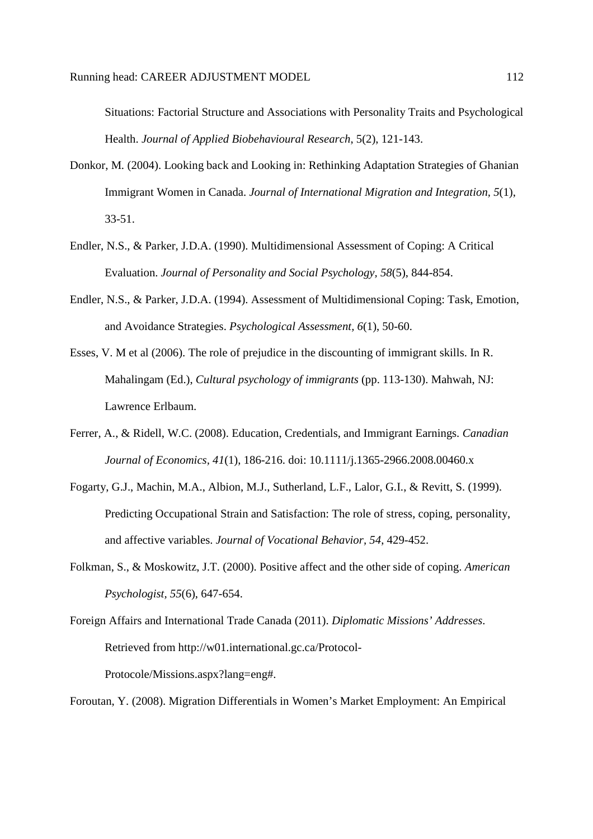Situations: Factorial Structure and Associations with Personality Traits and Psychological Health. *Journal of Applied Biobehavioural Research*, 5(2), 121-143.

- Donkor, M. (2004). Looking back and Looking in: Rethinking Adaptation Strategies of Ghanian Immigrant Women in Canada. *Journal of International Migration and Integration, 5*(1), 33-51.
- Endler, N.S., & Parker, J.D.A. (1990). Multidimensional Assessment of Coping: A Critical Evaluation. *Journal of Personality and Social Psychology, 58*(5), 844-854.
- Endler, N.S., & Parker, J.D.A. (1994). Assessment of Multidimensional Coping: Task, Emotion, and Avoidance Strategies. *Psychological Assessment, 6*(1), 50-60.
- Esses, V. M et al (2006). The role of prejudice in the discounting of immigrant skills. In R. Mahalingam (Ed.), *Cultural psychology of immigrants* (pp. 113-130). Mahwah, NJ: Lawrence Erlbaum.
- Ferrer, A., & Ridell, W.C. (2008). Education, Credentials, and Immigrant Earnings. *Canadian Journal of Economics, 41*(1), 186-216. doi: 10.1111/j.1365-2966.2008.00460.x
- Fogarty, G.J., Machin, M.A., Albion, M.J., Sutherland, L.F., Lalor, G.I., & Revitt, S. (1999). Predicting Occupational Strain and Satisfaction: The role of stress, coping, personality, and affective variables. *Journal of Vocational Behavior, 54*, 429-452.
- Folkman, S., & Moskowitz, J.T. (2000). Positive affect and the other side of coping. *American Psychologist, 55*(6), 647-654.

Foreign Affairs and International Trade Canada (2011). *Diplomatic Missions' Addresses*. Retrieved from http://w01.international.gc.ca/Protocol-Protocole/Missions.aspx?lang=eng#.

Foroutan, Y. (2008). Migration Differentials in Women's Market Employment: An Empirical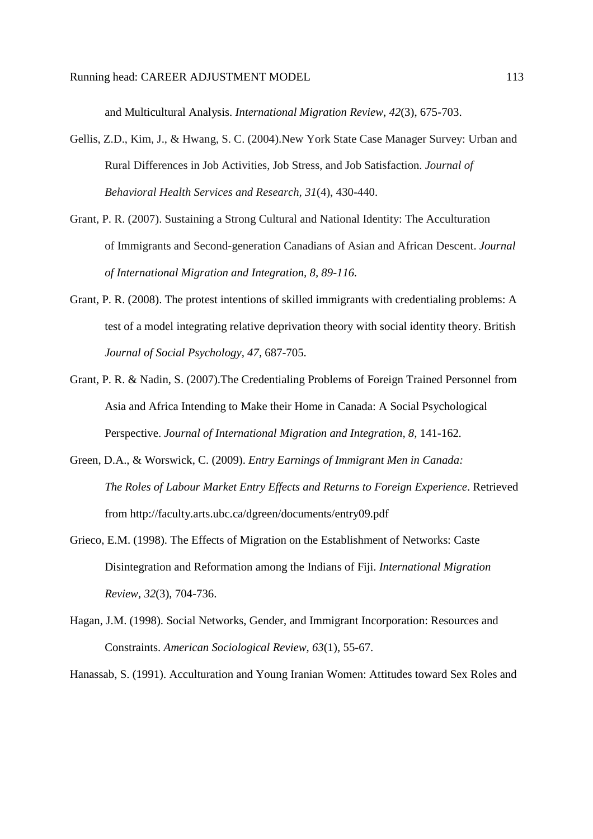and Multicultural Analysis. *International Migration Review*, *42*(3), 675-703.

- Gellis, Z.D., Kim, J., & Hwang, S. C. (2004).New York State Case Manager Survey: Urban and Rural Differences in Job Activities, Job Stress, and Job Satisfaction. *Journal of Behavioral Health Services and Research, 31*(4), 430-440.
- Grant, P. R. (2007). Sustaining a Strong Cultural and National Identity: The Acculturation of Immigrants and Second-generation Canadians of Asian and African Descent. *Journal of International Migration and Integration, 8, 89-116.*
- Grant, P. R. (2008). The protest intentions of skilled immigrants with credentialing problems: A test of a model integrating relative deprivation theory with social identity theory. British *Journal of Social Psychology, 47,* 687-705.
- Grant, P. R. & Nadin, S. (2007).The Credentialing Problems of Foreign Trained Personnel from Asia and Africa Intending to Make their Home in Canada: A Social Psychological Perspective. *Journal of International Migration and Integration, 8,* 141-162*.*
- Green, D.A., & Worswick, C. (2009). *Entry Earnings of Immigrant Men in Canada: The Roles of Labour Market Entry Effects and Returns to Foreign Experience*. Retrieved from http://faculty.arts.ubc.ca/dgreen/documents/entry09.pdf
- Grieco, E.M. (1998). The Effects of Migration on the Establishment of Networks: Caste Disintegration and Reformation among the Indians of Fiji. *International Migration Review, 32*(3), 704-736.
- Hagan, J.M. (1998). Social Networks, Gender, and Immigrant Incorporation: Resources and Constraints. *American Sociological Review, 63*(1), 55-67.

Hanassab, S. (1991). Acculturation and Young Iranian Women: Attitudes toward Sex Roles and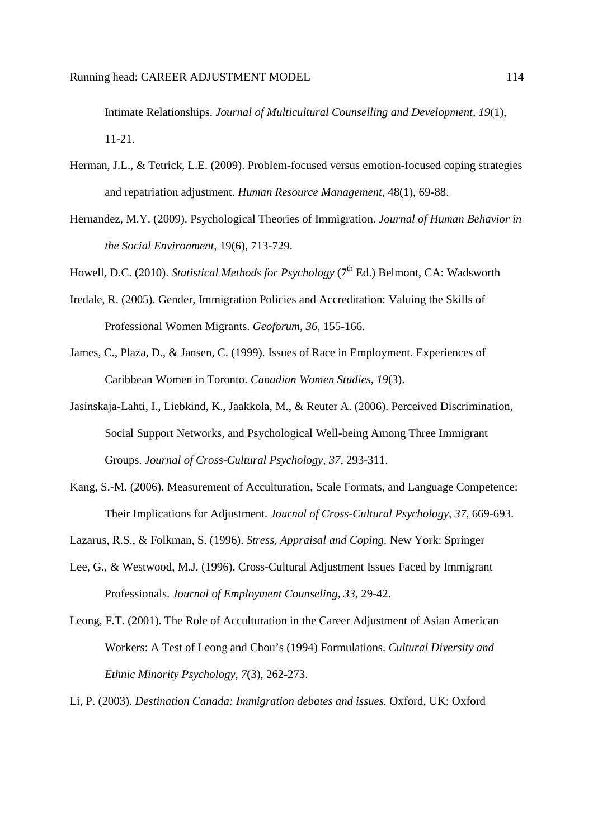Intimate Relationships. *Journal of Multicultural Counselling and Development, 19*(1), 11-21.

- Herman, J.L., & Tetrick, L.E. (2009). Problem-focused versus emotion-focused coping strategies and repatriation adjustment. *Human Resource Management*, 48(1), 69-88.
- Hernandez, M.Y. (2009). Psychological Theories of Immigration. *Journal of Human Behavior in the Social Environment*, 19(6), 713-729.

Howell, D.C. (2010). *Statistical Methods for Psychology* (7<sup>th</sup> Ed.) Belmont, CA: Wadsworth

- Iredale, R. (2005). Gender, Immigration Policies and Accreditation: Valuing the Skills of Professional Women Migrants. *Geoforum, 36*, 155-166.
- James, C., Plaza, D., & Jansen, C. (1999). Issues of Race in Employment. Experiences of Caribbean Women in Toronto. *Canadian Women Studies*, *19*(3).
- Jasinskaja-Lahti, I., Liebkind, K., Jaakkola, M., & Reuter A. (2006). Perceived Discrimination, Social Support Networks, and Psychological Well-being Among Three Immigrant Groups. *Journal of Cross-Cultural Psychology, 37*, 293-311.
- Kang, S.-M. (2006). Measurement of Acculturation, Scale Formats, and Language Competence: Their Implications for Adjustment. *Journal of Cross-Cultural Psychology, 37*, 669-693.

Lazarus, R.S., & Folkman, S. (1996). *Stress, Appraisal and Coping*. New York: Springer

- Lee, G., & Westwood, M.J. (1996). Cross-Cultural Adjustment Issues Faced by Immigrant Professionals. *Journal of Employment Counseling, 33*, 29-42.
- Leong, F.T. (2001). The Role of Acculturation in the Career Adjustment of Asian American Workers: A Test of Leong and Chou's (1994) Formulations. *Cultural Diversity and Ethnic Minority Psychology, 7*(3), 262-273.

Li, P. (2003). *Destination Canada: Immigration debates and issues.* Oxford, UK: Oxford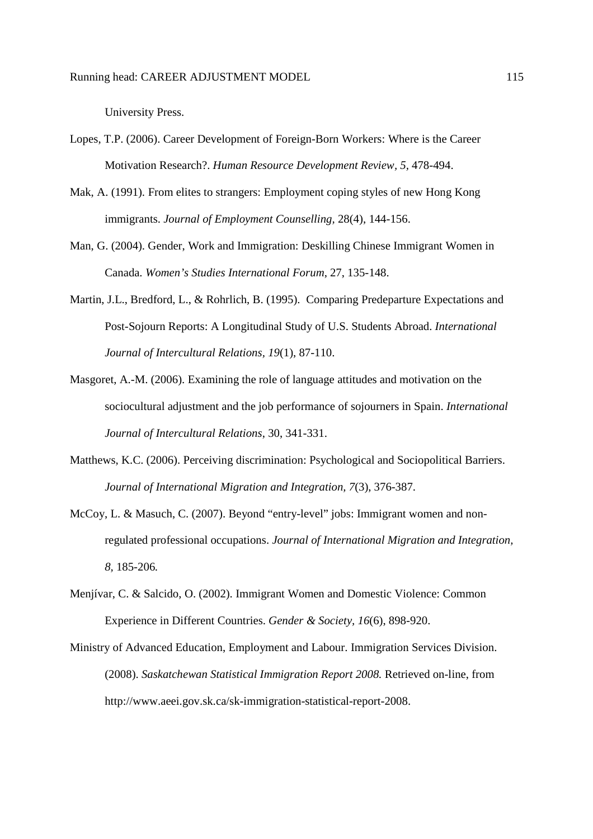University Press.

- Lopes, T.P. (2006). Career Development of Foreign-Born Workers: Where is the Career Motivation Research?. *Human Resource Development Review, 5,* 478-494.
- Mak, A. (1991). From elites to strangers: Employment coping styles of new Hong Kong immigrants. *Journal of Employment Counselling,* 28(4), 144-156.
- Man, G. (2004). Gender, Work and Immigration: Deskilling Chinese Immigrant Women in Canada. *Women's Studies International Forum*, 27, 135-148.
- Martin, J.L., Bredford, L., & Rohrlich, B. (1995). Comparing Predeparture Expectations and Post-Sojourn Reports: A Longitudinal Study of U.S. Students Abroad. *International Journal of Intercultural Relations, 19*(1), 87-110.
- Masgoret, A.-M. (2006). Examining the role of language attitudes and motivation on the sociocultural adjustment and the job performance of sojourners in Spain. *International Journal of Intercultural Relations*, 30, 341-331.
- Matthews, K.C. (2006). Perceiving discrimination: Psychological and Sociopolitical Barriers. *Journal of International Migration and Integration, 7*(3), 376-387.
- McCoy, L. & Masuch, C. (2007). Beyond "entry-level" jobs: Immigrant women and nonregulated professional occupations. *Journal of International Migration and Integration, 8,* 185-206*.*
- Menjívar, C. & Salcido, O. (2002). Immigrant Women and Domestic Violence: Common Experience in Different Countries. *Gender & Society, 16*(6), 898-920.
- Ministry of Advanced Education, Employment and Labour. Immigration Services Division. (2008). *Saskatchewan Statistical Immigration Report 2008.* Retrieved on-line, from http://www.aeei.gov.sk.ca/sk-immigration-statistical-report-2008.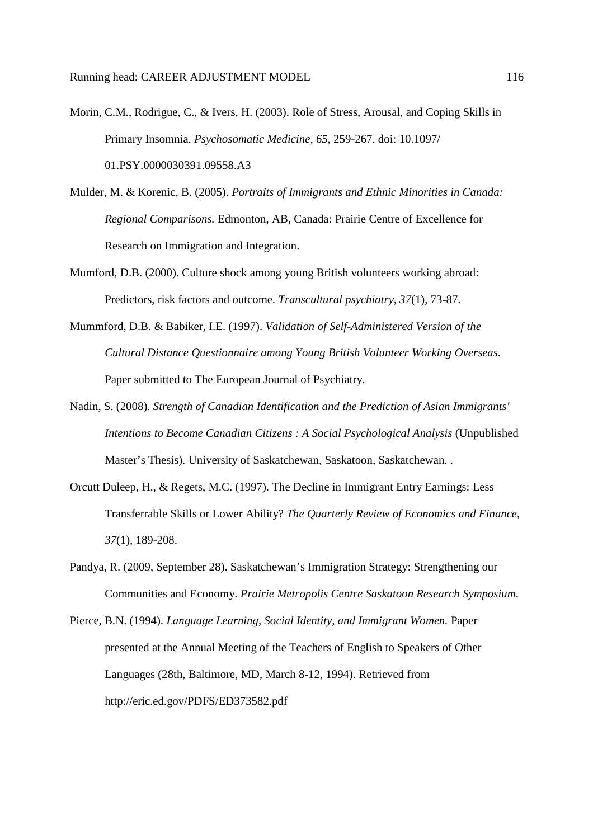- Morin, C.M., Rodrigue, C., & Ivers, H. (2003). Role of Stress, Arousal, and Coping Skills in Primary Insomnia. *Psychosomatic Medicine, 65*, 259-267. doi: 10.1097/ 01.PSY.0000030391.09558.A3
- Mulder, M. & Korenic, B. (2005). *Portraits of Immigrants and Ethnic Minorities in Canada: Regional Comparisons.* Edmonton, AB, Canada: Prairie Centre of Excellence for Research on Immigration and Integration.
- Mumford, D.B. (2000). Culture shock among young British volunteers working abroad: Predictors, risk factors and outcome. *Transcultural psychiatry, 37*(1), 73-87.
- Mummford, D.B. & Babiker, I.E. (1997). *Validation of Self-Administered Version of the Cultural Distance Questionnaire among Young British Volunteer Working Overseas*. Paper submitted to The European Journal of Psychiatry.
- Nadin, S. (2008). *Strength of Canadian Identification and the Prediction of Asian Immigrants' Intentions to Become Canadian Citizens : A Social Psychological Analysis* (Unpublished Master's Thesis). University of Saskatchewan, Saskatoon, Saskatchewan. .
- Orcutt Duleep, H., & Regets, M.C. (1997). The Decline in Immigrant Entry Earnings: Less Transferrable Skills or Lower Ability? *The Quarterly Review of Economics and Finance, 37*(1), 189-208.
- Pandya, R. (2009, September 28). Saskatchewan's Immigration Strategy: Strengthening our Communities and Economy. *Prairie Metropolis Centre Saskatoon Research Symposium*.
- Pierce, B.N. (1994). *Language Learning, Social Identity, and Immigrant Women.* Paper presented at the Annual Meeting of the Teachers of English to Speakers of Other Languages (28th, Baltimore, MD, March 8-12, 1994). Retrieved from http://eric.ed.gov/PDFS/ED373582.pdf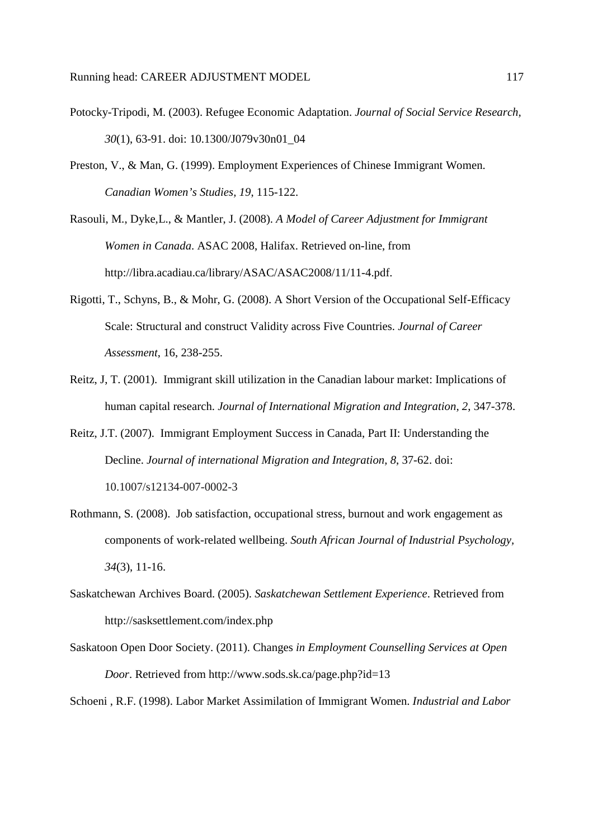- Potocky-Tripodi, M. (2003). Refugee Economic Adaptation. *Journal of Social Service Research, 30*(1), 63-91. doi: 10.1300/J079v30n01\_04
- Preston, V., & Man, G. (1999). Employment Experiences of Chinese Immigrant Women. *Canadian Women's Studies, 19*, 115-122.
- Rasouli, M., Dyke,L., & Mantler, J. (2008). *A Model of Career Adjustment for Immigrant Women in Canada*. ASAC 2008, Halifax. Retrieved on-line, from http://libra.acadiau.ca/library/ASAC/ASAC2008/11/11-4.pdf.
- Rigotti, T., Schyns, B., & Mohr, G. (2008). A Short Version of the Occupational Self-Efficacy Scale: Structural and construct Validity across Five Countries. *Journal of Career Assessment*, 16, 238-255.
- Reitz, J, T. (2001). Immigrant skill utilization in the Canadian labour market: Implications of human capital research. *Journal of International Migration and Integration, 2*, 347-378.
- Reitz, J.T. (2007). Immigrant Employment Success in Canada, Part II: Understanding the Decline. *Journal of international Migration and Integration, 8*, 37-62. doi: 10.1007/s12134-007-0002-3
- Rothmann, S. (2008). Job satisfaction, occupational stress, burnout and work engagement as components of work-related wellbeing. *South African Journal of Industrial Psychology, 34*(3), 11-16.
- Saskatchewan Archives Board. (2005). *Saskatchewan Settlement Experience*. Retrieved from http://sasksettlement.com/index.php
- Saskatoon Open Door Society. (2011). Changes *in Employment Counselling Services at Open Door*. Retrieved from http://www.sods.sk.ca/page.php?id=13

Schoeni , R.F. (1998). Labor Market Assimilation of Immigrant Women. *Industrial and Labor*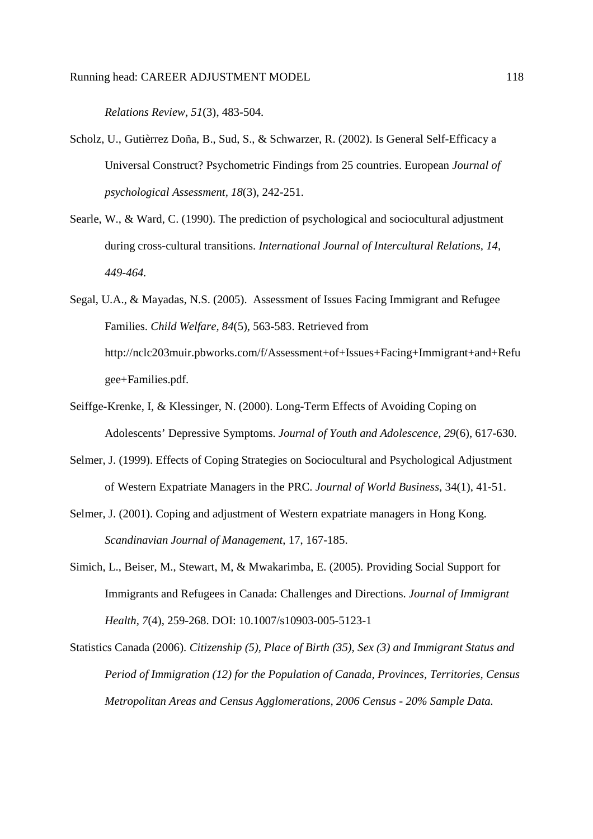*Relations Review, 51*(3), 483-504.

- Scholz, U., Gutièrrez Doña, B., Sud, S., & Schwarzer, R. (2002). Is General Self-Efficacy a Universal Construct? Psychometric Findings from 25 countries. European *Journal of psychological Assessment, 18*(3), 242-251.
- Searle, W., & Ward, C. (1990). The prediction of psychological and sociocultural adjustment during cross-cultural transitions. *International Journal of Intercultural Relations, 14, 449-464.*
- Segal, U.A., & Mayadas, N.S. (2005). Assessment of Issues Facing Immigrant and Refugee Families. *Child Welfare, 84*(5), 563-583. Retrieved from http://nclc203muir.pbworks.com/f/Assessment+of+Issues+Facing+Immigrant+and+Refu gee+Families.pdf.
- Seiffge-Krenke, I, & Klessinger, N. (2000). Long-Term Effects of Avoiding Coping on Adolescents' Depressive Symptoms. *Journal of Youth and Adolescence, 29*(6), 617-630.
- Selmer, J. (1999). Effects of Coping Strategies on Sociocultural and Psychological Adjustment of Western Expatriate Managers in the PRC. *Journal of World Business*, 34(1), 41-51.
- Selmer, J. (2001). Coping and adjustment of Western expatriate managers in Hong Kong. *Scandinavian Journal of Management*, 17, 167-185.
- Simich, L., Beiser, M., Stewart, M, & Mwakarimba, E. (2005). Providing Social Support for Immigrants and Refugees in Canada: Challenges and Directions. *Journal of Immigrant Health, 7*(4), 259-268. DOI: 10.1007/s10903-005-5123-1
- Statistics Canada (2006). *Citizenship (5), Place of Birth (35), Sex (3) and Immigrant Status and Period of Immigration (12) for the Population of Canada, Provinces, Territories, Census Metropolitan Areas and Census Agglomerations, 2006 Census - 20% Sample Data.*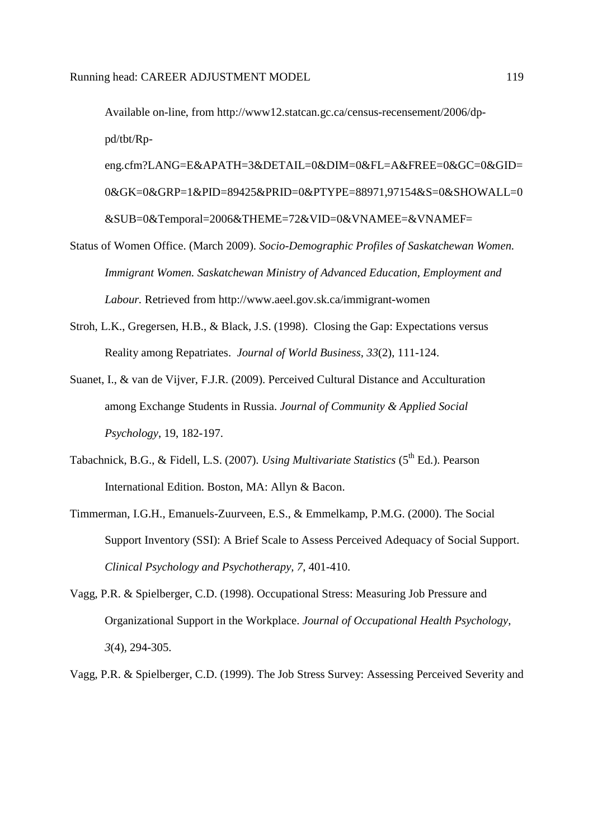Available on-line, from http://www12.statcan.gc.ca/census-recensement/2006/dppd/tbt/Rp-

eng.cfm?LANG=E&APATH=3&DETAIL=0&DIM=0&FL=A&FREE=0&GC=0&GID= 0&GK=0&GRP=1&PID=89425&PRID=0&PTYPE=88971,97154&S=0&SHOWALL=0 &SUB=0&Temporal=2006&THEME=72&VID=0&VNAMEE=&VNAMEF=

- Status of Women Office. (March 2009). *Socio-Demographic Profiles of Saskatchewan Women. Immigrant Women. Saskatchewan Ministry of Advanced Education, Employment and Labour.* Retrieved from http://www.aeel.gov.sk.ca/immigrant-women
- Stroh, L.K., Gregersen, H.B., & Black, J.S. (1998). Closing the Gap: Expectations versus Reality among Repatriates. *Journal of World Business, 33*(2), 111-124.
- Suanet, I., & van de Vijver, F.J.R. (2009). Perceived Cultural Distance and Acculturation among Exchange Students in Russia. *Journal of Community & Applied Social Psychology*, 19, 182-197.
- Tabachnick, B.G., & Fidell, L.S. (2007). *Using Multivariate Statistics* (5<sup>th</sup> Ed.). Pearson International Edition. Boston, MA: Allyn & Bacon.
- Timmerman, I.G.H., Emanuels-Zuurveen, E.S., & Emmelkamp, P.M.G. (2000). The Social Support Inventory (SSI): A Brief Scale to Assess Perceived Adequacy of Social Support. *Clinical Psychology and Psychotherapy, 7*, 401-410.
- Vagg, P.R. & Spielberger, C.D. (1998). Occupational Stress: Measuring Job Pressure and Organizational Support in the Workplace. *Journal of Occupational Health Psychology, 3*(4), 294-305.
- Vagg, P.R. & Spielberger, C.D. (1999). The Job Stress Survey: Assessing Perceived Severity and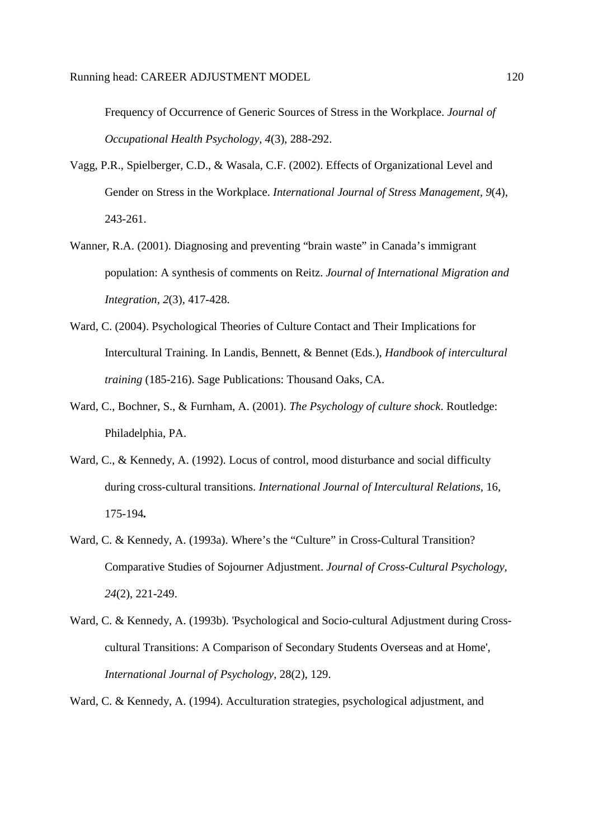Frequency of Occurrence of Generic Sources of Stress in the Workplace. *Journal of Occupational Health Psychology, 4*(3), 288-292.

- Vagg, P.R., Spielberger, C.D., & Wasala, C.F. (2002). Effects of Organizational Level and Gender on Stress in the Workplace. *International Journal of Stress Management, 9*(4), 243-261.
- Wanner, R.A. (2001). Diagnosing and preventing "brain waste" in Canada's immigrant population: A synthesis of comments on Reitz. *Journal of International Migration and Integration, 2*(3), 417-428.
- Ward, C. (2004). Psychological Theories of Culture Contact and Their Implications for Intercultural Training. In Landis, Bennett, & Bennet (Eds.), *Handbook of intercultural training* (185-216). Sage Publications: Thousand Oaks, CA.
- Ward, C., Bochner, S., & Furnham, A. (2001). *The Psychology of culture shock*. Routledge: Philadelphia, PA.
- Ward, C., & Kennedy, A. (1992). Locus of control, mood disturbance and social difficulty during cross-cultural transitions. *International Journal of Intercultural Relations,* 16, 175-194*.*
- Ward, C. & Kennedy, A. (1993a). Where's the "Culture" in Cross-Cultural Transition? Comparative Studies of Sojourner Adjustment. *Journal of Cross-Cultural Psychology, 24*(2), 221-249.
- Ward, C. & Kennedy, A. (1993b). 'Psychological and Socio-cultural Adjustment during Crosscultural Transitions: A Comparison of Secondary Students Overseas and at Home', *International Journal of Psychology,* 28(2), 129.
- Ward, C. & Kennedy, A. (1994). Acculturation strategies, psychological adjustment, and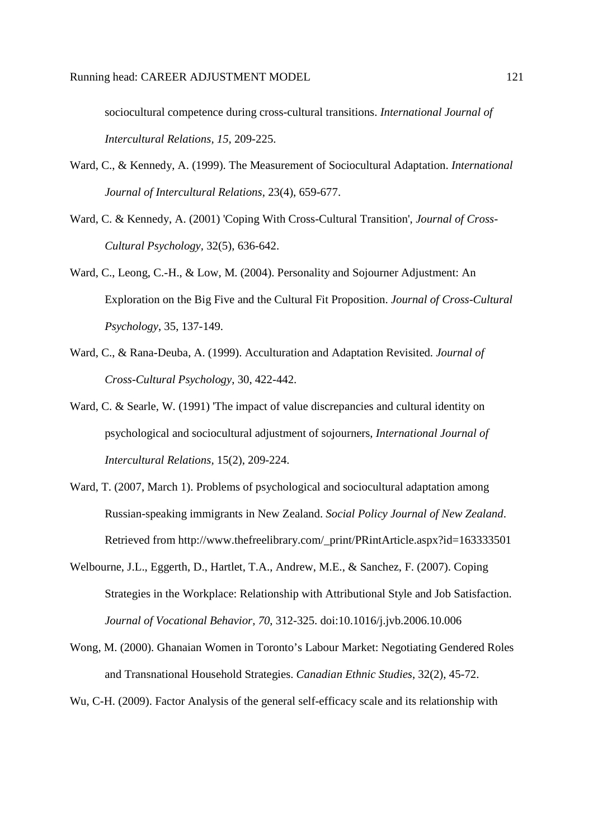sociocultural competence during cross-cultural transitions. *International Journal of Intercultural Relations, 15,* 209-225.

- Ward, C., & Kennedy, A. (1999). The Measurement of Sociocultural Adaptation. *International Journal of Intercultural Relations*, 23(4), 659-677.
- Ward, C. & Kennedy, A. (2001) 'Coping With Cross-Cultural Transition', *Journal of Cross-Cultural Psychology,* 32(5), 636-642.
- Ward, C., Leong, C.-H., & Low, M. (2004). Personality and Sojourner Adjustment: An Exploration on the Big Five and the Cultural Fit Proposition. *Journal of Cross-Cultural Psychology*, 35, 137-149.
- Ward, C., & Rana-Deuba, A. (1999). Acculturation and Adaptation Revisited. *Journal of Cross-Cultural Psychology*, 30, 422-442.
- Ward, C. & Searle, W. (1991) The impact of value discrepancies and cultural identity on psychological and sociocultural adjustment of sojourners, *International Journal of Intercultural Relations,* 15(2), 209-224.
- Ward, T. (2007, March 1). Problems of psychological and sociocultural adaptation among Russian-speaking immigrants in New Zealand. *Social Policy Journal of New Zealand*. Retrieved from http://www.thefreelibrary.com/\_print/PRintArticle.aspx?id=163333501
- Welbourne, J.L., Eggerth, D., Hartlet, T.A., Andrew, M.E., & Sanchez, F. (2007). Coping Strategies in the Workplace: Relationship with Attributional Style and Job Satisfaction. *Journal of Vocational Behavior, 70*, 312-325. doi:10.1016/j.jvb.2006.10.006
- Wong, M. (2000). Ghanaian Women in Toronto's Labour Market: Negotiating Gendered Roles and Transnational Household Strategies. *Canadian Ethnic Studies*, 32(2), 45-72.

Wu, C-H. (2009). Factor Analysis of the general self-efficacy scale and its relationship with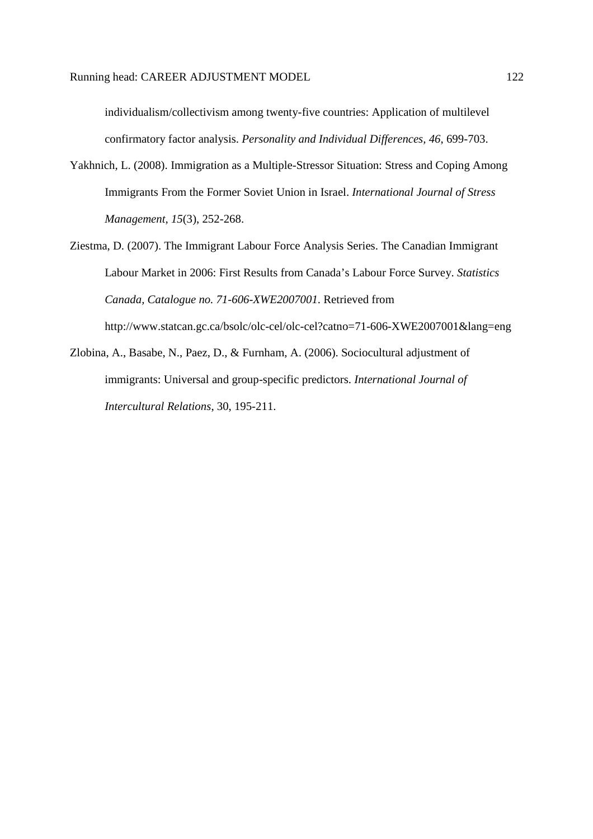individualism/collectivism among twenty-five countries: Application of multilevel confirmatory factor analysis. *Personality and Individual Differences, 46*, 699-703.

- Yakhnich, L. (2008). Immigration as a Multiple-Stressor Situation: Stress and Coping Among Immigrants From the Former Soviet Union in Israel. *International Journal of Stress Management, 15*(3), 252-268.
- Ziestma, D. (2007). The Immigrant Labour Force Analysis Series. The Canadian Immigrant Labour Market in 2006: First Results from Canada's Labour Force Survey. *Statistics Canada, Catalogue no. 71-606-XWE2007001*. Retrieved from http://www.statcan.gc.ca/bsolc/olc-cel/olc-cel?catno=71-606-XWE2007001&lang=eng
- Zlobina, A., Basabe, N., Paez, D., & Furnham, A. (2006). Sociocultural adjustment of immigrants: Universal and group-specific predictors. *International Journal of Intercultural Relations*, 30, 195-211.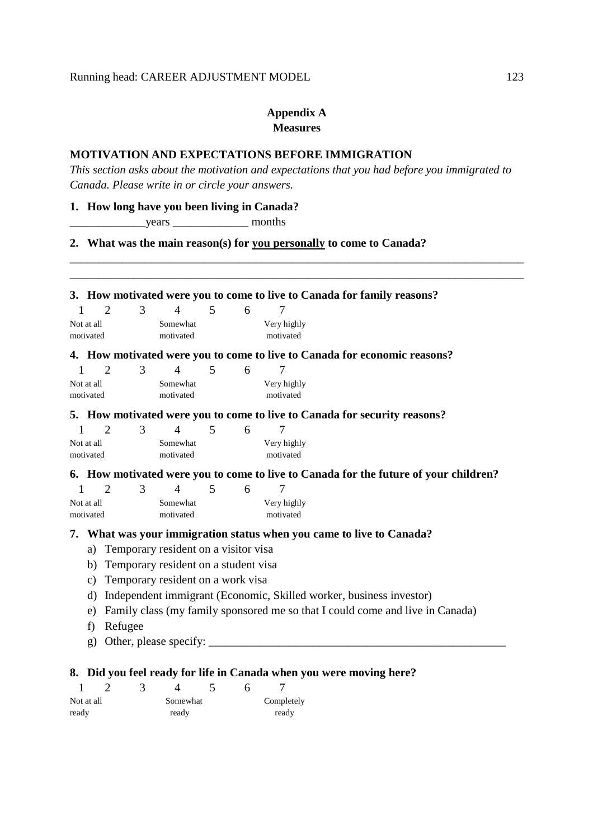## **Appendix A Measures**

## **MOTIVATION AND EXPECTATIONS BEFORE IMMIGRATION**

*This section asks about the motivation and expectations that you had before you immigrated to Canada. Please write in or circle your answers.* 

\_\_\_\_\_\_\_\_\_\_\_\_\_\_\_\_\_\_\_\_\_\_\_\_\_\_\_\_\_\_\_\_\_\_\_\_\_\_\_\_\_\_\_\_\_\_\_\_\_\_\_\_\_\_\_\_\_\_\_\_\_\_\_\_\_\_\_\_\_\_\_\_\_\_\_\_\_\_

## **1. How long have you been living in Canada?**

\_\_\_\_\_\_\_\_\_\_\_\_\_years \_\_\_\_\_\_\_\_\_\_\_\_\_ months

## **2. What was the main reason(s) for you personally to come to Canada?**

|              |                         | 2              | 3 | $\overline{4}$                          | $\mathfrak{H}$ | 6 | 7                        |                                                                                      |
|--------------|-------------------------|----------------|---|-----------------------------------------|----------------|---|--------------------------|--------------------------------------------------------------------------------------|
|              | Not at all<br>motivated |                |   | Somewhat<br>motivated                   |                |   | Very highly<br>motivated |                                                                                      |
|              |                         |                |   |                                         |                |   |                          | 4. How motivated were you to come to live to Canada for economic reasons?            |
| 1            |                         | $\overline{2}$ | 3 | $\overline{4}$                          | 5              | 6 | 7                        |                                                                                      |
|              | Not at all<br>motivated |                |   | Somewhat<br>motivated                   |                |   | Very highly<br>motivated |                                                                                      |
|              |                         |                |   |                                         |                |   |                          | 5. How motivated were you to come to live to Canada for security reasons?            |
| $\mathbf{1}$ |                         | $\overline{2}$ | 3 | $\overline{4}$                          | 5              | 6 |                          |                                                                                      |
|              | Not at all<br>motivated |                |   | Somewhat<br>motivated                   |                |   | Very highly<br>motivated |                                                                                      |
|              |                         |                |   |                                         |                |   |                          | 6. How motivated were you to come to live to Canada for the future of your children? |
| 1            |                         | $\overline{2}$ | 3 | $\overline{4}$                          | 5              | 6 | 7                        |                                                                                      |
|              | Not at all              |                |   | Somewhat                                |                |   | Very highly              |                                                                                      |
|              | motivated               |                |   | motivated                               |                |   | motivated                |                                                                                      |
|              |                         |                |   |                                         |                |   |                          | 7. What was your immigration status when you came to live to Canada?                 |
|              |                         |                |   | a) Temporary resident on a visitor visa |                |   |                          |                                                                                      |
|              |                         |                |   | b) Temporary resident on a student visa |                |   |                          |                                                                                      |
|              | c)                      |                |   | Temporary resident on a work visa       |                |   |                          |                                                                                      |
|              | $\rm d$                 |                |   |                                         |                |   |                          | Independent immigrant (Economic, Skilled worker, business investor)                  |
|              | e)                      |                |   |                                         |                |   |                          | Family class (my family sponsored me so that I could come and live in Canada)        |
|              | f                       | Refugee        |   |                                         |                |   |                          |                                                                                      |
|              | g)                      |                |   |                                         |                |   |                          |                                                                                      |

| Not at all |  | Somewhat |  | Completely |
|------------|--|----------|--|------------|
| ready      |  | ready    |  | ready      |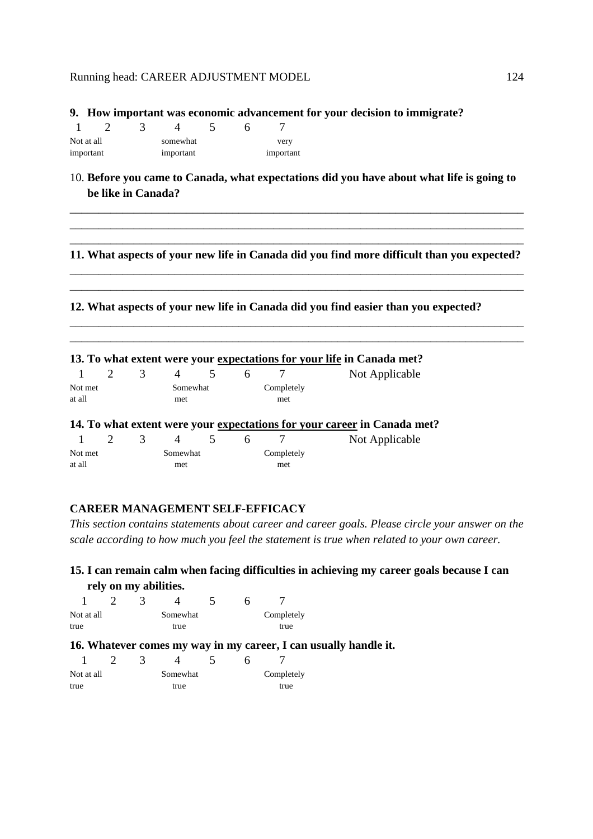#### **9. How important was economic advancement for your decision to immigrate?**

| Not at all |  | somewhat  |  | very      |
|------------|--|-----------|--|-----------|
| important  |  | important |  | important |

10. **Before you came to Canada, what expectations did you have about what life is going to be like in Canada?**

\_\_\_\_\_\_\_\_\_\_\_\_\_\_\_\_\_\_\_\_\_\_\_\_\_\_\_\_\_\_\_\_\_\_\_\_\_\_\_\_\_\_\_\_\_\_\_\_\_\_\_\_\_\_\_\_\_\_\_\_\_\_\_\_\_\_\_\_\_\_\_\_\_\_\_\_\_\_ \_\_\_\_\_\_\_\_\_\_\_\_\_\_\_\_\_\_\_\_\_\_\_\_\_\_\_\_\_\_\_\_\_\_\_\_\_\_\_\_\_\_\_\_\_\_\_\_\_\_\_\_\_\_\_\_\_\_\_\_\_\_\_\_\_\_\_\_\_\_\_\_\_\_\_\_\_\_

## \_\_\_\_\_\_\_\_\_\_\_\_\_\_\_\_\_\_\_\_\_\_\_\_\_\_\_\_\_\_\_\_\_\_\_\_\_\_\_\_\_\_\_\_\_\_\_\_\_\_\_\_\_\_\_\_\_\_\_\_\_\_\_\_\_\_\_\_\_\_\_\_\_\_\_\_\_\_ **11. What aspects of your new life in Canada did you find more difficult than you expected?**  \_\_\_\_\_\_\_\_\_\_\_\_\_\_\_\_\_\_\_\_\_\_\_\_\_\_\_\_\_\_\_\_\_\_\_\_\_\_\_\_\_\_\_\_\_\_\_\_\_\_\_\_\_\_\_\_\_\_\_\_\_\_\_\_\_\_\_\_\_\_\_\_\_\_\_\_\_\_

\_\_\_\_\_\_\_\_\_\_\_\_\_\_\_\_\_\_\_\_\_\_\_\_\_\_\_\_\_\_\_\_\_\_\_\_\_\_\_\_\_\_\_\_\_\_\_\_\_\_\_\_\_\_\_\_\_\_\_\_\_\_\_\_\_\_\_\_\_\_\_\_\_\_\_\_\_\_

\_\_\_\_\_\_\_\_\_\_\_\_\_\_\_\_\_\_\_\_\_\_\_\_\_\_\_\_\_\_\_\_\_\_\_\_\_\_\_\_\_\_\_\_\_\_\_\_\_\_\_\_\_\_\_\_\_\_\_\_\_\_\_\_\_\_\_\_\_\_\_\_\_\_\_\_\_\_ \_\_\_\_\_\_\_\_\_\_\_\_\_\_\_\_\_\_\_\_\_\_\_\_\_\_\_\_\_\_\_\_\_\_\_\_\_\_\_\_\_\_\_\_\_\_\_\_\_\_\_\_\_\_\_\_\_\_\_\_\_\_\_\_\_\_\_\_\_\_\_\_\_\_\_\_\_\_

#### **12. What aspects of your new life in Canada did you find easier than you expected?**

|         |   |          |   |   |            | 13. To what extent were your expectations for your life in Canada met?   |
|---------|---|----------|---|---|------------|--------------------------------------------------------------------------|
|         | 3 | 4        | 5 | 6 |            | Not Applicable                                                           |
| Not met |   | Somewhat |   |   | Completely |                                                                          |
| at all  |   | met      |   |   | met        |                                                                          |
|         |   |          |   |   |            | 14. To what extent were your expectations for your career in Canada met? |
|         | 3 |          | 5 | 6 |            | Not Applicable                                                           |
| Not met |   | Somewhat |   |   | Completely |                                                                          |
| at all  |   | met      |   |   | met        |                                                                          |

## **CAREER MANAGEMENT SELF-EFFICACY**

*This section contains statements about career and career goals. Please circle your answer on the scale according to how much you feel the statement is true when related to your own career.* 

## **15. I can remain calm when facing difficulties in achieving my career goals because I can rely on my abilities.**

| Not at all |  | Somewhat |  | Completely |
|------------|--|----------|--|------------|
| true       |  | true     |  | true       |

#### **16. Whatever comes my way in my career, I can usually handle it.**

| Not at all |  | Somewhat |  | Completely |
|------------|--|----------|--|------------|
| true       |  | true     |  | true       |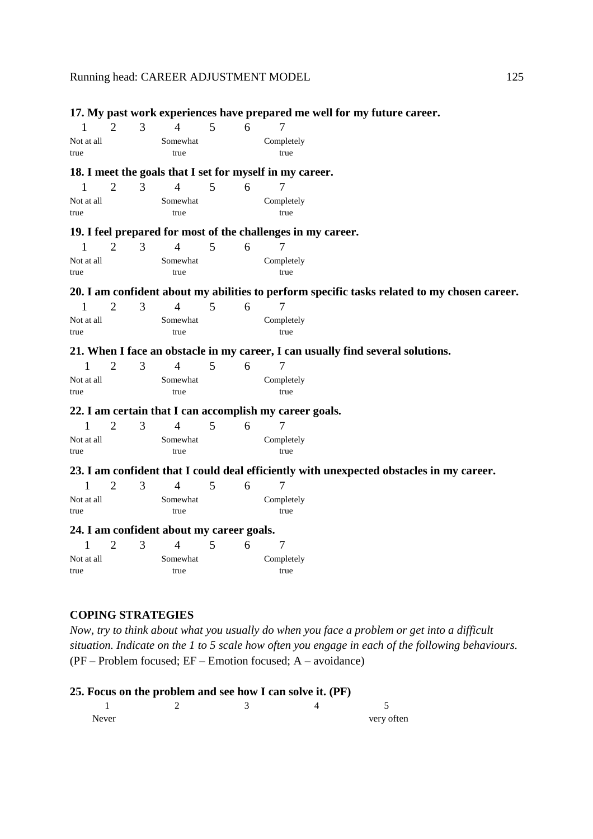|              |                       |   |                                           |   |   |                                                              | 17. My past work experiences have prepared me well for my future career.                     |
|--------------|-----------------------|---|-------------------------------------------|---|---|--------------------------------------------------------------|----------------------------------------------------------------------------------------------|
| $\mathbf{1}$ | $\overline{2}$        | 3 | $\overline{4}$                            | 5 | 6 | 7                                                            |                                                                                              |
| Not at all   |                       |   | Somewhat                                  |   |   | Completely                                                   |                                                                                              |
| true         |                       |   | true                                      |   |   | true                                                         |                                                                                              |
|              |                       |   |                                           |   |   | 18. I meet the goals that I set for myself in my career.     |                                                                                              |
| 1            | $\overline{2}$        | 3 | $\overline{4}$                            | 5 | 6 | 7                                                            |                                                                                              |
| Not at all   |                       |   | Somewhat                                  |   |   | Completely                                                   |                                                                                              |
| true         |                       |   | true                                      |   |   | true                                                         |                                                                                              |
|              |                       |   |                                           |   |   | 19. I feel prepared for most of the challenges in my career. |                                                                                              |
| $\mathbf{1}$ | $\mathcal{D}_{\cdot}$ | 3 | $\overline{4}$                            | 5 | 6 | 7                                                            |                                                                                              |
| Not at all   |                       |   | Somewhat                                  |   |   | Completely                                                   |                                                                                              |
| true         |                       |   | true                                      |   |   | true                                                         |                                                                                              |
|              |                       |   |                                           |   |   |                                                              |                                                                                              |
|              |                       |   |                                           |   |   |                                                              | 20. I am confident about my abilities to perform specific tasks related to my chosen career. |
| $\mathbf{1}$ | $\overline{2}$        | 3 | $\overline{4}$                            | 5 | 6 | 7                                                            |                                                                                              |
| Not at all   |                       |   | Somewhat                                  |   |   | Completely                                                   |                                                                                              |
| true         |                       |   | true                                      |   |   | true                                                         |                                                                                              |
|              |                       |   |                                           |   |   |                                                              | 21. When I face an obstacle in my career, I can usually find several solutions.              |
| 1            | $\overline{2}$        | 3 | $\overline{4}$                            | 5 | 6 | $\overline{7}$                                               |                                                                                              |
| Not at all   |                       |   | Somewhat                                  |   |   | Completely                                                   |                                                                                              |
| true         |                       |   | true                                      |   |   | true                                                         |                                                                                              |
|              |                       |   |                                           |   |   | 22. I am certain that I can accomplish my career goals.      |                                                                                              |
| 1            | $\overline{2}$        | 3 | $\overline{4}$                            | 5 | 6 | 7                                                            |                                                                                              |
| Not at all   |                       |   | Somewhat                                  |   |   | Completely                                                   |                                                                                              |
| true         |                       |   | true                                      |   |   | true                                                         |                                                                                              |
|              |                       |   |                                           |   |   |                                                              | 23. I am confident that I could deal efficiently with unexpected obstacles in my career.     |
| 1            | $\overline{2}$        | 3 | $\overline{4}$                            | 5 | 6 | $\overline{7}$                                               |                                                                                              |
| Not at all   |                       |   | Somewhat                                  |   |   | Completely                                                   |                                                                                              |
| true         |                       |   | true                                      |   |   | true                                                         |                                                                                              |
|              |                       |   | 24. I am confident about my career goals. |   |   |                                                              |                                                                                              |
| 1            | $\overline{2}$        | 3 | $\overline{4}$                            | 5 | 6 | 7                                                            |                                                                                              |
| Not at all   |                       |   | Somewhat                                  |   |   | Completely                                                   |                                                                                              |
| true         |                       |   | true                                      |   |   | true                                                         |                                                                                              |

## **COPING STRATEGIES**

*Now, try to think about what you usually do when you face a problem or get into a difficult situation. Indicate on the 1 to 5 scale how often you engage in each of the following behaviours.*  (PF – Problem focused; EF – Emotion focused; A – avoidance)

## **25. Focus on the problem and see how I can solve it. (PF)**

| Never |  | very often |
|-------|--|------------|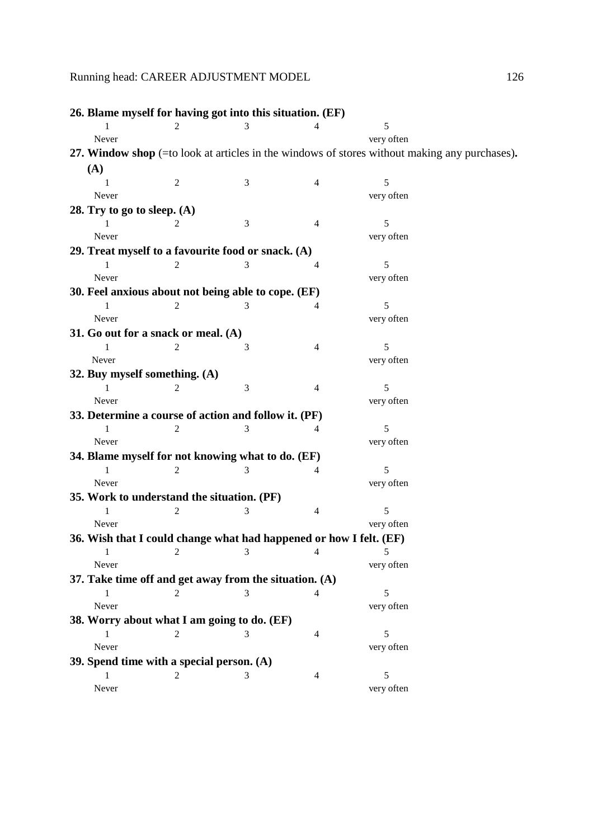| 26. Blame myself for having got into this situation. (EF)          |                |            |                |                                                                                                        |
|--------------------------------------------------------------------|----------------|------------|----------------|--------------------------------------------------------------------------------------------------------|
|                                                                    |                |            |                | 5                                                                                                      |
| Never                                                              |                |            |                | very often                                                                                             |
|                                                                    |                |            |                | 27. Window shop $(=\text{to look at articles in the windows of stores without making any purchases}).$ |
| (A)                                                                |                |            |                |                                                                                                        |
|                                                                    | $\mathfrak{2}$ | 3          | $\overline{4}$ | 5                                                                                                      |
| Never                                                              |                |            |                | very often                                                                                             |
| 28. Try to go to sleep. $(A)$                                      |                |            |                |                                                                                                        |
|                                                                    |                | 3          | 4              | 5                                                                                                      |
| Never                                                              |                |            |                | very often                                                                                             |
| 29. Treat myself to a favourite food or snack. (A)                 |                |            |                |                                                                                                        |
| 1                                                                  | 2              | 3          | 4              | 5                                                                                                      |
| Never                                                              |                |            |                | very often                                                                                             |
| 30. Feel anxious about not being able to cope. (EF)                |                |            |                |                                                                                                        |
|                                                                    |                | 3          | 4              | 5                                                                                                      |
| Never                                                              |                |            |                | very often                                                                                             |
| 31. Go out for a snack or meal. $(A)$                              |                |            |                |                                                                                                        |
| 1                                                                  | $\overline{c}$ | 3          | $\overline{4}$ | 5                                                                                                      |
| Never                                                              |                |            |                | very often                                                                                             |
| 32. Buy myself something. (A)<br>1                                 | 2              | 3          | $\overline{4}$ | 5                                                                                                      |
| Never                                                              |                |            |                | very often                                                                                             |
| 33. Determine a course of action and follow it. (PF)               |                |            |                |                                                                                                        |
| $\mathbf{1}$                                                       | 2              | 3          | $\overline{4}$ | 5                                                                                                      |
| Never                                                              |                |            |                | very often                                                                                             |
| 34. Blame myself for not knowing what to do. (EF)                  |                |            |                |                                                                                                        |
| 1                                                                  | 2              | 3          | 4              | 5                                                                                                      |
| Never                                                              |                |            |                | very often                                                                                             |
| 35. Work to understand the situation. (PF)                         |                |            |                |                                                                                                        |
|                                                                    | $\overline{c}$ | 3          | $\overline{4}$ | 5                                                                                                      |
| Never                                                              |                |            |                | very often                                                                                             |
| 36. Wish that I could change what had happened or how I felt. (EF) |                |            |                |                                                                                                        |
| -1                                                                 | 2              | $3 \sim 3$ | 4              |                                                                                                        |
| Never                                                              |                |            |                | very often                                                                                             |
| 37. Take time off and get away from the situation. $(A)$           |                |            |                |                                                                                                        |
| 1                                                                  | 2              | 3          | 4              | 5                                                                                                      |
| Never                                                              |                |            |                | very often                                                                                             |
| 38. Worry about what I am going to do. (EF)                        |                |            |                |                                                                                                        |
| 1                                                                  |                |            | 4              | 5                                                                                                      |
| Never                                                              |                |            |                | very often                                                                                             |
| 39. Spend time with a special person. (A)                          |                |            |                |                                                                                                        |
| $\mathbf{1}$                                                       | $\overline{c}$ | 3          | $\overline{4}$ | 5                                                                                                      |
| Never                                                              |                |            |                | very often                                                                                             |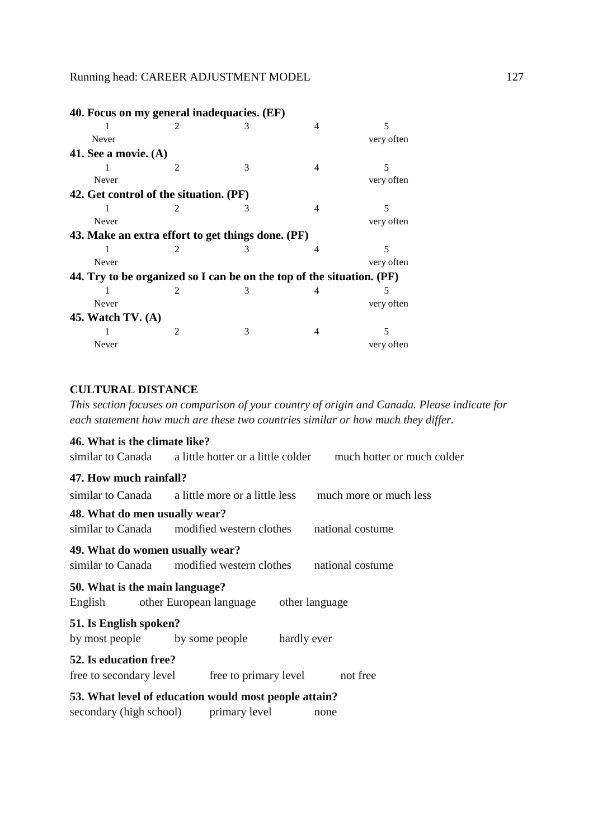| 40. Focus on my general inadequacies. (EF)                            |                             |   |                |            |
|-----------------------------------------------------------------------|-----------------------------|---|----------------|------------|
|                                                                       | $\mathfrak{D}$              | 3 | 4              | 5          |
| Never                                                                 |                             |   |                | very often |
| 41. See a movie. $(A)$                                                |                             |   |                |            |
|                                                                       | $\mathfrak{D}$              | 3 | $\overline{4}$ | 5          |
| Never                                                                 |                             |   |                | very often |
| 42. Get control of the situation. (PF)                                |                             |   |                |            |
| 1                                                                     | $\mathcal{D}_{\mathcal{L}}$ | 3 | 4              | 5          |
| Never                                                                 |                             |   |                | very often |
| 43. Make an extra effort to get things done. (PF)                     |                             |   |                |            |
|                                                                       | 2                           |   | 4              | 5          |
| Never                                                                 |                             |   |                | very often |
| 44. Try to be organized so I can be on the top of the situation. (PF) |                             |   |                |            |
|                                                                       | $\mathcal{D}_{\mathcal{L}}$ | 3 | 4              | 5          |
| Never                                                                 |                             |   |                | very often |
| 45. Watch $TV. (A)$                                                   |                             |   |                |            |
|                                                                       | $\mathfrak{D}$              | 3 | 4              | 5          |
| Never                                                                 |                             |   |                | very often |
|                                                                       |                             |   |                |            |

## **CULTURAL DISTANCE**

*This section focuses on comparison of your country of origin and Canada. Please indicate for each statement how much are these two countries similar or how much they differ.* 

| 46. What is the climate like?         |                                                                                 |
|---------------------------------------|---------------------------------------------------------------------------------|
|                                       | similar to Canada a little hotter or a little colder much hotter or much colder |
| 47. How much rainfall?                |                                                                                 |
|                                       | similar to Canada a little more or a little less much more or much less         |
| 48. What do men usually wear?         |                                                                                 |
|                                       | similar to Canada modified western clothes national costume                     |
| 49. What do women usually wear?       | similar to Canada modified western clothes national costume                     |
| 50. What is the main language?        | English other European language<br>other language                               |
| 51. Is English spoken?                |                                                                                 |
|                                       | by most people by some people hardly ever                                       |
| 52. Is education free?                |                                                                                 |
| free to secondary level               | free to primary level not free                                                  |
|                                       | 53. What level of education would most people attain?                           |
| secondary (high school) primary level | none                                                                            |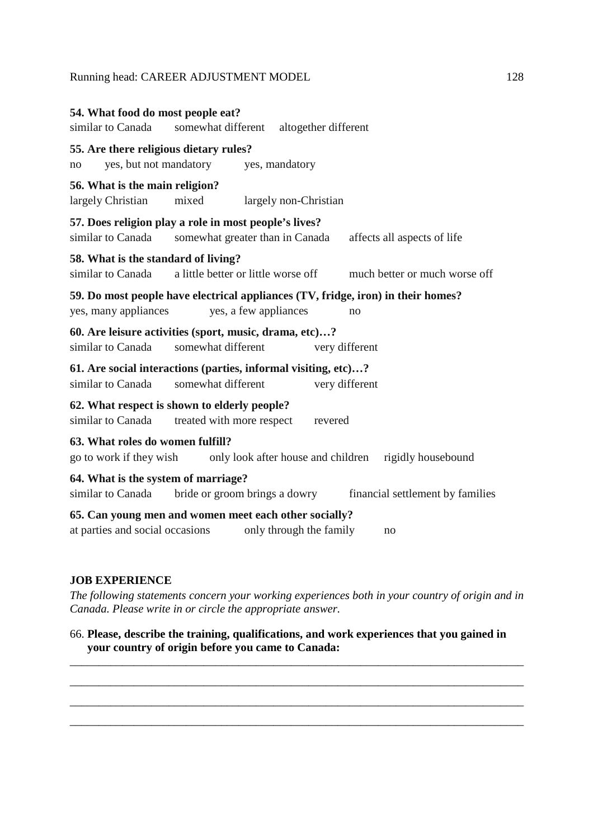| 54. What food do most people eat?<br>similar to Canada                                                   | somewhat different                  | altogether different    |    |                                  |
|----------------------------------------------------------------------------------------------------------|-------------------------------------|-------------------------|----|----------------------------------|
| 55. Are there religious dietary rules?<br>yes, but not mandatory<br>no                                   |                                     | yes, mandatory          |    |                                  |
| 56. What is the main religion?<br>largely Christian                                                      | mixed                               | largely non-Christian   |    |                                  |
| 57. Does religion play a role in most people's lives?<br>similar to Canada                               | somewhat greater than in Canada     |                         |    | affects all aspects of life      |
| 58. What is the standard of living?<br>similar to Canada                                                 | a little better or little worse off |                         |    | much better or much worse off    |
| 59. Do most people have electrical appliances (TV, fridge, iron) in their homes?<br>yes, many appliances | yes, a few appliances               |                         | no |                                  |
| 60. Are leisure activities (sport, music, drama, etc)?<br>similar to Canada                              | somewhat different                  | very different          |    |                                  |
| 61. Are social interactions (parties, informal visiting, etc)?<br>similar to Canada                      | somewhat different                  | very different          |    |                                  |
| 62. What respect is shown to elderly people?<br>similar to Canada                                        | treated with more respect           | revered                 |    |                                  |
| 63. What roles do women fulfill?<br>go to work if they wish                                              | only look after house and children  |                         |    | rigidly housebound               |
| 64. What is the system of marriage?<br>similar to Canada                                                 | bride or groom brings a dowry       |                         |    | financial settlement by families |
| 65. Can young men and women meet each other socially?<br>at parties and social occasions                 |                                     | only through the family | no |                                  |

## **JOB EXPERIENCE**

*The following statements concern your working experiences both in your country of origin and in Canada. Please write in or circle the appropriate answer.* 

\_\_\_\_\_\_\_\_\_\_\_\_\_\_\_\_\_\_\_\_\_\_\_\_\_\_\_\_\_\_\_\_\_\_\_\_\_\_\_\_\_\_\_\_\_\_\_\_\_\_\_\_\_\_\_\_\_\_\_\_\_\_\_\_\_\_\_\_\_\_\_\_\_\_\_\_\_\_

\_\_\_\_\_\_\_\_\_\_\_\_\_\_\_\_\_\_\_\_\_\_\_\_\_\_\_\_\_\_\_\_\_\_\_\_\_\_\_\_\_\_\_\_\_\_\_\_\_\_\_\_\_\_\_\_\_\_\_\_\_\_\_\_\_\_\_\_\_\_\_\_\_\_\_\_\_\_

\_\_\_\_\_\_\_\_\_\_\_\_\_\_\_\_\_\_\_\_\_\_\_\_\_\_\_\_\_\_\_\_\_\_\_\_\_\_\_\_\_\_\_\_\_\_\_\_\_\_\_\_\_\_\_\_\_\_\_\_\_\_\_\_\_\_\_\_\_\_\_\_\_\_\_\_\_\_

\_\_\_\_\_\_\_\_\_\_\_\_\_\_\_\_\_\_\_\_\_\_\_\_\_\_\_\_\_\_\_\_\_\_\_\_\_\_\_\_\_\_\_\_\_\_\_\_\_\_\_\_\_\_\_\_\_\_\_\_\_\_\_\_\_\_\_\_\_\_\_\_\_\_\_\_\_\_

## 66. **Please, describe the training, qualifications, and work experiences that you gained in your country of origin before you came to Canada:**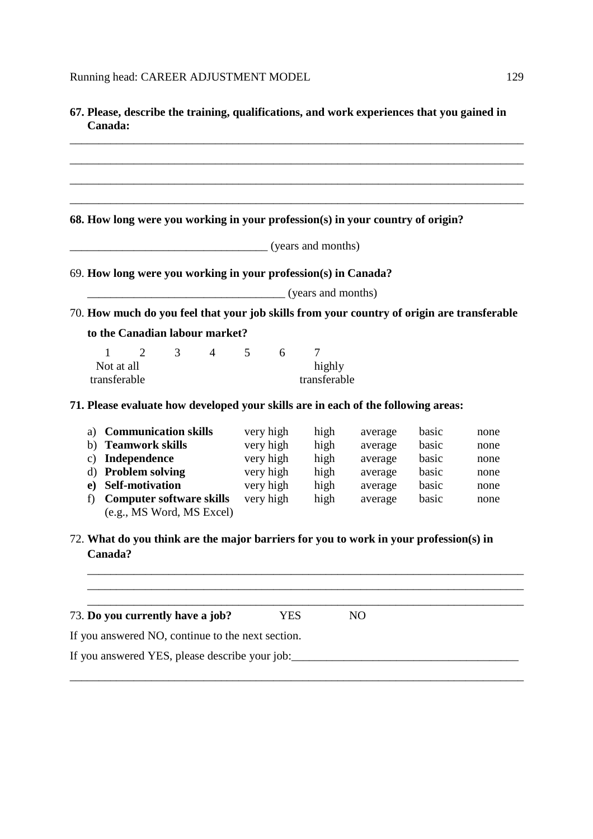| Canada:                                                                                          |                    |                |         |       | 67. Please, describe the training, qualifications, and work experiences that you gained in |
|--------------------------------------------------------------------------------------------------|--------------------|----------------|---------|-------|--------------------------------------------------------------------------------------------|
|                                                                                                  |                    |                |         |       |                                                                                            |
|                                                                                                  |                    |                |         |       |                                                                                            |
| 68. How long were you working in your profession(s) in your country of origin?                   |                    |                |         |       |                                                                                            |
|                                                                                                  | (years and months) |                |         |       |                                                                                            |
|                                                                                                  |                    |                |         |       |                                                                                            |
| 69. How long were you working in your profession(s) in Canada?                                   |                    |                |         |       |                                                                                            |
| $\frac{1}{2}$ (years and months)                                                                 |                    |                |         |       |                                                                                            |
| 70. How much do you feel that your job skills from your country of origin are transferable       |                    |                |         |       |                                                                                            |
| to the Canadian labour market?                                                                   |                    |                |         |       |                                                                                            |
| $4 \quad$<br>$\mathbf{1}$<br>2<br>3 <sup>7</sup>                                                 | 5<br>6             | $\overline{7}$ |         |       |                                                                                            |
| Not at all                                                                                       |                    | highly         |         |       |                                                                                            |
| transferable                                                                                     |                    | transferable   |         |       |                                                                                            |
| 71. Please evaluate how developed your skills are in each of the following areas:                |                    |                |         |       |                                                                                            |
| a) Communication skills                                                                          | very high          | high           | average | basic | none                                                                                       |
| b) Teamwork skills                                                                               | very high          | high           | average | basic | none                                                                                       |
| c) Independence                                                                                  | very high          | high           | average | basic | none                                                                                       |
| d) Problem solving                                                                               | very high          | high           | average | basic | none                                                                                       |
| <b>Self-motivation</b><br>e)                                                                     | very high          | high           | average | basic | none                                                                                       |
| <b>Computer software skills</b><br>f)<br>(e.g., MS Word, MS Excel)                               | very high          | high           | average | basic | none                                                                                       |
| 72. What do you think are the major barriers for you to work in your profession(s) in<br>Canada? |                    |                |         |       |                                                                                            |
|                                                                                                  |                    |                |         |       |                                                                                            |
|                                                                                                  |                    |                |         |       |                                                                                            |
| 73. Do you currently have a job?                                                                 | <b>YES</b>         |                | NO      |       |                                                                                            |
| If you answered NO, continue to the next section.                                                |                    |                |         |       |                                                                                            |
| If you answered YES, please describe your job:                                                   |                    |                |         |       |                                                                                            |

\_\_\_\_\_\_\_\_\_\_\_\_\_\_\_\_\_\_\_\_\_\_\_\_\_\_\_\_\_\_\_\_\_\_\_\_\_\_\_\_\_\_\_\_\_\_\_\_\_\_\_\_\_\_\_\_\_\_\_\_\_\_\_\_\_\_\_\_\_\_\_\_\_\_\_\_\_\_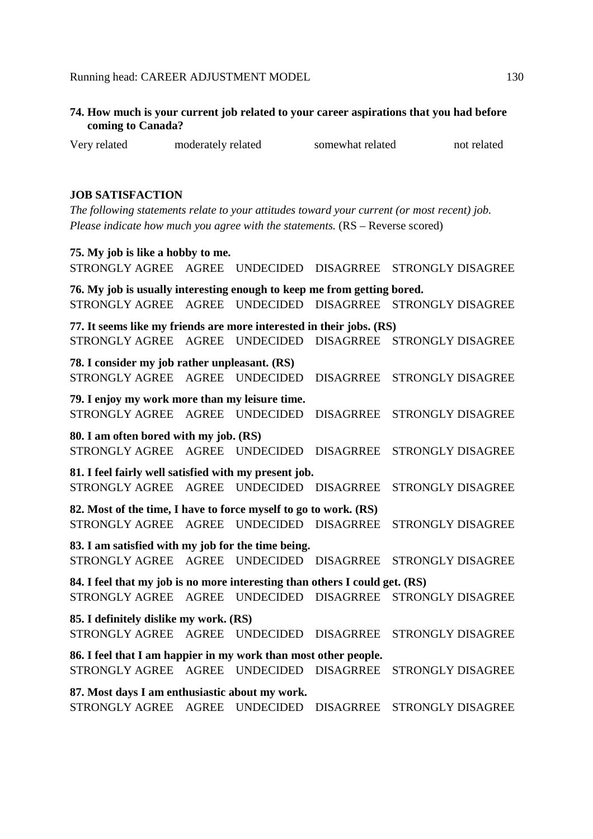| coming to Canada? |                    | 74. How much is your current job related to your career aspirations that you had before |             |
|-------------------|--------------------|-----------------------------------------------------------------------------------------|-------------|
| Very related      | moderately related | somewhat related                                                                        | not related |

#### **JOB SATISFACTION**

*The following statements relate to your attitudes toward your current (or most recent) job. Please indicate how much you agree with the statements.*  $(RS - Reverse\ scored)$ 

#### **75. My job is like a hobby to me.**

STRONGLY AGREE AGREE UNDECIDED DISAGRREE STRONGLY DISAGREE

**76. My job is usually interesting enough to keep me from getting bored.**  STRONGLY AGREE AGREE UNDECIDED DISAGRREE STRONGLY DISAGREE **77. It seems like my friends are more interested in their jobs. (RS)**  STRONGLY AGREE AGREE UNDECIDED DISAGRREE STRONGLY DISAGREE **78. I consider my job rather unpleasant. (RS)**  STRONGLY AGREE AGREE UNDECIDED DISAGRREE STRONGLY DISAGREE **79. I enjoy my work more than my leisure time.**  STRONGLY AGREE AGREE UNDECIDED DISAGRREE STRONGLY DISAGREE **80. I am often bored with my job. (RS)**  STRONGLY AGREE AGREE UNDECIDED DISAGRREE STRONGLY DISAGREE **81. I feel fairly well satisfied with my present job.**  STRONGLY AGREE AGREE UNDECIDED DISAGRREE STRONGLY DISAGREE **82. Most of the time, I have to force myself to go to work. (RS)**  STRONGLY AGREE AGREE UNDECIDED DISAGRREE STRONGLY DISAGREE **83. I am satisfied with my job for the time being.**  STRONGLY AGREE AGREE UNDECIDED DISAGRREE STRONGLY DISAGREE **84. I feel that my job is no more interesting than others I could get. (RS)**  STRONGLY AGREE AGREE UNDECIDED DISAGRREE STRONGLY DISAGREE **85. I definitely dislike my work. (RS)**  STRONGLY AGREE AGREE UNDECIDED DISAGRREE STRONGLY DISAGREE **86. I feel that I am happier in my work than most other people.**  STRONGLY AGREE AGREE UNDECIDED DISAGRREE STRONGLY DISAGREE **87. Most days I am enthusiastic about my work.**  STRONGLY AGREE AGREE UNDECIDED DISAGRREE STRONGLY DISAGREE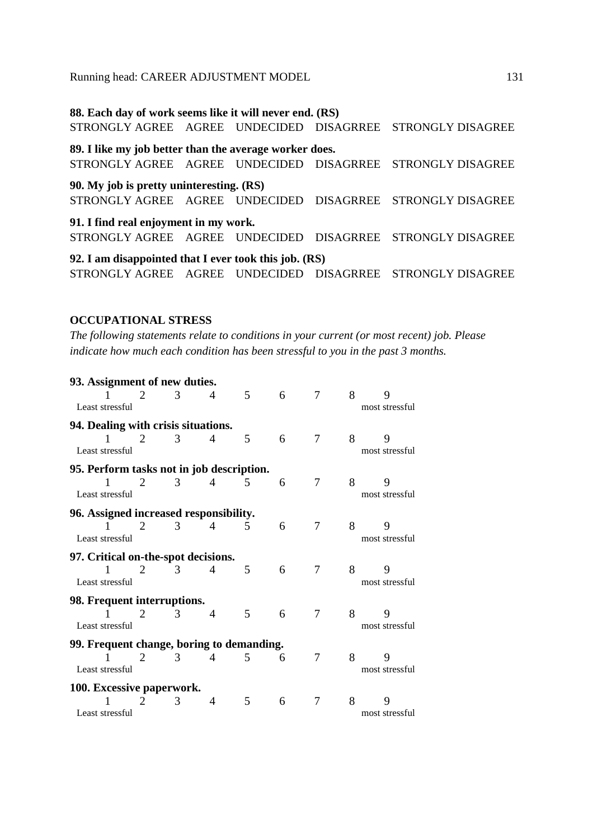**88. Each day of work seems like it will never end. (RS)** STRONGLY AGREE AGREE UNDECIDED DISAGRREE STRONGLY DISAGREE **89. I like my job better than the average worker does.**  STRONGLY AGREE AGREE UNDECIDED DISAGRREE STRONGLY DISAGREE **90. My job is pretty uninteresting. (RS)**  STRONGLY AGREE AGREE UNDECIDED DISAGRREE STRONGLY DISAGREE **91. I find real enjoyment in my work.**  STRONGLY AGREE AGREE UNDECIDED DISAGRREE STRONGLY DISAGREE **92. I am disappointed that I ever took this job. (RS)**  STRONGLY AGREE AGREE UNDECIDED DISAGRREE STRONGLY DISAGREE

#### **OCCUPATIONAL STRESS**

*The following statements relate to conditions in your current (or most recent) job. Please indicate how much each condition has been stressful to you in the past 3 months.* 

| 93. Assignment of new duties.             |   |   |   |   |   |   |   |                     |
|-------------------------------------------|---|---|---|---|---|---|---|---------------------|
| Least stressful                           |   | 3 | 4 | 5 | 6 | 7 | 8 | 9<br>most stressful |
| 94. Dealing with crisis situations.       |   |   |   |   |   |   |   |                     |
| 1<br>Least stressful                      | 2 | 3 | 4 | 5 | 6 | 7 | 8 | 9<br>most stressful |
| 95. Perform tasks not in job description. |   |   |   |   |   |   |   |                     |
| 1<br>Least stressful                      | 2 | 3 | 4 | 5 | 6 | 7 | 8 | 9<br>most stressful |
| 96. Assigned increased responsibility.    |   |   |   |   |   |   |   |                     |
| Least stressful                           | 2 | 3 | 4 | 5 | 6 | 7 | 8 | 9<br>most stressful |
| 97. Critical on-the-spot decisions.       |   |   |   |   |   |   |   |                     |
| 1<br>Least stressful                      | 2 | 3 | 4 | 5 | 6 | 7 | 8 | 9<br>most stressful |
| 98. Frequent interruptions.               |   |   |   |   |   |   |   |                     |
| Least stressful                           | 2 | 3 | 4 | 5 | 6 | 7 | 8 | 9<br>most stressful |
| 99. Frequent change, boring to demanding. |   |   |   |   |   |   |   |                     |
| Least stressful                           | 2 | 3 | 4 | 5 | 6 | 7 | 8 | 9<br>most stressful |
| 100. Excessive paperwork.                 |   |   |   |   |   |   |   |                     |
| Least stressful                           |   | 3 | 4 | 5 | 6 | 7 | 8 | 9<br>most stressful |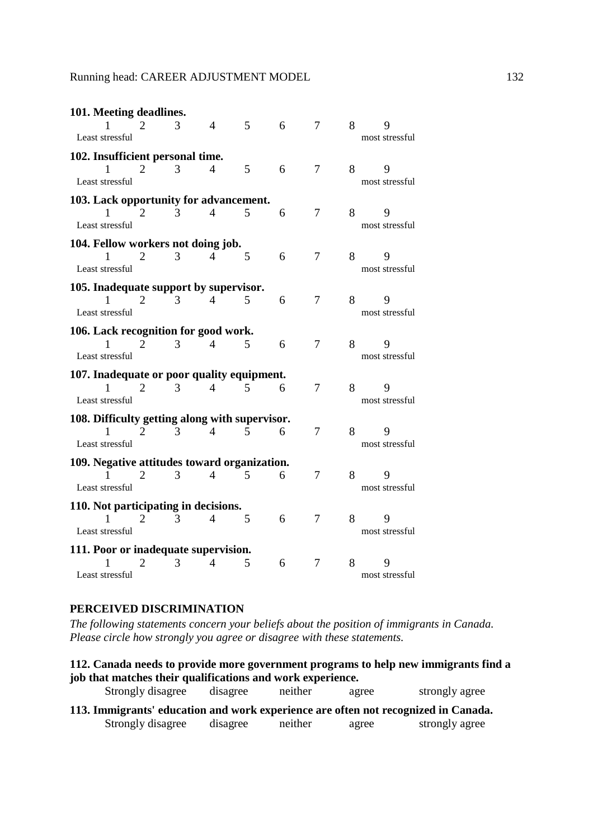| 101. Meeting deadlines.                        |                       |   |   |   |   |                |   |                |
|------------------------------------------------|-----------------------|---|---|---|---|----------------|---|----------------|
|                                                | 2                     | 3 | 4 | 5 | 6 | 7              | 8 | 9              |
| Least stressful                                |                       |   |   |   |   |                |   | most stressful |
| 102. Insufficient personal time.               |                       |   |   |   |   |                |   |                |
| 1                                              | 2                     | 3 | 4 | 5 | 6 | $\overline{7}$ | 8 | 9              |
| Least stressful                                |                       |   |   |   |   |                |   | most stressful |
|                                                |                       |   |   |   |   |                |   |                |
| 103. Lack opportunity for advancement.         |                       |   |   |   |   |                |   |                |
| 1                                              | 2                     | 3 | 4 | 5 | 6 | 7              | 8 | 9              |
| Least stressful                                |                       |   |   |   |   |                |   | most stressful |
| 104. Fellow workers not doing job.             |                       |   |   |   |   |                |   |                |
|                                                | $\overline{2}$        | 3 | 4 | 5 | 6 | 7              | 8 | 9              |
| Least stressful                                |                       |   |   |   |   |                |   | most stressful |
| 105. Inadequate support by supervisor.         |                       |   |   |   |   |                |   |                |
| 1                                              | 2                     | 3 | 4 | 5 | 6 | $\overline{7}$ | 8 | 9              |
| Least stressful                                |                       |   |   |   |   |                |   | most stressful |
|                                                |                       |   |   |   |   |                |   |                |
| 106. Lack recognition for good work.           | 2                     | 3 | 4 | 5 | 6 | 7              | 8 | 9              |
| Least stressful                                |                       |   |   |   |   |                |   | most stressful |
|                                                |                       |   |   |   |   |                |   |                |
| 107. Inadequate or poor quality equipment.     |                       |   |   |   |   |                |   |                |
|                                                | 2                     | 3 | 4 | 5 | 6 | 7              | 8 | 9              |
| Least stressful                                |                       |   |   |   |   |                |   | most stressful |
| 108. Difficulty getting along with supervisor. |                       |   |   |   |   |                |   |                |
|                                                | $\mathcal{D}_{\cdot}$ | 3 | 4 | 5 | 6 | 7              | 8 | 9              |
| Least stressful                                |                       |   |   |   |   |                |   | most stressful |
| 109. Negative attitudes toward organization.   |                       |   |   |   |   |                |   |                |
|                                                | $\mathcal{D}_{\cdot}$ | 3 | 4 | 5 | 6 | 7              | 8 | 9              |
| Least stressful                                |                       |   |   |   |   |                |   | most stressful |
|                                                |                       |   |   |   |   |                |   |                |
| 110. Not participating in decisions.           |                       |   |   |   |   |                |   |                |
|                                                | 2                     | 3 | 4 | 5 | 6 | 7              | 8 | 9              |
| Least stressful                                |                       |   |   |   |   |                |   | most stressful |
| 111. Poor or inadequate supervision.           |                       |   |   |   |   |                |   |                |
|                                                | 2                     | 3 | 4 | 5 | 6 | 7              | 8 | 9              |
| Least stressful                                |                       |   |   |   |   |                |   | most stressful |

## **PERCEIVED DISCRIMINATION**

*The following statements concern your beliefs about the position of immigrants in Canada. Please circle how strongly you agree or disagree with these statements.* 

| 112. Canada needs to provide more government programs to help new immigrants find a |          |         |       |                |  |  |  |  |  |
|-------------------------------------------------------------------------------------|----------|---------|-------|----------------|--|--|--|--|--|
| job that matches their qualifications and work experience.                          |          |         |       |                |  |  |  |  |  |
| Strongly disagree                                                                   | disagree | neither | agree | strongly agree |  |  |  |  |  |

| 113. Immigrants' education and work experience are often not recognized in Canada. |          |         |       |                |
|------------------------------------------------------------------------------------|----------|---------|-------|----------------|
| Strongly disagree                                                                  | disagree | neither | agree | strongly agree |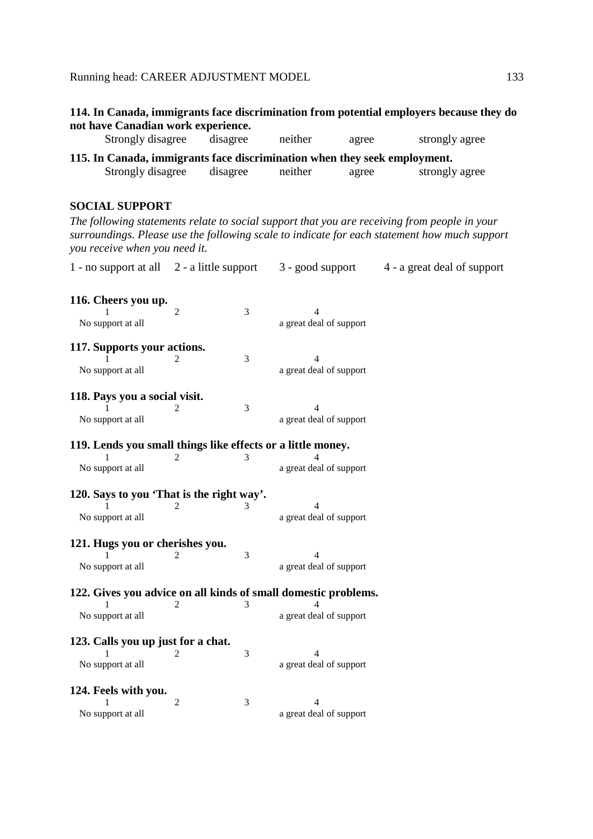|                                    | 114. In Canada, immigrants face discrimination from potential employers because they do |  |  |
|------------------------------------|-----------------------------------------------------------------------------------------|--|--|
| not have Canadian work experience. |                                                                                         |  |  |

| Strongly disagree                                                         | disagree | neither | agree | strongly agree |  |  |  |
|---------------------------------------------------------------------------|----------|---------|-------|----------------|--|--|--|
| 115. In Canada, immigrants face discrimination when they seek employment. |          |         |       |                |  |  |  |
| Strongly disagree                                                         | disagree | neither | agree | strongly agree |  |  |  |

## **SOCIAL SUPPORT**

*The following statements relate to social support that you are receiving from people in your surroundings. Please use the following scale to indicate for each statement how much support you receive when you need it.* 

1 - no support at all 2 - a little support 3 - good support 4 - a great deal of support

| 116. Cheers you up.                                         |                |   |                                                                |
|-------------------------------------------------------------|----------------|---|----------------------------------------------------------------|
|                                                             | 2              | 3 | 4                                                              |
| No support at all                                           |                |   | a great deal of support                                        |
| 117. Supports your actions.                                 |                |   |                                                                |
|                                                             | 2              | 3 | 4                                                              |
| No support at all                                           |                |   | a great deal of support                                        |
| 118. Pays you a social visit.                               |                |   |                                                                |
|                                                             | 2              | 3 | $\overline{4}$                                                 |
| No support at all                                           |                |   | a great deal of support                                        |
| 119. Lends you small things like effects or a little money. |                |   |                                                                |
|                                                             | 2              | 3 |                                                                |
| No support at all                                           |                |   | a great deal of support                                        |
| 120. Says to you 'That is the right way'.                   |                |   |                                                                |
|                                                             | 2              | 3 | 4                                                              |
| No support at all                                           |                |   | a great deal of support                                        |
| 121. Hugs you or cherishes you.                             |                |   |                                                                |
|                                                             |                | 3 | 4                                                              |
| No support at all                                           |                |   | a great deal of support                                        |
|                                                             |                |   | 122. Gives you advice on all kinds of small domestic problems. |
|                                                             | 2              | 3 |                                                                |
| No support at all                                           |                |   | a great deal of support                                        |
| 123. Calls you up just for a chat.                          |                |   |                                                                |
| 1                                                           | 2              | 3 | Δ                                                              |
| No support at all                                           |                |   | a great deal of support                                        |
| 124. Feels with you.                                        |                |   |                                                                |
|                                                             | $\overline{2}$ | 3 | 4                                                              |
| No support at all                                           |                |   | a great deal of support                                        |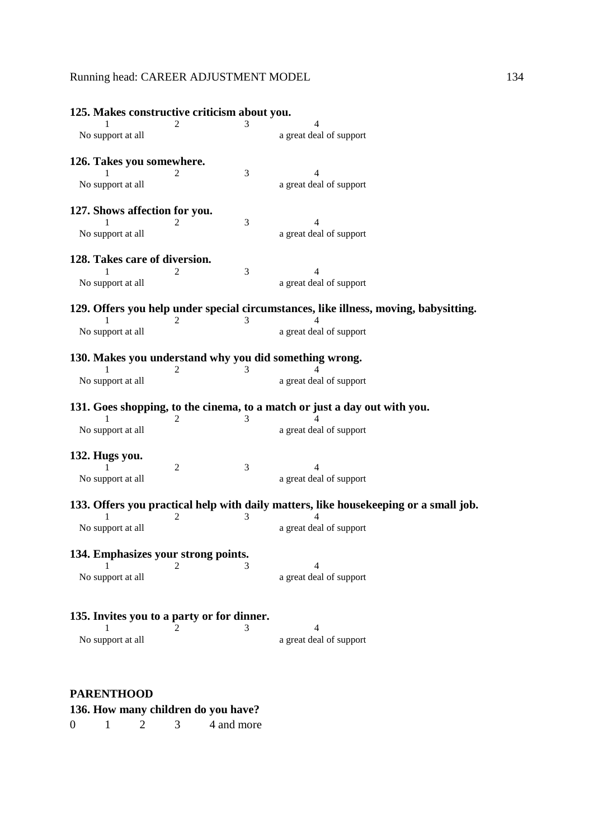| 125. Makes constructive criticism about you. |   |   |                                                                                      |  |
|----------------------------------------------|---|---|--------------------------------------------------------------------------------------|--|
|                                              |   |   |                                                                                      |  |
| No support at all                            |   |   | a great deal of support                                                              |  |
| 126. Takes you somewhere.                    |   |   |                                                                                      |  |
|                                              |   | 3 | 4                                                                                    |  |
| No support at all                            |   |   | a great deal of support                                                              |  |
| 127. Shows affection for you.                |   |   |                                                                                      |  |
|                                              |   | 3 | 4                                                                                    |  |
| No support at all                            |   |   | a great deal of support                                                              |  |
| 128. Takes care of diversion.                |   |   |                                                                                      |  |
|                                              |   | 3 | 4                                                                                    |  |
| No support at all                            |   |   | a great deal of support                                                              |  |
|                                              |   |   | 129. Offers you help under special circumstances, like illness, moving, babysitting. |  |
|                                              | 2 | 3 |                                                                                      |  |
| No support at all                            |   |   | a great deal of support                                                              |  |
|                                              |   |   | 130. Makes you understand why you did something wrong.                               |  |
|                                              | 2 | 3 |                                                                                      |  |
| No support at all                            |   |   | a great deal of support                                                              |  |
|                                              |   |   | 131. Goes shopping, to the cinema, to a match or just a day out with you.            |  |
|                                              | 2 | 3 |                                                                                      |  |
| No support at all                            |   |   | a great deal of support                                                              |  |
| 132. Hugs you.                               |   |   |                                                                                      |  |
|                                              | 2 | 3 | 4                                                                                    |  |
| No support at all                            |   |   | a great deal of support                                                              |  |
|                                              |   |   | 133. Offers you practical help with daily matters, like housekeeping or a small job. |  |
|                                              |   |   |                                                                                      |  |
| No support at all                            |   |   | a great deal of support                                                              |  |
| 134. Emphasizes your strong points.          |   |   |                                                                                      |  |
|                                              | 2 | 3 | 4                                                                                    |  |
| No support at all                            |   |   | a great deal of support                                                              |  |
|                                              |   |   |                                                                                      |  |
| 135. Invites you to a party or for dinner.   |   |   | 4                                                                                    |  |
|                                              |   | 3 |                                                                                      |  |
| No support at all                            |   |   | a great deal of support                                                              |  |
|                                              |   |   |                                                                                      |  |

## **PARENTHOOD**

# **136. How many children do you have?**<br>0 1 2 3 4 and more

 $0 \t 1 \t 2$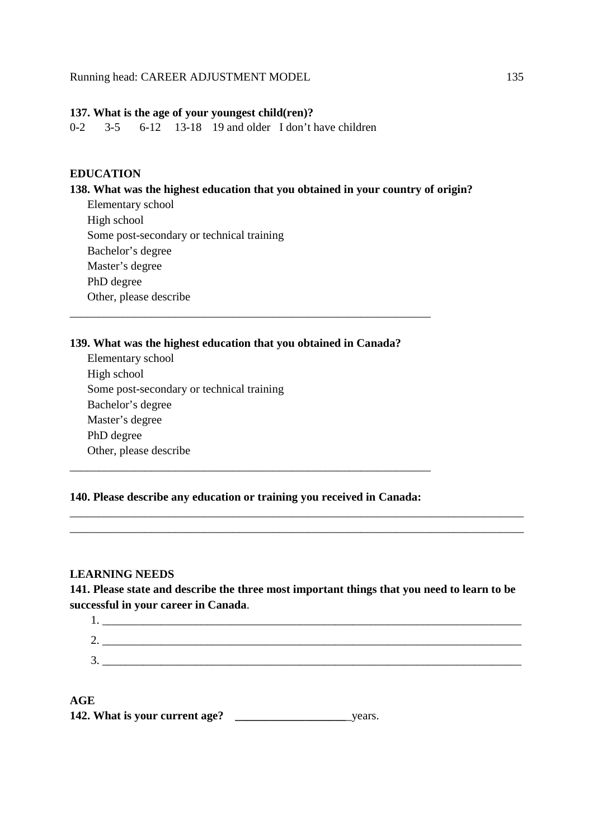#### **137. What is the age of your youngest child(ren)?**

0-2 3-5 6-12 13-18 19 and older I don't have children

## **EDUCATION**

## **138. What was the highest education that you obtained in your country of origin?**

Elementary school High school Some post-secondary or technical training Bachelor's degree Master's degree PhD degree Other, please describe

## **139. What was the highest education that you obtained in Canada?**

\_\_\_\_\_\_\_\_\_\_\_\_\_\_\_\_\_\_\_\_\_\_\_\_\_\_\_\_\_\_\_\_\_\_\_\_\_\_\_\_\_\_\_\_\_\_\_\_\_\_\_\_\_\_\_\_\_\_\_\_\_\_

Elementary school High school Some post-secondary or technical training Bachelor's degree Master's degree PhD degree Other, please describe

## **140. Please describe any education or training you received in Canada:**

\_\_\_\_\_\_\_\_\_\_\_\_\_\_\_\_\_\_\_\_\_\_\_\_\_\_\_\_\_\_\_\_\_\_\_\_\_\_\_\_\_\_\_\_\_\_\_\_\_\_\_\_\_\_\_\_\_\_\_\_\_\_

## **LEARNING NEEDS**

**141. Please state and describe the three most important things that you need to learn to be successful in your career in Canada**.

\_\_\_\_\_\_\_\_\_\_\_\_\_\_\_\_\_\_\_\_\_\_\_\_\_\_\_\_\_\_\_\_\_\_\_\_\_\_\_\_\_\_\_\_\_\_\_\_\_\_\_\_\_\_\_\_\_\_\_\_\_\_\_\_\_\_\_\_\_\_\_\_\_\_\_\_\_\_ \_\_\_\_\_\_\_\_\_\_\_\_\_\_\_\_\_\_\_\_\_\_\_\_\_\_\_\_\_\_\_\_\_\_\_\_\_\_\_\_\_\_\_\_\_\_\_\_\_\_\_\_\_\_\_\_\_\_\_\_\_\_\_\_\_\_\_\_\_\_\_\_\_\_\_\_\_\_

| ∸ |  |
|---|--|
| ╭ |  |
| ້ |  |

## **AGE 142. What is your current age? \_\_\_\_\_\_\_\_\_\_\_\_\_\_\_\_\_\_\_**\_years.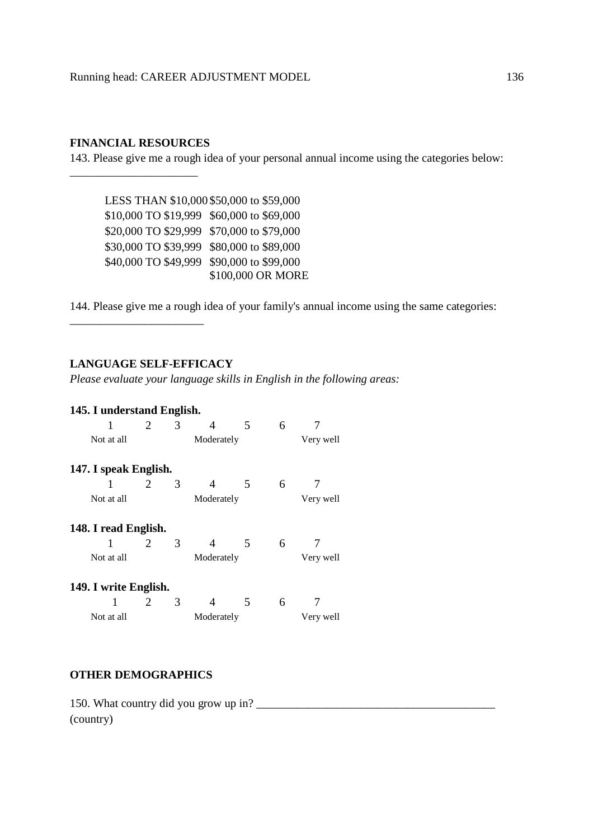## **FINANCIAL RESOURCES**

\_\_\_\_\_\_\_\_\_\_\_\_\_\_\_\_\_\_\_\_\_\_

143. Please give me a rough idea of your personal annual income using the categories below:

 LESS THAN \$10,000 \$50,000 to \$59,000 \$10,000 TO \$19,999 \$60,000 to \$69,000 \$20,000 TO \$29,999 \$70,000 to \$79,000 \$30,000 TO \$39,999 \$80,000 to \$89,000 \$40,000 TO \$49,999 \$90,000 to \$99,000 \$100,000 OR MORE

144. Please give me a rough idea of your family's annual income using the same categories:

#### **LANGUAGE SELF-EFFICACY**

*Please evaluate your language skills in English in the following areas:* 

## **145. I understand English.**

\_\_\_\_\_\_\_\_\_\_\_\_\_\_\_\_\_\_\_\_\_\_\_

| 1                     | $\mathcal{D}_{\mathcal{L}}$ | 3                       |            | 5 | 6 |           |  |
|-----------------------|-----------------------------|-------------------------|------------|---|---|-----------|--|
| Not at all            |                             |                         | Moderately |   |   | Very well |  |
| 147. I speak English. |                             |                         |            |   |   |           |  |
| 1                     | 2                           | 3                       | 4          | 5 | 6 |           |  |
| Not at all            |                             |                         | Moderately |   |   | Very well |  |
| 148. I read English.  |                             |                         |            |   |   |           |  |
| 1                     | 2                           | 3                       | 4          | 5 | 6 |           |  |
| Not at all            |                             |                         | Moderately |   |   | Very well |  |
| 149. I write English. |                             |                         |            |   |   |           |  |
|                       | 2                           | 3                       |            | 5 | 6 |           |  |
| Not at all            |                             | Moderately<br>Very well |            |   |   |           |  |

## **OTHER DEMOGRAPHICS**

150. What country did you grow up in? \_\_\_\_\_\_\_\_\_\_\_\_\_\_\_\_\_\_\_\_\_\_\_\_\_\_\_\_\_\_\_\_\_\_\_\_\_\_\_\_\_ (country)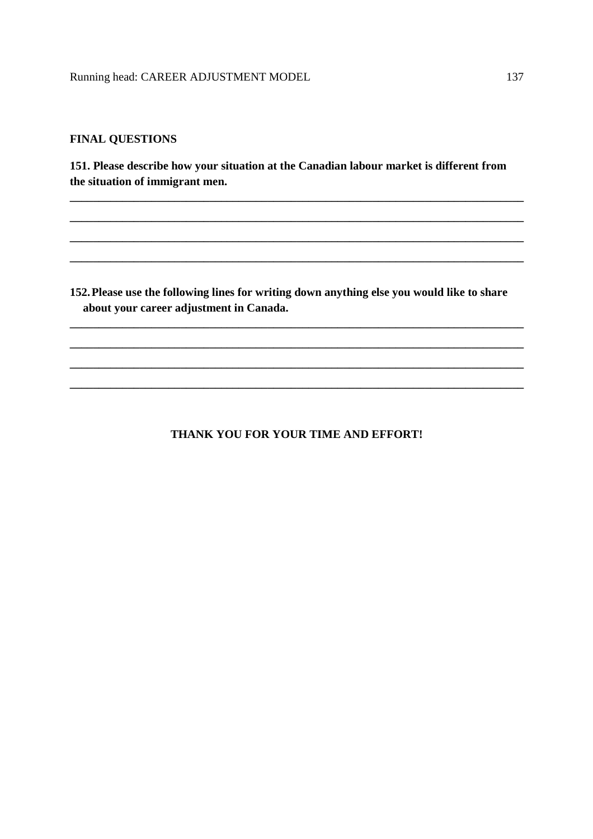## **FINAL QUESTIONS**

**151. Please describe how your situation at the Canadian labour market is different from the situation of immigrant men.** 

**\_\_\_\_\_\_\_\_\_\_\_\_\_\_\_\_\_\_\_\_\_\_\_\_\_\_\_\_\_\_\_\_\_\_\_\_\_\_\_\_\_\_\_\_\_\_\_\_\_\_\_\_\_\_\_\_\_\_\_\_\_\_\_\_\_\_\_\_\_\_\_\_\_\_\_\_\_\_**

**\_\_\_\_\_\_\_\_\_\_\_\_\_\_\_\_\_\_\_\_\_\_\_\_\_\_\_\_\_\_\_\_\_\_\_\_\_\_\_\_\_\_\_\_\_\_\_\_\_\_\_\_\_\_\_\_\_\_\_\_\_\_\_\_\_\_\_\_\_\_\_\_\_\_\_\_\_\_**

**\_\_\_\_\_\_\_\_\_\_\_\_\_\_\_\_\_\_\_\_\_\_\_\_\_\_\_\_\_\_\_\_\_\_\_\_\_\_\_\_\_\_\_\_\_\_\_\_\_\_\_\_\_\_\_\_\_\_\_\_\_\_\_\_\_\_\_\_\_\_\_\_\_\_\_\_\_\_**

**\_\_\_\_\_\_\_\_\_\_\_\_\_\_\_\_\_\_\_\_\_\_\_\_\_\_\_\_\_\_\_\_\_\_\_\_\_\_\_\_\_\_\_\_\_\_\_\_\_\_\_\_\_\_\_\_\_\_\_\_\_\_\_\_\_\_\_\_\_\_\_\_\_\_\_\_\_\_** 

**152.Please use the following lines for writing down anything else you would like to share about your career adjustment in Canada.** 

**\_\_\_\_\_\_\_\_\_\_\_\_\_\_\_\_\_\_\_\_\_\_\_\_\_\_\_\_\_\_\_\_\_\_\_\_\_\_\_\_\_\_\_\_\_\_\_\_\_\_\_\_\_\_\_\_\_\_\_\_\_\_\_\_\_\_\_\_\_\_\_\_\_\_\_\_\_\_**

**\_\_\_\_\_\_\_\_\_\_\_\_\_\_\_\_\_\_\_\_\_\_\_\_\_\_\_\_\_\_\_\_\_\_\_\_\_\_\_\_\_\_\_\_\_\_\_\_\_\_\_\_\_\_\_\_\_\_\_\_\_\_\_\_\_\_\_\_\_\_\_\_\_\_\_\_\_\_**

**\_\_\_\_\_\_\_\_\_\_\_\_\_\_\_\_\_\_\_\_\_\_\_\_\_\_\_\_\_\_\_\_\_\_\_\_\_\_\_\_\_\_\_\_\_\_\_\_\_\_\_\_\_\_\_\_\_\_\_\_\_\_\_\_\_\_\_\_\_\_\_\_\_\_\_\_\_\_**

**\_\_\_\_\_\_\_\_\_\_\_\_\_\_\_\_\_\_\_\_\_\_\_\_\_\_\_\_\_\_\_\_\_\_\_\_\_\_\_\_\_\_\_\_\_\_\_\_\_\_\_\_\_\_\_\_\_\_\_\_\_\_\_\_\_\_\_\_\_\_\_\_\_\_\_\_\_\_** 

## **THANK YOU FOR YOUR TIME AND EFFORT!**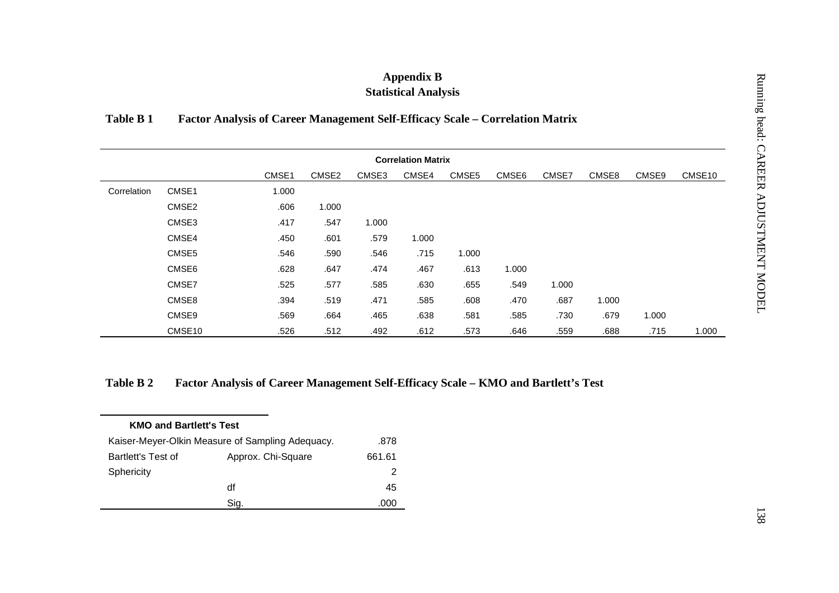| Table B 1   |        |                                                                               |       |       | <b>Appendix B</b><br><b>Statistical Analysis</b> |       |       |       |       |       |        |
|-------------|--------|-------------------------------------------------------------------------------|-------|-------|--------------------------------------------------|-------|-------|-------|-------|-------|--------|
|             |        | Factor Analysis of Career Management Self-Efficacy Scale - Correlation Matrix |       |       |                                                  |       |       |       |       |       |        |
|             |        |                                                                               |       |       | <b>Correlation Matrix</b>                        |       |       |       |       |       |        |
|             |        | CMSE1                                                                         | CMSE2 | CMSE3 | CMSE4                                            | CMSE5 | CMSE6 | CMSE7 | CMSE8 | CMSE9 | CMSE10 |
| Correlation | CMSE1  | 1.000                                                                         |       |       |                                                  |       |       |       |       |       |        |
|             | CMSE2  | .606                                                                          | 1.000 |       |                                                  |       |       |       |       |       |        |
|             | CMSE3  | .417                                                                          | .547  | 1.000 |                                                  |       |       |       |       |       |        |
|             | CMSE4  | .450                                                                          | .601  | .579  | 1.000                                            |       |       |       |       |       |        |
|             | CMSE5  | .546                                                                          | .590  | .546  | .715                                             | 1.000 |       |       |       |       |        |
|             | CMSE6  | .628                                                                          | .647  | .474  | .467                                             | .613  | 1.000 |       |       |       |        |
|             | CMSE7  | .525                                                                          | .577  | .585  | .630                                             | .655  | .549  | 1.000 |       |       |        |
|             | CMSE8  | .394                                                                          | .519  | .471  | .585                                             | .608  | .470  | .687  | 1.000 |       |        |
|             | CMSE9  | .569                                                                          | .664  | .465  | .638                                             | .581  | .585  | .730  | .679  | 1.000 |        |
|             | CMSE10 | .526                                                                          | .512  | .492  | .612                                             | .573  | .646  | .559  | .688  | .715  | 1.000  |

| <b>KMO and Bartlett's Test</b>                   |                    |        |
|--------------------------------------------------|--------------------|--------|
| Kaiser-Meyer-Olkin Measure of Sampling Adequacy. | .878               |        |
| Bartlett's Test of                               | Approx. Chi-Square | 661.61 |
| Sphericity                                       |                    | 2      |
|                                                  | df                 | 45     |
|                                                  | Sig.               |        |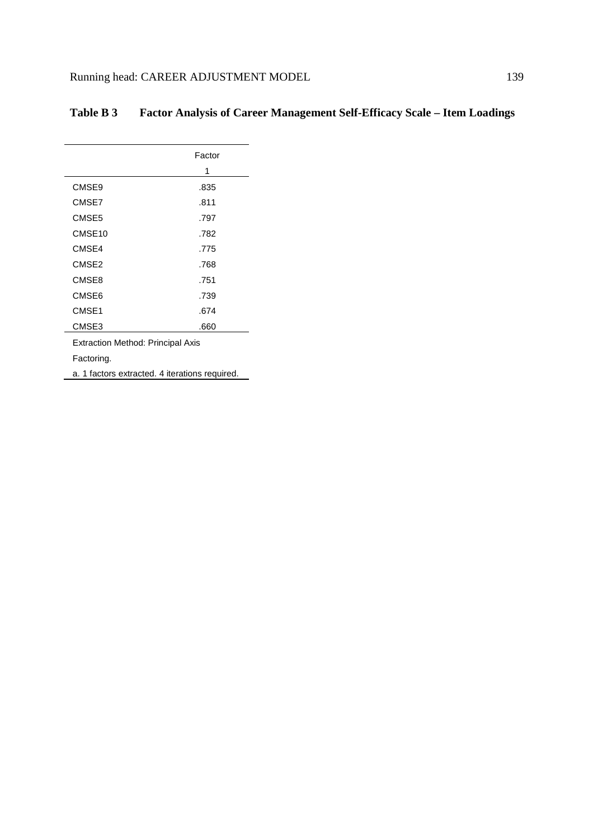|                                                | Factor |
|------------------------------------------------|--------|
|                                                | 1      |
| CMSE9                                          | .835   |
| CMSE7                                          | .811   |
| CMSE5                                          | .797   |
| CMSE <sub>10</sub>                             | .782   |
| CMSE4                                          | .775   |
| CMSE <sub>2</sub>                              | .768   |
| CMSE8                                          | .751   |
| CMSE6                                          | .739   |
| CMSE1                                          | .674   |
| CMSE3                                          | .660   |
| <b>Extraction Method: Principal Axis</b>       |        |
| Factoring.                                     |        |
| a. 1 factors extracted. 4 iterations required. |        |

# **Table B 3 Factor Analysis of Career Management Self-Efficacy Scale – Item Loadings**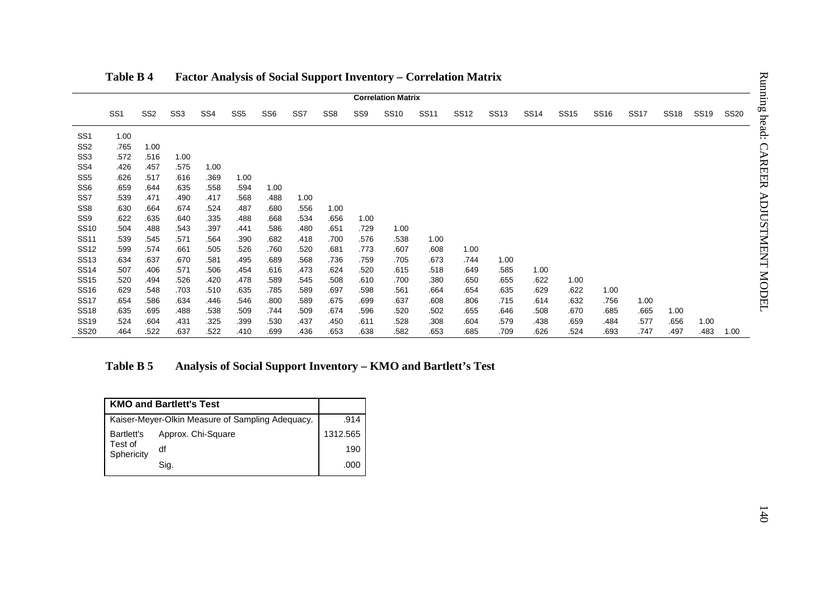|                                    |                       |                 |                                                  |                 |                 |                 |              |                 |                 | <b>Correlation Matrix</b> |                                                                |              |              |              |              |              |              |              |              |             |
|------------------------------------|-----------------------|-----------------|--------------------------------------------------|-----------------|-----------------|-----------------|--------------|-----------------|-----------------|---------------------------|----------------------------------------------------------------|--------------|--------------|--------------|--------------|--------------|--------------|--------------|--------------|-------------|
|                                    | SS <sub>1</sub>       | SS <sub>2</sub> | SS <sub>3</sub>                                  | SS <sub>4</sub> | SS <sub>5</sub> | SS <sub>6</sub> | SS7          | SS <sub>8</sub> | SS <sub>9</sub> | <b>SS10</b>               | <b>SS11</b>                                                    | <b>SS12</b>  | <b>SS13</b>  | <b>SS14</b>  | <b>SS15</b>  | <b>SS16</b>  | <b>SS17</b>  | <b>SS18</b>  | <b>SS19</b>  | <b>SS20</b> |
| SS <sub>1</sub>                    | 1.00                  |                 |                                                  |                 |                 |                 |              |                 |                 |                           |                                                                |              |              |              |              |              |              |              |              |             |
| SS <sub>2</sub>                    | .765                  | 1.00            |                                                  |                 |                 |                 |              |                 |                 |                           |                                                                |              |              |              |              |              |              |              |              |             |
| SS <sub>3</sub><br>SS <sub>4</sub> | .572<br>.426          | .516<br>.457    | 1.00<br>.575                                     | 1.00            |                 |                 |              |                 |                 |                           |                                                                |              |              |              |              |              |              |              |              |             |
| SS <sub>5</sub>                    | .626                  | .517            | .616                                             | .369            | 1.00            |                 |              |                 |                 |                           |                                                                |              |              |              |              |              |              |              |              |             |
| SS <sub>6</sub>                    | .659                  | .644            | .635                                             | .558            | .594            | 1.00            |              |                 |                 |                           |                                                                |              |              |              |              |              |              |              |              |             |
| SS7                                | .539                  | .471            | .490                                             | .417            | .568            | .488            | 1.00         |                 |                 |                           |                                                                |              |              |              |              |              |              |              |              |             |
| SS <sub>8</sub>                    | .630                  | .664            | .674                                             | .524            | .487            | .680            | .556         | 1.00            |                 |                           |                                                                |              |              |              |              |              |              |              |              |             |
| SS <sub>9</sub>                    | .622                  | .635            | .640                                             | .335            | .488            | .668            | .534         | .656            | 1.00            |                           |                                                                |              |              |              |              |              |              |              |              |             |
| <b>SS10</b><br><b>SS11</b>         | .504<br>.539          | .488<br>.545    | .543<br>.571                                     | .397            | .441            | .586            | .480         | .651<br>.700    | .729            | 1.00<br>.538              |                                                                |              |              |              |              |              |              |              |              |             |
| <b>SS12</b>                        | .599                  | .574            | .661                                             | .564<br>.505    | .390<br>.526    | .682<br>.760    | .418<br>.520 | .681            | .576<br>.773    | .607                      | 1.00<br>.608                                                   | 1.00         |              |              |              |              |              |              |              |             |
| <b>SS13</b>                        | .634                  | .637            | .670                                             | .581            | .495            | .689            | .568         | .736            | .759            | .705                      | .673                                                           | .744         | 1.00         |              |              |              |              |              |              |             |
| <b>SS14</b>                        | .507                  | .406            | .571                                             | .506            | .454            | .616            | .473         | .624            | .520            | .615                      | .518                                                           | .649         | .585         | 1.00         |              |              |              |              |              |             |
| <b>SS15</b>                        | .520                  | .494            | .526                                             | .420            | .478            | .589            | .545         | .508            | .610            | .700                      | .380                                                           | .650         | .655         | .622         | 1.00         |              |              |              |              |             |
| <b>SS16</b>                        | .629                  | .548            | .703                                             | .510            | .635            | .785            | .589         | .697            | .598            | .561                      | .664                                                           | .654         | .635         | .629         | .622         | 1.00         |              |              |              |             |
| <b>SS17</b>                        | .654                  | .586            | .634                                             | .446            | .546            | .800            | .589         | .675            | .699            | .637                      | .608                                                           | .806         | .715         | .614         | .632         | .756         | 1.00         |              |              |             |
| <b>SS18</b>                        | .635<br>.524          | .695            | .488                                             | .538            | .509            | .744            | .509         | .674            | .596            | .520                      | .502                                                           | .655         | .646         | .508         | .670         | .685         | .665         | 1.00         |              |             |
| <b>SS19</b><br><b>SS20</b>         | .464                  | .604<br>.522    | .431<br>.637                                     | .325<br>.522    | .399<br>.410    | .530<br>.699    | .437<br>.436 | .450<br>.653    | .611<br>.638    | .528<br>.582              | .308<br>.653                                                   | .604<br>.685 | .579<br>.709 | .438<br>.626 | .659<br>.524 | .484<br>.693 | .577<br>.747 | .656<br>.497 | 1.00<br>.483 | 1.00        |
|                                    | Table B 5             |                 |                                                  |                 |                 |                 |              |                 |                 |                           | Analysis of Social Support Inventory - KMO and Bartlett's Test |              |              |              |              |              |              |              |              |             |
|                                    |                       |                 | <b>KMO and Bartlett's Test</b>                   |                 |                 |                 |              |                 |                 |                           |                                                                |              |              |              |              |              |              |              |              |             |
|                                    |                       |                 | Kaiser-Meyer-Olkin Measure of Sampling Adequacy. |                 |                 |                 |              |                 | .914            |                           |                                                                |              |              |              |              |              |              |              |              |             |
|                                    | <b>Bartlett's</b>     |                 | Approx. Chi-Square                               |                 |                 |                 |              | 1312.565        |                 |                           |                                                                |              |              |              |              |              |              |              |              |             |
|                                    | Test of<br>Sphericity | df              |                                                  |                 |                 |                 |              |                 | 190             |                           |                                                                |              |              |              |              |              |              |              |              |             |
|                                    |                       |                 | Sig.                                             |                 |                 |                 |              |                 | .000            |                           |                                                                |              |              |              |              |              |              |              |              |             |

|                       | <b>KMO and Bartlett's Test</b>                   |          |
|-----------------------|--------------------------------------------------|----------|
|                       | Kaiser-Meyer-Olkin Measure of Sampling Adequacy. | .914     |
| Bartlett's            | Approx. Chi-Square                               | 1312.565 |
| Test of<br>Sphericity | df                                               | 190      |
|                       | Sig.                                             | .000     |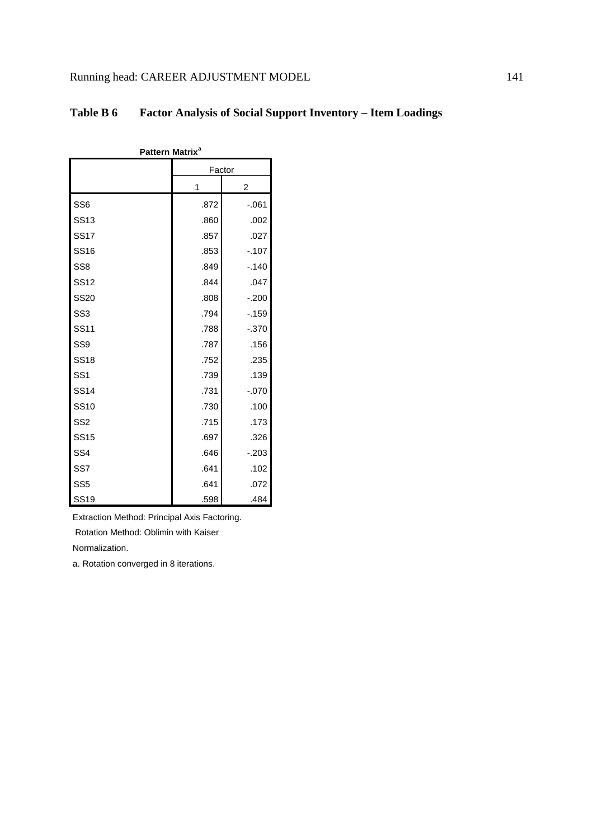| Pattern Matrix <sup>a</sup> |        |          |  |  |  |  |
|-----------------------------|--------|----------|--|--|--|--|
|                             | Factor |          |  |  |  |  |
|                             | 1      | 2        |  |  |  |  |
| SS <sub>6</sub>             | .872   | $-061$   |  |  |  |  |
| <b>SS13</b>                 | .860   | .002     |  |  |  |  |
| <b>SS17</b>                 | .857   | .027     |  |  |  |  |
| <b>SS16</b>                 | .853   | $-.107$  |  |  |  |  |
| SS <sub>8</sub>             | .849   | $-.140$  |  |  |  |  |
| <b>SS12</b>                 | .844   | .047     |  |  |  |  |
| <b>SS20</b>                 | .808   | $-200$   |  |  |  |  |
| SS <sub>3</sub>             | .794   | $-.159$  |  |  |  |  |
| <b>SS11</b>                 | .788   | $-0.370$ |  |  |  |  |
| SS <sub>9</sub>             | .787   | .156     |  |  |  |  |
| <b>SS18</b>                 | .752   | .235     |  |  |  |  |
| SS <sub>1</sub>             | .739   | .139     |  |  |  |  |
| <b>SS14</b>                 | .731   | $-070$   |  |  |  |  |
| <b>SS10</b>                 | .730   | .100     |  |  |  |  |
| SS <sub>2</sub>             | .715   | .173     |  |  |  |  |
| <b>SS15</b>                 | .697   | .326     |  |  |  |  |
| SS <sub>4</sub>             | .646   | $-203$   |  |  |  |  |
| SS <sub>7</sub>             | .641   | .102     |  |  |  |  |
| SS <sub>5</sub>             | .641   | .072     |  |  |  |  |
| <b>SS19</b>                 | .598   | .484     |  |  |  |  |

## **Table B 6 Factor Analysis of Social Support Inventory – Item Loadings**

Extraction Method: Principal Axis Factoring.

Rotation Method: Oblimin with Kaiser

Normalization.

a. Rotation converged in 8 iterations.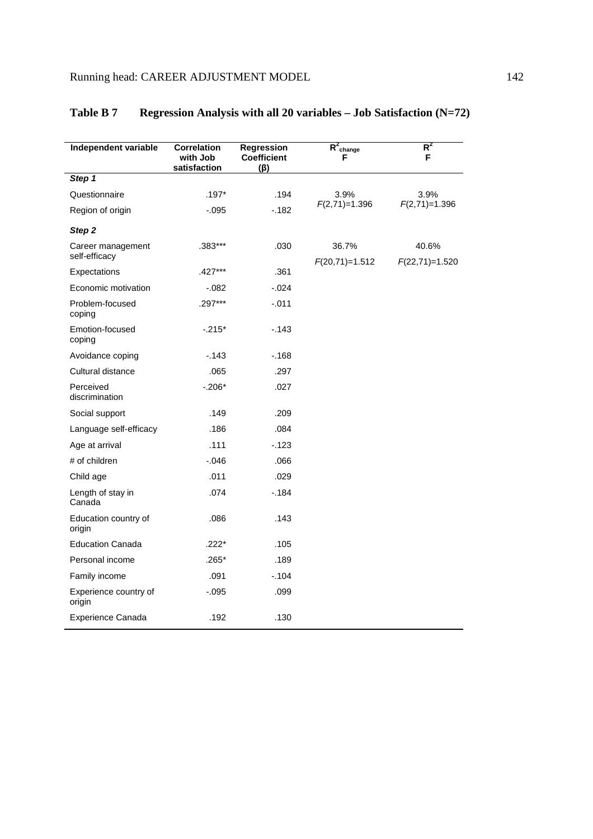| Independent variable               | <b>Correlation</b><br>with Job<br>satisfaction | Regression<br><b>Coefficient</b><br>$(\beta)$ | $R^2$ change<br>F         | $R^2$<br>F                |
|------------------------------------|------------------------------------------------|-----------------------------------------------|---------------------------|---------------------------|
| Step 1                             |                                                |                                               |                           |                           |
| Questionnaire                      | $.197*$                                        | .194                                          | 3.9%                      | 3.9%                      |
| Region of origin                   | $-.095$                                        | $-182$                                        | $F(2,71)=1.396$           | $F(2,71)=1.396$           |
| Step 2                             |                                                |                                               |                           |                           |
| Career management<br>self-efficacy | .383***                                        | .030                                          | 36.7%<br>$F(20,71)=1.512$ | 40.6%<br>$F(22,71)=1.520$ |
| Expectations                       | .427***                                        | .361                                          |                           |                           |
| Economic motivation                | $-0.082$                                       | $-0.024$                                      |                           |                           |
| Problem-focused<br>coping          | $.297***$                                      | $-.011$                                       |                           |                           |
| Emotion-focused<br>coping          | $-215*$                                        | $-143$                                        |                           |                           |
| Avoidance coping                   | $-143$                                         | $-168$                                        |                           |                           |
| Cultural distance                  | .065                                           | .297                                          |                           |                           |
| Perceived<br>discrimination        | $-.206*$                                       | .027                                          |                           |                           |
| Social support                     | .149                                           | .209                                          |                           |                           |
| Language self-efficacy             | .186                                           | .084                                          |                           |                           |
| Age at arrival                     | .111                                           | $-123$                                        |                           |                           |
| # of children                      | $-0.046$                                       | .066                                          |                           |                           |
| Child age                          | .011                                           | .029                                          |                           |                           |
| Length of stay in<br>Canada        | .074                                           | $-184$                                        |                           |                           |
| Education country of<br>origin     | .086                                           | .143                                          |                           |                           |
| <b>Education Canada</b>            | $.222*$                                        | .105                                          |                           |                           |
| Personal income                    | $.265*$                                        | .189                                          |                           |                           |
| Family income                      | .091                                           | $-.104$                                       |                           |                           |
| Experience country of<br>origin    | $-0.095$                                       | .099                                          |                           |                           |
| <b>Experience Canada</b>           | .192                                           | .130                                          |                           |                           |

# **Table B 7 Regression Analysis with all 20 variables – Job Satisfaction (N=72)**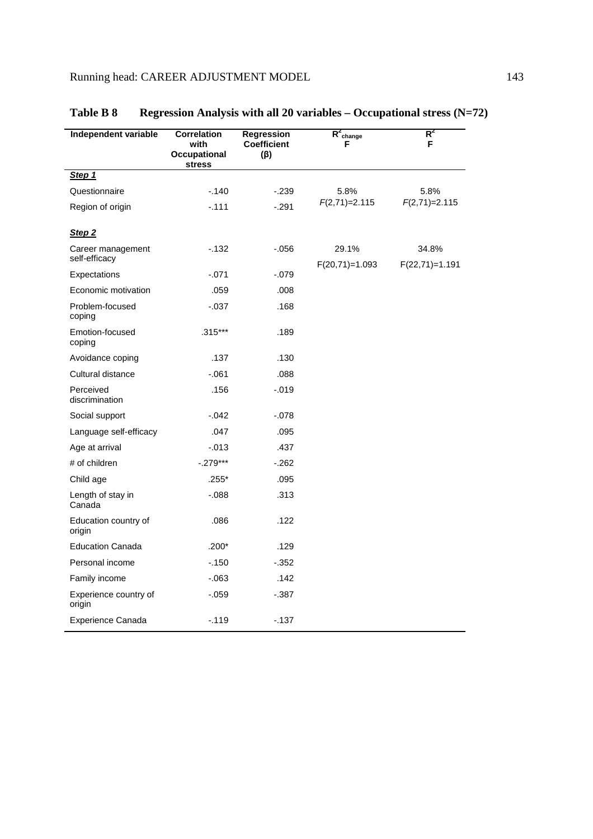| Independent variable               | <b>Correlation</b><br>with<br>Occupational<br>stress | Regression<br><b>Coefficient</b><br>$(\beta)$ | $R^2_{\text{change}}$<br>F | $R^2$<br>F                |
|------------------------------------|------------------------------------------------------|-----------------------------------------------|----------------------------|---------------------------|
| Step 1                             |                                                      |                                               |                            |                           |
| Questionnaire                      | $-140$                                               | $-239$                                        | 5.8%                       | 5.8%                      |
| Region of origin                   | $-0.111$                                             | $-.291$                                       | $F(2,71)=2.115$            | $F(2,71)=2.115$           |
| Step 2                             |                                                      |                                               |                            |                           |
| Career management<br>self-efficacy | $-132$                                               | $-0.056$                                      | 29.1%<br>$F(20,71)=1.093$  | 34.8%<br>$F(22,71)=1.191$ |
| Expectations                       | $-.071$                                              | $-.079$                                       |                            |                           |
| Economic motivation                | .059                                                 | .008                                          |                            |                           |
| Problem-focused<br>coping          | $-0.37$                                              | .168                                          |                            |                           |
| Emotion-focused<br>coping          | $.315***$                                            | .189                                          |                            |                           |
| Avoidance coping                   | .137                                                 | .130                                          |                            |                           |
| Cultural distance                  | $-061$                                               | .088                                          |                            |                           |
| Perceived<br>discrimination        | .156                                                 | $-0.019$                                      |                            |                           |
| Social support                     | $-0.042$                                             | $-.078$                                       |                            |                           |
| Language self-efficacy             | .047                                                 | .095                                          |                            |                           |
| Age at arrival                     | $-0.013$                                             | .437                                          |                            |                           |
| # of children                      | $-.279***$                                           | $-262$                                        |                            |                           |
| Child age                          | $.255*$                                              | .095                                          |                            |                           |
| Length of stay in<br>Canada        | $-0.088$                                             | .313                                          |                            |                           |
| Education country of<br>origin     | .086                                                 | .122                                          |                            |                           |
| <b>Education Canada</b>            | $.200*$                                              | .129                                          |                            |                           |
| Personal income                    | $-.150$                                              | $-.352$                                       |                            |                           |
| Family income                      | $-063$                                               | .142                                          |                            |                           |
| Experience country of<br>origin    | $-0.59$                                              | $-.387$                                       |                            |                           |
| Experience Canada                  | $-.119$                                              | $-137$                                        |                            |                           |

# **Table B 8 Regression Analysis with all 20 variables – Occupational stress (N=72)**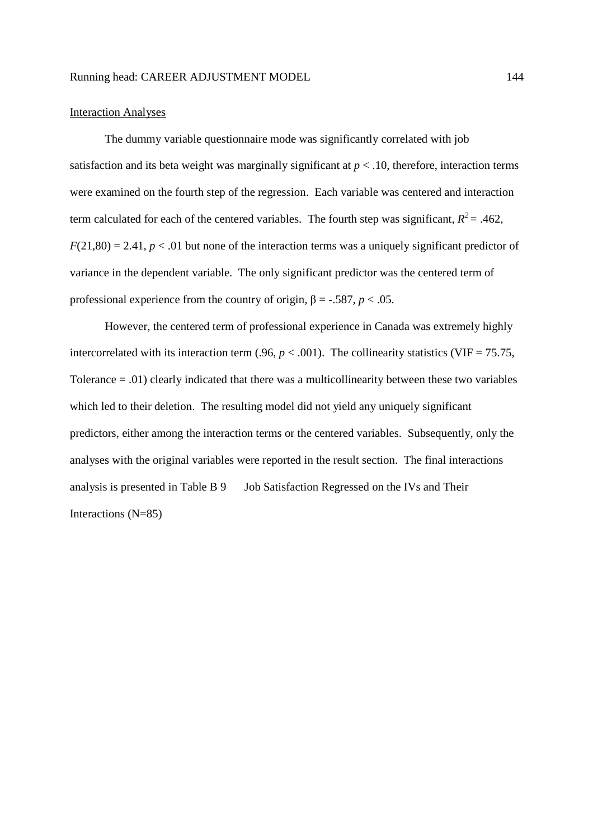### Interaction Analyses

The dummy variable questionnaire mode was significantly correlated with job satisfaction and its beta weight was marginally significant at  $p < 0.10$ , therefore, interaction terms were examined on the fourth step of the regression. Each variable was centered and interaction term calculated for each of the centered variables. The fourth step was significant,  $R^2 = .462$ ,  $F(21,80) = 2.41$ ,  $p < .01$  but none of the interaction terms was a uniquely significant predictor of variance in the dependent variable. The only significant predictor was the centered term of professional experience from the country of origin,  $\beta = -0.587$ ,  $p < 0.05$ .

However, the centered term of professional experience in Canada was extremely highly intercorrelated with its interaction term (.96,  $p < .001$ ). The collinearity statistics (VIF = 75.75, Tolerance = .01) clearly indicated that there was a multicollinearity between these two variables which led to their deletion. The resulting model did not yield any uniquely significant predictors, either among the interaction terms or the centered variables. Subsequently, only the analyses with the original variables were reported in the result section. The final interactions analysis is presented in Table B 9 Job Satisfaction Regressed on the IVs and Their Interactions (N=85)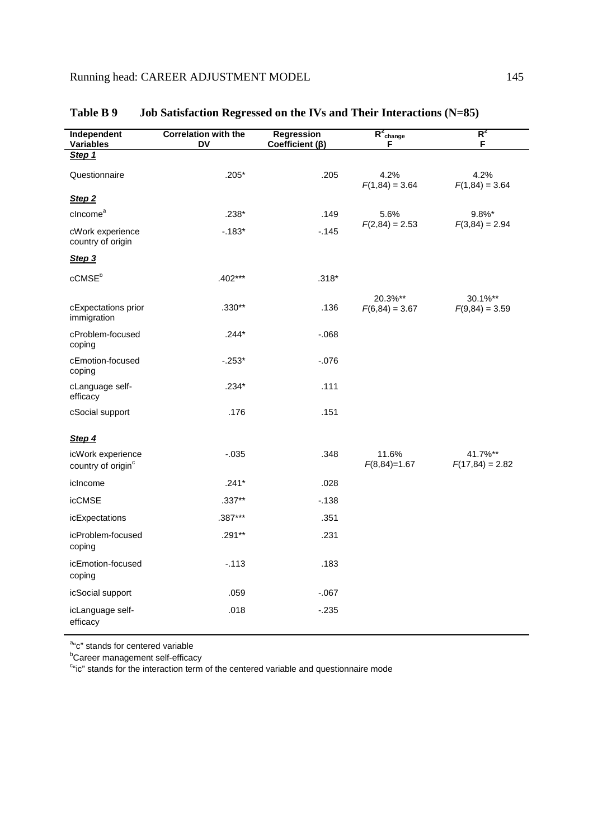| Independent<br><b>Variables</b>                     | Correlation with the<br><b>DV</b> | Regression<br>Coefficient $(\beta)$ | $R^2$ change<br>F           | $R^2$<br>F                   |
|-----------------------------------------------------|-----------------------------------|-------------------------------------|-----------------------------|------------------------------|
| Step 1                                              |                                   |                                     |                             |                              |
| Questionnaire                                       | $.205*$                           | .205                                | 4.2%<br>$F(1,84) = 3.64$    | 4.2%<br>$F(1,84) = 3.64$     |
| Step <sub>2</sub>                                   |                                   |                                     |                             |                              |
| cIncome <sup>a</sup>                                | .238*                             | .149                                | 5.6%                        | 9.8%*                        |
| cWork experience<br>country of origin               | $-183*$                           | $-145$                              | $F(2,84) = 2.53$            | $F(3,84) = 2.94$             |
| Step 3                                              |                                   |                                     |                             |                              |
| $c$ CMS $Eb$                                        | $.402***$                         | $.318*$                             |                             |                              |
| cExpectations prior<br>immigration                  | $.330**$                          | .136                                | 20.3%**<br>$F(6,84) = 3.67$ | 30.1%**<br>$F(9,84) = 3.59$  |
| cProblem-focused<br>coping                          | $.244*$                           | $-068$                              |                             |                              |
| cEmotion-focused<br>coping                          | $-253*$                           | $-0.076$                            |                             |                              |
| cLanguage self-<br>efficacy                         | $.234*$                           | .111                                |                             |                              |
| cSocial support                                     | .176                              | .151                                |                             |                              |
| Step 4                                              |                                   |                                     |                             |                              |
| icWork experience<br>country of origin <sup>c</sup> | $-0.035$                          | .348                                | 11.6%<br>$F(8,84)=1.67$     | 41.7%**<br>$F(17,84) = 2.82$ |
| icIncome                                            | $.241*$                           | .028                                |                             |                              |
| <b>icCMSE</b>                                       | $.337**$                          | $-138$                              |                             |                              |
| icExpectations                                      | .387***                           | .351                                |                             |                              |
| icProblem-focused<br>coping                         | $.291**$                          | .231                                |                             |                              |
| icEmotion-focused<br>coping                         | $-113$                            | .183                                |                             |                              |
| icSocial support                                    | .059                              | $-067$                              |                             |                              |
| icLanguage self-<br>efficacy                        | .018                              | $-235$                              |                             |                              |

| Table B 9<br><b>Job Satisfaction Regressed on the IVs and Their Interactions (<math>N=85</math>)</b> |
|------------------------------------------------------------------------------------------------------|
|------------------------------------------------------------------------------------------------------|

a"c" stands for centered variable

**Career management self-efficacy** 

<sup>c</sup>"ic" stands for the interaction term of the centered variable and questionnaire mode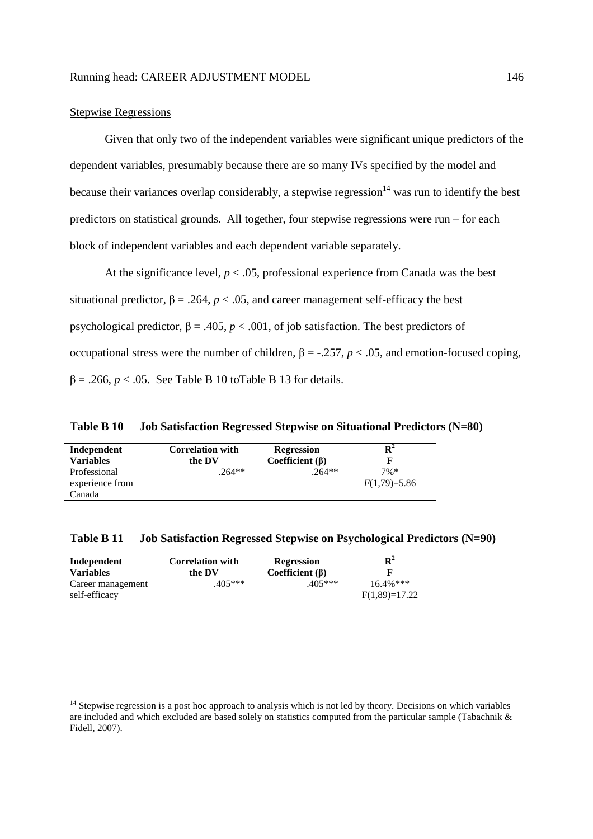### Stepwise Regressions

-

Given that only two of the independent variables were significant unique predictors of the dependent variables, presumably because there are so many IVs specified by the model and because their variances overlap considerably, a stepwise regression<sup>14</sup> was run to identify the best predictors on statistical grounds. All together, four stepwise regressions were run – for each block of independent variables and each dependent variable separately.

At the significance level,  $p < .05$ , professional experience from Canada was the best situational predictor,  $\beta = .264$ ,  $p < .05$ , and career management self-efficacy the best psychological predictor,  $\beta = .405$ ,  $p < .001$ , of job satisfaction. The best predictors of occupational stress were the number of children, β = -.257, *p* < .05, and emotion-focused coping,  $\beta = .266$ ,  $p < .05$ . See Table B 10 to Table B 13 for details.

**Table B 10 Job Satisfaction Regressed Stepwise on Situational Predictors (N=80)** 

| Independent<br><b>Variables</b> | <b>Correlation with</b><br>the DV | <b>Regression</b><br>Coefficient $(\beta)$ | Rź             |
|---------------------------------|-----------------------------------|--------------------------------------------|----------------|
| Professional                    | $.264**$                          | $.264**$                                   | $7\%*$         |
| experience from                 |                                   |                                            | $F(1,79)=5.86$ |
| Canada                          |                                   |                                            |                |

| Table B 11 |  | Job Satisfaction Regressed Stepwise on Psychological Predictors (N=90) |  |
|------------|--|------------------------------------------------------------------------|--|
|            |  |                                                                        |  |

| Independent                        | <b>Correlation with</b> | <b>Regression</b>     | $\mathbf{R}^2$                  |
|------------------------------------|-------------------------|-----------------------|---------------------------------|
| <b>Variables</b>                   | the DV                  | Coefficient $(\beta)$ |                                 |
| Career management<br>self-efficacy | $405***$                | 405***                | $16.4\%$ ***<br>$F(1,89)=17.22$ |

<sup>&</sup>lt;sup>14</sup> Stepwise regression is a post hoc approach to analysis which is not led by theory. Decisions on which variables are included and which excluded are based solely on statistics computed from the particular sample (Tabachnik & Fidell, 2007).